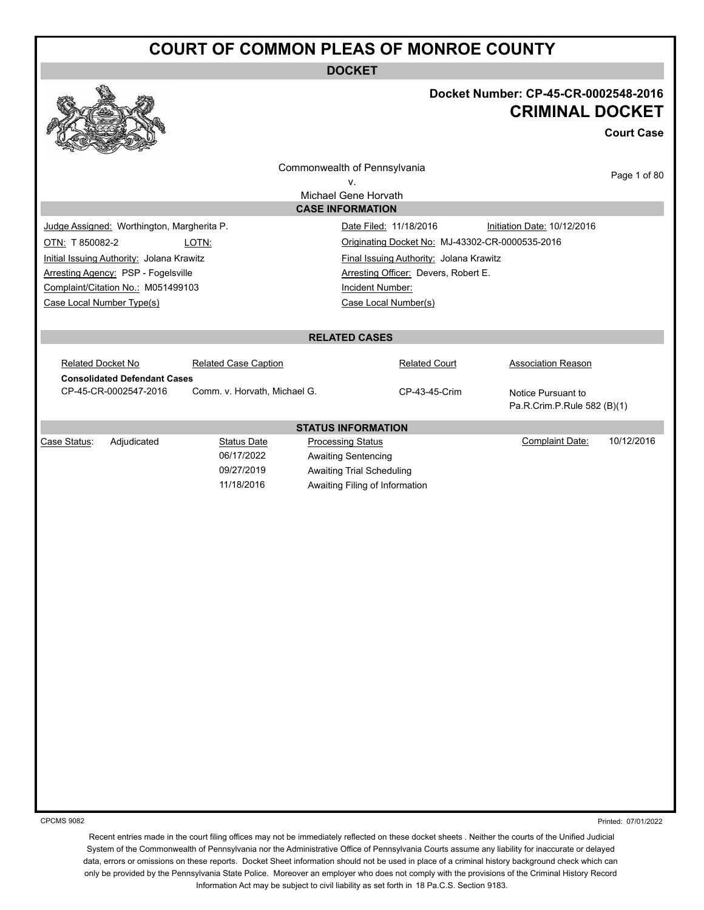**DOCKET**



#### **Docket Number: CP-45-CR-0002548-2016 CRIMINAL DOCKET**

**Court Case**

|                          |                                            |                              | Commonwealth of Pennsylvania                    |                                         |                                                   | Page 1 of 80        |
|--------------------------|--------------------------------------------|------------------------------|-------------------------------------------------|-----------------------------------------|---------------------------------------------------|---------------------|
|                          |                                            |                              | v.                                              |                                         |                                                   |                     |
|                          |                                            |                              | Michael Gene Horvath<br><b>CASE INFORMATION</b> |                                         |                                                   |                     |
|                          | Judge Assigned: Worthington, Margherita P. |                              | Date Filed: 11/18/2016                          |                                         | Initiation Date: 10/12/2016                       |                     |
| OTN: T 850082-2          |                                            | LOTN:                        |                                                 |                                         | Originating Docket No: MJ-43302-CR-0000535-2016   |                     |
|                          | Initial Issuing Authority: Jolana Krawitz  |                              |                                                 | Final Issuing Authority: Jolana Krawitz |                                                   |                     |
|                          | Arresting Agency: PSP - Fogelsville        |                              |                                                 | Arresting Officer: Devers, Robert E.    |                                                   |                     |
|                          | Complaint/Citation No.: M051499103         |                              | <b>Incident Number:</b>                         |                                         |                                                   |                     |
|                          | Case Local Number Type(s)                  |                              | Case Local Number(s)                            |                                         |                                                   |                     |
|                          |                                            |                              |                                                 |                                         |                                                   |                     |
|                          |                                            |                              | <b>RELATED CASES</b>                            |                                         |                                                   |                     |
| <b>Related Docket No</b> |                                            | <b>Related Case Caption</b>  |                                                 | <b>Related Court</b>                    | <b>Association Reason</b>                         |                     |
|                          | <b>Consolidated Defendant Cases</b>        |                              |                                                 |                                         |                                                   |                     |
|                          | CP-45-CR-0002547-2016                      | Comm. v. Horvath, Michael G. |                                                 | CP-43-45-Crim                           | Notice Pursuant to<br>Pa.R.Crim.P.Rule 582 (B)(1) |                     |
|                          |                                            |                              | <b>STATUS INFORMATION</b>                       |                                         |                                                   |                     |
| Case Status:             | Adjudicated                                | <b>Status Date</b>           | <b>Processing Status</b>                        |                                         | Complaint Date:                                   | 10/12/2016          |
|                          |                                            | 06/17/2022                   | Awaiting Sentencing                             |                                         |                                                   |                     |
|                          |                                            | 09/27/2019                   | <b>Awaiting Trial Scheduling</b>                |                                         |                                                   |                     |
|                          |                                            | 11/18/2016                   | Awaiting Filing of Information                  |                                         |                                                   |                     |
|                          |                                            |                              |                                                 |                                         |                                                   |                     |
|                          |                                            |                              |                                                 |                                         |                                                   |                     |
|                          |                                            |                              |                                                 |                                         |                                                   |                     |
|                          |                                            |                              |                                                 |                                         |                                                   |                     |
|                          |                                            |                              |                                                 |                                         |                                                   |                     |
|                          |                                            |                              |                                                 |                                         |                                                   |                     |
|                          |                                            |                              |                                                 |                                         |                                                   |                     |
|                          |                                            |                              |                                                 |                                         |                                                   |                     |
|                          |                                            |                              |                                                 |                                         |                                                   |                     |
|                          |                                            |                              |                                                 |                                         |                                                   |                     |
|                          |                                            |                              |                                                 |                                         |                                                   |                     |
|                          |                                            |                              |                                                 |                                         |                                                   |                     |
|                          |                                            |                              |                                                 |                                         |                                                   |                     |
|                          |                                            |                              |                                                 |                                         |                                                   |                     |
|                          |                                            |                              |                                                 |                                         |                                                   |                     |
|                          |                                            |                              |                                                 |                                         |                                                   |                     |
|                          |                                            |                              |                                                 |                                         |                                                   |                     |
|                          |                                            |                              |                                                 |                                         |                                                   |                     |
|                          |                                            |                              |                                                 |                                         |                                                   |                     |
|                          |                                            |                              |                                                 |                                         |                                                   |                     |
|                          |                                            |                              |                                                 |                                         |                                                   |                     |
| <b>CPCMS 9082</b>        |                                            |                              |                                                 |                                         |                                                   | Printed: 07/01/2022 |

Printed: 07/01/2022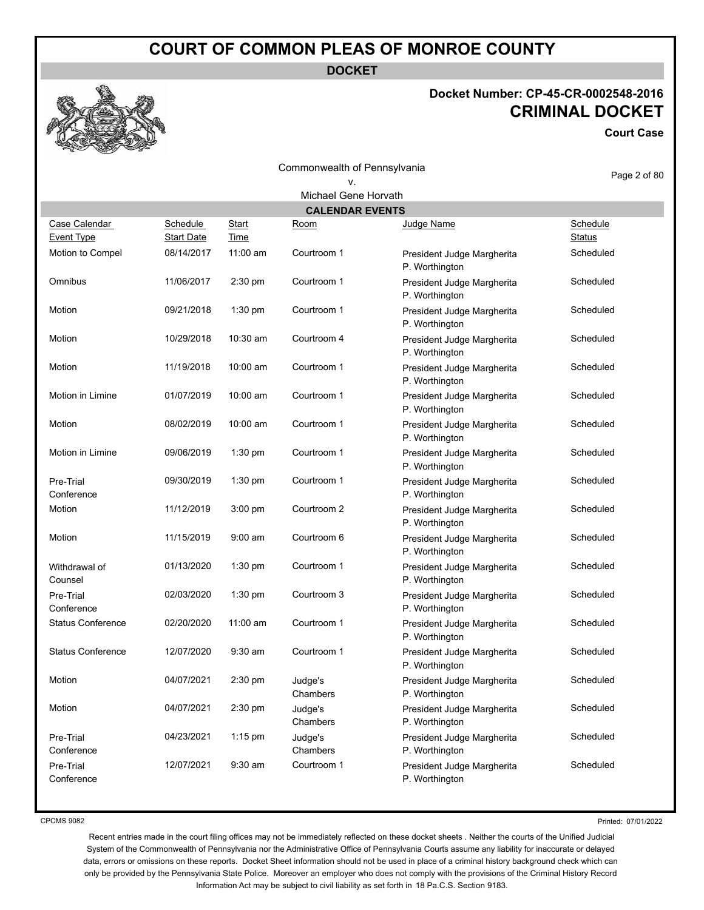**DOCKET**

#### **Docket Number: CP-45-CR-0002548-2016 CRIMINAL DOCKET**

**Court Case**

|                                    |                               |                      | Commonwealth of Pennsylvania |                                              | Page 2 of 80              |
|------------------------------------|-------------------------------|----------------------|------------------------------|----------------------------------------------|---------------------------|
| v.                                 |                               |                      |                              |                                              |                           |
|                                    |                               |                      | Michael Gene Horvath         |                                              |                           |
|                                    |                               |                      | <b>CALENDAR EVENTS</b>       |                                              |                           |
| Case Calendar<br><b>Event Type</b> | Schedule<br><b>Start Date</b> | <b>Start</b><br>Time | Room                         | Judge Name                                   | Schedule<br><b>Status</b> |
| Motion to Compel                   | 08/14/2017                    | $11:00$ am           | Courtroom 1                  | President Judge Margherita<br>P. Worthington | Scheduled                 |
| Omnibus                            | 11/06/2017                    | 2:30 pm              | Courtroom 1                  | President Judge Margherita<br>P. Worthington | Scheduled                 |
| Motion                             | 09/21/2018                    | 1:30 pm              | Courtroom 1                  | President Judge Margherita<br>P. Worthington | Scheduled                 |
| Motion                             | 10/29/2018                    | 10:30 am             | Courtroom 4                  | President Judge Margherita<br>P. Worthington | Scheduled                 |
| Motion                             | 11/19/2018                    | 10:00 am             | Courtroom 1                  | President Judge Margherita<br>P. Worthington | Scheduled                 |
| Motion in Limine                   | 01/07/2019                    | 10:00 am             | Courtroom 1                  | President Judge Margherita<br>P. Worthington | Scheduled                 |
| Motion                             | 08/02/2019                    | 10:00 am             | Courtroom 1                  | President Judge Margherita<br>P. Worthington | Scheduled                 |
| Motion in Limine                   | 09/06/2019                    | 1:30 pm              | Courtroom 1                  | President Judge Margherita<br>P. Worthington | Scheduled                 |
| Pre-Trial<br>Conference            | 09/30/2019                    | 1:30 pm              | Courtroom 1                  | President Judge Margherita<br>P. Worthington | Scheduled                 |
| Motion                             | 11/12/2019                    | 3:00 pm              | Courtroom 2                  | President Judge Margherita<br>P. Worthington | Scheduled                 |
| Motion                             | 11/15/2019                    | $9:00$ am            | Courtroom 6                  | President Judge Margherita<br>P. Worthington | Scheduled                 |
| Withdrawal of<br>Counsel           | 01/13/2020                    | 1:30 pm              | Courtroom 1                  | President Judge Margherita<br>P. Worthington | Scheduled                 |
| Pre-Trial<br>Conference            | 02/03/2020                    | 1:30 pm              | Courtroom 3                  | President Judge Margherita<br>P. Worthington | Scheduled                 |
| <b>Status Conference</b>           | 02/20/2020                    | $11:00$ am           | Courtroom 1                  | President Judge Margherita<br>P. Worthington | Scheduled                 |
| <b>Status Conference</b>           | 12/07/2020                    | $9:30$ am            | Courtroom 1                  | President Judge Margherita<br>P. Worthington | Scheduled                 |
| Motion                             | 04/07/2021                    | 2:30 pm              | Judge's<br>Chambers          | President Judge Margherita<br>P. Worthington | Scheduled                 |
| Motion                             | 04/07/2021                    | 2:30 pm              | Judge's<br>Chambers          | President Judge Margherita<br>P. Worthington | Scheduled                 |
| Pre-Trial<br>Conference            | 04/23/2021                    | $1:15$ pm            | Judge's<br>Chambers          | President Judge Margherita<br>P. Worthington | Scheduled                 |
| Pre-Trial<br>Conference            | 12/07/2021                    | $9:30$ am            | Courtroom 1                  | President Judge Margherita<br>P. Worthington | Scheduled                 |

CPCMS 9082

Printed: 07/01/2022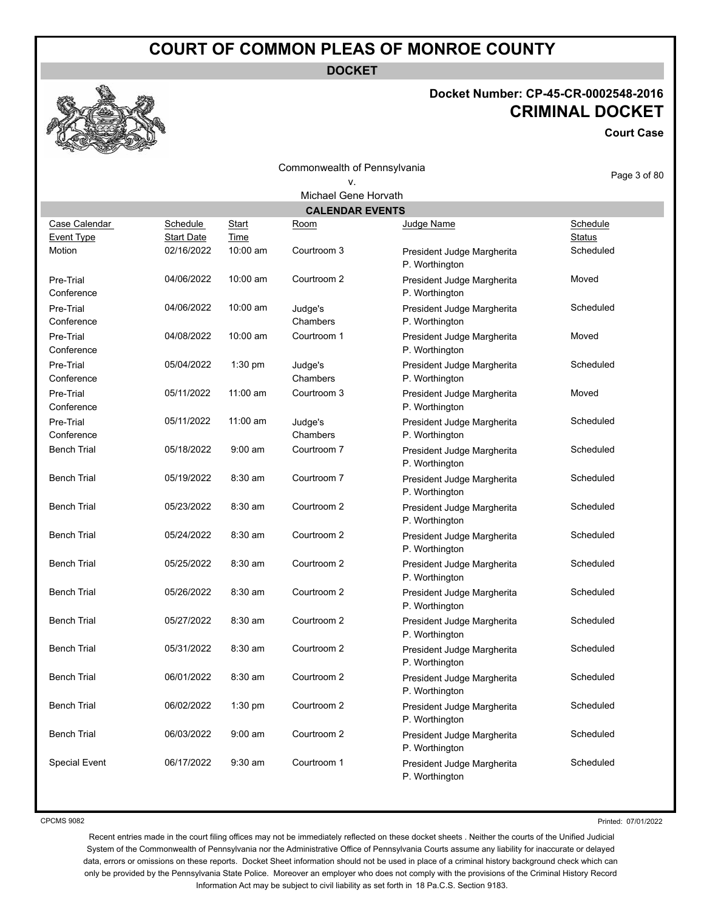**DOCKET**

#### **Docket Number: CP-45-CR-0002548-2016 CRIMINAL DOCKET**

**Court Case**

|                         |                   |              | Commonwealth of Pennsylvania |                                              | Page 3 of 80  |
|-------------------------|-------------------|--------------|------------------------------|----------------------------------------------|---------------|
| ٧.                      |                   |              |                              |                                              |               |
|                         |                   |              | Michael Gene Horvath         |                                              |               |
|                         |                   |              | <b>CALENDAR EVENTS</b>       |                                              |               |
| Case Calendar           | Schedule          | <b>Start</b> | Room                         | Judge Name                                   | Schedule      |
| Event Type              | <b>Start Date</b> | Time         |                              |                                              | <b>Status</b> |
| Motion                  | 02/16/2022        | 10:00 am     | Courtroom 3                  | President Judge Margherita<br>P. Worthington | Scheduled     |
| Pre-Trial<br>Conference | 04/06/2022        | 10:00 am     | Courtroom 2                  | President Judge Margherita<br>P. Worthington | Moved         |
| Pre-Trial<br>Conference | 04/06/2022        | 10:00 am     | Judge's<br>Chambers          | President Judge Margherita<br>P. Worthington | Scheduled     |
| Pre-Trial<br>Conference | 04/08/2022        | 10:00 am     | Courtroom 1                  | President Judge Margherita<br>P. Worthington | Moved         |
| Pre-Trial<br>Conference | 05/04/2022        | 1:30 pm      | Judge's<br>Chambers          | President Judge Margherita<br>P. Worthington | Scheduled     |
| Pre-Trial<br>Conference | 05/11/2022        | 11:00 am     | Courtroom 3                  | President Judge Margherita<br>P. Worthington | Moved         |
| Pre-Trial<br>Conference | 05/11/2022        | 11:00 am     | Judge's<br>Chambers          | President Judge Margherita<br>P. Worthington | Scheduled     |
| <b>Bench Trial</b>      | 05/18/2022        | $9:00$ am    | Courtroom 7                  | President Judge Margherita<br>P. Worthington | Scheduled     |
| <b>Bench Trial</b>      | 05/19/2022        | 8:30 am      | Courtroom 7                  | President Judge Margherita<br>P. Worthington | Scheduled     |
| <b>Bench Trial</b>      | 05/23/2022        | 8:30 am      | Courtroom 2                  | President Judge Margherita<br>P. Worthington | Scheduled     |
| <b>Bench Trial</b>      | 05/24/2022        | $8:30$ am    | Courtroom 2                  | President Judge Margherita<br>P. Worthington | Scheduled     |
| <b>Bench Trial</b>      | 05/25/2022        | 8:30 am      | Courtroom 2                  | President Judge Margherita<br>P. Worthington | Scheduled     |
| <b>Bench Trial</b>      | 05/26/2022        | 8:30 am      | Courtroom 2                  | President Judge Margherita<br>P. Worthington | Scheduled     |
| <b>Bench Trial</b>      | 05/27/2022        | 8:30 am      | Courtroom 2                  | President Judge Margherita<br>P. Worthington | Scheduled     |
| <b>Bench Trial</b>      | 05/31/2022        | 8:30 am      | Courtroom 2                  | President Judge Margherita<br>P. Worthington | Scheduled     |
| <b>Bench Trial</b>      | 06/01/2022        | 8:30 am      | Courtroom 2                  | President Judge Margherita<br>P. Worthington | Scheduled     |
| <b>Bench Trial</b>      | 06/02/2022        | $1:30$ pm    | Courtroom 2                  | President Judge Margherita<br>P. Worthington | Scheduled     |
| <b>Bench Trial</b>      | 06/03/2022        | $9:00$ am    | Courtroom 2                  | President Judge Margherita<br>P. Worthington | Scheduled     |
| <b>Special Event</b>    | 06/17/2022        | $9:30$ am    | Courtroom 1                  | President Judge Margherita<br>P. Worthington | Scheduled     |

CPCMS 9082

Printed: 07/01/2022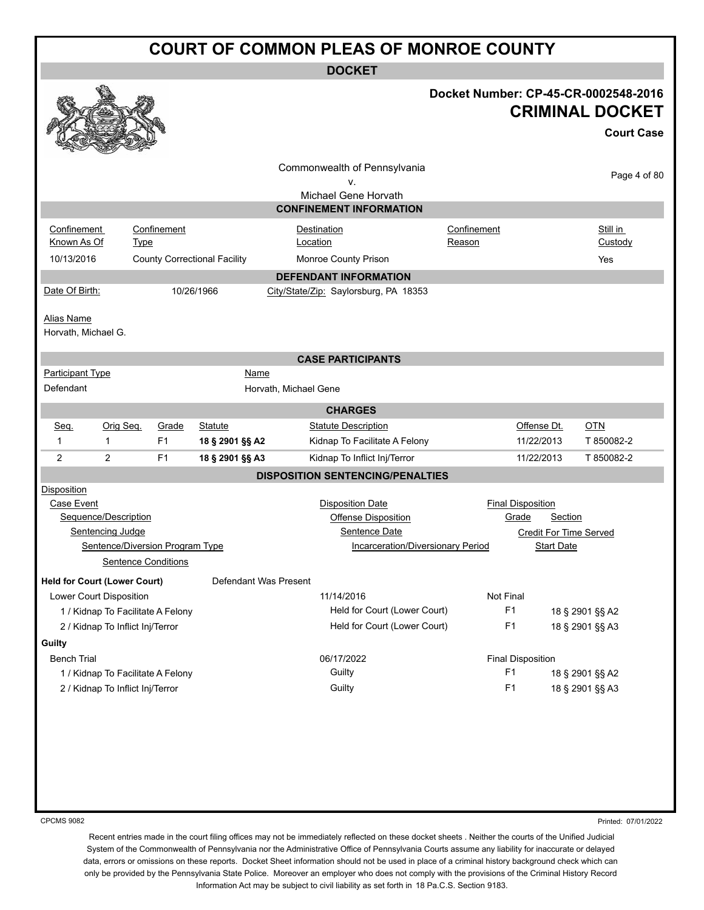**DOCKET**

| Docket Number: CP-45-CR-0002548-2016 |  |
|--------------------------------------|--|
| <b>CRIMINAL DOCKET</b>               |  |

|                                     |                                   |                                                                    |                                     |                       |                                                            |             |                                   |                               | <b>Court Case</b> |
|-------------------------------------|-----------------------------------|--------------------------------------------------------------------|-------------------------------------|-----------------------|------------------------------------------------------------|-------------|-----------------------------------|-------------------------------|-------------------|
|                                     |                                   |                                                                    |                                     |                       | Commonwealth of Pennsylvania<br>ν.<br>Michael Gene Horvath |             |                                   |                               | Page 4 of 80      |
|                                     |                                   |                                                                    |                                     |                       | <b>CONFINEMENT INFORMATION</b>                             |             |                                   |                               |                   |
|                                     |                                   |                                                                    |                                     |                       |                                                            | Confinement |                                   |                               | Still in          |
| Confinement<br>Known As Of          | <b>Type</b>                       | Confinement                                                        |                                     |                       | <b>Destination</b><br>Location                             | Reason      |                                   |                               | Custody           |
| 10/13/2016                          |                                   |                                                                    | <b>County Correctional Facility</b> |                       | Monroe County Prison                                       |             |                                   |                               | Yes               |
|                                     |                                   |                                                                    |                                     |                       | <b>DEFENDANT INFORMATION</b>                               |             |                                   |                               |                   |
| Date Of Birth:                      |                                   |                                                                    | 10/26/1966                          |                       | City/State/Zip: Saylorsburg, PA 18353                      |             |                                   |                               |                   |
|                                     |                                   |                                                                    |                                     |                       |                                                            |             |                                   |                               |                   |
| Alias Name                          |                                   |                                                                    |                                     |                       |                                                            |             |                                   |                               |                   |
| Horvath, Michael G.                 |                                   |                                                                    |                                     |                       |                                                            |             |                                   |                               |                   |
|                                     |                                   |                                                                    |                                     |                       |                                                            |             |                                   |                               |                   |
| <b>Participant Type</b>             |                                   |                                                                    | <b>Name</b>                         |                       | <b>CASE PARTICIPANTS</b>                                   |             |                                   |                               |                   |
| Defendant                           |                                   |                                                                    |                                     | Horvath, Michael Gene |                                                            |             |                                   |                               |                   |
|                                     |                                   |                                                                    |                                     |                       |                                                            |             |                                   |                               |                   |
|                                     |                                   |                                                                    |                                     |                       | <b>CHARGES</b>                                             |             |                                   |                               |                   |
| Seq.                                | Orig Seq.                         | Grade                                                              | <b>Statute</b>                      |                       | <b>Statute Description</b>                                 |             |                                   | Offense Dt.                   | $OTN$             |
| 1                                   | $\mathbf 1$                       | F <sub>1</sub><br>Kidnap To Facilitate A Felony<br>18 § 2901 §§ A2 |                                     |                       |                                                            | 11/22/2013  | T 850082-2                        |                               |                   |
| 2                                   | $\overline{2}$                    | F <sub>1</sub>                                                     | 18 § 2901 §§ A3                     |                       | Kidnap To Inflict Inj/Terror                               |             |                                   | 11/22/2013                    | T 850082-2        |
|                                     |                                   |                                                                    |                                     |                       | <b>DISPOSITION SENTENCING/PENALTIES</b>                    |             |                                   |                               |                   |
| <b>Disposition</b>                  |                                   |                                                                    |                                     |                       |                                                            |             |                                   |                               |                   |
| Case Event                          |                                   |                                                                    |                                     |                       | <b>Disposition Date</b>                                    |             | <b>Final Disposition</b><br>Grade |                               |                   |
|                                     | Sequence/Description              |                                                                    |                                     |                       | Offense Disposition                                        |             |                                   | <b>Section</b>                |                   |
|                                     | Sentencing Judge                  |                                                                    |                                     |                       | Sentence Date<br><b>Incarceration/Diversionary Period</b>  |             |                                   | <b>Credit For Time Served</b> |                   |
|                                     | Sentence/Diversion Program Type   |                                                                    |                                     |                       |                                                            |             |                                   | <b>Start Date</b>             |                   |
|                                     |                                   | <b>Sentence Conditions</b>                                         |                                     |                       |                                                            |             |                                   |                               |                   |
| <b>Held for Court (Lower Court)</b> |                                   |                                                                    |                                     | Defendant Was Present |                                                            |             |                                   |                               |                   |
| Lower Court Disposition             |                                   |                                                                    |                                     |                       | 11/14/2016                                                 |             | Not Final                         |                               |                   |
|                                     | 1 / Kidnap To Facilitate A Felony |                                                                    |                                     |                       | Held for Court (Lower Court)                               |             | F <sub>1</sub>                    |                               | 18 § 2901 §§ A2   |
|                                     | 2 / Kidnap To Inflict Inj/Terror  |                                                                    |                                     |                       | Held for Court (Lower Court)                               |             | F <sub>1</sub>                    |                               | 18 § 2901 §§ A3   |
| Guilty                              |                                   |                                                                    |                                     |                       |                                                            |             |                                   |                               |                   |
| <b>Bench Trial</b>                  |                                   |                                                                    |                                     |                       | 06/17/2022                                                 |             | <b>Final Disposition</b>          |                               |                   |
|                                     | 1 / Kidnap To Facilitate A Felony |                                                                    |                                     |                       | Guilty                                                     |             | F <sub>1</sub>                    |                               | 18 § 2901 §§ A2   |
|                                     | 2 / Kidnap To Inflict Inj/Terror  |                                                                    |                                     |                       | Guilty                                                     |             | F <sub>1</sub>                    |                               | 18 § 2901 §§ A3   |
|                                     |                                   |                                                                    |                                     |                       |                                                            |             |                                   |                               |                   |
|                                     |                                   |                                                                    |                                     |                       |                                                            |             |                                   |                               |                   |
|                                     |                                   |                                                                    |                                     |                       |                                                            |             |                                   |                               |                   |
|                                     |                                   |                                                                    |                                     |                       |                                                            |             |                                   |                               |                   |
|                                     |                                   |                                                                    |                                     |                       |                                                            |             |                                   |                               |                   |

CPCMS 9082

**BA** 

Printed: 07/01/2022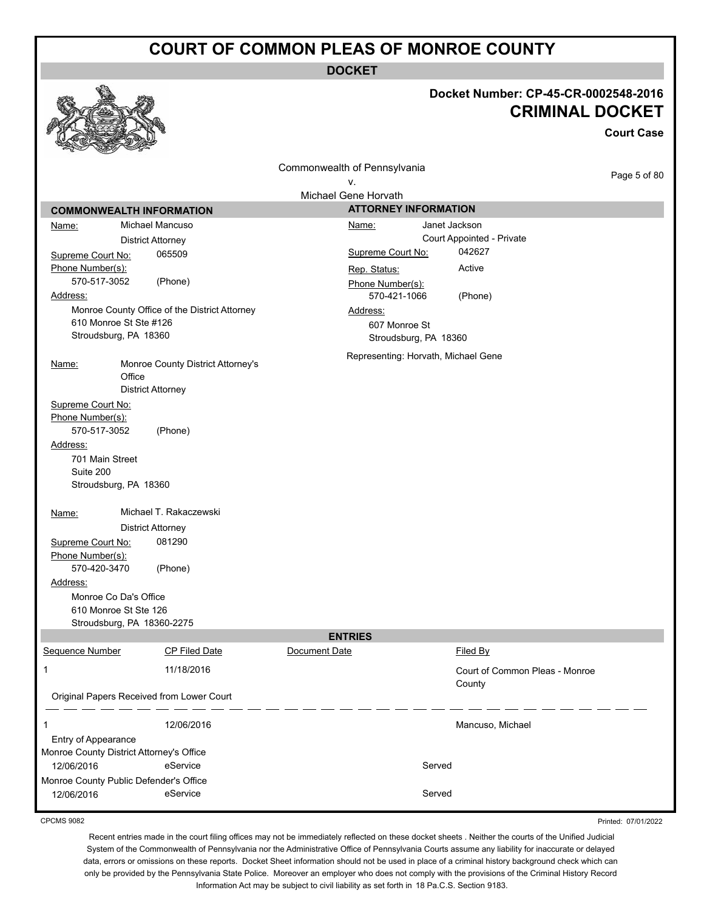**DOCKET**

|                                                                  | Docket Number: CP-45-CR-0002548-2016<br><b>CRIMINAL DOCKET</b><br><b>Court Case</b> |
|------------------------------------------------------------------|-------------------------------------------------------------------------------------|
| Commonwealth of Pennsylvania                                     | Page 5 of 80                                                                        |
| ۷.                                                               |                                                                                     |
| Michael Gene Horvath<br><b>COMMONWEALTH INFORMATION</b>          | <b>ATTORNEY INFORMATION</b>                                                         |
| Michael Mancuso<br>Name:                                         | Janet Jackson<br>Name:                                                              |
| <b>District Attorney</b>                                         | Court Appointed - Private                                                           |
| 065509<br>Supreme Court No:                                      | 042627<br>Supreme Court No:                                                         |
| Phone Number(s):                                                 | Active<br>Rep. Status:                                                              |
| 570-517-3052<br>(Phone)                                          | Phone Number(s):                                                                    |
| Address:                                                         | 570-421-1066<br>(Phone)                                                             |
| Monroe County Office of the District Attorney                    | Address:                                                                            |
| 610 Monroe St Ste #126                                           | 607 Monroe St                                                                       |
| Stroudsburg, PA 18360                                            | Stroudsburg, PA 18360                                                               |
| Monroe County District Attorney's<br>Name:                       | Representing: Horvath, Michael Gene                                                 |
| Office                                                           |                                                                                     |
| <b>District Attorney</b>                                         |                                                                                     |
| Supreme Court No:                                                |                                                                                     |
| Phone Number(s):<br>570-517-3052                                 |                                                                                     |
| (Phone)<br>Address:                                              |                                                                                     |
| 701 Main Street                                                  |                                                                                     |
| Suite 200                                                        |                                                                                     |
| Stroudsburg, PA 18360                                            |                                                                                     |
| Michael T. Rakaczewski                                           |                                                                                     |
| Name:<br><b>District Attorney</b>                                |                                                                                     |
| 081290<br>Supreme Court No:                                      |                                                                                     |
| Phone Number(s):                                                 |                                                                                     |
| 570-420-3470<br>(Phone)                                          |                                                                                     |
| Address:                                                         |                                                                                     |
| Monroe Co Da's Office                                            |                                                                                     |
| 610 Monroe St Ste 126                                            |                                                                                     |
| Stroudsburg, PA 18360-2275<br><b>ENTRIES</b>                     |                                                                                     |
| Sequence Number<br>CP Filed Date<br>Document Date                | Filed By                                                                            |
| 1<br>11/18/2016                                                  | Court of Common Pleas - Monroe                                                      |
| Original Papers Received from Lower Court                        | County                                                                              |
|                                                                  |                                                                                     |
| 12/06/2016<br>1                                                  | Mancuso, Michael                                                                    |
| Entry of Appearance                                              |                                                                                     |
| Monroe County District Attorney's Office                         |                                                                                     |
| eService<br>12/06/2016                                           | Served                                                                              |
| Monroe County Public Defender's Office<br>eService<br>12/06/2016 | Served                                                                              |

CPCMS 9082

Printed: 07/01/2022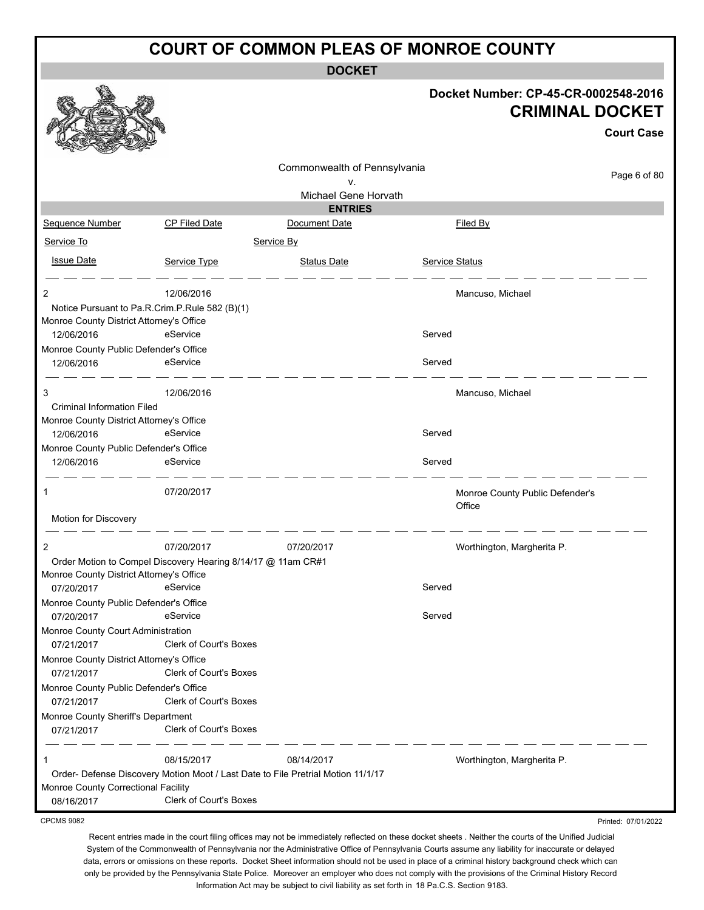**DOCKET**

|                                                        |                                                                                                                   |                                 | Docket Number: CP-45-CR-0002548-2016      | <b>CRIMINAL DOCKET</b><br><b>Court Case</b> |
|--------------------------------------------------------|-------------------------------------------------------------------------------------------------------------------|---------------------------------|-------------------------------------------|---------------------------------------------|
|                                                        |                                                                                                                   | Commonwealth of Pennsylvania    |                                           |                                             |
|                                                        |                                                                                                                   | v.                              |                                           | Page 6 of 80                                |
|                                                        |                                                                                                                   | Michael Gene Horvath            |                                           |                                             |
| <b>Sequence Number</b>                                 | <b>CP Filed Date</b>                                                                                              | <b>ENTRIES</b><br>Document Date | <u>Filed By</u>                           |                                             |
| Service To                                             |                                                                                                                   | Service By                      |                                           |                                             |
|                                                        |                                                                                                                   |                                 |                                           |                                             |
| <b>Issue Date</b>                                      | Service Type                                                                                                      | <b>Status Date</b>              | Service Status                            |                                             |
| 2                                                      | 12/06/2016                                                                                                        |                                 | Mancuso, Michael                          |                                             |
|                                                        | Notice Pursuant to Pa.R.Crim.P.Rule 582 (B)(1)                                                                    |                                 |                                           |                                             |
| Monroe County District Attorney's Office               |                                                                                                                   |                                 |                                           |                                             |
| 12/06/2016<br>Monroe County Public Defender's Office   | eService                                                                                                          |                                 | Served                                    |                                             |
| 12/06/2016                                             | eService                                                                                                          |                                 | Served                                    |                                             |
| 3                                                      | 12/06/2016                                                                                                        |                                 | Mancuso, Michael                          |                                             |
| <b>Criminal Information Filed</b>                      |                                                                                                                   |                                 |                                           |                                             |
| Monroe County District Attorney's Office<br>12/06/2016 | eService                                                                                                          |                                 | Served                                    |                                             |
| Monroe County Public Defender's Office                 |                                                                                                                   |                                 |                                           |                                             |
| 12/06/2016                                             | eService                                                                                                          |                                 | Served                                    |                                             |
| 1<br>Motion for Discovery                              | 07/20/2017                                                                                                        |                                 | Monroe County Public Defender's<br>Office |                                             |
|                                                        |                                                                                                                   |                                 |                                           |                                             |
| 2                                                      | 07/20/2017<br>Order Motion to Compel Discovery Hearing 8/14/17 @ 11am CR#1                                        | 07/20/2017                      | Worthington, Margherita P.                |                                             |
| Monroe County District Attorney's Office               |                                                                                                                   |                                 |                                           |                                             |
| 07/20/2017                                             | eService                                                                                                          |                                 | Served                                    |                                             |
| Monroe County Public Defender's Office                 |                                                                                                                   |                                 |                                           |                                             |
| 07/20/2017                                             | eService                                                                                                          |                                 | Served                                    |                                             |
| Monroe County Court Administration<br>07/21/2017       | Clerk of Court's Boxes                                                                                            |                                 |                                           |                                             |
| Monroe County District Attorney's Office               | <b>Clerk of Court's Boxes</b>                                                                                     |                                 |                                           |                                             |
| 07/21/2017<br>Monroe County Public Defender's Office   |                                                                                                                   |                                 |                                           |                                             |
| 07/21/2017                                             | <b>Clerk of Court's Boxes</b>                                                                                     |                                 |                                           |                                             |
| Monroe County Sheriff's Department                     |                                                                                                                   |                                 |                                           |                                             |
| 07/21/2017                                             | Clerk of Court's Boxes                                                                                            |                                 |                                           |                                             |
| 1                                                      | 08/15/2017                                                                                                        | 08/14/2017                      | Worthington, Margherita P.                |                                             |
| Monroe County Correctional Facility<br>08/16/2017      | Order- Defense Discovery Motion Moot / Last Date to File Pretrial Motion 11/1/17<br><b>Clerk of Court's Boxes</b> |                                 |                                           |                                             |
| <b>CPCMS 9082</b>                                      |                                                                                                                   |                                 |                                           | Printed: 07/01/2022                         |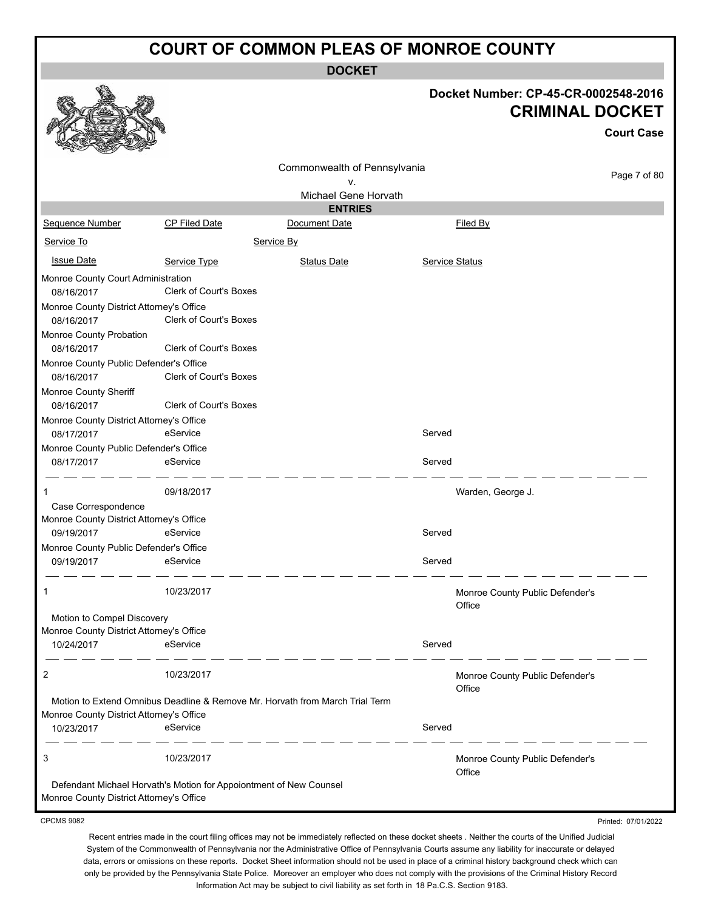**DOCKET**

|                                                                        |                                                                    |                                                                              |                       | Docket Number: CP-45-CR-0002548-2016<br><b>CRIMINAL DOCKET</b><br><b>Court Case</b> |
|------------------------------------------------------------------------|--------------------------------------------------------------------|------------------------------------------------------------------------------|-----------------------|-------------------------------------------------------------------------------------|
|                                                                        |                                                                    | Commonwealth of Pennsylvania                                                 |                       | Page 7 of 80                                                                        |
|                                                                        |                                                                    | v.<br>Michael Gene Horvath                                                   |                       |                                                                                     |
|                                                                        |                                                                    | <b>ENTRIES</b>                                                               |                       |                                                                                     |
| Sequence Number                                                        | <b>CP Filed Date</b>                                               | Document Date                                                                |                       | Filed By                                                                            |
| Service To                                                             |                                                                    | Service By                                                                   |                       |                                                                                     |
| <b>Issue Date</b>                                                      | Service Type                                                       | <b>Status Date</b>                                                           | <b>Service Status</b> |                                                                                     |
| Monroe County Court Administration<br>08/16/2017                       | <b>Clerk of Court's Boxes</b>                                      |                                                                              |                       |                                                                                     |
| Monroe County District Attorney's Office<br>08/16/2017                 | Clerk of Court's Boxes                                             |                                                                              |                       |                                                                                     |
| Monroe County Probation<br>08/16/2017                                  | <b>Clerk of Court's Boxes</b>                                      |                                                                              |                       |                                                                                     |
| Monroe County Public Defender's Office<br>08/16/2017                   | <b>Clerk of Court's Boxes</b>                                      |                                                                              |                       |                                                                                     |
| Monroe County Sheriff<br>08/16/2017                                    | <b>Clerk of Court's Boxes</b>                                      |                                                                              |                       |                                                                                     |
| Monroe County District Attorney's Office<br>08/17/2017                 | eService                                                           |                                                                              | Served                |                                                                                     |
| Monroe County Public Defender's Office<br>08/17/2017                   | eService                                                           |                                                                              | Served                |                                                                                     |
| 1                                                                      | 09/18/2017                                                         |                                                                              |                       | Warden, George J.                                                                   |
| Case Correspondence                                                    |                                                                    |                                                                              |                       |                                                                                     |
| Monroe County District Attorney's Office<br>09/19/2017                 | eService                                                           |                                                                              | Served                |                                                                                     |
| Monroe County Public Defender's Office                                 |                                                                    |                                                                              |                       |                                                                                     |
| 09/19/2017                                                             | eService                                                           |                                                                              | Served                |                                                                                     |
| 1                                                                      | 10/23/2017                                                         |                                                                              |                       | Monroe County Public Defender's<br>Office                                           |
| Motion to Compel Discovery<br>Monroe County District Attorney's Office |                                                                    |                                                                              |                       |                                                                                     |
| 10/24/2017                                                             | eService                                                           |                                                                              | Served                |                                                                                     |
| 2                                                                      | 10/23/2017                                                         |                                                                              |                       | Monroe County Public Defender's<br>Office                                           |
| Monroe County District Attorney's Office                               |                                                                    | Motion to Extend Omnibus Deadline & Remove Mr. Horvath from March Trial Term |                       |                                                                                     |
| 10/23/2017                                                             | eService                                                           |                                                                              | Served                |                                                                                     |
| 3                                                                      | 10/23/2017                                                         |                                                                              |                       | Monroe County Public Defender's<br>Office                                           |
| Monroe County District Attorney's Office                               | Defendant Michael Horvath's Motion for Appoiontment of New Counsel |                                                                              |                       |                                                                                     |
| <b>CPCMS 9082</b>                                                      |                                                                    |                                                                              |                       | Printed: 07/01/2022                                                                 |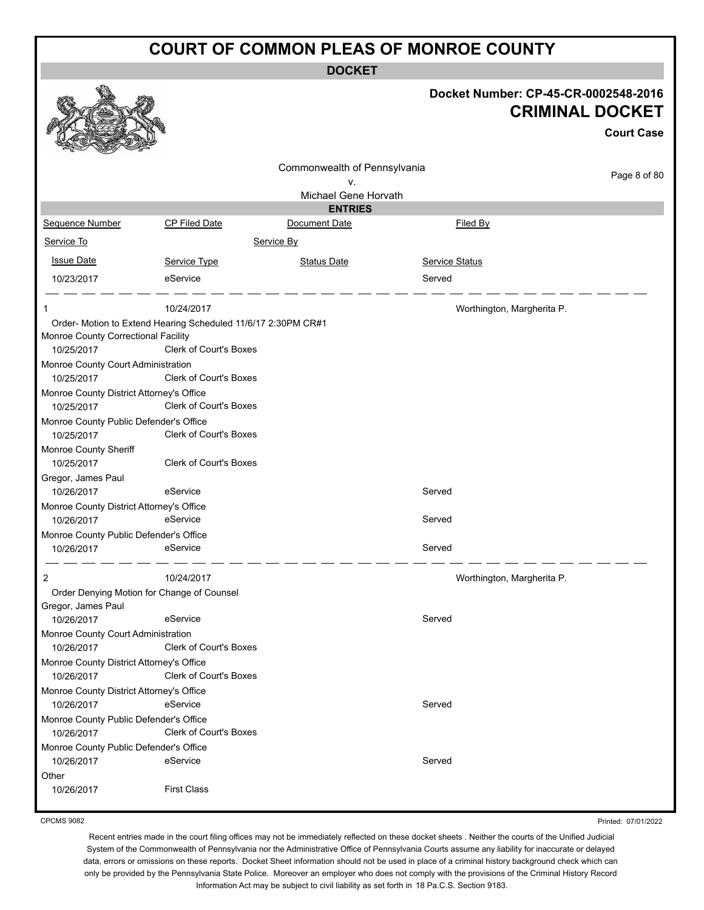**DOCKET**

|                                                        |                                                               | <b>DUUNEI</b>                |                                      |                        |
|--------------------------------------------------------|---------------------------------------------------------------|------------------------------|--------------------------------------|------------------------|
|                                                        |                                                               |                              | Docket Number: CP-45-CR-0002548-2016 | <b>CRIMINAL DOCKET</b> |
|                                                        |                                                               |                              |                                      | <b>Court Case</b>      |
|                                                        |                                                               | Commonwealth of Pennsylvania |                                      |                        |
|                                                        |                                                               | ٧.                           |                                      | Page 8 of 80           |
|                                                        |                                                               | Michael Gene Horvath         |                                      |                        |
|                                                        |                                                               | <b>ENTRIES</b>               |                                      |                        |
| Sequence Number                                        | CP Filed Date                                                 | Document Date                | Filed By                             |                        |
| Service To                                             |                                                               | Service By                   |                                      |                        |
| <b>Issue Date</b>                                      | Service Type                                                  | <b>Status Date</b>           | Service Status                       |                        |
| 10/23/2017                                             | eService                                                      |                              | Served                               |                        |
| 1                                                      | 10/24/2017                                                    |                              | Worthington, Margherita P.           |                        |
|                                                        | Order- Motion to Extend Hearing Scheduled 11/6/17 2:30PM CR#1 |                              |                                      |                        |
| Monroe County Correctional Facility<br>10/25/2017      | Clerk of Court's Boxes                                        |                              |                                      |                        |
| Monroe County Court Administration<br>10/25/2017       | Clerk of Court's Boxes                                        |                              |                                      |                        |
| Monroe County District Attorney's Office<br>10/25/2017 | Clerk of Court's Boxes                                        |                              |                                      |                        |
| Monroe County Public Defender's Office<br>10/25/2017   | Clerk of Court's Boxes                                        |                              |                                      |                        |
| Monroe County Sheriff                                  |                                                               |                              |                                      |                        |
| 10/25/2017                                             | Clerk of Court's Boxes                                        |                              |                                      |                        |
| Gregor, James Paul                                     |                                                               |                              |                                      |                        |
| 10/26/2017                                             | eService                                                      |                              | Served                               |                        |
| Monroe County District Attorney's Office               |                                                               |                              |                                      |                        |
| 10/26/2017                                             | eService                                                      |                              | Served                               |                        |
| Monroe County Public Defender's Office                 |                                                               |                              |                                      |                        |
| 10/26/2017                                             | eService                                                      |                              | Served                               |                        |
| 2                                                      | 10/24/2017                                                    |                              | Worthington, Margherita P.           |                        |
| Order Denying Motion for Change of Counsel             |                                                               |                              |                                      |                        |
| Gregor, James Paul                                     | eService                                                      |                              | Served                               |                        |
| 10/26/2017<br>Monroe County Court Administration       |                                                               |                              |                                      |                        |
| 10/26/2017                                             | <b>Clerk of Court's Boxes</b>                                 |                              |                                      |                        |
| Monroe County District Attorney's Office               |                                                               |                              |                                      |                        |
| 10/26/2017                                             | <b>Clerk of Court's Boxes</b>                                 |                              |                                      |                        |
| Monroe County District Attorney's Office               |                                                               |                              |                                      |                        |
| 10/26/2017                                             | eService                                                      |                              | Served                               |                        |
| Monroe County Public Defender's Office<br>10/26/2017   | <b>Clerk of Court's Boxes</b>                                 |                              |                                      |                        |
| Monroe County Public Defender's Office                 |                                                               |                              |                                      |                        |
| 10/26/2017                                             | eService                                                      |                              | Served                               |                        |
| Other                                                  |                                                               |                              |                                      |                        |
| 10/26/2017                                             | <b>First Class</b>                                            |                              |                                      |                        |
|                                                        |                                                               |                              |                                      |                        |

CPCMS 9082

Printed: 07/01/2022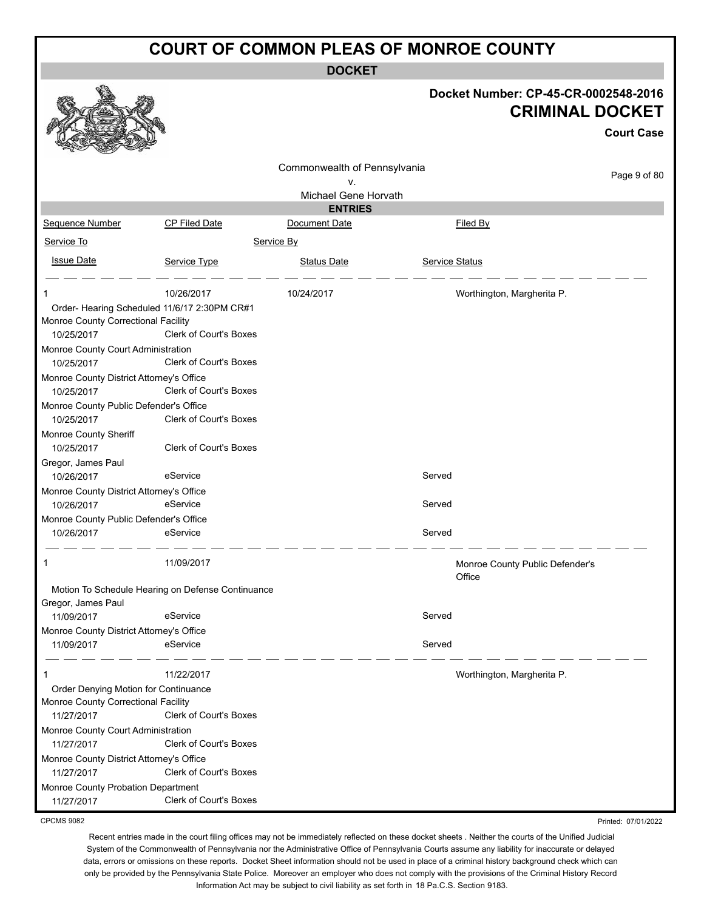**DOCKET**

|                                                      |                                                   |                              |                | Docket Number: CP-45-CR-0002548-2016<br><b>CRIMINAL DOCKET</b><br><b>Court Case</b> |
|------------------------------------------------------|---------------------------------------------------|------------------------------|----------------|-------------------------------------------------------------------------------------|
|                                                      |                                                   | Commonwealth of Pennsylvania |                | Page 9 of 80                                                                        |
|                                                      |                                                   | v.<br>Michael Gene Horvath   |                |                                                                                     |
|                                                      |                                                   | <b>ENTRIES</b>               |                |                                                                                     |
| Sequence Number                                      | <b>CP Filed Date</b>                              | Document Date                |                | Filed By                                                                            |
| Service To                                           |                                                   | Service By                   |                |                                                                                     |
| <b>Issue Date</b>                                    | Service Type                                      | <b>Status Date</b>           | Service Status |                                                                                     |
|                                                      | 10/26/2017                                        | 10/24/2017                   |                | Worthington, Margherita P.                                                          |
| Order- Hearing Scheduled 11/6/17 2:30PM CR#1         |                                                   |                              |                |                                                                                     |
| Monroe County Correctional Facility                  |                                                   |                              |                |                                                                                     |
| 10/25/2017                                           | Clerk of Court's Boxes                            |                              |                |                                                                                     |
| Monroe County Court Administration                   |                                                   |                              |                |                                                                                     |
| 10/25/2017                                           | <b>Clerk of Court's Boxes</b>                     |                              |                |                                                                                     |
| Monroe County District Attorney's Office             | Clerk of Court's Boxes                            |                              |                |                                                                                     |
| 10/25/2017                                           |                                                   |                              |                |                                                                                     |
| Monroe County Public Defender's Office<br>10/25/2017 | <b>Clerk of Court's Boxes</b>                     |                              |                |                                                                                     |
| Monroe County Sheriff                                |                                                   |                              |                |                                                                                     |
| 10/25/2017                                           | Clerk of Court's Boxes                            |                              |                |                                                                                     |
| Gregor, James Paul                                   |                                                   |                              |                |                                                                                     |
| 10/26/2017                                           | eService                                          |                              | Served         |                                                                                     |
| Monroe County District Attorney's Office             |                                                   |                              |                |                                                                                     |
| 10/26/2017                                           | eService                                          |                              | Served         |                                                                                     |
| Monroe County Public Defender's Office               |                                                   |                              |                |                                                                                     |
| 10/26/2017                                           | eService                                          |                              | Served         |                                                                                     |
|                                                      | 11/09/2017                                        |                              |                | Monroe County Public Defender's<br>Office                                           |
|                                                      | Motion To Schedule Hearing on Defense Continuance |                              |                |                                                                                     |
| Gregor, James Paul                                   |                                                   |                              |                |                                                                                     |
| 11/09/2017                                           | eService                                          |                              | Served         |                                                                                     |
| Monroe County District Attorney's Office             |                                                   |                              |                |                                                                                     |
| 11/09/2017                                           | eService                                          |                              | Served         |                                                                                     |
|                                                      | 11/22/2017                                        |                              |                | Worthington, Margherita P.                                                          |
| Order Denying Motion for Continuance                 |                                                   |                              |                |                                                                                     |
| Monroe County Correctional Facility                  |                                                   |                              |                |                                                                                     |
| 11/27/2017                                           | <b>Clerk of Court's Boxes</b>                     |                              |                |                                                                                     |
| Monroe County Court Administration                   |                                                   |                              |                |                                                                                     |
| 11/27/2017                                           | Clerk of Court's Boxes                            |                              |                |                                                                                     |
| Monroe County District Attorney's Office             | Clerk of Court's Boxes                            |                              |                |                                                                                     |
| 11/27/2017                                           |                                                   |                              |                |                                                                                     |
| Monroe County Probation Department<br>11/27/2017     | Clerk of Court's Boxes                            |                              |                |                                                                                     |
| <b>CPCMS 9082</b>                                    |                                                   |                              |                | Printed: 07/01/2022                                                                 |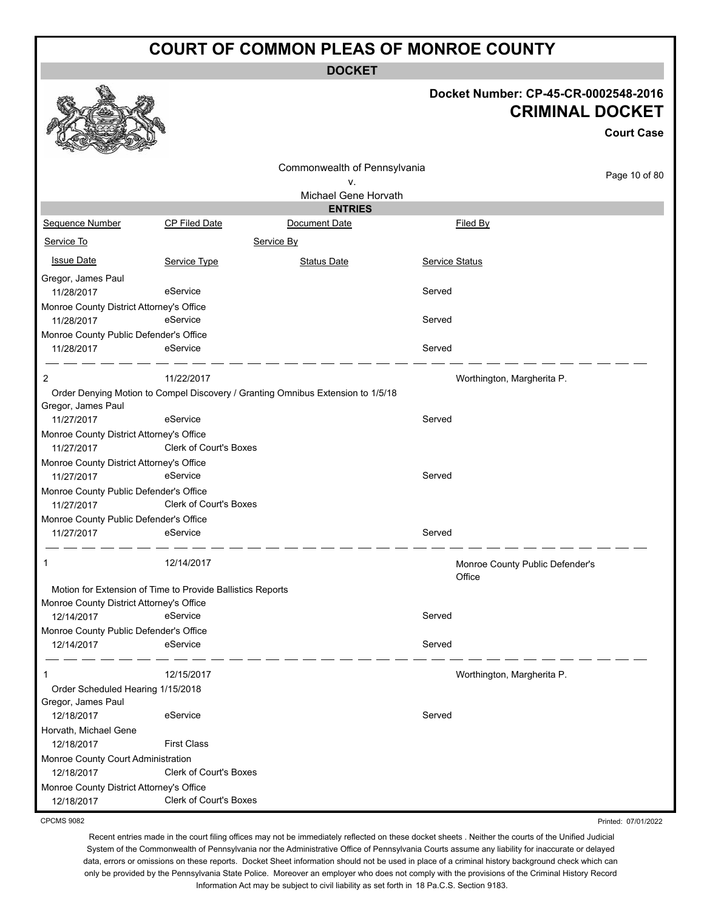**DOCKET**

#### **Docket Number: CP-45-CR-0002548-2016 CRIMINAL DOCKET**

|                                                        |                                                            | ו שווואר שטטאנוו                                                                |                                           |                   |
|--------------------------------------------------------|------------------------------------------------------------|---------------------------------------------------------------------------------|-------------------------------------------|-------------------|
|                                                        |                                                            |                                                                                 |                                           | <b>Court Case</b> |
|                                                        |                                                            | Commonwealth of Pennsylvania                                                    |                                           |                   |
|                                                        |                                                            | v.                                                                              |                                           | Page 10 of 80     |
|                                                        |                                                            | Michael Gene Horvath                                                            |                                           |                   |
|                                                        |                                                            | <b>ENTRIES</b>                                                                  |                                           |                   |
| Sequence Number                                        | <b>CP Filed Date</b>                                       | Document Date                                                                   | Filed By                                  |                   |
| Service To                                             |                                                            | Service By                                                                      |                                           |                   |
| <b>Issue Date</b>                                      | Service Type                                               | <b>Status Date</b>                                                              | Service Status                            |                   |
| Gregor, James Paul                                     |                                                            |                                                                                 |                                           |                   |
| 11/28/2017                                             | eService                                                   |                                                                                 | Served                                    |                   |
| Monroe County District Attorney's Office               |                                                            |                                                                                 |                                           |                   |
| 11/28/2017                                             | eService                                                   |                                                                                 | Served                                    |                   |
| Monroe County Public Defender's Office                 |                                                            |                                                                                 |                                           |                   |
| 11/28/2017                                             | eService                                                   |                                                                                 | Served                                    |                   |
| 2                                                      | 11/22/2017                                                 |                                                                                 | Worthington, Margherita P.                |                   |
|                                                        |                                                            | Order Denying Motion to Compel Discovery / Granting Omnibus Extension to 1/5/18 |                                           |                   |
| Gregor, James Paul                                     |                                                            |                                                                                 |                                           |                   |
| 11/27/2017                                             | eService                                                   |                                                                                 | Served                                    |                   |
| Monroe County District Attorney's Office<br>11/27/2017 | <b>Clerk of Court's Boxes</b>                              |                                                                                 |                                           |                   |
| Monroe County District Attorney's Office               |                                                            |                                                                                 |                                           |                   |
| 11/27/2017                                             | eService                                                   |                                                                                 | Served                                    |                   |
| Monroe County Public Defender's Office<br>11/27/2017   | Clerk of Court's Boxes                                     |                                                                                 |                                           |                   |
| Monroe County Public Defender's Office                 |                                                            |                                                                                 |                                           |                   |
| 11/27/2017                                             | eService                                                   |                                                                                 | Served                                    |                   |
| 1                                                      | 12/14/2017                                                 |                                                                                 | Monroe County Public Defender's<br>Office |                   |
|                                                        | Motion for Extension of Time to Provide Ballistics Reports |                                                                                 |                                           |                   |
| Monroe County District Attorney's Office               |                                                            |                                                                                 |                                           |                   |
| 12/14/2017                                             | eService                                                   |                                                                                 | Served                                    |                   |
| Monroe County Public Defender's Office                 |                                                            |                                                                                 |                                           |                   |
| 12/14/2017                                             | eService                                                   |                                                                                 | Served                                    |                   |
| 1                                                      | 12/15/2017                                                 |                                                                                 | Worthington, Margherita P.                |                   |
| Order Scheduled Hearing 1/15/2018                      |                                                            |                                                                                 |                                           |                   |
| Gregor, James Paul                                     |                                                            |                                                                                 |                                           |                   |
| 12/18/2017                                             | eService                                                   |                                                                                 | Served                                    |                   |
| Horvath, Michael Gene                                  |                                                            |                                                                                 |                                           |                   |
| 12/18/2017                                             | <b>First Class</b>                                         |                                                                                 |                                           |                   |
| Monroe County Court Administration                     |                                                            |                                                                                 |                                           |                   |
| 12/18/2017                                             | <b>Clerk of Court's Boxes</b>                              |                                                                                 |                                           |                   |
| Monroe County District Attorney's Office               |                                                            |                                                                                 |                                           |                   |
| 12/18/2017                                             | Clerk of Court's Boxes                                     |                                                                                 |                                           |                   |

CPCMS 9082

 $\sim$   $\sim$   $\alpha$ 

Recent entries made in the court filing offices may not be immediately reflected on these docket sheets . Neither the courts of the Unified Judicial System of the Commonwealth of Pennsylvania nor the Administrative Office of Pennsylvania Courts assume any liability for inaccurate or delayed data, errors or omissions on these reports. Docket Sheet information should not be used in place of a criminal history background check which can only be provided by the Pennsylvania State Police. Moreover an employer who does not comply with the provisions of the Criminal History Record Information Act may be subject to civil liability as set forth in 18 Pa.C.S. Section 9183.

Printed: 07/01/2022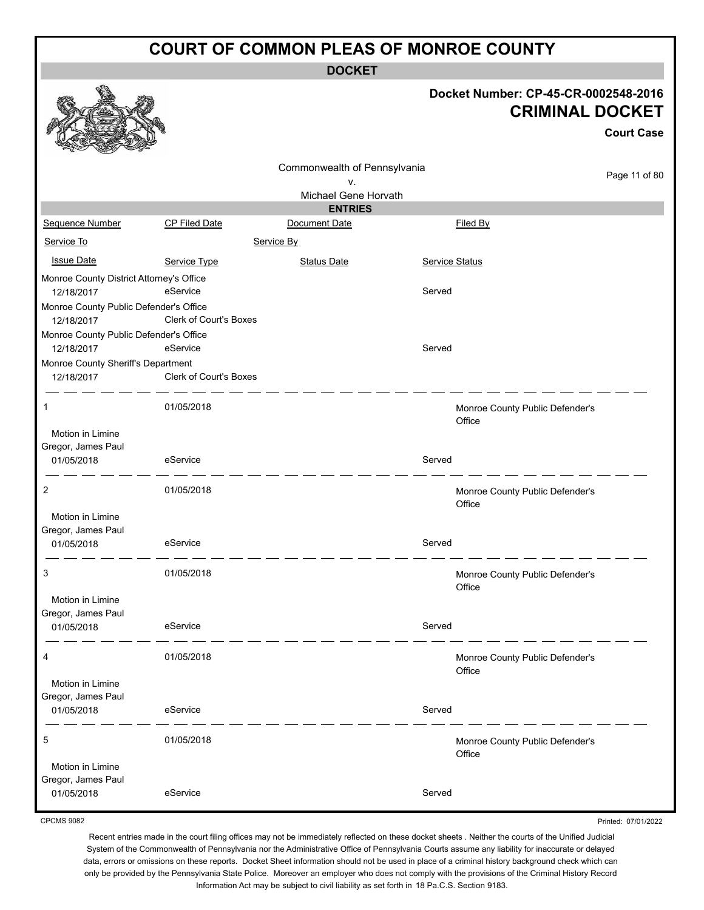**DOCKET**

 $\mathcal{L}$ 

|                                                      |                        | Docket Number: CP-45-CR-0002548-2016<br><b>CRIMINAL DOCKET</b> |                |                                           |                     |
|------------------------------------------------------|------------------------|----------------------------------------------------------------|----------------|-------------------------------------------|---------------------|
|                                                      |                        |                                                                |                |                                           | <b>Court Case</b>   |
|                                                      |                        | Commonwealth of Pennsylvania                                   |                |                                           |                     |
|                                                      |                        | ۷.                                                             |                |                                           | Page 11 of 80       |
|                                                      |                        | Michael Gene Horvath<br><b>ENTRIES</b>                         |                |                                           |                     |
| Sequence Number                                      | CP Filed Date          | Document Date                                                  |                | Filed By                                  |                     |
| Service To                                           |                        | Service By                                                     |                |                                           |                     |
| <b>Issue Date</b>                                    | Service Type           | <b>Status Date</b>                                             | Service Status |                                           |                     |
| Monroe County District Attorney's Office             |                        |                                                                |                |                                           |                     |
| 12/18/2017                                           | eService               |                                                                | Served         |                                           |                     |
| Monroe County Public Defender's Office<br>12/18/2017 | Clerk of Court's Boxes |                                                                |                |                                           |                     |
| Monroe County Public Defender's Office               |                        |                                                                |                |                                           |                     |
| 12/18/2017                                           | eService               |                                                                | Served         |                                           |                     |
| Monroe County Sheriff's Department<br>12/18/2017     | Clerk of Court's Boxes |                                                                |                |                                           |                     |
| $\mathbf{1}$                                         | 01/05/2018             |                                                                |                | Monroe County Public Defender's<br>Office |                     |
| Motion in Limine                                     |                        |                                                                |                |                                           |                     |
| Gregor, James Paul<br>01/05/2018                     | eService               |                                                                | Served         |                                           |                     |
| 2                                                    | 01/05/2018             |                                                                |                | Monroe County Public Defender's<br>Office |                     |
| Motion in Limine                                     |                        |                                                                |                |                                           |                     |
| Gregor, James Paul                                   |                        |                                                                |                |                                           |                     |
| 01/05/2018                                           | eService               |                                                                | Served         |                                           |                     |
| 3                                                    | 01/05/2018             |                                                                |                | Monroe County Public Defender's<br>Office |                     |
| Motion in Limine                                     |                        |                                                                |                |                                           |                     |
| Gregor, James Paul<br>01/05/2018                     | eService               |                                                                | Served         |                                           |                     |
| 4                                                    | 01/05/2018             |                                                                |                | Monroe County Public Defender's<br>Office |                     |
| Motion in Limine<br>Gregor, James Paul               |                        |                                                                |                |                                           |                     |
| 01/05/2018                                           | eService               |                                                                | Served         |                                           |                     |
| 5                                                    | 01/05/2018             |                                                                |                | Monroe County Public Defender's<br>Office |                     |
| Motion in Limine                                     |                        |                                                                |                |                                           |                     |
| Gregor, James Paul<br>01/05/2018                     | eService               |                                                                | Served         |                                           |                     |
| <b>CPCMS 9082</b>                                    |                        |                                                                |                |                                           | Printed: 07/01/2022 |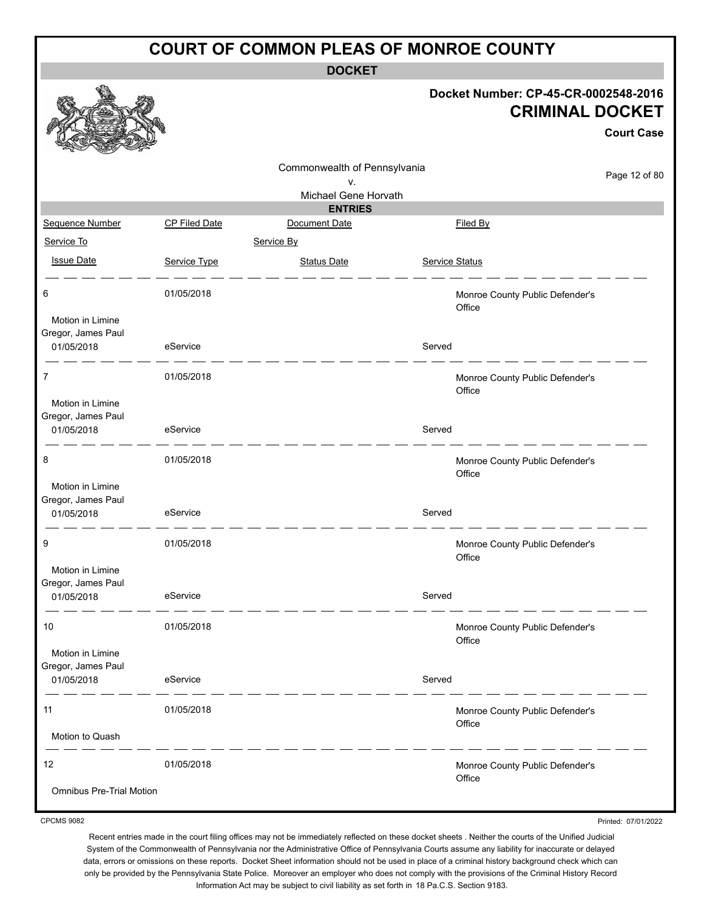**DOCKET**

|                                                      |               |                              |                       | Docket Number: CP-45-CR-0002548-2016<br><b>CRIMINAL DOCKET</b> | <b>Court Case</b> |
|------------------------------------------------------|---------------|------------------------------|-----------------------|----------------------------------------------------------------|-------------------|
|                                                      |               |                              |                       |                                                                |                   |
|                                                      |               | Commonwealth of Pennsylvania |                       |                                                                | Page 12 of 80     |
|                                                      |               | ٧.<br>Michael Gene Horvath   |                       |                                                                |                   |
|                                                      |               | <b>ENTRIES</b>               |                       |                                                                |                   |
| Sequence Number                                      | CP Filed Date | Document Date                |                       | Filed By                                                       |                   |
| Service To                                           |               | Service By                   |                       |                                                                |                   |
| <b>Issue Date</b>                                    | Service Type  | <b>Status Date</b>           | <b>Service Status</b> |                                                                |                   |
| 6                                                    | 01/05/2018    |                              |                       | Monroe County Public Defender's<br>Office                      |                   |
| Motion in Limine<br>Gregor, James Paul<br>01/05/2018 | eService      |                              | Served                |                                                                |                   |
| $\overline{7}$                                       | 01/05/2018    |                              |                       | Monroe County Public Defender's                                |                   |
| Motion in Limine<br>Gregor, James Paul<br>01/05/2018 | eService      |                              | Served                | Office                                                         |                   |
| 8                                                    | 01/05/2018    |                              |                       | Monroe County Public Defender's<br>Office                      |                   |
| Motion in Limine<br>Gregor, James Paul<br>01/05/2018 | eService      |                              | Served                |                                                                |                   |
| 9                                                    | 01/05/2018    |                              |                       | Monroe County Public Defender's<br>Office                      |                   |
| Motion in Limine<br>Gregor, James Paul<br>01/05/2018 | eService      |                              | Served                |                                                                |                   |
| 10                                                   | 01/05/2018    |                              |                       | Monroe County Public Defender's<br>Office                      |                   |
| Motion in Limine<br>Gregor, James Paul<br>01/05/2018 | eService      |                              | Served                |                                                                |                   |
| 11                                                   | 01/05/2018    |                              |                       | Monroe County Public Defender's                                |                   |
| Motion to Quash                                      |               |                              |                       | Office                                                         |                   |
| 12                                                   | 01/05/2018    |                              |                       | Monroe County Public Defender's<br>Office                      |                   |
| <b>Omnibus Pre-Trial Motion</b>                      |               |                              |                       |                                                                |                   |

CPCMS 9082

Printed: 07/01/2022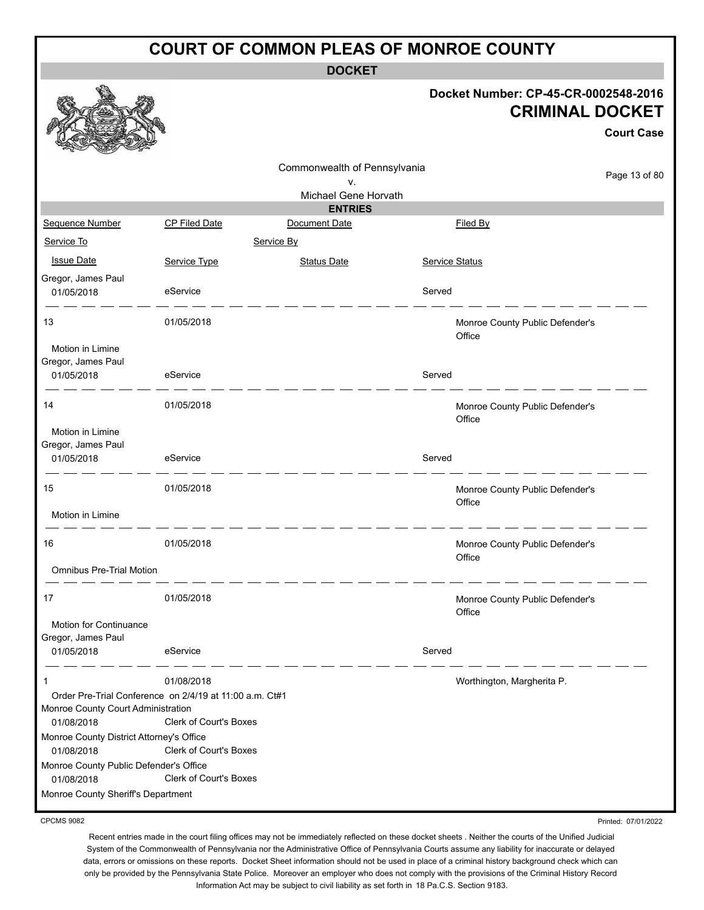**DOCKET**

#### **Docket Number: CP-45-CR-0002548-2016 CRIMINAL DOCKET**

|                                                        |                                                                                   |                                    |                       |                                           | <b>Court Case</b> |
|--------------------------------------------------------|-----------------------------------------------------------------------------------|------------------------------------|-----------------------|-------------------------------------------|-------------------|
|                                                        |                                                                                   | Commonwealth of Pennsylvania<br>٧. |                       |                                           | Page 13 of 80     |
|                                                        |                                                                                   | Michael Gene Horvath               |                       |                                           |                   |
|                                                        |                                                                                   | <b>ENTRIES</b>                     |                       |                                           |                   |
| Sequence Number                                        | <b>CP Filed Date</b>                                                              | Document Date                      |                       | Filed By                                  |                   |
| Service To                                             |                                                                                   | Service By                         |                       |                                           |                   |
| <b>Issue Date</b>                                      | Service Type                                                                      | <b>Status Date</b>                 | <b>Service Status</b> |                                           |                   |
| Gregor, James Paul<br>01/05/2018                       | eService                                                                          |                                    | Served                |                                           |                   |
| 13                                                     | 01/05/2018                                                                        |                                    |                       | Monroe County Public Defender's<br>Office |                   |
| Motion in Limine<br>Gregor, James Paul                 |                                                                                   |                                    | Served                |                                           |                   |
| 01/05/2018                                             | eService                                                                          |                                    |                       |                                           |                   |
| 14                                                     | 01/05/2018                                                                        |                                    |                       | Monroe County Public Defender's<br>Office |                   |
| Motion in Limine<br>Gregor, James Paul                 |                                                                                   |                                    |                       |                                           |                   |
| 01/05/2018                                             | eService                                                                          |                                    | Served                |                                           |                   |
| 15                                                     | 01/05/2018                                                                        |                                    |                       | Monroe County Public Defender's<br>Office |                   |
| Motion in Limine                                       |                                                                                   |                                    |                       |                                           |                   |
| 16                                                     | 01/05/2018                                                                        |                                    |                       | Monroe County Public Defender's<br>Office |                   |
| <b>Omnibus Pre-Trial Motion</b>                        |                                                                                   |                                    |                       |                                           |                   |
| 17                                                     | 01/05/2018                                                                        |                                    |                       | Monroe County Public Defender's<br>Office |                   |
| Motion for Continuance<br>Gregor, James Paul           |                                                                                   |                                    |                       |                                           |                   |
| 01/05/2018                                             | eService                                                                          |                                    | Served                |                                           |                   |
| 1                                                      | 01/08/2018                                                                        |                                    |                       | Worthington, Margherita P.                |                   |
| Monroe County Court Administration<br>01/08/2018       | Order Pre-Trial Conference on 2/4/19 at 11:00 a.m. Ct#1<br>Clerk of Court's Boxes |                                    |                       |                                           |                   |
| Monroe County District Attorney's Office<br>01/08/2018 | Clerk of Court's Boxes                                                            |                                    |                       |                                           |                   |
| Monroe County Public Defender's Office<br>01/08/2018   | Clerk of Court's Boxes                                                            |                                    |                       |                                           |                   |
| Monroe County Sheriff's Department                     |                                                                                   |                                    |                       |                                           |                   |

CPCMS 9082

Printed: 07/01/2022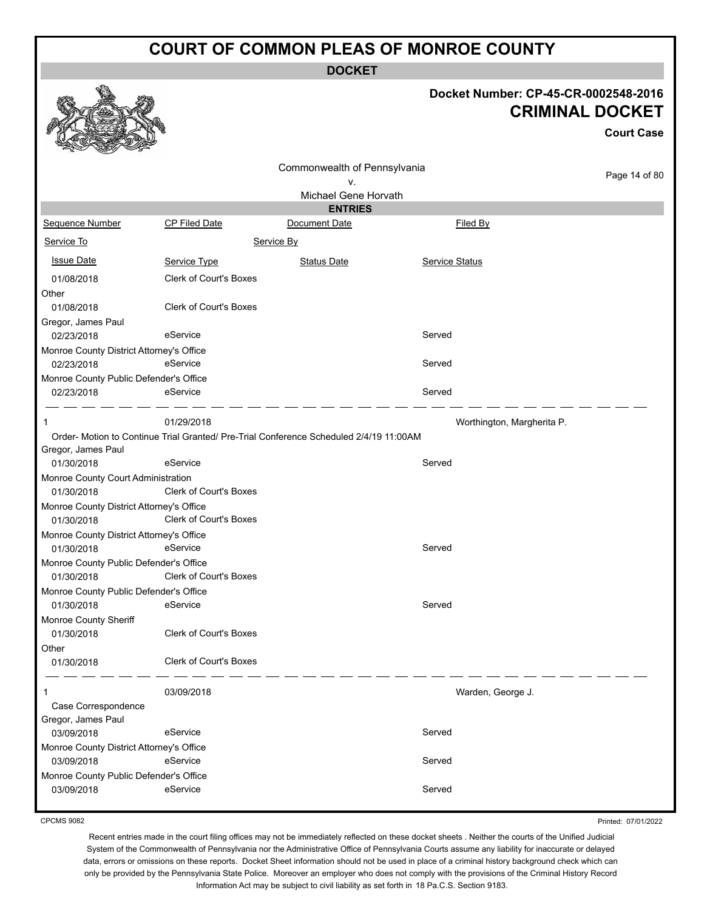**DOCKET**

#### **Docket Number: CP-45-CR-0002548-2016 CRIMINAL DOCKET**

**Court Case**

| no<br><b>COLUMN 200</b><br>Contract of the Contract of |                               |                                                                                        |                |                            |
|--------------------------------------------------------|-------------------------------|----------------------------------------------------------------------------------------|----------------|----------------------------|
|                                                        |                               | Commonwealth of Pennsylvania                                                           |                |                            |
|                                                        |                               | ٧.                                                                                     |                | Page 14 of 80              |
|                                                        |                               | Michael Gene Horvath                                                                   |                |                            |
|                                                        |                               | <b>ENTRIES</b>                                                                         |                |                            |
| <b>Sequence Number</b>                                 | <b>CP Filed Date</b>          | Document Date                                                                          | Filed By       |                            |
| Service To                                             |                               | Service By                                                                             |                |                            |
| <b>Issue Date</b>                                      | Service Type                  | <b>Status Date</b>                                                                     | Service Status |                            |
| 01/08/2018                                             | <b>Clerk of Court's Boxes</b> |                                                                                        |                |                            |
| Other                                                  |                               |                                                                                        |                |                            |
| 01/08/2018                                             | <b>Clerk of Court's Boxes</b> |                                                                                        |                |                            |
| Gregor, James Paul                                     |                               |                                                                                        |                |                            |
| 02/23/2018                                             | eService                      |                                                                                        | Served         |                            |
| Monroe County District Attorney's Office               |                               |                                                                                        |                |                            |
| 02/23/2018                                             | eService                      |                                                                                        | Served         |                            |
| Monroe County Public Defender's Office                 |                               |                                                                                        |                |                            |
| 02/23/2018                                             | eService                      |                                                                                        | Served         |                            |
| -1                                                     | 01/29/2018                    |                                                                                        |                | Worthington, Margherita P. |
|                                                        |                               | Order- Motion to Continue Trial Granted/ Pre-Trial Conference Scheduled 2/4/19 11:00AM |                |                            |
| Gregor, James Paul                                     |                               |                                                                                        |                |                            |
| 01/30/2018                                             | eService                      |                                                                                        | Served         |                            |
| Monroe County Court Administration                     |                               |                                                                                        |                |                            |
| 01/30/2018                                             | <b>Clerk of Court's Boxes</b> |                                                                                        |                |                            |
| Monroe County District Attorney's Office               |                               |                                                                                        |                |                            |
| 01/30/2018                                             | <b>Clerk of Court's Boxes</b> |                                                                                        |                |                            |
| Monroe County District Attorney's Office               |                               |                                                                                        |                |                            |
| 01/30/2018                                             | eService                      |                                                                                        | Served         |                            |
| Monroe County Public Defender's Office                 |                               |                                                                                        |                |                            |
| 01/30/2018                                             | <b>Clerk of Court's Boxes</b> |                                                                                        |                |                            |
| Monroe County Public Defender's Office                 |                               |                                                                                        |                |                            |
| 01/30/2018                                             | eService                      |                                                                                        | Served         |                            |
| Monroe County Sheriff                                  |                               |                                                                                        |                |                            |
| 01/30/2018                                             | Clerk of Court's Boxes        |                                                                                        |                |                            |
| Other                                                  |                               |                                                                                        |                |                            |
| 01/30/2018                                             | <b>Clerk of Court's Boxes</b> |                                                                                        |                |                            |
| -1                                                     | 03/09/2018                    |                                                                                        |                | Warden, George J.          |
| Case Correspondence                                    |                               |                                                                                        |                |                            |
| Gregor, James Paul                                     |                               |                                                                                        |                |                            |
| 03/09/2018                                             | eService                      |                                                                                        | Served         |                            |
| Monroe County District Attorney's Office               |                               |                                                                                        |                |                            |
| 03/09/2018                                             | eService                      |                                                                                        | Served         |                            |
| Monroe County Public Defender's Office                 |                               |                                                                                        |                |                            |
| 03/09/2018                                             | eService                      |                                                                                        | Served         |                            |
|                                                        |                               |                                                                                        |                |                            |

CPCMS 9082

Printed: 07/01/2022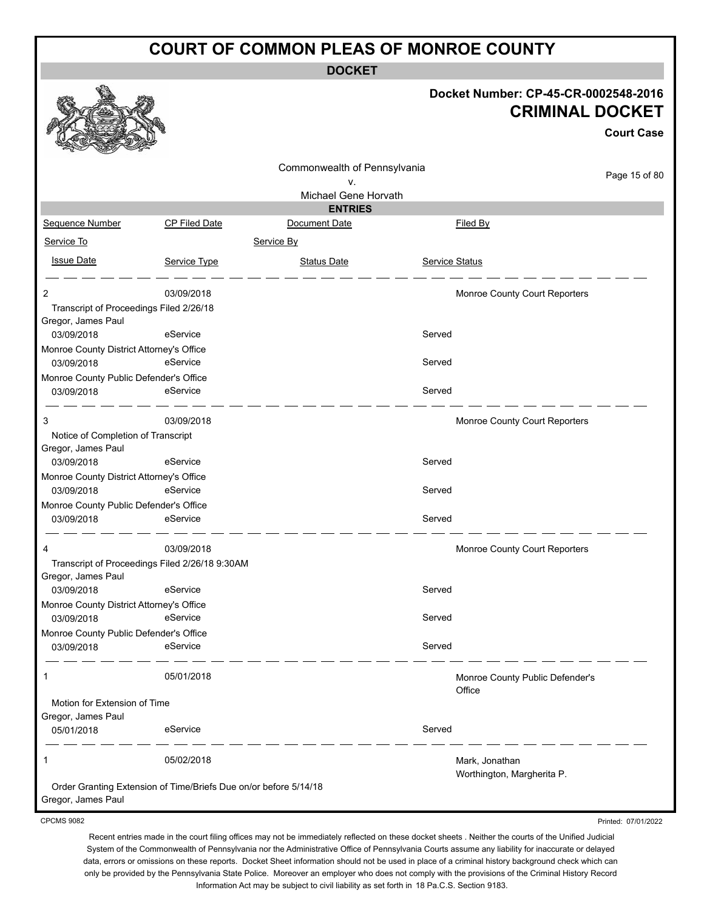**DOCKET**

#### **Docket Number: CP-45-CR-0002548-2016 CRIMINAL DOCKET**

**Court Case**

|                                                               |                                                                  | Commonwealth of Pennsylvania |                |                                 |               |
|---------------------------------------------------------------|------------------------------------------------------------------|------------------------------|----------------|---------------------------------|---------------|
|                                                               |                                                                  | v.                           |                |                                 | Page 15 of 80 |
|                                                               |                                                                  | Michael Gene Horvath         |                |                                 |               |
|                                                               |                                                                  | <b>ENTRIES</b>               |                |                                 |               |
| Sequence Number                                               | CP Filed Date                                                    | Document Date                |                | Filed By                        |               |
| Service To                                                    |                                                                  | Service By                   |                |                                 |               |
| <b>Issue Date</b>                                             | Service Type                                                     | <b>Status Date</b>           | Service Status |                                 |               |
| 2                                                             | 03/09/2018                                                       |                              |                | Monroe County Court Reporters   |               |
| Transcript of Proceedings Filed 2/26/18<br>Gregor, James Paul |                                                                  |                              |                |                                 |               |
| 03/09/2018                                                    | eService                                                         |                              | Served         |                                 |               |
| Monroe County District Attorney's Office                      |                                                                  |                              |                |                                 |               |
| 03/09/2018                                                    | eService                                                         |                              | Served         |                                 |               |
| Monroe County Public Defender's Office                        |                                                                  |                              |                |                                 |               |
| 03/09/2018                                                    | eService                                                         |                              | Served         |                                 |               |
| 3                                                             | 03/09/2018                                                       |                              |                | Monroe County Court Reporters   |               |
| Notice of Completion of Transcript<br>Gregor, James Paul      |                                                                  |                              |                |                                 |               |
| 03/09/2018                                                    | eService                                                         |                              | Served         |                                 |               |
| Monroe County District Attorney's Office                      |                                                                  |                              |                |                                 |               |
| 03/09/2018                                                    | eService                                                         |                              | Served         |                                 |               |
| Monroe County Public Defender's Office                        |                                                                  |                              |                |                                 |               |
| 03/09/2018                                                    | eService                                                         |                              | Served         |                                 |               |
| 4                                                             | 03/09/2018                                                       |                              |                | Monroe County Court Reporters   |               |
| Gregor, James Paul                                            | Transcript of Proceedings Filed 2/26/18 9:30AM                   |                              |                |                                 |               |
| 03/09/2018                                                    | eService                                                         |                              | Served         |                                 |               |
| Monroe County District Attorney's Office                      |                                                                  |                              |                |                                 |               |
| 03/09/2018                                                    | eService                                                         |                              | Served         |                                 |               |
| Monroe County Public Defender's Office                        |                                                                  |                              |                |                                 |               |
| 03/09/2018                                                    | eService                                                         |                              | Served         |                                 |               |
| 1                                                             | 05/01/2018                                                       |                              |                | Monroe County Public Defender's |               |
| Motion for Extension of Time                                  |                                                                  |                              |                | Office                          |               |
| Gregor, James Paul                                            |                                                                  |                              |                |                                 |               |
| 05/01/2018                                                    | eService                                                         |                              | Served         |                                 |               |
| 1                                                             | 05/02/2018                                                       |                              |                | Mark, Jonathan                  |               |
| Gregor, James Paul                                            | Order Granting Extension of Time/Briefs Due on/or before 5/14/18 |                              |                | Worthington, Margherita P.      |               |
|                                                               |                                                                  |                              |                |                                 |               |

CPCMS 9082

Printed: 07/01/2022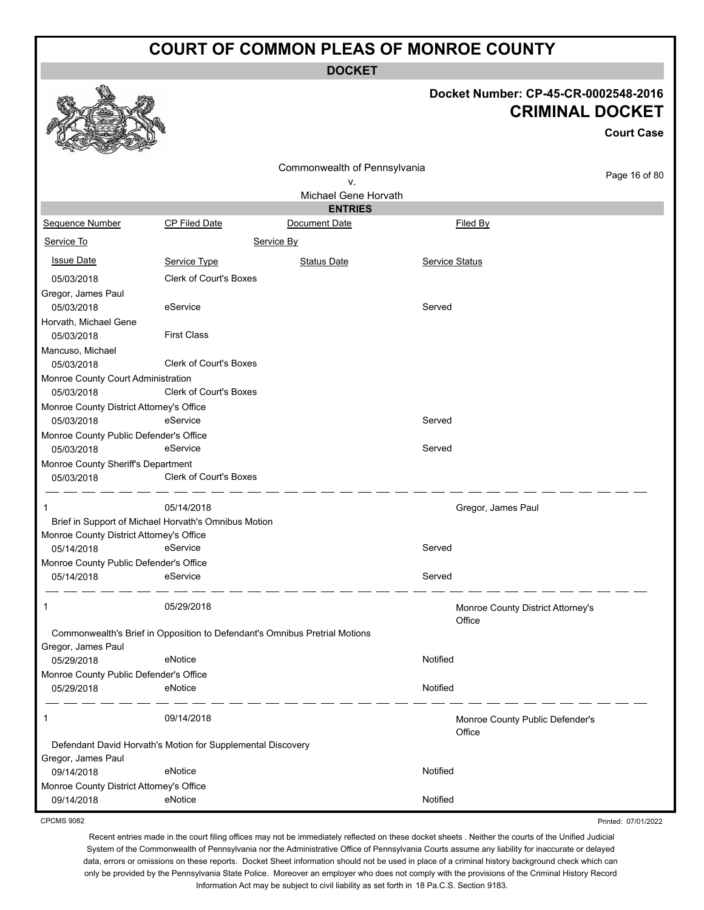**DOCKET**

### **Docket Number: CP-45-CR-0002548-2016 CRIMINAL DOCKET**

**Court Case**

Printed: 07/01/2022

| ឃ<br><b>COLORADO</b><br><b>Contractions</b> |                                                                            |                              |                |                                   |               |
|---------------------------------------------|----------------------------------------------------------------------------|------------------------------|----------------|-----------------------------------|---------------|
|                                             |                                                                            | Commonwealth of Pennsylvania |                |                                   |               |
|                                             |                                                                            | ۷.                           |                |                                   | Page 16 of 80 |
|                                             |                                                                            | Michael Gene Horvath         |                |                                   |               |
|                                             |                                                                            | <b>ENTRIES</b>               |                |                                   |               |
| <b>Sequence Number</b>                      | <b>CP Filed Date</b>                                                       | Document Date                |                | Filed By                          |               |
| Service To                                  |                                                                            | Service By                   |                |                                   |               |
| <b>Issue Date</b>                           | Service Type                                                               | <b>Status Date</b>           | Service Status |                                   |               |
| 05/03/2018                                  | <b>Clerk of Court's Boxes</b>                                              |                              |                |                                   |               |
| Gregor, James Paul                          |                                                                            |                              |                |                                   |               |
| 05/03/2018                                  | eService                                                                   |                              | Served         |                                   |               |
| Horvath, Michael Gene                       |                                                                            |                              |                |                                   |               |
| 05/03/2018                                  | <b>First Class</b>                                                         |                              |                |                                   |               |
| Mancuso, Michael                            |                                                                            |                              |                |                                   |               |
| 05/03/2018                                  | <b>Clerk of Court's Boxes</b>                                              |                              |                |                                   |               |
| Monroe County Court Administration          |                                                                            |                              |                |                                   |               |
| 05/03/2018                                  | <b>Clerk of Court's Boxes</b>                                              |                              |                |                                   |               |
| Monroe County District Attorney's Office    |                                                                            |                              |                |                                   |               |
| 05/03/2018                                  | eService                                                                   |                              | Served         |                                   |               |
| Monroe County Public Defender's Office      |                                                                            |                              |                |                                   |               |
| 05/03/2018                                  | eService                                                                   |                              | Served         |                                   |               |
| Monroe County Sheriff's Department          |                                                                            |                              |                |                                   |               |
| 05/03/2018                                  | Clerk of Court's Boxes                                                     |                              |                |                                   |               |
| 1                                           | 05/14/2018                                                                 |                              |                | Gregor, James Paul                |               |
|                                             | Brief in Support of Michael Horvath's Omnibus Motion                       |                              |                |                                   |               |
| Monroe County District Attorney's Office    |                                                                            |                              |                |                                   |               |
| 05/14/2018                                  | eService                                                                   |                              | Served         |                                   |               |
| Monroe County Public Defender's Office      |                                                                            |                              |                |                                   |               |
| 05/14/2018                                  | eService                                                                   |                              | Served         |                                   |               |
| 1                                           | 05/29/2018                                                                 |                              |                | Monroe County District Attorney's |               |
|                                             |                                                                            |                              |                | Office                            |               |
|                                             | Commonwealth's Brief in Opposition to Defendant's Omnibus Pretrial Motions |                              |                |                                   |               |
| Gregor, James Paul                          |                                                                            |                              |                |                                   |               |
| 05/29/2018                                  | eNotice                                                                    |                              | Notified       |                                   |               |
| Monroe County Public Defender's Office      |                                                                            |                              |                |                                   |               |
| 05/29/2018                                  | eNotice                                                                    |                              | Notified       |                                   |               |
| 1                                           | 09/14/2018                                                                 |                              |                | Monroe County Public Defender's   |               |
|                                             |                                                                            |                              |                | Office                            |               |
|                                             | Defendant David Horvath's Motion for Supplemental Discovery                |                              |                |                                   |               |
| Gregor, James Paul                          |                                                                            |                              |                |                                   |               |
| 09/14/2018                                  | eNotice                                                                    |                              | Notified       |                                   |               |
| Monroe County District Attorney's Office    |                                                                            |                              |                |                                   |               |
| 09/14/2018                                  | eNotice                                                                    |                              | Notified       |                                   |               |

CPCMS 9082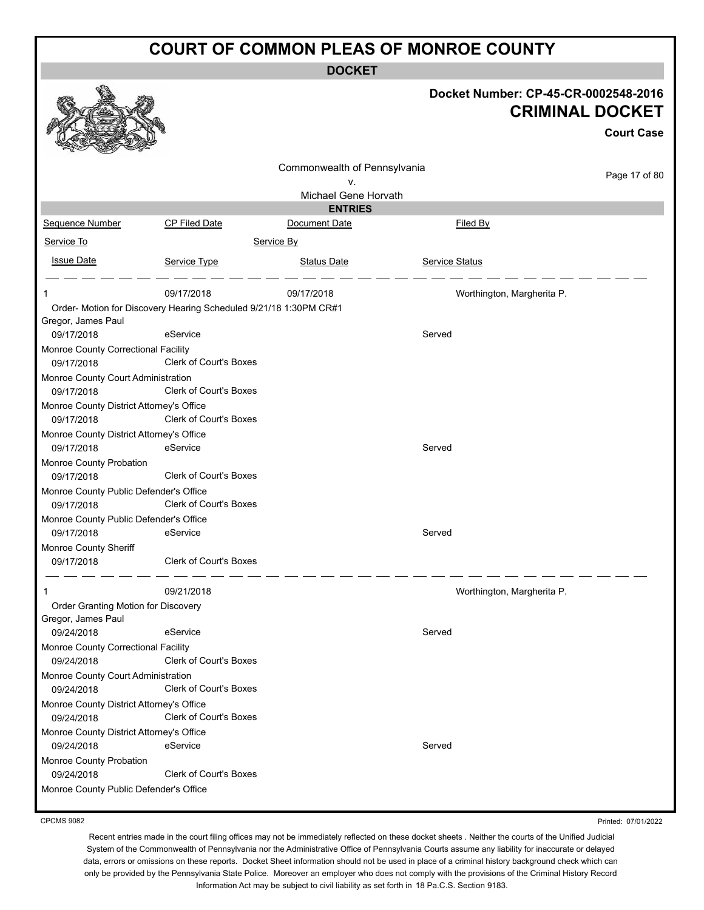**DOCKET**

|                                                                   |                               |                              |                            | Docket Number: CP-45-CR-0002548-2016<br><b>CRIMINAL DOCKET</b> |
|-------------------------------------------------------------------|-------------------------------|------------------------------|----------------------------|----------------------------------------------------------------|
|                                                                   |                               |                              |                            | <b>Court Case</b>                                              |
|                                                                   |                               |                              |                            |                                                                |
|                                                                   |                               | Commonwealth of Pennsylvania |                            | Page 17 of 80                                                  |
|                                                                   |                               | v.<br>Michael Gene Horvath   |                            |                                                                |
|                                                                   |                               | <b>ENTRIES</b>               |                            |                                                                |
| Sequence Number                                                   | CP Filed Date                 | Document Date                | Filed By                   |                                                                |
| Service To                                                        |                               | Service By                   |                            |                                                                |
| <b>Issue Date</b>                                                 |                               |                              |                            |                                                                |
|                                                                   | Service Type                  | <b>Status Date</b>           | Service Status             |                                                                |
| 1                                                                 | 09/17/2018                    | 09/17/2018                   | Worthington, Margherita P. |                                                                |
| Order- Motion for Discovery Hearing Scheduled 9/21/18 1:30PM CR#1 |                               |                              |                            |                                                                |
| Gregor, James Paul                                                |                               |                              |                            |                                                                |
| 09/17/2018                                                        | eService                      |                              | Served                     |                                                                |
| Monroe County Correctional Facility                               |                               |                              |                            |                                                                |
| 09/17/2018                                                        | Clerk of Court's Boxes        |                              |                            |                                                                |
| Monroe County Court Administration                                |                               |                              |                            |                                                                |
| 09/17/2018                                                        | <b>Clerk of Court's Boxes</b> |                              |                            |                                                                |
| Monroe County District Attorney's Office                          |                               |                              |                            |                                                                |
| 09/17/2018                                                        | Clerk of Court's Boxes        |                              |                            |                                                                |
| Monroe County District Attorney's Office                          |                               |                              |                            |                                                                |
| 09/17/2018                                                        | eService                      |                              | Served                     |                                                                |
| Monroe County Probation<br>09/17/2018                             | <b>Clerk of Court's Boxes</b> |                              |                            |                                                                |
| Monroe County Public Defender's Office                            |                               |                              |                            |                                                                |
| 09/17/2018                                                        | <b>Clerk of Court's Boxes</b> |                              |                            |                                                                |
| Monroe County Public Defender's Office                            |                               |                              |                            |                                                                |
| 09/17/2018                                                        | eService                      |                              | Served                     |                                                                |
| Monroe County Sheriff                                             |                               |                              |                            |                                                                |
| 09/17/2018                                                        | Clerk of Court's Boxes        |                              |                            |                                                                |
|                                                                   | 09/21/2018                    |                              | Worthington, Margherita P. |                                                                |
| Order Granting Motion for Discovery                               |                               |                              |                            |                                                                |
| Gregor, James Paul                                                |                               |                              |                            |                                                                |
| 09/24/2018                                                        | eService                      |                              | Served                     |                                                                |
| Monroe County Correctional Facility                               | Clerk of Court's Boxes        |                              |                            |                                                                |
| 09/24/2018<br>Monroe County Court Administration                  |                               |                              |                            |                                                                |
| 09/24/2018                                                        | Clerk of Court's Boxes        |                              |                            |                                                                |
| Monroe County District Attorney's Office                          |                               |                              |                            |                                                                |
| 09/24/2018                                                        | Clerk of Court's Boxes        |                              |                            |                                                                |
| Monroe County District Attorney's Office                          |                               |                              |                            |                                                                |
| 09/24/2018                                                        | eService                      |                              | Served                     |                                                                |
| Monroe County Probation                                           |                               |                              |                            |                                                                |
| 09/24/2018                                                        | Clerk of Court's Boxes        |                              |                            |                                                                |
| Monroe County Public Defender's Office                            |                               |                              |                            |                                                                |
|                                                                   |                               |                              |                            |                                                                |

CPCMS 9082

Printed: 07/01/2022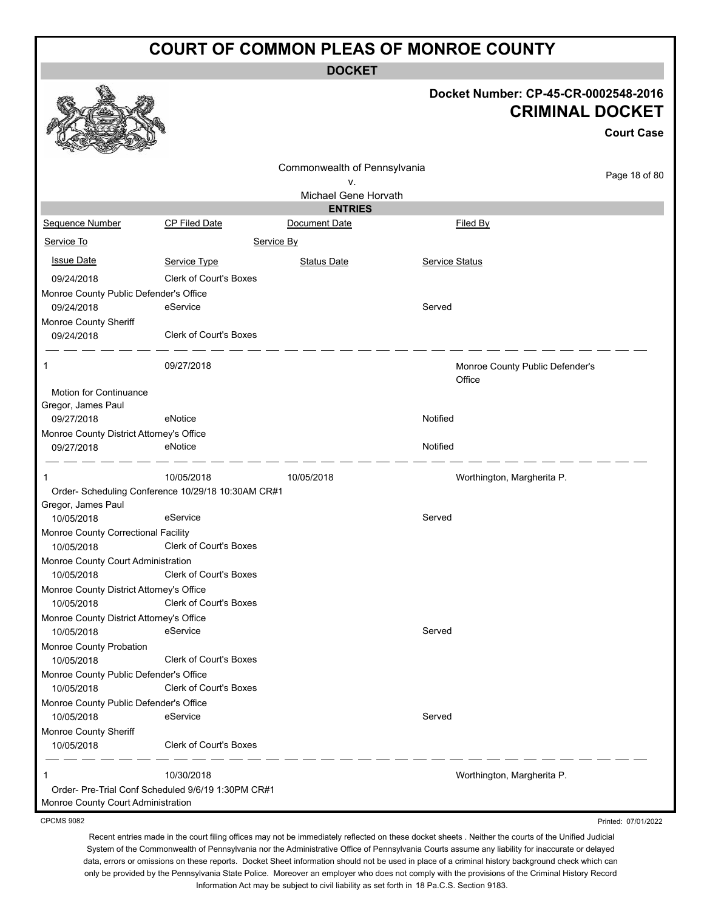**DOCKET**

#### **Docket Number: CP-45-CR-0002548-2016 CRIMINAL DOCKET**

**Court Case**

Printed: 07/01/2022

|                                                        |                                                    | Commonwealth of Pennsylvania |                                 |               |
|--------------------------------------------------------|----------------------------------------------------|------------------------------|---------------------------------|---------------|
|                                                        |                                                    | ٧.                           |                                 | Page 18 of 80 |
|                                                        |                                                    | Michael Gene Horvath         |                                 |               |
|                                                        |                                                    | <b>ENTRIES</b>               |                                 |               |
| Sequence Number                                        | <b>CP Filed Date</b>                               | Document Date                | Filed By                        |               |
| Service To                                             |                                                    | Service By                   |                                 |               |
| <b>Issue Date</b>                                      | Service Type                                       | <b>Status Date</b>           | <b>Service Status</b>           |               |
| 09/24/2018                                             | Clerk of Court's Boxes                             |                              |                                 |               |
| Monroe County Public Defender's Office                 |                                                    |                              |                                 |               |
| 09/24/2018                                             | eService                                           |                              | Served                          |               |
| Monroe County Sheriff                                  |                                                    |                              |                                 |               |
| 09/24/2018                                             | <b>Clerk of Court's Boxes</b>                      |                              |                                 |               |
| -1                                                     | 09/27/2018                                         |                              | Monroe County Public Defender's |               |
|                                                        |                                                    |                              | Office                          |               |
| Motion for Continuance                                 |                                                    |                              |                                 |               |
| Gregor, James Paul                                     |                                                    |                              |                                 |               |
| 09/27/2018                                             | eNotice                                            |                              | Notified                        |               |
| Monroe County District Attorney's Office               |                                                    |                              |                                 |               |
| 09/27/2018                                             | eNotice                                            |                              | Notified                        |               |
| -1                                                     | 10/05/2018                                         | 10/05/2018                   | Worthington, Margherita P.      |               |
|                                                        | Order- Scheduling Conference 10/29/18 10:30AM CR#1 |                              |                                 |               |
| Gregor, James Paul                                     |                                                    |                              |                                 |               |
| 10/05/2018                                             | eService                                           |                              | Served                          |               |
| Monroe County Correctional Facility                    |                                                    |                              |                                 |               |
| 10/05/2018                                             | <b>Clerk of Court's Boxes</b>                      |                              |                                 |               |
| Monroe County Court Administration                     | <b>Clerk of Court's Boxes</b>                      |                              |                                 |               |
| 10/05/2018                                             |                                                    |                              |                                 |               |
| Monroe County District Attorney's Office<br>10/05/2018 | <b>Clerk of Court's Boxes</b>                      |                              |                                 |               |
| Monroe County District Attorney's Office               |                                                    |                              |                                 |               |
| 10/05/2018                                             | eService                                           |                              | Served                          |               |
| Monroe County Probation                                |                                                    |                              |                                 |               |
| 10/05/2018                                             | Clerk of Court's Boxes                             |                              |                                 |               |
| Monroe County Public Defender's Office                 |                                                    |                              |                                 |               |
| 10/05/2018                                             | Clerk of Court's Boxes                             |                              |                                 |               |
| Monroe County Public Defender's Office                 |                                                    |                              |                                 |               |
| 10/05/2018                                             | eService                                           |                              | Served                          |               |
| Monroe County Sheriff                                  |                                                    |                              |                                 |               |
| 10/05/2018                                             | <b>Clerk of Court's Boxes</b>                      |                              |                                 |               |
| 1                                                      | 10/30/2018                                         |                              | Worthington, Margherita P.      |               |
|                                                        | Order- Pre-Trial Conf Scheduled 9/6/19 1:30PM CR#1 |                              |                                 |               |
| Monroe County Court Administration                     |                                                    |                              |                                 |               |

CPCMS 9082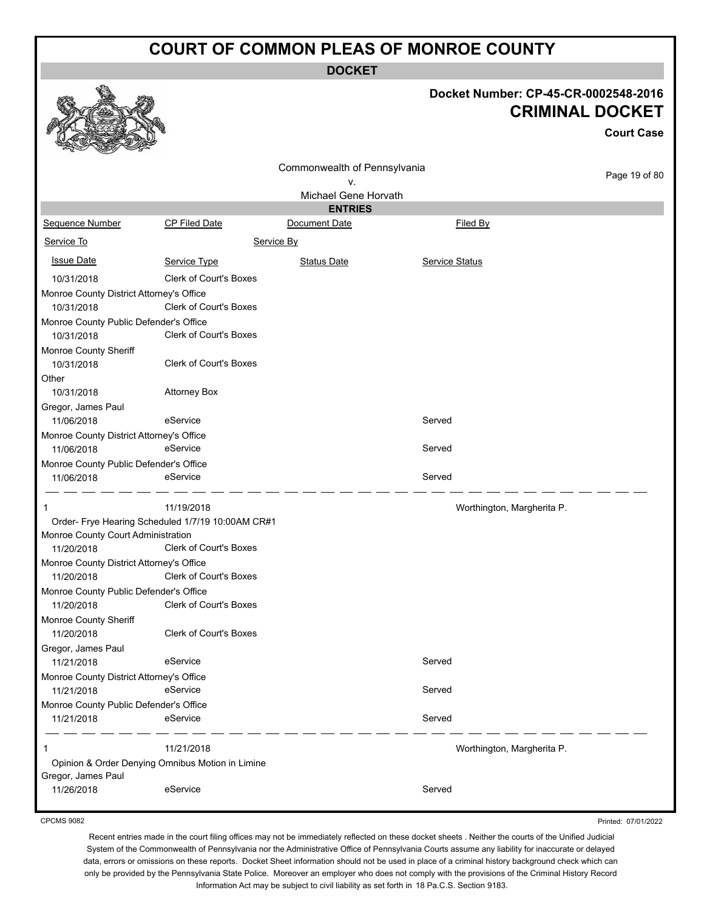**DOCKET**

|                                          |                                                   |                              | Doc     |
|------------------------------------------|---------------------------------------------------|------------------------------|---------|
|                                          |                                                   | Commonwealth of Pennsylvania |         |
|                                          |                                                   | v.                           |         |
|                                          |                                                   | Michael Gene Horvath         |         |
|                                          |                                                   | <b>ENTRIES</b>               |         |
| <b>Sequence Number</b>                   | <b>CP Filed Date</b>                              | Document Date                |         |
| Service To                               |                                                   | Service By                   |         |
| <b>Issue Date</b>                        | Service Type                                      | <b>Status Date</b>           | Service |
| 10/31/2018                               | <b>Clerk of Court's Boxes</b>                     |                              |         |
| Monroe County District Attorney's Office |                                                   |                              |         |
| 10/31/2018                               | <b>Clerk of Court's Boxes</b>                     |                              |         |
| Monroe County Public Defender's Office   |                                                   |                              |         |
| 10/31/2018                               | <b>Clerk of Court's Boxes</b>                     |                              |         |
| Monroe County Sheriff                    |                                                   |                              |         |
| 10/31/2018                               | <b>Clerk of Court's Boxes</b>                     |                              |         |
| Other                                    |                                                   |                              |         |
| 10/31/2018                               | <b>Attorney Box</b>                               |                              |         |
| Gregor, James Paul                       |                                                   |                              |         |
| 11/06/2018                               | eService                                          |                              | Served  |
| Monroe County District Attorney's Office |                                                   |                              |         |
| 11/06/2018                               | eService                                          |                              | Served  |
| Monroe County Public Defender's Office   |                                                   |                              |         |
| 11/06/2018                               | eService                                          |                              | Served  |
| 1                                        | 11/19/2018                                        |                              |         |
|                                          | Order- Frye Hearing Scheduled 1/7/19 10:00AM CR#1 |                              |         |
| Monroe County Court Administration       |                                                   |                              |         |
| 11/20/2018                               | <b>Clerk of Court's Boxes</b>                     |                              |         |
| Monroe County District Attorney's Office |                                                   |                              |         |
| 11/20/2018                               | <b>Clerk of Court's Boxes</b>                     |                              |         |
| Monroe County Public Defender's Office   |                                                   |                              |         |
| 11/20/2018                               | Clerk of Court's Boxes                            |                              |         |
| Monroe County Sheriff                    |                                                   |                              |         |

**Docket Number: CP-45-CR-0002548-2016 CRIMINAL DOCKET**

**Court Case**

Page 19 of 80

|                                          |                                                   | ٧.                   |                            | ayo to or ou |
|------------------------------------------|---------------------------------------------------|----------------------|----------------------------|--------------|
|                                          |                                                   | Michael Gene Horvath |                            |              |
|                                          |                                                   | <b>ENTRIES</b>       |                            |              |
| Sequence Number                          | CP Filed Date                                     | Document Date        | Filed By                   |              |
| Service To                               |                                                   | Service By           |                            |              |
| <b>Issue Date</b>                        | Service Type                                      | <b>Status Date</b>   | <b>Service Status</b>      |              |
| 10/31/2018                               | <b>Clerk of Court's Boxes</b>                     |                      |                            |              |
| Monroe County District Attorney's Office |                                                   |                      |                            |              |
| 10/31/2018                               | Clerk of Court's Boxes                            |                      |                            |              |
| Monroe County Public Defender's Office   |                                                   |                      |                            |              |
| 10/31/2018                               | <b>Clerk of Court's Boxes</b>                     |                      |                            |              |
| Monroe County Sheriff                    |                                                   |                      |                            |              |
| 10/31/2018                               | Clerk of Court's Boxes                            |                      |                            |              |
| Other                                    |                                                   |                      |                            |              |
| 10/31/2018                               | <b>Attorney Box</b>                               |                      |                            |              |
| Gregor, James Paul                       |                                                   |                      |                            |              |
| 11/06/2018                               | eService                                          |                      | Served                     |              |
| Monroe County District Attorney's Office |                                                   |                      |                            |              |
| 11/06/2018                               | eService                                          |                      | Served                     |              |
| Monroe County Public Defender's Office   |                                                   |                      |                            |              |
| 11/06/2018                               | eService                                          |                      | Served                     |              |
| 1                                        | 11/19/2018                                        |                      | Worthington, Margherita P. |              |
|                                          | Order- Frye Hearing Scheduled 1/7/19 10:00AM CR#1 |                      |                            |              |
| Monroe County Court Administration       |                                                   |                      |                            |              |
| 11/20/2018                               | <b>Clerk of Court's Boxes</b>                     |                      |                            |              |
| Monroe County District Attorney's Office |                                                   |                      |                            |              |
| 11/20/2018                               | <b>Clerk of Court's Boxes</b>                     |                      |                            |              |
| Monroe County Public Defender's Office   |                                                   |                      |                            |              |
| 11/20/2018                               | Clerk of Court's Boxes                            |                      |                            |              |
| Monroe County Sheriff                    |                                                   |                      |                            |              |
| 11/20/2018                               | Clerk of Court's Boxes                            |                      |                            |              |
| Gregor, James Paul                       |                                                   |                      |                            |              |
| 11/21/2018                               | eService                                          |                      | Served                     |              |
| Monroe County District Attorney's Office |                                                   |                      |                            |              |
| 11/21/2018                               | eService                                          |                      | Served                     |              |
| Monroe County Public Defender's Office   |                                                   |                      |                            |              |
| 11/21/2018                               | eService                                          |                      | Served                     |              |
| 1                                        | 11/21/2018                                        |                      | Worthington, Margherita P. |              |
|                                          | Opinion & Order Denying Omnibus Motion in Limine  |                      |                            |              |
| Gregor, James Paul                       |                                                   |                      |                            |              |
| 11/26/2018                               | eService                                          |                      | Served                     |              |

CPCMS 9082

Recent entries made in the court filing offices may not be immediately reflected on these docket sheets . Neither the courts of the Unified Judicial System of the Commonwealth of Pennsylvania nor the Administrative Office of Pennsylvania Courts assume any liability for inaccurate or delayed data, errors or omissions on these reports. Docket Sheet information should not be used in place of a criminal history background check which can only be provided by the Pennsylvania State Police. Moreover an employer who does not comply with the provisions of the Criminal History Record Information Act may be subject to civil liability as set forth in 18 Pa.C.S. Section 9183.

Printed: 07/01/2022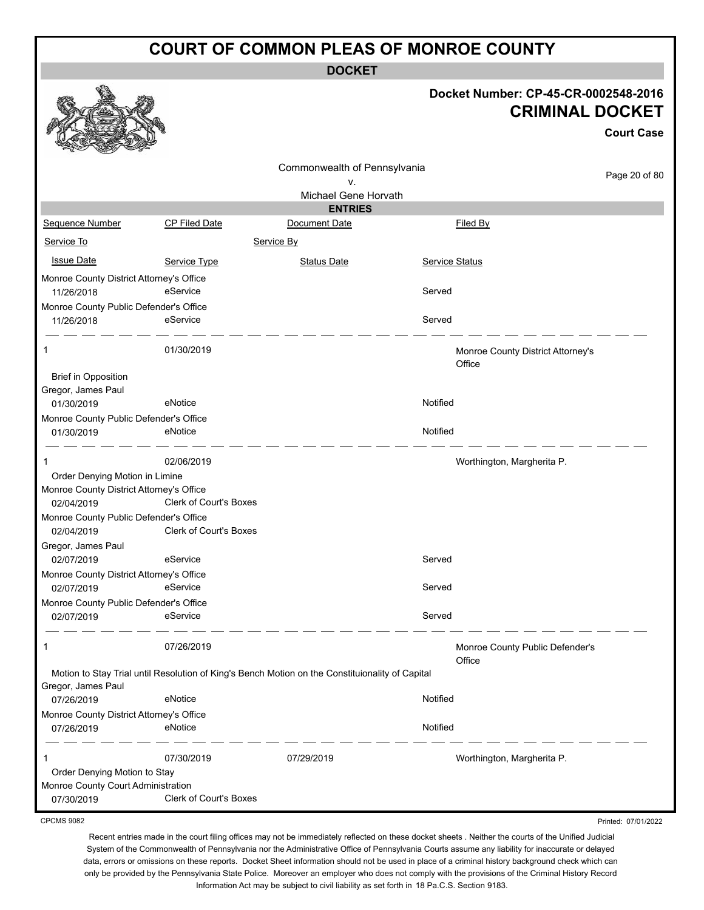**DOCKET**

**Docket Number: CP-45-CR-0002548-2016**

|                                                                                          |                               |                                                                                                 | DOCKEL NUITIDEL. CF-45-CR-0002546-2016<br><b>CRIMINAL DOCKET</b> |                                   |                     |  |
|------------------------------------------------------------------------------------------|-------------------------------|-------------------------------------------------------------------------------------------------|------------------------------------------------------------------|-----------------------------------|---------------------|--|
|                                                                                          |                               |                                                                                                 |                                                                  |                                   | <b>Court Case</b>   |  |
|                                                                                          |                               | Commonwealth of Pennsylvania                                                                    |                                                                  |                                   | Page 20 of 80       |  |
|                                                                                          |                               | ν.                                                                                              |                                                                  |                                   |                     |  |
|                                                                                          |                               | Michael Gene Horvath<br><b>ENTRIES</b>                                                          |                                                                  |                                   |                     |  |
| Sequence Number                                                                          | CP Filed Date                 | Document Date                                                                                   |                                                                  | Filed By                          |                     |  |
| Service To                                                                               |                               | Service By                                                                                      |                                                                  |                                   |                     |  |
| <b>Issue Date</b>                                                                        | Service Type                  | <b>Status Date</b>                                                                              | Service Status                                                   |                                   |                     |  |
| Monroe County District Attorney's Office<br>11/26/2018                                   | eService                      |                                                                                                 | Served                                                           |                                   |                     |  |
| Monroe County Public Defender's Office<br>11/26/2018                                     | eService                      |                                                                                                 | Served                                                           |                                   |                     |  |
| 1                                                                                        | 01/30/2019                    |                                                                                                 | Office                                                           | Monroe County District Attorney's |                     |  |
| <b>Brief in Opposition</b><br>Gregor, James Paul                                         |                               |                                                                                                 |                                                                  |                                   |                     |  |
| 01/30/2019                                                                               | eNotice                       |                                                                                                 | Notified                                                         |                                   |                     |  |
| Monroe County Public Defender's Office<br>01/30/2019                                     | eNotice                       |                                                                                                 | Notified                                                         |                                   |                     |  |
| 1                                                                                        | 02/06/2019                    |                                                                                                 |                                                                  | Worthington, Margherita P.        |                     |  |
| Order Denying Motion in Limine<br>Monroe County District Attorney's Office<br>02/04/2019 | <b>Clerk of Court's Boxes</b> |                                                                                                 |                                                                  |                                   |                     |  |
| Monroe County Public Defender's Office<br>02/04/2019                                     | Clerk of Court's Boxes        |                                                                                                 |                                                                  |                                   |                     |  |
| Gregor, James Paul                                                                       |                               |                                                                                                 |                                                                  |                                   |                     |  |
| 02/07/2019                                                                               | eService                      |                                                                                                 | Served                                                           |                                   |                     |  |
| Monroe County District Attorney's Office<br>02/07/2019                                   | eService                      |                                                                                                 | Served                                                           |                                   |                     |  |
| Monroe County Public Defender's Office                                                   |                               |                                                                                                 |                                                                  |                                   |                     |  |
| 02/07/2019                                                                               | eService                      |                                                                                                 | Served                                                           |                                   |                     |  |
| 1                                                                                        | 07/26/2019                    |                                                                                                 | Office                                                           | Monroe County Public Defender's   |                     |  |
| Gregor, James Paul                                                                       |                               | Motion to Stay Trial until Resolution of King's Bench Motion on the Constituionality of Capital |                                                                  |                                   |                     |  |
| 07/26/2019                                                                               | eNotice                       |                                                                                                 | Notified                                                         |                                   |                     |  |
| Monroe County District Attorney's Office<br>07/26/2019                                   | eNotice                       |                                                                                                 | Notified                                                         |                                   |                     |  |
| 1                                                                                        | 07/30/2019                    | 07/29/2019                                                                                      |                                                                  | Worthington, Margherita P.        |                     |  |
| Order Denying Motion to Stay<br>Monroe County Court Administration<br>07/30/2019         | Clerk of Court's Boxes        |                                                                                                 |                                                                  |                                   |                     |  |
| <b>CPCMS 9082</b>                                                                        |                               |                                                                                                 |                                                                  |                                   | Printed: 07/01/2022 |  |

♦

线盘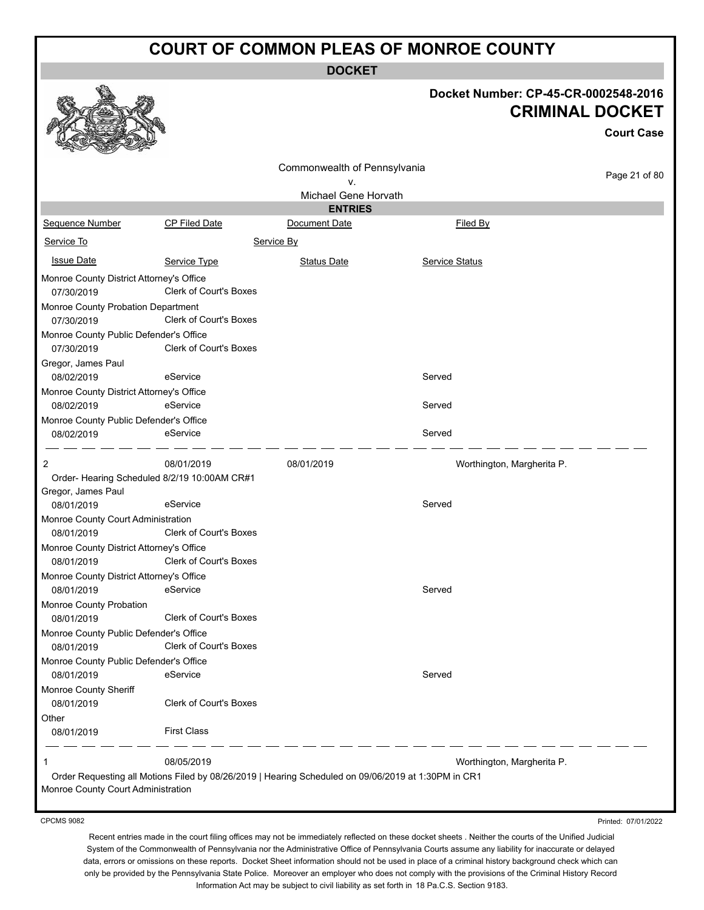**DOCKET**

|                                                                         |                               | ו שטש                                                                                               |                                      |                                             |
|-------------------------------------------------------------------------|-------------------------------|-----------------------------------------------------------------------------------------------------|--------------------------------------|---------------------------------------------|
|                                                                         |                               |                                                                                                     | Docket Number: CP-45-CR-0002548-2016 | <b>CRIMINAL DOCKET</b><br><b>Court Case</b> |
|                                                                         |                               | Commonwealth of Pennsylvania                                                                        |                                      |                                             |
|                                                                         |                               | v.                                                                                                  |                                      | Page 21 of 80                               |
|                                                                         |                               | Michael Gene Horvath                                                                                |                                      |                                             |
|                                                                         |                               | <b>ENTRIES</b>                                                                                      |                                      |                                             |
| Sequence Number                                                         | <b>CP Filed Date</b>          | Document Date                                                                                       | Filed By                             |                                             |
| Service To                                                              |                               | Service By                                                                                          |                                      |                                             |
| <b>Issue Date</b>                                                       | Service Type                  | <b>Status Date</b>                                                                                  | <b>Service Status</b>                |                                             |
| Monroe County District Attorney's Office<br>07/30/2019                  | <b>Clerk of Court's Boxes</b> |                                                                                                     |                                      |                                             |
| Monroe County Probation Department<br>07/30/2019                        | <b>Clerk of Court's Boxes</b> |                                                                                                     |                                      |                                             |
| Monroe County Public Defender's Office<br>07/30/2019                    | <b>Clerk of Court's Boxes</b> |                                                                                                     |                                      |                                             |
| Gregor, James Paul<br>08/02/2019                                        | eService                      |                                                                                                     | Served                               |                                             |
| Monroe County District Attorney's Office<br>08/02/2019                  | eService                      |                                                                                                     | Served                               |                                             |
| Monroe County Public Defender's Office<br>08/02/2019                    | eService                      |                                                                                                     | Served                               |                                             |
| 2<br>Order- Hearing Scheduled 8/2/19 10:00AM CR#1<br>Gregor, James Paul | 08/01/2019                    | 08/01/2019                                                                                          | Worthington, Margherita P.           |                                             |
| 08/01/2019                                                              | eService                      |                                                                                                     | Served                               |                                             |
| Monroe County Court Administration<br>08/01/2019                        | <b>Clerk of Court's Boxes</b> |                                                                                                     |                                      |                                             |
| Monroe County District Attorney's Office<br>08/01/2019                  | Clerk of Court's Boxes        |                                                                                                     |                                      |                                             |
| Monroe County District Attorney's Office                                |                               |                                                                                                     |                                      |                                             |
| 08/01/2019                                                              | eService                      |                                                                                                     | Served                               |                                             |
| Monroe County Probation                                                 |                               |                                                                                                     |                                      |                                             |
| 08/01/2019                                                              | <b>Clerk of Court's Boxes</b> |                                                                                                     |                                      |                                             |
| Monroe County Public Defender's Office<br>08/01/2019                    | <b>Clerk of Court's Boxes</b> |                                                                                                     |                                      |                                             |
| Monroe County Public Defender's Office                                  |                               |                                                                                                     |                                      |                                             |
| 08/01/2019                                                              | eService                      |                                                                                                     | Served                               |                                             |
| Monroe County Sheriff<br>08/01/2019                                     | <b>Clerk of Court's Boxes</b> |                                                                                                     |                                      |                                             |
| Other                                                                   |                               |                                                                                                     |                                      |                                             |
| 08/01/2019                                                              | <b>First Class</b>            |                                                                                                     |                                      |                                             |
| 1                                                                       | 08/05/2019                    |                                                                                                     | Worthington, Margherita P.           |                                             |
| Monroe County Court Administration                                      |                               | Order Requesting all Motions Filed by 08/26/2019   Hearing Scheduled on 09/06/2019 at 1:30PM in CR1 |                                      |                                             |

CPCMS 9082

Printed: 07/01/2022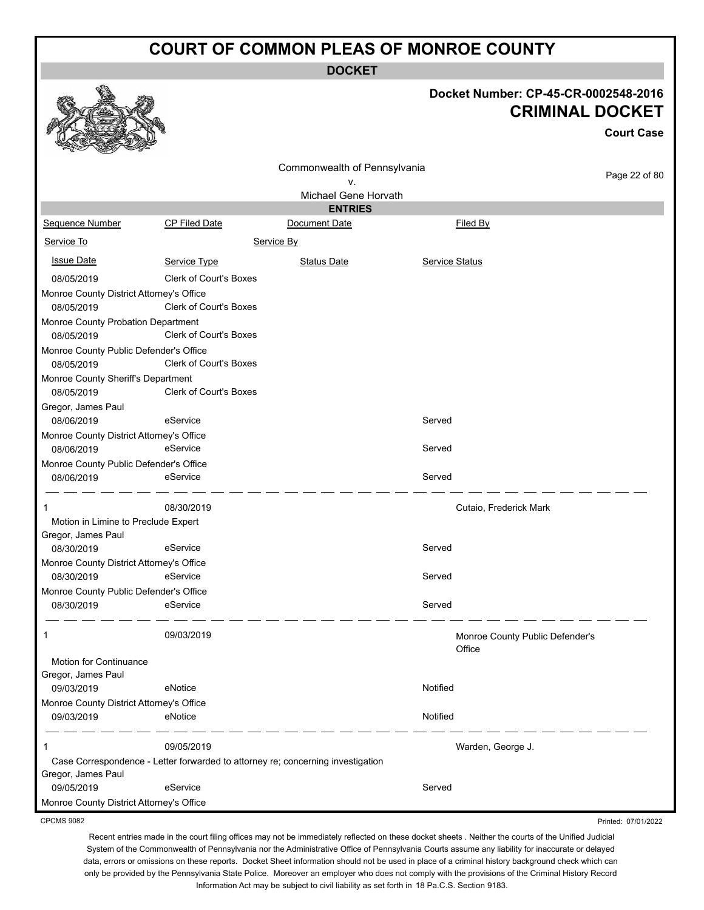**DOCKET**

**Docket Number: CP-45-CR-0002548-2016**

**CRIMINAL DOCKET**

**Court Case**

|                                                        |                               | Comm       |
|--------------------------------------------------------|-------------------------------|------------|
|                                                        |                               | М          |
|                                                        |                               |            |
| Sequence Number                                        | <b>CP Filed Date</b>          | Docu       |
| Service To                                             |                               | Service By |
| <b>Issue Date</b>                                      | Service Type                  | St         |
| 08/05/2019<br>Monroe County District Attorney's Office | <b>Clerk of Court's Boxes</b> |            |
|                                                        |                               |            |

|                                                      |                                                                                 | Commonwealth of Pennsylvania           |                                 |                     |
|------------------------------------------------------|---------------------------------------------------------------------------------|----------------------------------------|---------------------------------|---------------------|
|                                                      |                                                                                 | ν.                                     |                                 | Page 22 of 80       |
|                                                      |                                                                                 | Michael Gene Horvath<br><b>ENTRIES</b> |                                 |                     |
| <b>Sequence Number</b>                               | <b>CP Filed Date</b>                                                            | Document Date                          | Filed By                        |                     |
| Service To                                           |                                                                                 | Service By                             |                                 |                     |
| <u>Issue Date</u>                                    | Service Type                                                                    | <b>Status Date</b>                     | <b>Service Status</b>           |                     |
| 08/05/2019                                           | Clerk of Court's Boxes                                                          |                                        |                                 |                     |
| Monroe County District Attorney's Office             |                                                                                 |                                        |                                 |                     |
| 08/05/2019                                           | <b>Clerk of Court's Boxes</b>                                                   |                                        |                                 |                     |
| Monroe County Probation Department                   |                                                                                 |                                        |                                 |                     |
| 08/05/2019                                           | <b>Clerk of Court's Boxes</b>                                                   |                                        |                                 |                     |
| Monroe County Public Defender's Office               |                                                                                 |                                        |                                 |                     |
| 08/05/2019                                           | <b>Clerk of Court's Boxes</b>                                                   |                                        |                                 |                     |
| Monroe County Sheriff's Department                   |                                                                                 |                                        |                                 |                     |
| 08/05/2019                                           | <b>Clerk of Court's Boxes</b>                                                   |                                        |                                 |                     |
| Gregor, James Paul                                   |                                                                                 |                                        |                                 |                     |
| 08/06/2019                                           | eService                                                                        |                                        | Served                          |                     |
| Monroe County District Attorney's Office             |                                                                                 |                                        |                                 |                     |
| 08/06/2019                                           | eService                                                                        |                                        | Served                          |                     |
| Monroe County Public Defender's Office<br>08/06/2019 | eService                                                                        |                                        | Served                          |                     |
|                                                      |                                                                                 |                                        |                                 |                     |
| 1                                                    | 08/30/2019                                                                      |                                        | Cutaio, Frederick Mark          |                     |
| Motion in Limine to Preclude Expert                  |                                                                                 |                                        |                                 |                     |
| Gregor, James Paul                                   |                                                                                 |                                        |                                 |                     |
| 08/30/2019                                           | eService                                                                        |                                        | Served                          |                     |
| Monroe County District Attorney's Office             |                                                                                 |                                        |                                 |                     |
| 08/30/2019                                           | eService                                                                        |                                        | Served                          |                     |
| Monroe County Public Defender's Office               |                                                                                 |                                        |                                 |                     |
| 08/30/2019                                           | eService                                                                        |                                        | Served                          |                     |
| 1                                                    | 09/03/2019                                                                      |                                        | Monroe County Public Defender's |                     |
|                                                      |                                                                                 |                                        | Office                          |                     |
| Motion for Continuance                               |                                                                                 |                                        |                                 |                     |
| Gregor, James Paul                                   |                                                                                 |                                        |                                 |                     |
| 09/03/2019                                           | eNotice                                                                         |                                        | Notified                        |                     |
| Monroe County District Attorney's Office             |                                                                                 |                                        |                                 |                     |
| 09/03/2019                                           | eNotice                                                                         |                                        | Notified                        |                     |
| 1                                                    | 09/05/2019                                                                      |                                        | Warden, George J.               |                     |
|                                                      | Case Correspondence - Letter forwarded to attorney re; concerning investigation |                                        |                                 |                     |
| Gregor, James Paul                                   |                                                                                 |                                        |                                 |                     |
| 09/05/2019                                           | eService                                                                        |                                        | Served                          |                     |
| Monroe County District Attorney's Office             |                                                                                 |                                        |                                 |                     |
| <b>CPCMS 9082</b>                                    |                                                                                 |                                        |                                 | Printed: 07/01/2022 |

CPCMS 9082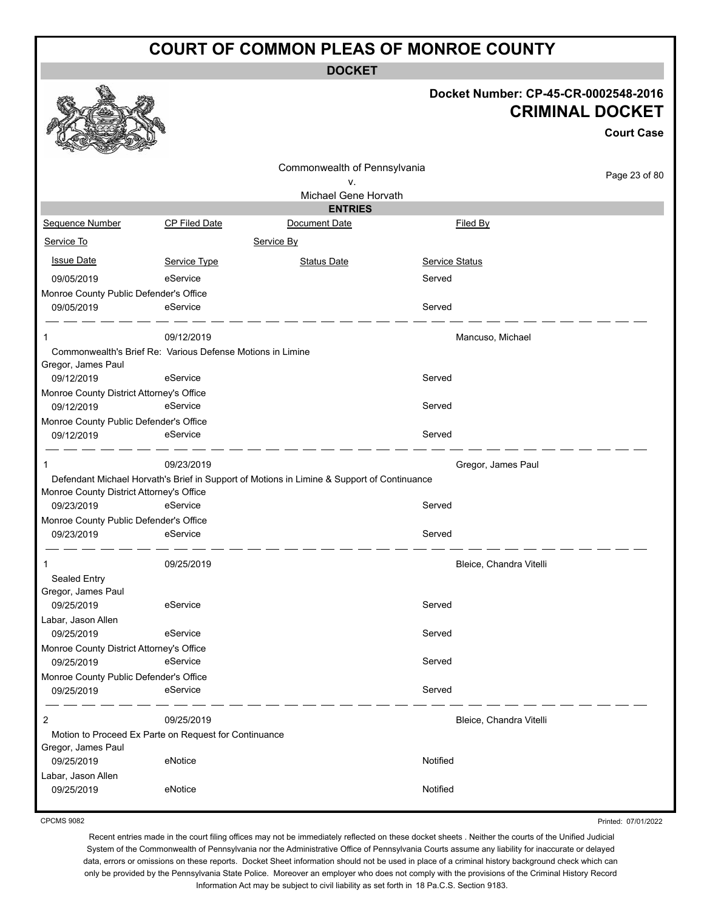**DOCKET**

#### **Docket Number: CP-45-CR-0002548-2016 CRIMINAL DOCKET**

**Court Case**

|                                                                 |                                                            | Commonwealth of Pennsylvania                                                               |                         |               |
|-----------------------------------------------------------------|------------------------------------------------------------|--------------------------------------------------------------------------------------------|-------------------------|---------------|
|                                                                 |                                                            | ۷.                                                                                         |                         | Page 23 of 80 |
|                                                                 |                                                            | Michael Gene Horvath                                                                       |                         |               |
|                                                                 |                                                            | <b>ENTRIES</b>                                                                             |                         |               |
| Sequence Number                                                 | <b>CP Filed Date</b>                                       | Document Date                                                                              | Filed By                |               |
| Service To                                                      |                                                            | Service By                                                                                 |                         |               |
| <b>Issue Date</b>                                               | Service Type                                               | <b>Status Date</b>                                                                         | Service Status          |               |
| 09/05/2019                                                      | eService                                                   |                                                                                            | Served                  |               |
| Monroe County Public Defender's Office                          |                                                            |                                                                                            |                         |               |
| 09/05/2019                                                      | eService                                                   |                                                                                            | Served                  |               |
| 1                                                               | 09/12/2019                                                 |                                                                                            | Mancuso, Michael        |               |
|                                                                 | Commonwealth's Brief Re: Various Defense Motions in Limine |                                                                                            |                         |               |
| Gregor, James Paul<br>09/12/2019                                | eService                                                   |                                                                                            | Served                  |               |
| Monroe County District Attorney's Office                        |                                                            |                                                                                            |                         |               |
| 09/12/2019                                                      | eService                                                   |                                                                                            | Served                  |               |
| Monroe County Public Defender's Office                          |                                                            |                                                                                            |                         |               |
| 09/12/2019                                                      | eService                                                   |                                                                                            | Served                  |               |
| 1                                                               | 09/23/2019                                                 |                                                                                            | Gregor, James Paul      |               |
|                                                                 |                                                            | Defendant Michael Horvath's Brief in Support of Motions in Limine & Support of Continuance |                         |               |
| Monroe County District Attorney's Office                        |                                                            |                                                                                            |                         |               |
| 09/23/2019                                                      | eService                                                   |                                                                                            | Served                  |               |
| Monroe County Public Defender's Office                          |                                                            |                                                                                            | Served                  |               |
| 09/23/2019                                                      | eService                                                   |                                                                                            |                         |               |
| 1                                                               | 09/25/2019                                                 |                                                                                            | Bleice, Chandra Vitelli |               |
| Sealed Entry                                                    |                                                            |                                                                                            |                         |               |
| Gregor, James Paul                                              |                                                            |                                                                                            |                         |               |
| 09/25/2019                                                      | eService                                                   |                                                                                            | Served                  |               |
| Labar, Jason Allen                                              | eService                                                   |                                                                                            | Served                  |               |
| 09/25/2019                                                      |                                                            |                                                                                            |                         |               |
| Monroe County District Attorney's Office<br>09/25/2019 eService |                                                            |                                                                                            | Served                  |               |
| Monroe County Public Defender's Office                          |                                                            |                                                                                            |                         |               |
| 09/25/2019                                                      | eService                                                   |                                                                                            | Served                  |               |
| 2                                                               | 09/25/2019                                                 |                                                                                            | Bleice, Chandra Vitelli |               |
|                                                                 | Motion to Proceed Ex Parte on Request for Continuance      |                                                                                            |                         |               |
| Gregor, James Paul                                              |                                                            |                                                                                            |                         |               |
| 09/25/2019                                                      | eNotice                                                    |                                                                                            | Notified                |               |
| Labar, Jason Allen                                              |                                                            |                                                                                            |                         |               |
| 09/25/2019                                                      | eNotice                                                    |                                                                                            | Notified                |               |
|                                                                 |                                                            |                                                                                            |                         |               |

CPCMS 9082

Printed: 07/01/2022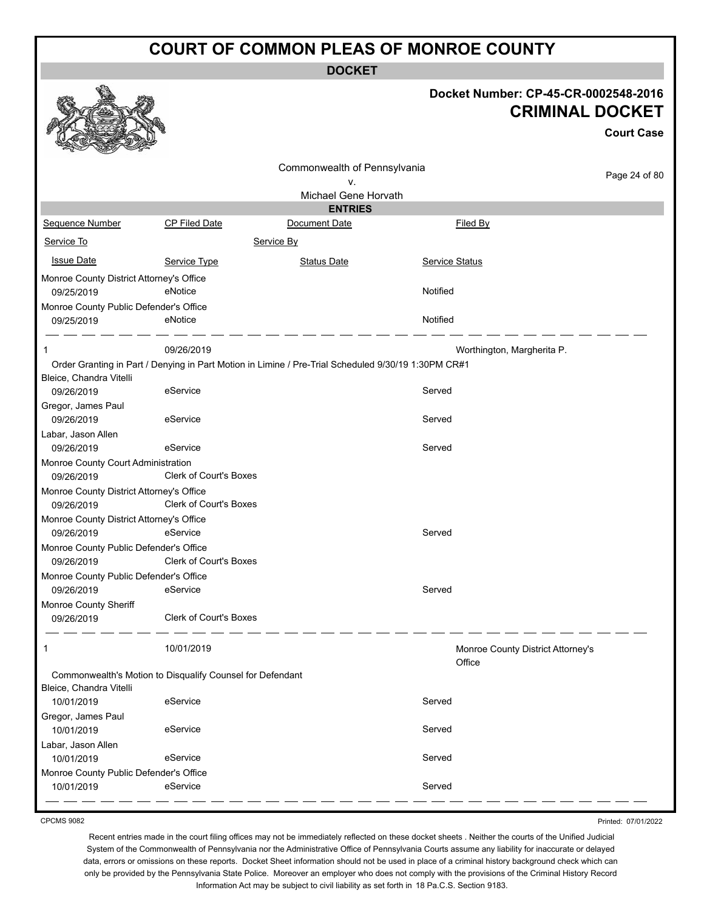**DOCKET**

| Docket Number: CP-45-CR-0002548-2016 |
|--------------------------------------|
| <b>CRIMINAL DOCKET</b>               |

**Court Case**

|                                                        |                                                                                                     |                              |                                             | <b>Court Case</b> |
|--------------------------------------------------------|-----------------------------------------------------------------------------------------------------|------------------------------|---------------------------------------------|-------------------|
|                                                        |                                                                                                     | Commonwealth of Pennsylvania |                                             |                   |
|                                                        |                                                                                                     | ٧.                           |                                             | Page 24 of 80     |
|                                                        |                                                                                                     | Michael Gene Horvath         |                                             |                   |
|                                                        |                                                                                                     | <b>ENTRIES</b>               |                                             |                   |
| Sequence Number                                        | CP Filed Date                                                                                       | Document Date                | Filed By                                    |                   |
| Service To                                             |                                                                                                     | Service By                   |                                             |                   |
| <b>Issue Date</b>                                      | Service Type                                                                                        | <b>Status Date</b>           | Service Status                              |                   |
| Monroe County District Attorney's Office               |                                                                                                     |                              |                                             |                   |
| 09/25/2019                                             | eNotice                                                                                             |                              | Notified                                    |                   |
| Monroe County Public Defender's Office                 |                                                                                                     |                              |                                             |                   |
| 09/25/2019                                             | eNotice                                                                                             |                              | Notified                                    |                   |
|                                                        |                                                                                                     |                              |                                             |                   |
| $\mathbf 1$                                            | 09/26/2019                                                                                          |                              | Worthington, Margherita P.                  |                   |
| Bleice, Chandra Vitelli                                | Order Granting in Part / Denying in Part Motion in Limine / Pre-Trial Scheduled 9/30/19 1:30PM CR#1 |                              |                                             |                   |
| 09/26/2019                                             | eService                                                                                            |                              | Served                                      |                   |
| Gregor, James Paul                                     |                                                                                                     |                              |                                             |                   |
| 09/26/2019                                             | eService                                                                                            |                              | Served                                      |                   |
| Labar, Jason Allen                                     |                                                                                                     |                              |                                             |                   |
| 09/26/2019                                             | eService                                                                                            |                              | Served                                      |                   |
| Monroe County Court Administration                     |                                                                                                     |                              |                                             |                   |
| 09/26/2019                                             | <b>Clerk of Court's Boxes</b>                                                                       |                              |                                             |                   |
| Monroe County District Attorney's Office               |                                                                                                     |                              |                                             |                   |
| 09/26/2019                                             | Clerk of Court's Boxes                                                                              |                              |                                             |                   |
| Monroe County District Attorney's Office<br>09/26/2019 | eService                                                                                            |                              | Served                                      |                   |
| Monroe County Public Defender's Office                 |                                                                                                     |                              |                                             |                   |
| 09/26/2019                                             | Clerk of Court's Boxes                                                                              |                              |                                             |                   |
| Monroe County Public Defender's Office                 |                                                                                                     |                              |                                             |                   |
| 09/26/2019                                             | eService                                                                                            |                              | Served                                      |                   |
| Monroe County Sheriff                                  |                                                                                                     |                              |                                             |                   |
| 09/26/2019                                             | <b>Clerk of Court's Boxes</b>                                                                       |                              |                                             |                   |
|                                                        | 10/01/2019                                                                                          |                              | Monroe County District Attorney's<br>Office |                   |
|                                                        | Commonwealth's Motion to Disqualify Counsel for Defendant                                           |                              |                                             |                   |
| Bleice, Chandra Vitelli                                |                                                                                                     |                              |                                             |                   |
| 10/01/2019                                             | eService                                                                                            |                              | Served                                      |                   |
| Gregor, James Paul                                     |                                                                                                     |                              |                                             |                   |
| 10/01/2019                                             | eService                                                                                            |                              | Served                                      |                   |
| Labar, Jason Allen                                     |                                                                                                     |                              |                                             |                   |
| 10/01/2019                                             | eService                                                                                            |                              | Served                                      |                   |
| Monroe County Public Defender's Office                 |                                                                                                     |                              |                                             |                   |
| 10/01/2019                                             | eService                                                                                            |                              | Served                                      |                   |

CPCMS 9082

Recent entries made in the court filing offices may not be immediately reflected on these docket sheets . Neither the courts of the Unified Judicial System of the Commonwealth of Pennsylvania nor the Administrative Office of Pennsylvania Courts assume any liability for inaccurate or delayed data, errors or omissions on these reports. Docket Sheet information should not be used in place of a criminal history background check which can only be provided by the Pennsylvania State Police. Moreover an employer who does not comply with the provisions of the Criminal History Record Information Act may be subject to civil liability as set forth in 18 Pa.C.S. Section 9183.

Printed: 07/01/2022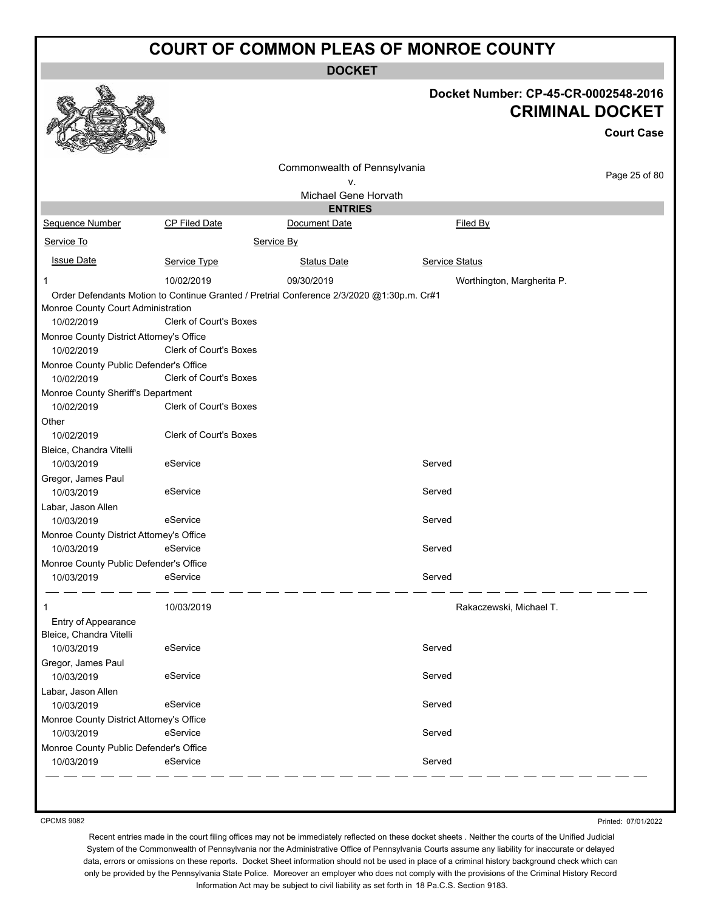**DOCKET**

|                                          |                                                                                           |                              |                            | Docket Number: CP-45-CR-0002548-2016<br><b>CRIMINAL DOCKET</b><br><b>Court Case</b> |
|------------------------------------------|-------------------------------------------------------------------------------------------|------------------------------|----------------------------|-------------------------------------------------------------------------------------|
|                                          |                                                                                           | Commonwealth of Pennsylvania |                            |                                                                                     |
|                                          |                                                                                           | v.                           |                            | Page 25 of 80                                                                       |
|                                          |                                                                                           | Michael Gene Horvath         |                            |                                                                                     |
|                                          |                                                                                           | <b>ENTRIES</b>               |                            |                                                                                     |
| Sequence Number                          | CP Filed Date                                                                             | Document Date                | Filed By                   |                                                                                     |
| Service To                               |                                                                                           | Service By                   |                            |                                                                                     |
| <b>Issue Date</b>                        | Service Type                                                                              | <b>Status Date</b>           | <b>Service Status</b>      |                                                                                     |
| $\mathbf 1$                              | 10/02/2019                                                                                | 09/30/2019                   | Worthington, Margherita P. |                                                                                     |
|                                          | Order Defendants Motion to Continue Granted / Pretrial Conference 2/3/2020 @1:30p.m. Cr#1 |                              |                            |                                                                                     |
| Monroe County Court Administration       |                                                                                           |                              |                            |                                                                                     |
| 10/02/2019                               | <b>Clerk of Court's Boxes</b>                                                             |                              |                            |                                                                                     |
| Monroe County District Attorney's Office |                                                                                           |                              |                            |                                                                                     |
| 10/02/2019                               | <b>Clerk of Court's Boxes</b>                                                             |                              |                            |                                                                                     |
| Monroe County Public Defender's Office   |                                                                                           |                              |                            |                                                                                     |
| 10/02/2019                               | Clerk of Court's Boxes                                                                    |                              |                            |                                                                                     |
| Monroe County Sheriff's Department       |                                                                                           |                              |                            |                                                                                     |
| 10/02/2019                               | Clerk of Court's Boxes                                                                    |                              |                            |                                                                                     |
| Other                                    |                                                                                           |                              |                            |                                                                                     |
| 10/02/2019                               | Clerk of Court's Boxes                                                                    |                              |                            |                                                                                     |
| Bleice, Chandra Vitelli                  |                                                                                           |                              |                            |                                                                                     |
| 10/03/2019                               | eService                                                                                  |                              | Served                     |                                                                                     |
| Gregor, James Paul                       |                                                                                           |                              |                            |                                                                                     |
| 10/03/2019                               | eService                                                                                  |                              | Served                     |                                                                                     |
| Labar, Jason Allen                       |                                                                                           |                              |                            |                                                                                     |
| 10/03/2019                               | eService                                                                                  |                              | Served                     |                                                                                     |
| Monroe County District Attorney's Office |                                                                                           |                              |                            |                                                                                     |
| 10/03/2019                               | eService                                                                                  |                              | Served                     |                                                                                     |
| Monroe County Public Defender's Office   |                                                                                           |                              |                            |                                                                                     |
| 10/03/2019                               | eService                                                                                  |                              | Served                     |                                                                                     |
| 1                                        | 10/03/2019                                                                                |                              | Rakaczewski, Michael T.    |                                                                                     |
| Entry of Appearance                      |                                                                                           |                              |                            |                                                                                     |
| Bleice, Chandra Vitelli                  |                                                                                           |                              |                            |                                                                                     |
| 10/03/2019                               | eService                                                                                  |                              | Served                     |                                                                                     |
| Gregor, James Paul                       |                                                                                           |                              |                            |                                                                                     |
| 10/03/2019                               | eService                                                                                  |                              | Served                     |                                                                                     |
| Labar, Jason Allen                       |                                                                                           |                              |                            |                                                                                     |
| 10/03/2019                               | eService                                                                                  |                              | Served                     |                                                                                     |
| Monroe County District Attorney's Office |                                                                                           |                              |                            |                                                                                     |
| 10/03/2019                               | eService                                                                                  |                              | Served                     |                                                                                     |
| Monroe County Public Defender's Office   |                                                                                           |                              |                            |                                                                                     |
| 10/03/2019                               | eService                                                                                  |                              | Served                     |                                                                                     |

CPCMS 9082

Printed: 07/01/2022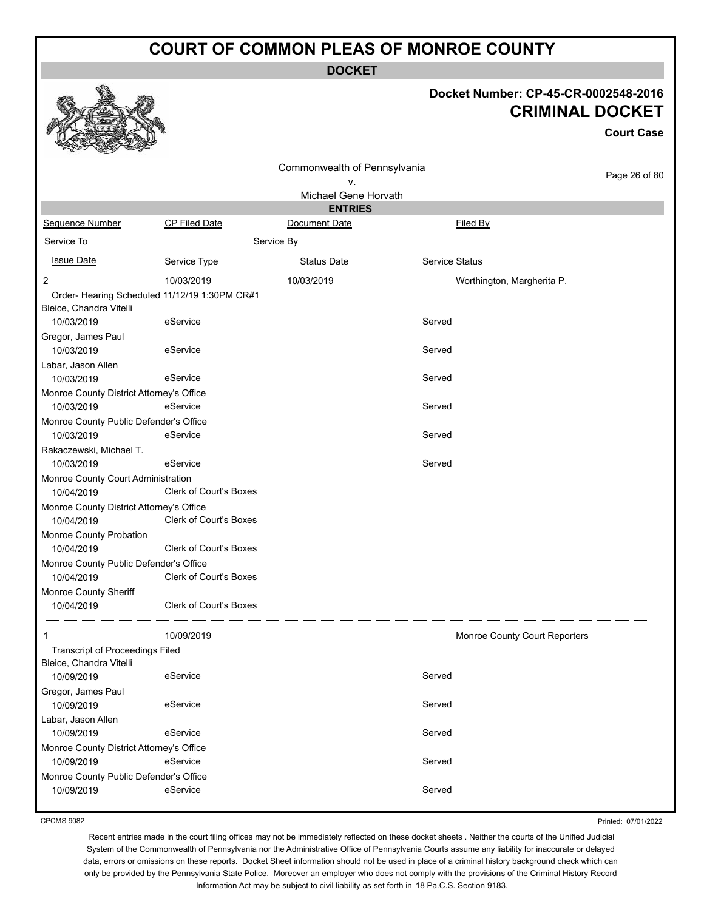**DOCKET**

#### **Docket Number: CP-45-CR-0002548-2016 CRIMINAL DOCKET**

**Court Case**

|                                          |                                              | Commonwealth of Pennsylvania |                               |               |
|------------------------------------------|----------------------------------------------|------------------------------|-------------------------------|---------------|
|                                          |                                              | ۷.                           |                               | Page 26 of 80 |
|                                          |                                              | Michael Gene Horvath         |                               |               |
|                                          |                                              | <b>ENTRIES</b>               |                               |               |
| <b>Sequence Number</b>                   | <b>CP Filed Date</b>                         | Document Date                | Filed By                      |               |
| Service To                               |                                              | Service By                   |                               |               |
| <u>Issue Date</u>                        | Service Type                                 | <b>Status Date</b>           | Service Status                |               |
| $\overline{2}$                           | 10/03/2019                                   | 10/03/2019                   | Worthington, Margherita P.    |               |
|                                          | Order-Hearing Scheduled 11/12/19 1:30PM CR#1 |                              |                               |               |
| Bleice, Chandra Vitelli                  |                                              |                              |                               |               |
| 10/03/2019                               | eService                                     |                              | Served                        |               |
| Gregor, James Paul                       |                                              |                              |                               |               |
| 10/03/2019                               | eService                                     |                              | Served                        |               |
| Labar, Jason Allen                       |                                              |                              |                               |               |
| 10/03/2019                               | eService                                     |                              | Served                        |               |
| Monroe County District Attorney's Office |                                              |                              |                               |               |
| 10/03/2019                               | eService                                     |                              | Served                        |               |
| Monroe County Public Defender's Office   |                                              |                              |                               |               |
| 10/03/2019                               | eService                                     |                              | Served                        |               |
| Rakaczewski, Michael T.                  |                                              |                              |                               |               |
| 10/03/2019                               | eService                                     |                              | Served                        |               |
| Monroe County Court Administration       |                                              |                              |                               |               |
| 10/04/2019                               | <b>Clerk of Court's Boxes</b>                |                              |                               |               |
| Monroe County District Attorney's Office |                                              |                              |                               |               |
| 10/04/2019                               | Clerk of Court's Boxes                       |                              |                               |               |
| Monroe County Probation                  |                                              |                              |                               |               |
| 10/04/2019                               | <b>Clerk of Court's Boxes</b>                |                              |                               |               |
| Monroe County Public Defender's Office   |                                              |                              |                               |               |
| 10/04/2019                               | Clerk of Court's Boxes                       |                              |                               |               |
| Monroe County Sheriff                    |                                              |                              |                               |               |
| 10/04/2019                               | <b>Clerk of Court's Boxes</b>                |                              |                               |               |
| 1                                        | 10/09/2019                                   |                              | Monroe County Court Reporters |               |
| <b>Transcript of Proceedings Filed</b>   |                                              |                              |                               |               |
| Bleice, Chandra Vitelli                  |                                              |                              |                               |               |
| 10/09/2019                               | eService                                     |                              | Served                        |               |
| Gregor, James Paul                       |                                              |                              |                               |               |
| 10/09/2019                               | eService                                     |                              | Served                        |               |
| Labar, Jason Allen                       |                                              |                              |                               |               |
| 10/09/2019                               | eService                                     |                              | Served                        |               |
| Monroe County District Attorney's Office |                                              |                              |                               |               |
| 10/09/2019                               | eService                                     |                              | Served                        |               |
| Monroe County Public Defender's Office   |                                              |                              |                               |               |
| 10/09/2019                               | eService                                     |                              | Served                        |               |

CPCMS 9082

Printed: 07/01/2022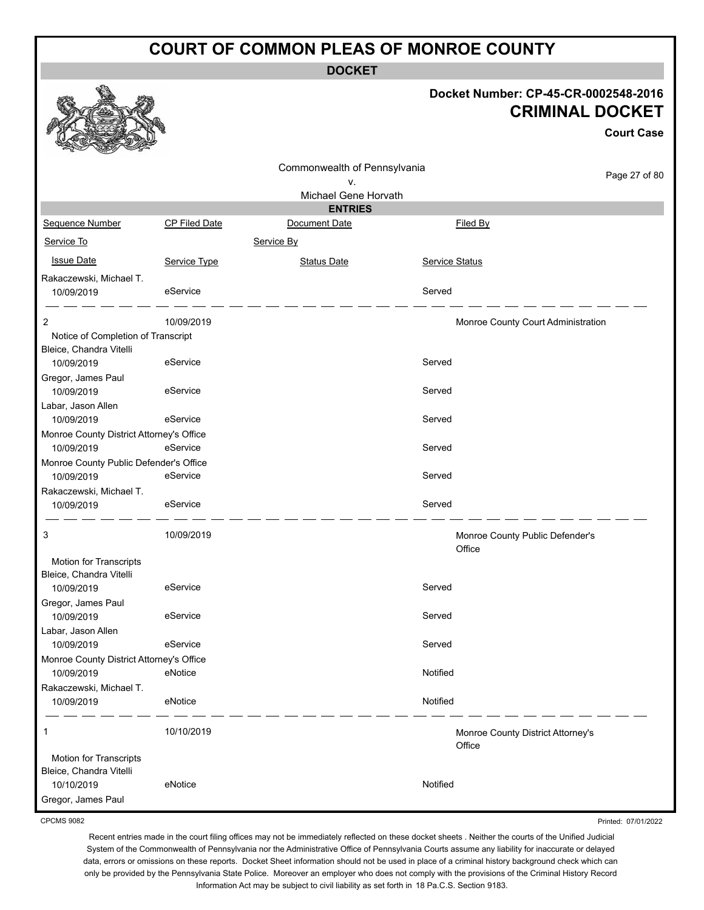**DOCKET**

|                                          |               |                                    |                | Docket Number: CP-45-CR-0002548-2016<br><b>CRIMINAL DOCKET</b> |
|------------------------------------------|---------------|------------------------------------|----------------|----------------------------------------------------------------|
|                                          |               |                                    |                | <b>Court Case</b>                                              |
|                                          |               | Commonwealth of Pennsylvania<br>ν. |                | Page 27 of 80                                                  |
|                                          |               | Michael Gene Horvath               |                |                                                                |
|                                          |               | <b>ENTRIES</b>                     |                |                                                                |
| Sequence Number                          | CP Filed Date | Document Date                      |                | Filed By                                                       |
| Service To                               |               | Service By                         |                |                                                                |
| <b>Issue Date</b>                        | Service Type  | <b>Status Date</b>                 | Service Status |                                                                |
| Rakaczewski, Michael T.                  |               |                                    |                |                                                                |
| 10/09/2019                               | eService      |                                    | Served         |                                                                |
| 2                                        | 10/09/2019    |                                    |                | Monroe County Court Administration                             |
| Notice of Completion of Transcript       |               |                                    |                |                                                                |
| Bleice, Chandra Vitelli                  |               |                                    |                |                                                                |
| 10/09/2019                               | eService      |                                    | Served         |                                                                |
| Gregor, James Paul                       | eService      |                                    | Served         |                                                                |
| 10/09/2019<br>Labar, Jason Allen         |               |                                    |                |                                                                |
| 10/09/2019                               | eService      |                                    | Served         |                                                                |
| Monroe County District Attorney's Office |               |                                    |                |                                                                |
| 10/09/2019                               | eService      |                                    | Served         |                                                                |
| Monroe County Public Defender's Office   |               |                                    |                |                                                                |
| 10/09/2019                               | eService      |                                    | Served         |                                                                |
| Rakaczewski, Michael T.                  |               |                                    |                |                                                                |
| 10/09/2019                               | eService      |                                    | Served         |                                                                |
| 3                                        | 10/09/2019    |                                    | Office         | Monroe County Public Defender's                                |
| Motion for Transcripts                   |               |                                    |                |                                                                |
| Bleice, Chandra Vitelli                  |               |                                    |                |                                                                |
| 10/09/2019                               | eService      |                                    | Served         |                                                                |
| Gregor, James Paul<br>10/09/2019         | eService      |                                    | Served         |                                                                |
| Labar, Jason Allen                       |               |                                    |                |                                                                |
| 10/09/2019                               | eService      |                                    | Served         |                                                                |
| Monroe County District Attorney's Office |               |                                    |                |                                                                |
| 10/09/2019                               | eNotice       |                                    | Notified       |                                                                |
| Rakaczewski, Michael T.<br>10/09/2019    | eNotice       |                                    | Notified       |                                                                |
|                                          |               |                                    |                |                                                                |
| 1                                        | 10/10/2019    |                                    | Office         | Monroe County District Attorney's                              |
| Motion for Transcripts                   |               |                                    |                |                                                                |
| Bleice, Chandra Vitelli                  |               |                                    |                |                                                                |
| 10/10/2019                               | eNotice       |                                    | Notified       |                                                                |
| Gregor, James Paul                       |               |                                    |                |                                                                |

CPCMS 9082

Recent entries made in the court filing offices may not be immediately reflected on these docket sheets . Neither the courts of the Unified Judicial System of the Commonwealth of Pennsylvania nor the Administrative Office of Pennsylvania Courts assume any liability for inaccurate or delayed data, errors or omissions on these reports. Docket Sheet information should not be used in place of a criminal history background check which can only be provided by the Pennsylvania State Police. Moreover an employer who does not comply with the provisions of the Criminal History Record Information Act may be subject to civil liability as set forth in 18 Pa.C.S. Section 9183.

Printed: 07/01/2022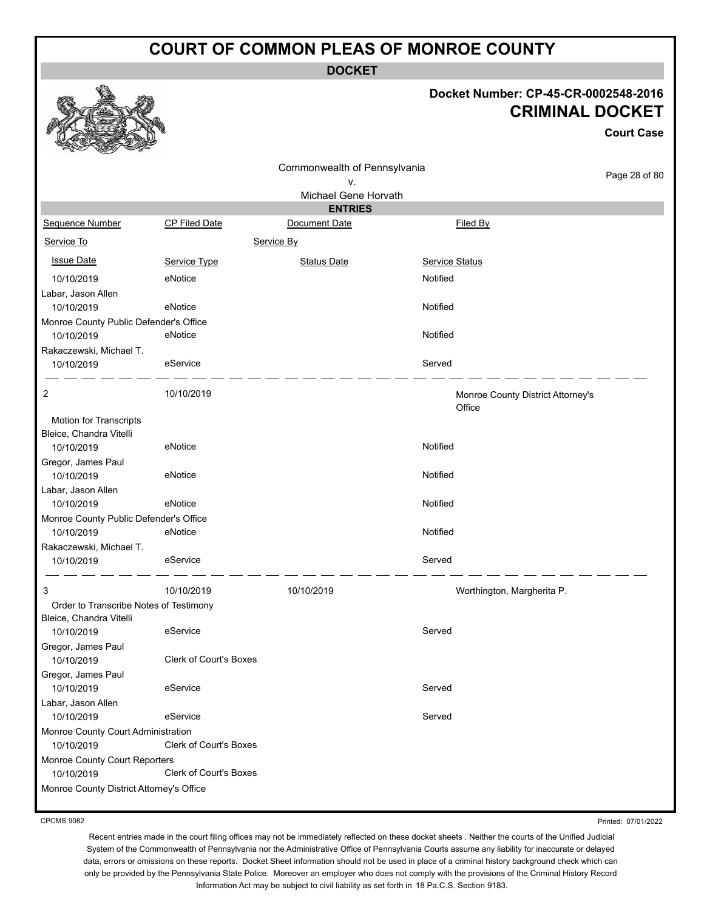**DOCKET**

#### **Docket Number: CP-45-CR-0002548-2016 CRIMINAL DOCKET**

|                                                      |                        |                                        |                                   | <b>Court Case</b> |
|------------------------------------------------------|------------------------|----------------------------------------|-----------------------------------|-------------------|
|                                                      |                        | Commonwealth of Pennsylvania           |                                   | Page 28 of 80     |
|                                                      |                        | ۷.                                     |                                   |                   |
|                                                      |                        | Michael Gene Horvath<br><b>ENTRIES</b> |                                   |                   |
| Sequence Number                                      | CP Filed Date          | Document Date                          | Filed By                          |                   |
| Service To                                           |                        | Service By                             |                                   |                   |
|                                                      |                        |                                        |                                   |                   |
| <b>Issue Date</b>                                    | Service Type           | <b>Status Date</b>                     | <b>Service Status</b>             |                   |
| 10/10/2019                                           | eNotice                |                                        | Notified                          |                   |
| Labar, Jason Allen                                   |                        |                                        |                                   |                   |
| 10/10/2019                                           | eNotice                |                                        | Notified                          |                   |
| Monroe County Public Defender's Office<br>10/10/2019 | eNotice                |                                        | Notified                          |                   |
| Rakaczewski, Michael T.                              |                        |                                        |                                   |                   |
| 10/10/2019                                           | eService               |                                        | Served                            |                   |
| 2                                                    | 10/10/2019             |                                        | Monroe County District Attorney's |                   |
|                                                      |                        |                                        | Office                            |                   |
| Motion for Transcripts                               |                        |                                        |                                   |                   |
| Bleice, Chandra Vitelli                              |                        |                                        |                                   |                   |
| 10/10/2019                                           | eNotice                |                                        | Notified                          |                   |
| Gregor, James Paul<br>10/10/2019                     | eNotice                |                                        | Notified                          |                   |
| Labar, Jason Allen                                   |                        |                                        |                                   |                   |
| 10/10/2019                                           | eNotice                |                                        | Notified                          |                   |
| Monroe County Public Defender's Office               |                        |                                        |                                   |                   |
| 10/10/2019                                           | eNotice                |                                        | Notified                          |                   |
| Rakaczewski, Michael T.                              | eService               |                                        | Served                            |                   |
| 10/10/2019                                           |                        |                                        |                                   |                   |
| 3                                                    | 10/10/2019             | 10/10/2019                             | Worthington, Margherita P.        |                   |
| Order to Transcribe Notes of Testimony               |                        |                                        |                                   |                   |
| Bleice, Chandra Vitelli                              |                        |                                        |                                   |                   |
| 10/10/2019                                           | eService               |                                        | Served                            |                   |
| Gregor, James Paul                                   |                        |                                        |                                   |                   |
| 10/10/2019                                           | Clerk of Court's Boxes |                                        |                                   |                   |
| Gregor, James Paul                                   |                        |                                        |                                   |                   |
| 10/10/2019                                           | eService               |                                        | Served                            |                   |
| Labar, Jason Allen                                   |                        |                                        | Served                            |                   |
| 10/10/2019                                           | eService               |                                        |                                   |                   |
| Monroe County Court Administration<br>10/10/2019     | Clerk of Court's Boxes |                                        |                                   |                   |
| Monroe County Court Reporters                        |                        |                                        |                                   |                   |
| 10/10/2019                                           | Clerk of Court's Boxes |                                        |                                   |                   |
| Monroe County District Attorney's Office             |                        |                                        |                                   |                   |
|                                                      |                        |                                        |                                   |                   |

CPCMS 9082

Printed: 07/01/2022

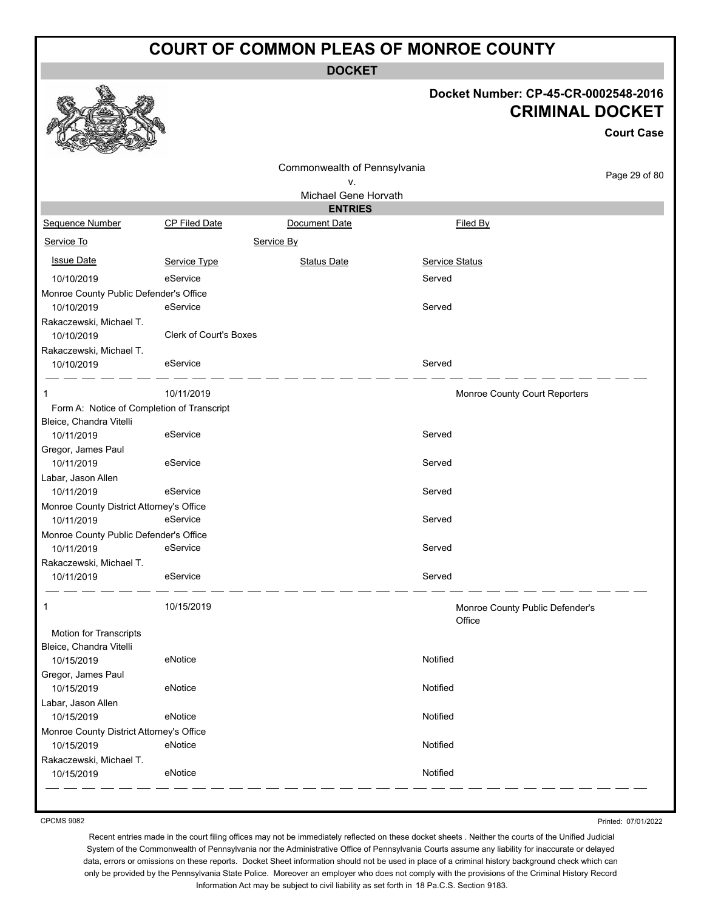**DOCKET**

#### **Docket Number: CP-45-CR-0002548-2016 CRIMINAL DOCKET**

|                                            |                               |                                    |                |                                           | <b>Court Case</b> |
|--------------------------------------------|-------------------------------|------------------------------------|----------------|-------------------------------------------|-------------------|
|                                            |                               | Commonwealth of Pennsylvania<br>V. |                |                                           | Page 29 of 80     |
|                                            |                               | Michael Gene Horvath               |                |                                           |                   |
| Sequence Number                            | CP Filed Date                 | <b>ENTRIES</b><br>Document Date    |                | Filed By                                  |                   |
|                                            |                               |                                    |                |                                           |                   |
| Service To                                 |                               | Service By                         |                |                                           |                   |
| <b>Issue Date</b>                          | Service Type                  | <b>Status Date</b>                 | Service Status |                                           |                   |
| 10/10/2019                                 | eService                      |                                    | Served         |                                           |                   |
| Monroe County Public Defender's Office     |                               |                                    |                |                                           |                   |
| 10/10/2019                                 | eService                      |                                    | Served         |                                           |                   |
| Rakaczewski, Michael T.                    |                               |                                    |                |                                           |                   |
| 10/10/2019                                 | <b>Clerk of Court's Boxes</b> |                                    |                |                                           |                   |
| Rakaczewski, Michael T.                    |                               |                                    |                |                                           |                   |
| 10/10/2019                                 | eService                      |                                    | Served         |                                           |                   |
| 1                                          | 10/11/2019                    |                                    |                | Monroe County Court Reporters             |                   |
| Form A: Notice of Completion of Transcript |                               |                                    |                |                                           |                   |
| Bleice, Chandra Vitelli                    |                               |                                    |                |                                           |                   |
| 10/11/2019                                 | eService                      |                                    | Served         |                                           |                   |
| Gregor, James Paul                         |                               |                                    |                |                                           |                   |
| 10/11/2019                                 | eService                      |                                    | Served         |                                           |                   |
| Labar, Jason Allen                         |                               |                                    |                |                                           |                   |
| 10/11/2019                                 | eService                      |                                    | Served         |                                           |                   |
| Monroe County District Attorney's Office   |                               |                                    |                |                                           |                   |
| 10/11/2019                                 | eService                      |                                    | Served         |                                           |                   |
| Monroe County Public Defender's Office     |                               |                                    |                |                                           |                   |
| 10/11/2019                                 | eService                      |                                    | Served         |                                           |                   |
| Rakaczewski, Michael T.                    |                               |                                    | Served         |                                           |                   |
| 10/11/2019                                 | eService                      |                                    |                |                                           |                   |
| 1                                          | 10/15/2019                    |                                    |                | Monroe County Public Defender's<br>Office |                   |
| Motion for Transcripts                     |                               |                                    |                |                                           |                   |
| Bleice, Chandra Vitelli                    |                               |                                    |                |                                           |                   |
| 10/15/2019                                 | eNotice                       |                                    | Notified       |                                           |                   |
| Gregor, James Paul                         |                               |                                    |                |                                           |                   |
| 10/15/2019                                 | eNotice                       |                                    | Notified       |                                           |                   |
| Labar, Jason Allen                         |                               |                                    |                |                                           |                   |
| 10/15/2019                                 | eNotice                       |                                    | Notified       |                                           |                   |
| Monroe County District Attorney's Office   |                               |                                    |                |                                           |                   |
| 10/15/2019                                 | eNotice                       |                                    | Notified       |                                           |                   |
| Rakaczewski, Michael T.<br>10/15/2019      | eNotice                       |                                    | Notified       |                                           |                   |
|                                            |                               |                                    |                |                                           |                   |

CPCMS 9082

Printed: 07/01/2022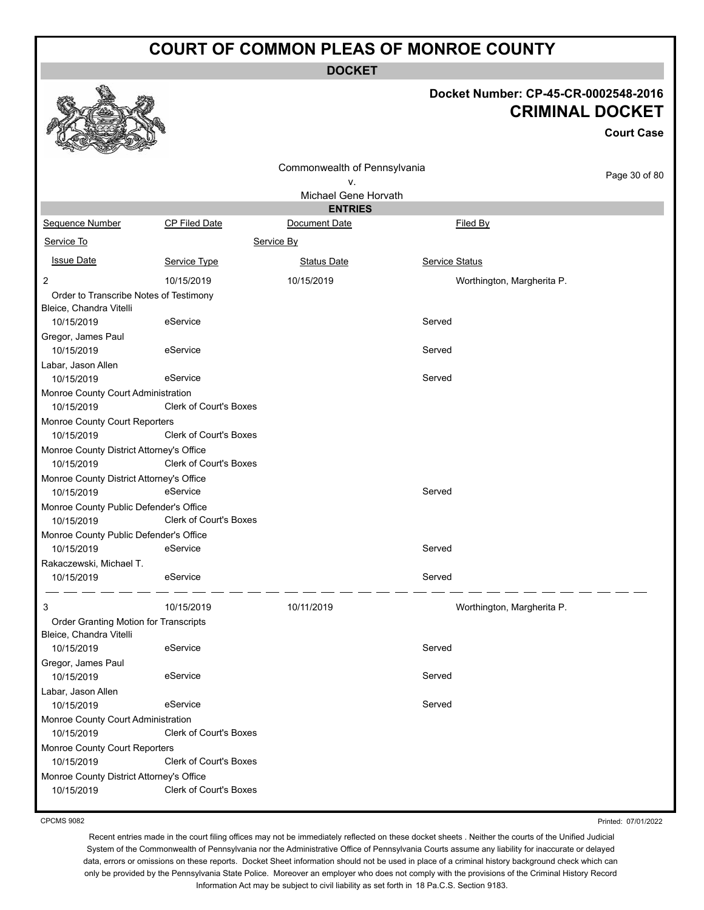**DOCKET**

#### **Docket Number: CP-45-CR-0002548-2016 CRIMINAL DOCKET**

**Court Case**

|                                          |                               | Commonwealth of Pennsylvania |                            |               |
|------------------------------------------|-------------------------------|------------------------------|----------------------------|---------------|
|                                          |                               | ٧.                           |                            | Page 30 of 80 |
|                                          |                               | Michael Gene Horvath         |                            |               |
|                                          |                               | <b>ENTRIES</b>               |                            |               |
| Sequence Number                          | <b>CP Filed Date</b>          | Document Date                | Filed By                   |               |
| Service To                               |                               | Service By                   |                            |               |
| <b>Issue Date</b>                        | Service Type                  | <b>Status Date</b>           | Service Status             |               |
| 2                                        | 10/15/2019                    | 10/15/2019                   | Worthington, Margherita P. |               |
| Order to Transcribe Notes of Testimony   |                               |                              |                            |               |
| Bleice, Chandra Vitelli                  |                               |                              |                            |               |
| 10/15/2019                               | eService                      |                              | Served                     |               |
| Gregor, James Paul                       |                               |                              |                            |               |
| 10/15/2019                               | eService                      |                              | Served                     |               |
| Labar, Jason Allen                       |                               |                              |                            |               |
| 10/15/2019                               | eService                      |                              | Served                     |               |
| Monroe County Court Administration       |                               |                              |                            |               |
| 10/15/2019                               | <b>Clerk of Court's Boxes</b> |                              |                            |               |
| Monroe County Court Reporters            |                               |                              |                            |               |
| 10/15/2019                               | <b>Clerk of Court's Boxes</b> |                              |                            |               |
| Monroe County District Attorney's Office |                               |                              |                            |               |
| 10/15/2019                               | <b>Clerk of Court's Boxes</b> |                              |                            |               |
| Monroe County District Attorney's Office |                               |                              |                            |               |
| 10/15/2019                               | eService                      |                              | Served                     |               |
| Monroe County Public Defender's Office   |                               |                              |                            |               |
| 10/15/2019                               | Clerk of Court's Boxes        |                              |                            |               |
| Monroe County Public Defender's Office   |                               |                              |                            |               |
| 10/15/2019                               | eService                      |                              | Served                     |               |
| Rakaczewski, Michael T.                  |                               |                              |                            |               |
| 10/15/2019                               | eService                      |                              | Served                     |               |
| 3                                        | 10/15/2019                    | 10/11/2019                   | Worthington, Margherita P. |               |
| Order Granting Motion for Transcripts    |                               |                              |                            |               |
| Bleice, Chandra Vitelli                  |                               |                              |                            |               |
| 10/15/2019                               | eService                      |                              | Served                     |               |
| Gregor, James Paul                       |                               |                              |                            |               |
| 10/15/2019                               | eService                      |                              | Served                     |               |
| Labar, Jason Allen                       |                               |                              |                            |               |
| 10/15/2019                               | eService                      |                              | Served                     |               |
| Monroe County Court Administration       |                               |                              |                            |               |
| 10/15/2019                               | <b>Clerk of Court's Boxes</b> |                              |                            |               |
| Monroe County Court Reporters            |                               |                              |                            |               |
| 10/15/2019                               | Clerk of Court's Boxes        |                              |                            |               |
| Monroe County District Attorney's Office |                               |                              |                            |               |
| 10/15/2019                               | <b>Clerk of Court's Boxes</b> |                              |                            |               |

CPCMS 9082

Printed: 07/01/2022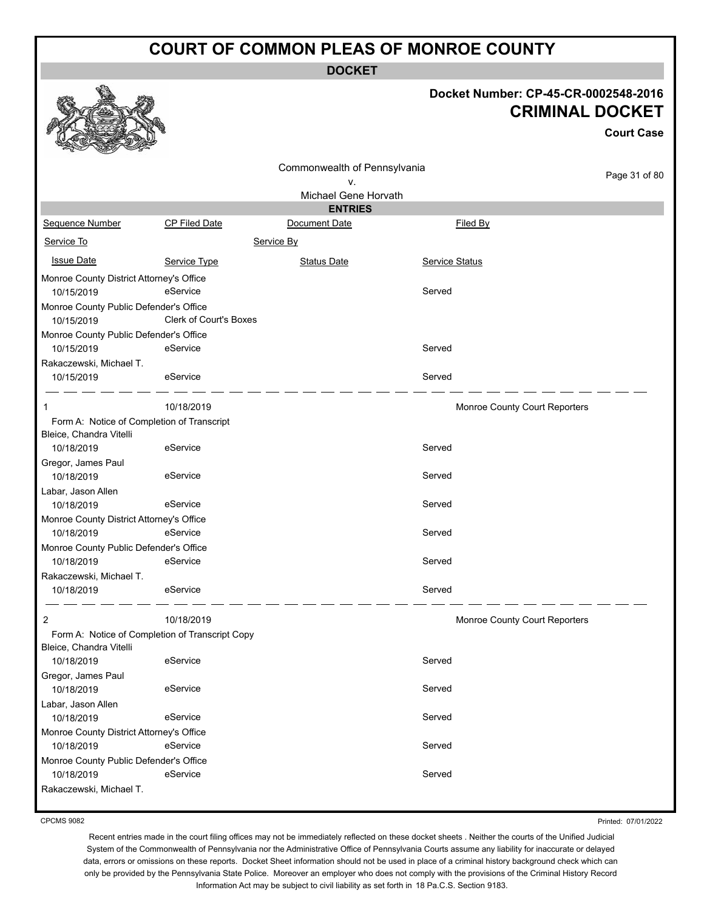**DOCKET**

# **Docket Number: CP-45-CR-0002548-2016**

|                                                                       |                                                 | Docket Number: CP-45-CR-0002548-2016<br><b>CRIMINAL DOCKET</b> |                               |                   |  |
|-----------------------------------------------------------------------|-------------------------------------------------|----------------------------------------------------------------|-------------------------------|-------------------|--|
|                                                                       |                                                 |                                                                |                               | <b>Court Case</b> |  |
|                                                                       |                                                 | Commonwealth of Pennsylvania<br>۷.                             |                               | Page 31 of 80     |  |
|                                                                       |                                                 | Michael Gene Horvath                                           |                               |                   |  |
|                                                                       |                                                 | <b>ENTRIES</b>                                                 |                               |                   |  |
| <b>Sequence Number</b>                                                | CP Filed Date                                   | Document Date                                                  | Filed By                      |                   |  |
| Service To                                                            |                                                 | Service By                                                     |                               |                   |  |
| <b>Issue Date</b>                                                     | Service Type                                    | <b>Status Date</b>                                             | <b>Service Status</b>         |                   |  |
| Monroe County District Attorney's Office                              |                                                 |                                                                |                               |                   |  |
| 10/15/2019                                                            | eService                                        |                                                                | Served                        |                   |  |
| Monroe County Public Defender's Office<br>10/15/2019                  | <b>Clerk of Court's Boxes</b>                   |                                                                |                               |                   |  |
| Monroe County Public Defender's Office                                |                                                 |                                                                |                               |                   |  |
| 10/15/2019                                                            | eService                                        |                                                                | Served                        |                   |  |
| Rakaczewski, Michael T.<br>10/15/2019                                 | eService                                        |                                                                | Served                        |                   |  |
| 1                                                                     | 10/18/2019                                      |                                                                | Monroe County Court Reporters |                   |  |
| Form A: Notice of Completion of Transcript<br>Bleice, Chandra Vitelli |                                                 |                                                                | Served                        |                   |  |
| 10/18/2019<br>Gregor, James Paul                                      | eService                                        |                                                                |                               |                   |  |
| 10/18/2019                                                            | eService                                        |                                                                | Served                        |                   |  |
| Labar, Jason Allen                                                    |                                                 |                                                                |                               |                   |  |
| 10/18/2019                                                            | eService                                        |                                                                | Served                        |                   |  |
| Monroe County District Attorney's Office                              |                                                 |                                                                |                               |                   |  |
| 10/18/2019                                                            | eService                                        |                                                                | Served                        |                   |  |
| Monroe County Public Defender's Office                                |                                                 |                                                                |                               |                   |  |
| 10/18/2019                                                            | eService                                        |                                                                | Served                        |                   |  |
| Rakaczewski, Michael T.<br>10/18/2019                                 | eService                                        |                                                                | Served                        |                   |  |
| $\overline{2}$                                                        | 10/18/2019                                      |                                                                | Monroe County Court Reporters |                   |  |
| Bleice, Chandra Vitelli                                               | Form A: Notice of Completion of Transcript Copy |                                                                |                               |                   |  |
| 10/18/2019                                                            | eService                                        |                                                                | Served                        |                   |  |
| Gregor, James Paul<br>10/18/2019                                      | eService                                        |                                                                | Served                        |                   |  |
| Labar, Jason Allen                                                    |                                                 |                                                                |                               |                   |  |
| 10/18/2019                                                            | eService                                        |                                                                | Served                        |                   |  |
| Monroe County District Attorney's Office<br>10/18/2019                | eService                                        |                                                                | Served                        |                   |  |
| Monroe County Public Defender's Office<br>10/18/2019                  | eService                                        |                                                                | Served                        |                   |  |
| Rakaczewski, Michael T.                                               |                                                 |                                                                |                               |                   |  |

CPCMS 9082

 $\mathcal{P}$ 

Printed: 07/01/2022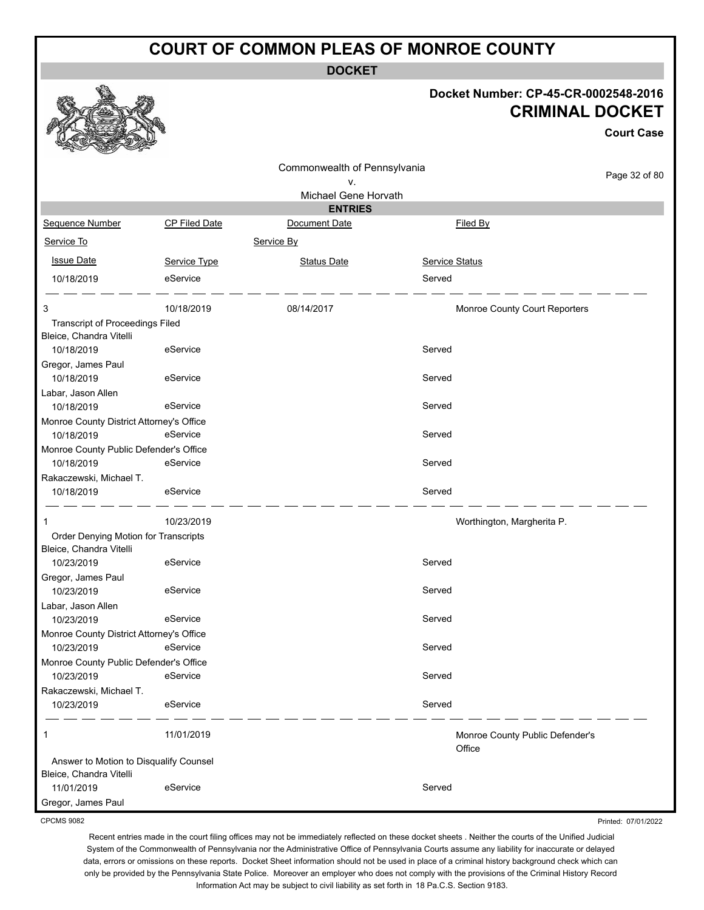**DOCKET**

#### **Docket Number: CP-45-CR-0002548-2016 CRIMINAL DOCKET**

**Court Case**

| n<br><b>COLLAND COLLAND</b><br>Controller of the Controller       |                      |                                        |                                 |               |
|-------------------------------------------------------------------|----------------------|----------------------------------------|---------------------------------|---------------|
|                                                                   |                      | Commonwealth of Pennsylvania           |                                 | Page 32 of 80 |
|                                                                   |                      | ٧.                                     |                                 |               |
|                                                                   |                      | Michael Gene Horvath<br><b>ENTRIES</b> |                                 |               |
| Sequence Number                                                   | <b>CP Filed Date</b> | Document Date                          | Filed By                        |               |
| Service To                                                        |                      | Service By                             |                                 |               |
|                                                                   |                      |                                        |                                 |               |
| <b>Issue Date</b>                                                 | Service Type         | <b>Status Date</b>                     | <b>Service Status</b>           |               |
| 10/18/2019                                                        | eService             |                                        | Served                          |               |
| 3                                                                 | 10/18/2019           | 08/14/2017                             | Monroe County Court Reporters   |               |
| <b>Transcript of Proceedings Filed</b>                            |                      |                                        |                                 |               |
| Bleice, Chandra Vitelli                                           |                      |                                        |                                 |               |
| 10/18/2019                                                        | eService             |                                        | Served                          |               |
| Gregor, James Paul                                                |                      |                                        |                                 |               |
| 10/18/2019                                                        | eService             |                                        | Served                          |               |
| Labar, Jason Allen<br>10/18/2019                                  | eService             |                                        | Served                          |               |
| Monroe County District Attorney's Office                          |                      |                                        |                                 |               |
| 10/18/2019                                                        | eService             |                                        | Served                          |               |
| Monroe County Public Defender's Office                            |                      |                                        |                                 |               |
| 10/18/2019                                                        | eService             |                                        | Served                          |               |
| Rakaczewski, Michael T.                                           |                      |                                        |                                 |               |
| 10/18/2019                                                        | eService             |                                        | Served                          |               |
| -1                                                                | 10/23/2019           |                                        | Worthington, Margherita P.      |               |
| Order Denying Motion for Transcripts                              |                      |                                        |                                 |               |
| Bleice, Chandra Vitelli                                           |                      |                                        |                                 |               |
| 10/23/2019                                                        | eService             |                                        | Served                          |               |
| Gregor, James Paul                                                |                      |                                        |                                 |               |
| 10/23/2019                                                        | eService             |                                        | Served                          |               |
| Labar, Jason Allen                                                |                      |                                        |                                 |               |
| 10/23/2019                                                        | eService             |                                        | Served                          |               |
| Monroe County District Attorney's Office                          | eService             |                                        |                                 |               |
| 10/23/2019                                                        |                      |                                        | Served                          |               |
| Monroe County Public Defender's Office<br>10/23/2019              | eService             |                                        | Served                          |               |
| Rakaczewski, Michael T.                                           |                      |                                        |                                 |               |
| 10/23/2019                                                        | eService             |                                        | Served                          |               |
| $\mathbf{1}$                                                      | 11/01/2019           |                                        | Monroe County Public Defender's |               |
|                                                                   |                      |                                        | Office                          |               |
| Answer to Motion to Disqualify Counsel<br>Bleice, Chandra Vitelli |                      |                                        |                                 |               |
| 11/01/2019                                                        | eService             |                                        | Served                          |               |
| Gregor, James Paul                                                |                      |                                        |                                 |               |

CPCMS 9082

Printed: 07/01/2022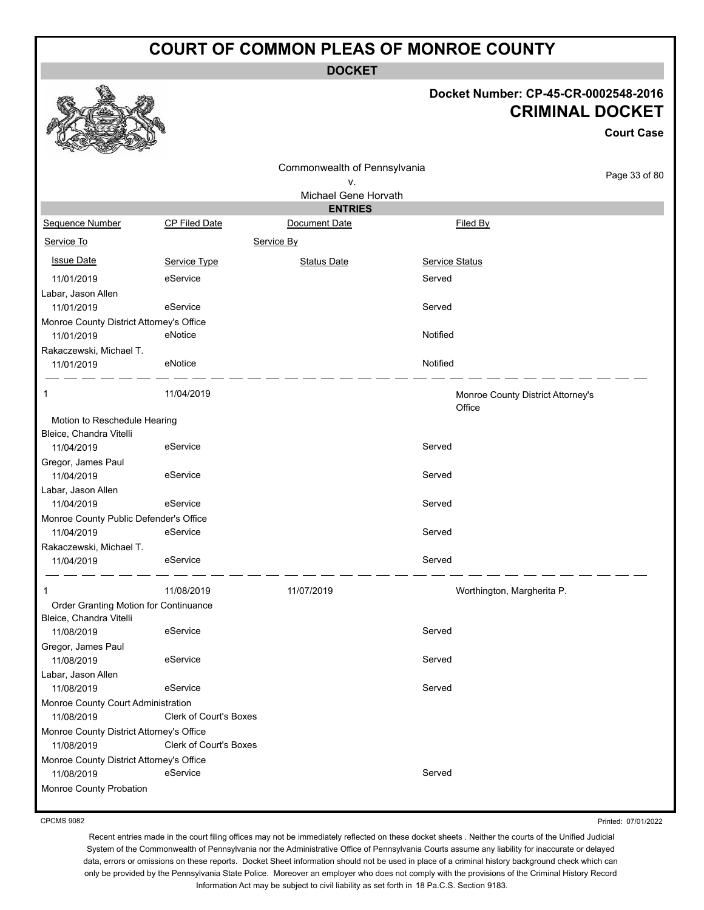**DOCKET**

#### **Docket Number: CP-45-CR-0002548-2016 CRIMINAL DOCKET**

**Court Case**

|                                          |                        | Commonwealth of Pennsylvania |                                             |               |
|------------------------------------------|------------------------|------------------------------|---------------------------------------------|---------------|
|                                          |                        | ν.                           |                                             | Page 33 of 80 |
|                                          |                        | Michael Gene Horvath         |                                             |               |
|                                          |                        | <b>ENTRIES</b>               |                                             |               |
| <b>Sequence Number</b>                   | CP Filed Date          | Document Date                | Filed By                                    |               |
| Service To                               |                        | Service By                   |                                             |               |
| <b>Issue Date</b>                        | Service Type           | <b>Status Date</b>           | <b>Service Status</b>                       |               |
| 11/01/2019                               | eService               |                              | Served                                      |               |
| Labar, Jason Allen                       |                        |                              |                                             |               |
| 11/01/2019                               | eService               |                              | Served                                      |               |
| Monroe County District Attorney's Office |                        |                              |                                             |               |
| 11/01/2019                               | eNotice                |                              | Notified                                    |               |
| Rakaczewski, Michael T.                  |                        |                              |                                             |               |
| 11/01/2019                               | eNotice                |                              | Notified                                    |               |
| 1                                        | 11/04/2019             |                              | Monroe County District Attorney's<br>Office |               |
| Motion to Reschedule Hearing             |                        |                              |                                             |               |
| Bleice, Chandra Vitelli                  |                        |                              |                                             |               |
| 11/04/2019                               | eService               |                              | Served                                      |               |
| Gregor, James Paul                       |                        |                              |                                             |               |
| 11/04/2019                               | eService               |                              | Served                                      |               |
| Labar, Jason Allen                       |                        |                              |                                             |               |
| 11/04/2019                               | eService               |                              | Served                                      |               |
| Monroe County Public Defender's Office   |                        |                              |                                             |               |
| 11/04/2019                               | eService               |                              | Served                                      |               |
| Rakaczewski, Michael T.                  |                        |                              |                                             |               |
| 11/04/2019                               | eService               |                              | Served                                      |               |
| 1                                        | 11/08/2019             | 11/07/2019                   | Worthington, Margherita P.                  |               |
| Order Granting Motion for Continuance    |                        |                              |                                             |               |
| Bleice, Chandra Vitelli                  |                        |                              |                                             |               |
| 11/08/2019                               | eService               |                              | Served                                      |               |
| Gregor, James Paul                       |                        |                              |                                             |               |
| 11/08/2019                               | eService               |                              | Served                                      |               |
| Labar. Jason Allen                       |                        |                              |                                             |               |
| 11/08/2019                               | eService               |                              | Served                                      |               |
| Monroe County Court Administration       |                        |                              |                                             |               |
| 11/08/2019                               | Clerk of Court's Boxes |                              |                                             |               |
| Monroe County District Attorney's Office |                        |                              |                                             |               |
| 11/08/2019                               | Clerk of Court's Boxes |                              |                                             |               |
| Monroe County District Attorney's Office |                        |                              |                                             |               |
| 11/08/2019                               | eService               |                              | Served                                      |               |
| Monroe County Probation                  |                        |                              |                                             |               |

CPCMS 9082

Printed: 07/01/2022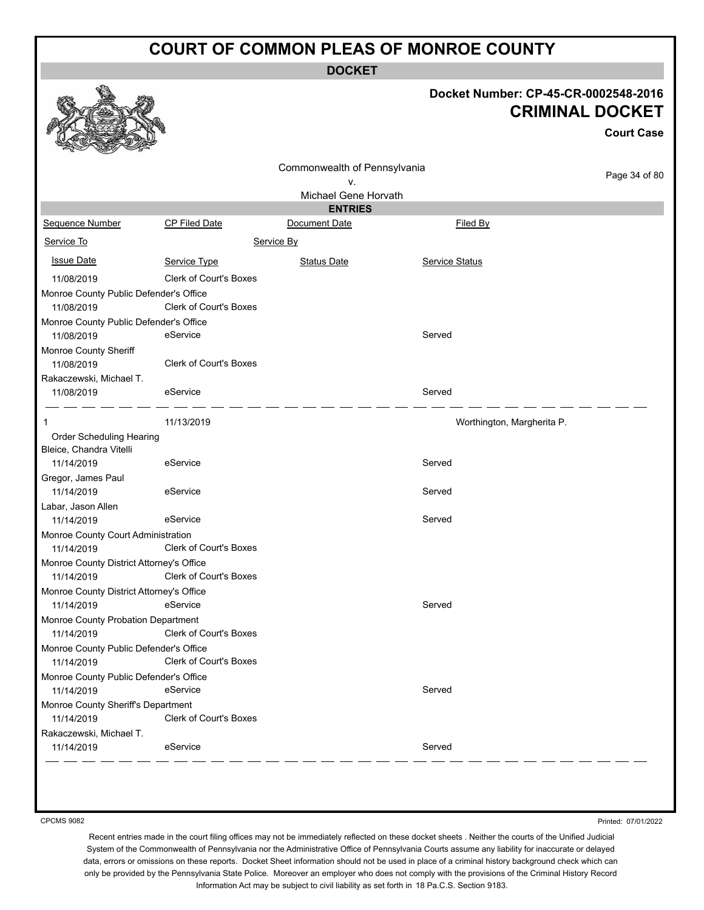**DOCKET**

#### **Docket Number: CP-45-CR-0002548-2016 CRIMINAL DOCKET**

**Court Case**

|                                                      |                               | Commonwealth of Pennsylvania<br>٧. |                            | Page 34 of 80 |
|------------------------------------------------------|-------------------------------|------------------------------------|----------------------------|---------------|
|                                                      |                               | Michael Gene Horvath               |                            |               |
|                                                      |                               | <b>ENTRIES</b>                     |                            |               |
| Sequence Number                                      | <b>CP Filed Date</b>          | Document Date                      | Filed By                   |               |
| Service To                                           |                               | Service By                         |                            |               |
| <b>Issue Date</b>                                    | Service Type                  | <b>Status Date</b>                 | Service Status             |               |
| 11/08/2019                                           | <b>Clerk of Court's Boxes</b> |                                    |                            |               |
| Monroe County Public Defender's Office               |                               |                                    |                            |               |
| 11/08/2019                                           | Clerk of Court's Boxes        |                                    |                            |               |
| Monroe County Public Defender's Office               |                               |                                    |                            |               |
| 11/08/2019                                           | eService                      |                                    | Served                     |               |
| Monroe County Sheriff<br>11/08/2019                  | <b>Clerk of Court's Boxes</b> |                                    |                            |               |
| Rakaczewski, Michael T.                              |                               |                                    |                            |               |
| 11/08/2019                                           | eService                      |                                    | Served                     |               |
| 1                                                    | 11/13/2019                    |                                    | Worthington, Margherita P. |               |
| Order Scheduling Hearing                             |                               |                                    |                            |               |
| Bleice, Chandra Vitelli                              |                               |                                    |                            |               |
| 11/14/2019                                           | eService                      |                                    | Served                     |               |
| Gregor, James Paul                                   |                               |                                    |                            |               |
| 11/14/2019                                           | eService                      |                                    | Served                     |               |
| Labar, Jason Allen                                   |                               |                                    |                            |               |
| 11/14/2019                                           | eService                      |                                    | Served                     |               |
| Monroe County Court Administration                   |                               |                                    |                            |               |
| 11/14/2019                                           | <b>Clerk of Court's Boxes</b> |                                    |                            |               |
| Monroe County District Attorney's Office             |                               |                                    |                            |               |
| 11/14/2019                                           | <b>Clerk of Court's Boxes</b> |                                    |                            |               |
| Monroe County District Attorney's Office             |                               |                                    |                            |               |
| 11/14/2019                                           | eService                      |                                    | Served                     |               |
| Monroe County Probation Department                   |                               |                                    |                            |               |
| 11/14/2019                                           | Clerk of Court's Boxes        |                                    |                            |               |
| Monroe County Public Defender's Office<br>11/14/2019 | Clerk of Court's Boxes        |                                    |                            |               |
| Monroe County Public Defender's Office               |                               |                                    |                            |               |
| 11/14/2019                                           | eService                      |                                    | Served                     |               |
| Monroe County Sheriff's Department                   |                               |                                    |                            |               |
| 11/14/2019                                           | Clerk of Court's Boxes        |                                    |                            |               |
| Rakaczewski, Michael T.                              |                               |                                    |                            |               |
| 11/14/2019                                           | eService                      |                                    | Served                     |               |

CPCMS 9082

Printed: 07/01/2022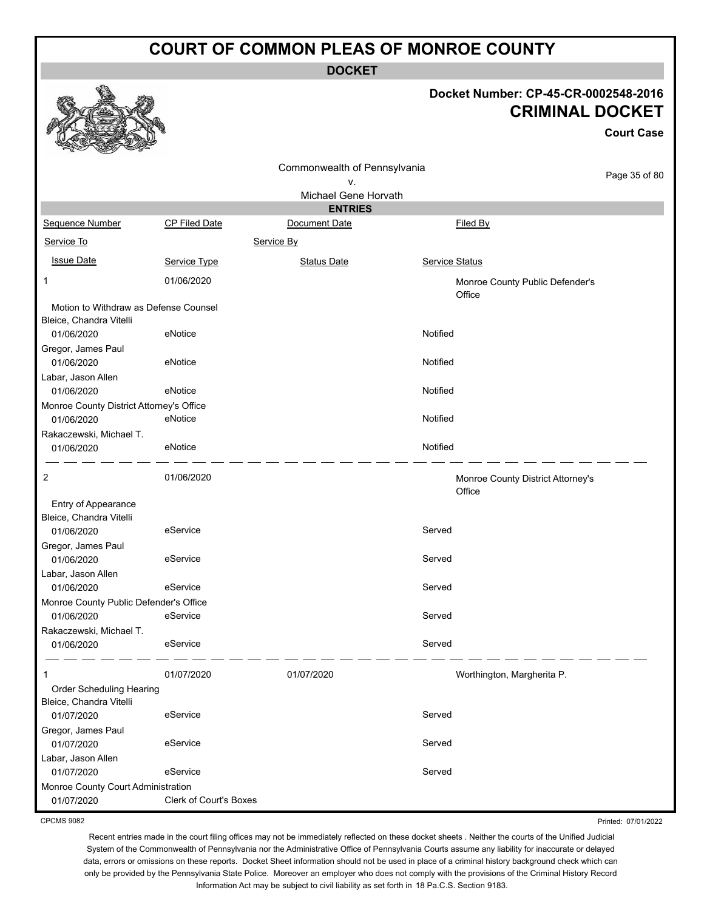**DOCKET**

Commonwealth of Pennsylvania

# **Docket Number: CP-45-CR-0002548-2016 CRIMINAL DOCKET**

**Court Case**

Page 35 of 80

|                                                                  |                        | ν.                   |                                             | ago oo or oo |
|------------------------------------------------------------------|------------------------|----------------------|---------------------------------------------|--------------|
|                                                                  |                        | Michael Gene Horvath |                                             |              |
|                                                                  |                        | <b>ENTRIES</b>       |                                             |              |
| Sequence Number                                                  | CP Filed Date          | Document Date        | Filed By                                    |              |
| Service To                                                       |                        | Service By           |                                             |              |
| <b>Issue Date</b>                                                | Service Type           | <b>Status Date</b>   | <b>Service Status</b>                       |              |
| 1                                                                | 01/06/2020             |                      | Monroe County Public Defender's<br>Office   |              |
| Motion to Withdraw as Defense Counsel<br>Bleice, Chandra Vitelli |                        |                      |                                             |              |
| 01/06/2020                                                       | eNotice                |                      | Notified                                    |              |
| Gregor, James Paul<br>01/06/2020                                 | eNotice                |                      | Notified                                    |              |
| Labar, Jason Allen                                               |                        |                      |                                             |              |
| 01/06/2020                                                       | eNotice                |                      | Notified                                    |              |
| Monroe County District Attorney's Office                         |                        |                      |                                             |              |
| 01/06/2020                                                       | eNotice                |                      | Notified                                    |              |
| Rakaczewski, Michael T.                                          |                        |                      |                                             |              |
| 01/06/2020                                                       | eNotice                |                      | Notified                                    |              |
| 2                                                                | 01/06/2020             |                      | Monroe County District Attorney's<br>Office |              |
| Entry of Appearance<br>Bleice, Chandra Vitelli                   |                        |                      |                                             |              |
| 01/06/2020                                                       | eService               |                      | Served                                      |              |
| Gregor, James Paul                                               |                        |                      |                                             |              |
| 01/06/2020                                                       | eService               |                      | Served                                      |              |
| Labar, Jason Allen                                               |                        |                      |                                             |              |
| 01/06/2020                                                       | eService               |                      | Served                                      |              |
| Monroe County Public Defender's Office                           |                        |                      |                                             |              |
| 01/06/2020                                                       | eService               |                      | Served                                      |              |
| Rakaczewski, Michael T.                                          |                        |                      |                                             |              |
| 01/06/2020                                                       | eService               |                      | Served                                      |              |
| 1                                                                | 01/07/2020             | 01/07/2020           | Worthington, Margherita P.                  |              |
| Order Scheduling Hearing                                         |                        |                      |                                             |              |
| Bleice, Chandra Vitelli                                          |                        |                      |                                             |              |
| 01/07/2020                                                       | eService               |                      | Served                                      |              |
| Gregor, James Paul                                               |                        |                      |                                             |              |
| 01/07/2020                                                       | eService               |                      | Served                                      |              |
| Labar, Jason Allen                                               |                        |                      |                                             |              |
| 01/07/2020                                                       | eService               |                      | Served                                      |              |
| Monroe County Court Administration                               |                        |                      |                                             |              |
| 01/07/2020                                                       | Clerk of Court's Boxes |                      |                                             |              |

CPCMS 9082

Recent entries made in the court filing offices may not be immediately reflected on these docket sheets . Neither the courts of the Unified Judicial System of the Commonwealth of Pennsylvania nor the Administrative Office of Pennsylvania Courts assume any liability for inaccurate or delayed data, errors or omissions on these reports. Docket Sheet information should not be used in place of a criminal history background check which can only be provided by the Pennsylvania State Police. Moreover an employer who does not comply with the provisions of the Criminal History Record Information Act may be subject to civil liability as set forth in 18 Pa.C.S. Section 9183.

Printed: 07/01/2022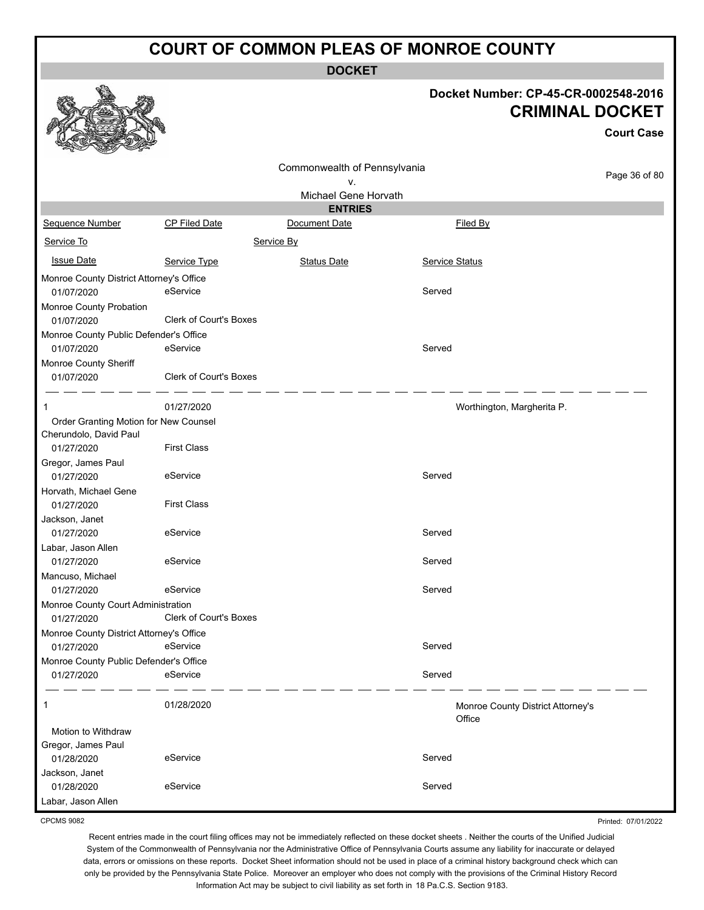**DOCKET**

**Docket Number: CP-45-CR-0002548-2016**

|                                                  |                               |                              |                | <b>CRIMINAL DOCKET</b><br><b>Court Case</b> |
|--------------------------------------------------|-------------------------------|------------------------------|----------------|---------------------------------------------|
|                                                  |                               | Commonwealth of Pennsylvania |                | Page 36 of 80                               |
|                                                  |                               | ۷.                           |                |                                             |
|                                                  |                               | Michael Gene Horvath         |                |                                             |
|                                                  |                               | <b>ENTRIES</b>               |                |                                             |
| Sequence Number                                  | <b>CP Filed Date</b>          | Document Date                | Filed By       |                                             |
| Service To                                       |                               | Service By                   |                |                                             |
| <b>Issue Date</b>                                | Service Type                  | <b>Status Date</b>           | Service Status |                                             |
| Monroe County District Attorney's Office         |                               |                              |                |                                             |
| 01/07/2020                                       | eService                      |                              | Served         |                                             |
| Monroe County Probation                          |                               |                              |                |                                             |
| 01/07/2020                                       | <b>Clerk of Court's Boxes</b> |                              |                |                                             |
| Monroe County Public Defender's Office           |                               |                              |                |                                             |
| 01/07/2020                                       | eService                      |                              | Served         |                                             |
| Monroe County Sheriff<br>01/07/2020              | Clerk of Court's Boxes        |                              |                |                                             |
| 1                                                | 01/27/2020                    |                              |                | Worthington, Margherita P.                  |
| Order Granting Motion for New Counsel            |                               |                              |                |                                             |
| Cherundolo, David Paul<br>01/27/2020             | <b>First Class</b>            |                              |                |                                             |
| Gregor, James Paul                               |                               |                              |                |                                             |
| 01/27/2020                                       | eService                      |                              | Served         |                                             |
| Horvath, Michael Gene                            |                               |                              |                |                                             |
| 01/27/2020                                       | <b>First Class</b>            |                              |                |                                             |
| Jackson, Janet                                   |                               |                              |                |                                             |
| 01/27/2020                                       | eService                      |                              | Served         |                                             |
| Labar, Jason Allen                               |                               |                              |                |                                             |
| 01/27/2020                                       | eService                      |                              | Served         |                                             |
| Mancuso, Michael                                 |                               |                              |                |                                             |
| 01/27/2020                                       | eService                      |                              | Served         |                                             |
| Monroe County Court Administration<br>01/27/2020 | Clerk of Court's Boxes        |                              |                |                                             |
| Monroe County District Attorney's Office         |                               |                              |                |                                             |
| 01/27/2020                                       | eService                      |                              | Served         |                                             |
| Monroe County Public Defender's Office           |                               |                              |                |                                             |
| 01/27/2020                                       | eService                      |                              | Served         |                                             |
| 1                                                | 01/28/2020                    |                              | Office         | Monroe County District Attorney's           |
| Motion to Withdraw                               |                               |                              |                |                                             |
| Gregor, James Paul                               |                               |                              |                |                                             |
| 01/28/2020                                       | eService                      |                              | Served         |                                             |
| Jackson, Janet<br>01/28/2020                     | eService                      |                              | Served         |                                             |
| Labar, Jason Allen                               |                               |                              |                |                                             |

CPCMS 9082

 $\mathcal{P}$ 

 $573$ 

ees

Printed: 07/01/2022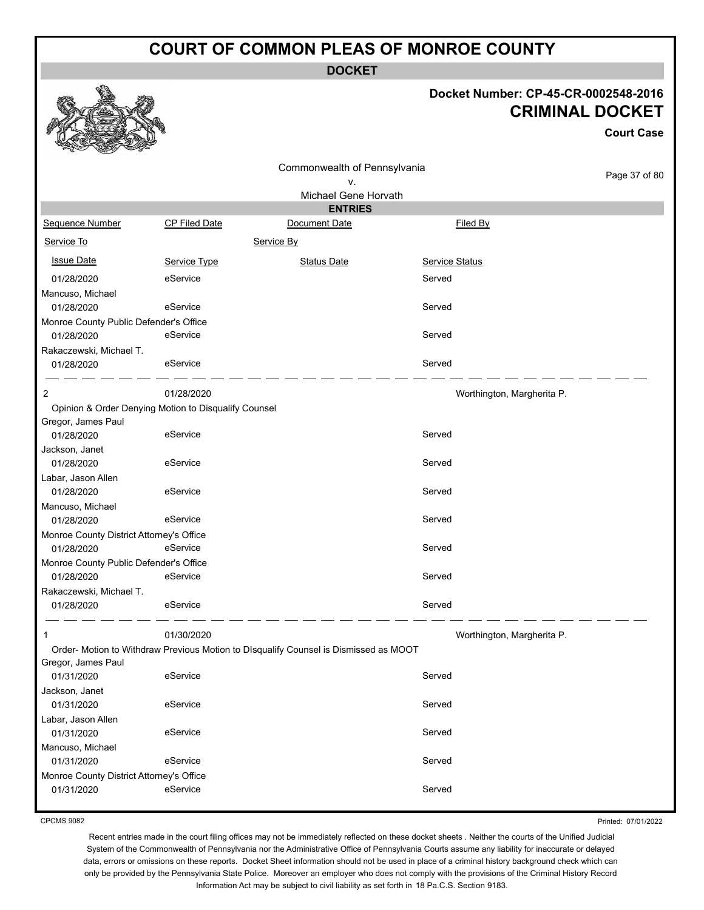**DOCKET**

#### **Docket Number: CP-45-CR-0002548-2016 CRIMINAL DOCKET**

**Court Case**

|                                          |                                                      | Commonwealth of Pennsylvania                                                         |                            |               |
|------------------------------------------|------------------------------------------------------|--------------------------------------------------------------------------------------|----------------------------|---------------|
|                                          |                                                      | v.                                                                                   |                            | Page 37 of 80 |
|                                          |                                                      | Michael Gene Horvath                                                                 |                            |               |
|                                          |                                                      | <b>ENTRIES</b>                                                                       |                            |               |
| Sequence Number                          | CP Filed Date                                        | Document Date                                                                        | Filed By                   |               |
| Service To                               |                                                      | Service By                                                                           |                            |               |
| <b>Issue Date</b>                        | Service Type                                         | <b>Status Date</b>                                                                   | Service Status             |               |
| 01/28/2020                               | eService                                             |                                                                                      | Served                     |               |
| Mancuso, Michael                         |                                                      |                                                                                      |                            |               |
| 01/28/2020                               | eService                                             |                                                                                      | Served                     |               |
| Monroe County Public Defender's Office   |                                                      |                                                                                      |                            |               |
| 01/28/2020                               | eService                                             |                                                                                      | Served                     |               |
| Rakaczewski, Michael T.                  |                                                      |                                                                                      |                            |               |
| 01/28/2020                               | eService                                             |                                                                                      | Served                     |               |
| 2                                        | 01/28/2020                                           |                                                                                      | Worthington, Margherita P. |               |
|                                          | Opinion & Order Denying Motion to Disqualify Counsel |                                                                                      |                            |               |
| Gregor, James Paul                       |                                                      |                                                                                      |                            |               |
| 01/28/2020                               | eService                                             |                                                                                      | Served                     |               |
| Jackson, Janet                           |                                                      |                                                                                      |                            |               |
| 01/28/2020                               | eService                                             |                                                                                      | Served                     |               |
| Labar, Jason Allen                       |                                                      |                                                                                      |                            |               |
| 01/28/2020                               | eService                                             |                                                                                      | Served                     |               |
| Mancuso, Michael                         |                                                      |                                                                                      |                            |               |
| 01/28/2020                               | eService                                             |                                                                                      | Served                     |               |
| Monroe County District Attorney's Office |                                                      |                                                                                      |                            |               |
| 01/28/2020                               | eService                                             |                                                                                      | Served                     |               |
| Monroe County Public Defender's Office   |                                                      |                                                                                      |                            |               |
| 01/28/2020                               | eService                                             |                                                                                      | Served                     |               |
| Rakaczewski, Michael T.                  |                                                      |                                                                                      |                            |               |
| 01/28/2020                               | eService                                             |                                                                                      | Served                     |               |
| 1                                        | 01/30/2020                                           |                                                                                      | Worthington, Margherita P. |               |
|                                          |                                                      | Order- Motion to Withdraw Previous Motion to DIsqualify Counsel is Dismissed as MOOT |                            |               |
| Gregor, James Paul                       |                                                      |                                                                                      |                            |               |
| 01/31/2020                               | eService                                             |                                                                                      | Served                     |               |
| Jackson, Janet                           |                                                      |                                                                                      |                            |               |
| 01/31/2020                               | eService                                             |                                                                                      | Served                     |               |
| Labar, Jason Allen                       |                                                      |                                                                                      |                            |               |
| 01/31/2020                               | eService                                             |                                                                                      | Served                     |               |
| Mancuso, Michael                         |                                                      |                                                                                      |                            |               |
| 01/31/2020                               | eService                                             |                                                                                      | Served                     |               |
| Monroe County District Attorney's Office |                                                      |                                                                                      |                            |               |
| 01/31/2020                               | eService                                             |                                                                                      | Served                     |               |

CPCMS 9082

Printed: 07/01/2022

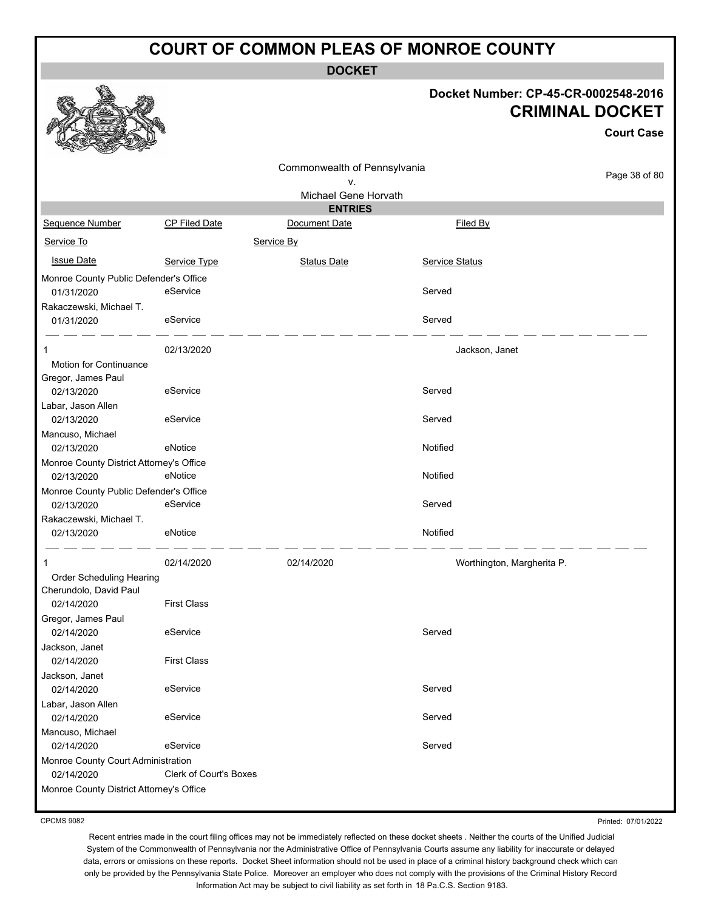**DOCKET**

#### **Docket Number: CP-45-CR-0002548-2016 CRIMINAL DOCKET**

**Court Case**

|                                          |                               | Commonwealth of Pennsylvania |                            |               |
|------------------------------------------|-------------------------------|------------------------------|----------------------------|---------------|
|                                          |                               | ۷.                           |                            | Page 38 of 80 |
|                                          |                               | Michael Gene Horvath         |                            |               |
|                                          |                               | <b>ENTRIES</b>               |                            |               |
| Sequence Number                          | <b>CP Filed Date</b>          | Document Date                | <b>Filed By</b>            |               |
| Service To                               |                               | Service By                   |                            |               |
| <b>Issue Date</b>                        | Service Type                  | <b>Status Date</b>           | Service Status             |               |
| Monroe County Public Defender's Office   |                               |                              |                            |               |
| 01/31/2020                               | eService                      |                              | Served                     |               |
| Rakaczewski, Michael T.                  |                               |                              |                            |               |
| 01/31/2020                               | eService                      |                              | Served                     |               |
| 1                                        | 02/13/2020                    |                              | Jackson, Janet             |               |
| Motion for Continuance                   |                               |                              |                            |               |
| Gregor, James Paul                       |                               |                              |                            |               |
| 02/13/2020                               | eService                      |                              | Served                     |               |
| Labar, Jason Allen                       |                               |                              |                            |               |
| 02/13/2020                               | eService                      |                              | Served                     |               |
| Mancuso, Michael                         |                               |                              |                            |               |
| 02/13/2020                               | eNotice                       |                              | Notified                   |               |
| Monroe County District Attorney's Office |                               |                              |                            |               |
| 02/13/2020                               | eNotice                       |                              | Notified                   |               |
| Monroe County Public Defender's Office   |                               |                              |                            |               |
| 02/13/2020                               | eService                      |                              | Served                     |               |
| Rakaczewski, Michael T.                  |                               |                              |                            |               |
| 02/13/2020                               | eNotice                       |                              | Notified                   |               |
| $\mathbf 1$                              | 02/14/2020                    | 02/14/2020                   | Worthington, Margherita P. |               |
| Order Scheduling Hearing                 |                               |                              |                            |               |
| Cherundolo, David Paul                   |                               |                              |                            |               |
| 02/14/2020                               | <b>First Class</b>            |                              |                            |               |
| Gregor, James Paul                       |                               |                              |                            |               |
| 02/14/2020                               | eService                      |                              | Served                     |               |
| Jackson, Janet                           |                               |                              |                            |               |
| 02/14/2020                               | <b>First Class</b>            |                              |                            |               |
| Jackson, Janet                           |                               |                              |                            |               |
| 02/14/2020                               | eService                      |                              | Served                     |               |
| Labar, Jason Allen<br>02/14/2020         | eService                      |                              | Served                     |               |
| Mancuso, Michael                         |                               |                              |                            |               |
| 02/14/2020                               | eService                      |                              | Served                     |               |
| Monroe County Court Administration       |                               |                              |                            |               |
| 02/14/2020                               | <b>Clerk of Court's Boxes</b> |                              |                            |               |
| Monroe County District Attorney's Office |                               |                              |                            |               |
|                                          |                               |                              |                            |               |

CPCMS 9082

Printed: 07/01/2022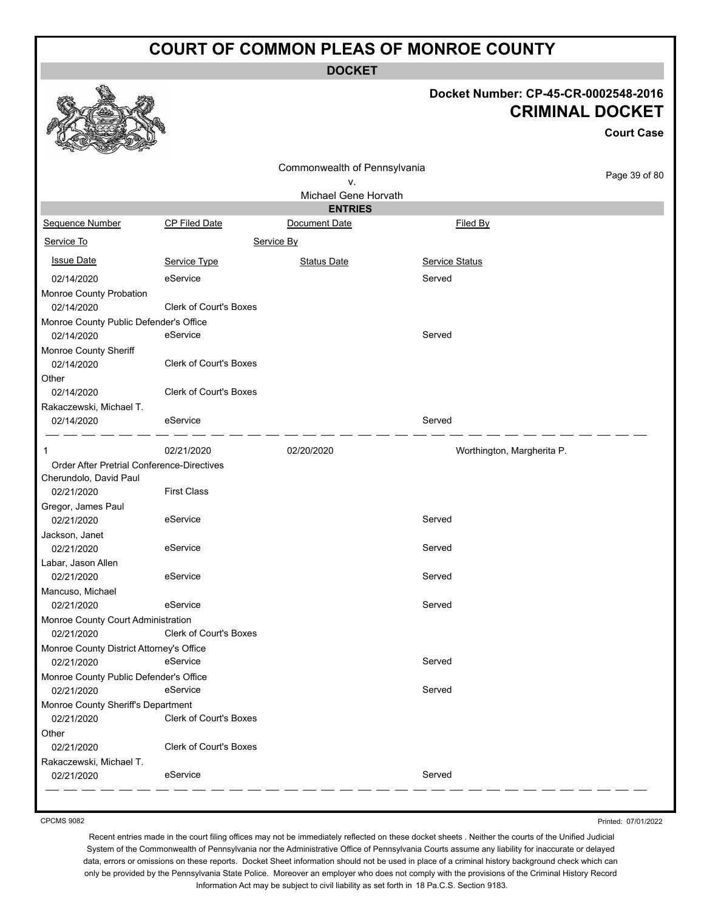**DOCKET**



#### **Docket Number: CP-45-CR-0002548-2016 CRIMINAL DOCKET**

**Court Case**

|                                                      |                               | Commonwealth of Pennsylvania |                            |               |
|------------------------------------------------------|-------------------------------|------------------------------|----------------------------|---------------|
|                                                      |                               | ۷.                           |                            | Page 39 of 80 |
|                                                      |                               | Michael Gene Horvath         |                            |               |
|                                                      |                               | <b>ENTRIES</b>               |                            |               |
| Sequence Number                                      | <b>CP Filed Date</b>          | Document Date                | Filed By                   |               |
| Service To                                           |                               | Service By                   |                            |               |
| <b>Issue Date</b>                                    | Service Type                  | <b>Status Date</b>           | Service Status             |               |
| 02/14/2020                                           | eService                      |                              | Served                     |               |
| Monroe County Probation                              |                               |                              |                            |               |
| 02/14/2020                                           | <b>Clerk of Court's Boxes</b> |                              |                            |               |
| Monroe County Public Defender's Office               |                               |                              |                            |               |
| 02/14/2020                                           | eService                      |                              | Served                     |               |
| Monroe County Sheriff                                |                               |                              |                            |               |
| 02/14/2020                                           | <b>Clerk of Court's Boxes</b> |                              |                            |               |
| Other                                                |                               |                              |                            |               |
| 02/14/2020                                           | <b>Clerk of Court's Boxes</b> |                              |                            |               |
| Rakaczewski, Michael T.                              |                               |                              |                            |               |
| 02/14/2020                                           | eService                      |                              | Served                     |               |
|                                                      |                               |                              |                            |               |
| $\mathbf 1$                                          | 02/21/2020                    | 02/20/2020                   | Worthington, Margherita P. |               |
| <b>Order After Pretrial Conference-Directives</b>    |                               |                              |                            |               |
| Cherundolo, David Paul                               |                               |                              |                            |               |
| 02/21/2020                                           | <b>First Class</b>            |                              |                            |               |
| Gregor, James Paul                                   |                               |                              |                            |               |
| 02/21/2020                                           | eService                      |                              | Served                     |               |
| Jackson, Janet                                       |                               |                              |                            |               |
| 02/21/2020                                           | eService                      |                              | Served                     |               |
| Labar, Jason Allen                                   |                               |                              |                            |               |
| 02/21/2020                                           | eService                      |                              | Served                     |               |
| Mancuso, Michael                                     |                               |                              |                            |               |
| 02/21/2020                                           | eService                      |                              | Served                     |               |
| Monroe County Court Administration                   |                               |                              |                            |               |
| 02/21/2020                                           | Clerk of Court's Boxes        |                              |                            |               |
| Monroe County District Attorney's Office             |                               |                              |                            |               |
| 02/21/2020 eService                                  |                               |                              | Served                     |               |
| Monroe County Public Defender's Office<br>02/21/2020 | eService                      |                              | Served                     |               |
|                                                      |                               |                              |                            |               |
| Monroe County Sheriff's Department<br>02/21/2020     | Clerk of Court's Boxes        |                              |                            |               |
|                                                      |                               |                              |                            |               |
| Other<br>02/21/2020                                  | Clerk of Court's Boxes        |                              |                            |               |
| Rakaczewski, Michael T.                              |                               |                              |                            |               |
| 02/21/2020                                           | eService                      |                              | Served                     |               |
|                                                      |                               |                              |                            |               |
|                                                      |                               |                              |                            |               |

CPCMS 9082

Printed: 07/01/2022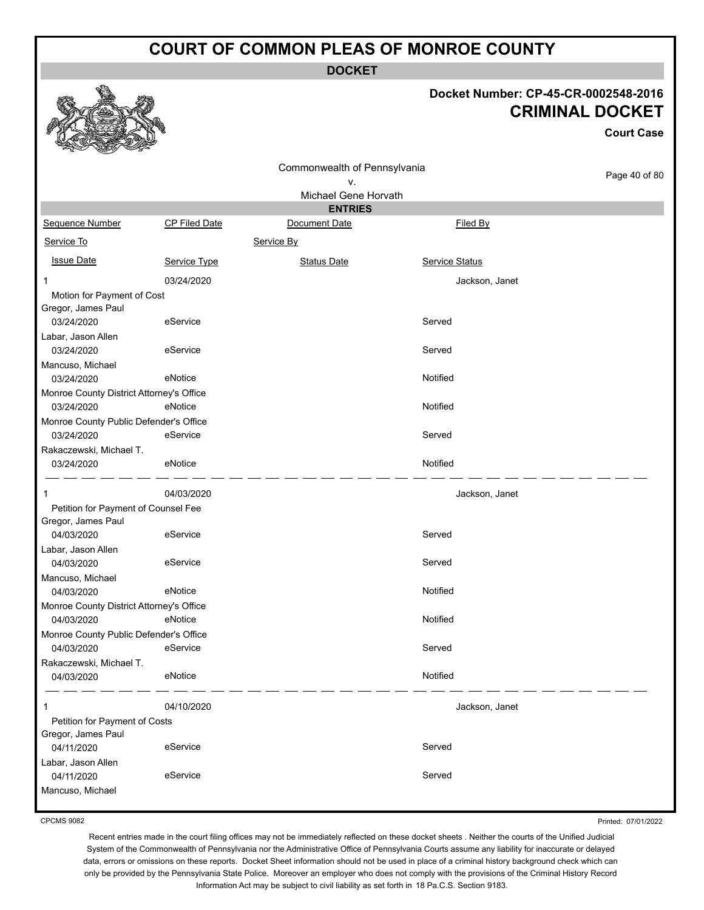**DOCKET**

#### **Docket Number: CP-45-CR-0002548-2016 CRIMINAL DOCKET**

**Court Case**

|                                          |                      | Commonwealth of Pennsylvania |                |               |
|------------------------------------------|----------------------|------------------------------|----------------|---------------|
|                                          |                      | ۷.                           |                | Page 40 of 80 |
|                                          |                      | Michael Gene Horvath         |                |               |
|                                          |                      | <b>ENTRIES</b>               |                |               |
| Sequence Number                          | <b>CP Filed Date</b> | Document Date                | Filed By       |               |
| Service To                               |                      | Service By                   |                |               |
| <b>Issue Date</b>                        | Service Type         | <b>Status Date</b>           | Service Status |               |
| 1                                        | 03/24/2020           |                              | Jackson, Janet |               |
| Motion for Payment of Cost               |                      |                              |                |               |
| Gregor, James Paul                       |                      |                              |                |               |
| 03/24/2020                               | eService             |                              | Served         |               |
| Labar, Jason Allen                       |                      |                              |                |               |
| 03/24/2020                               | eService             |                              | Served         |               |
| Mancuso, Michael<br>03/24/2020           | eNotice              |                              | Notified       |               |
| Monroe County District Attorney's Office |                      |                              |                |               |
| 03/24/2020                               | eNotice              |                              | Notified       |               |
| Monroe County Public Defender's Office   |                      |                              |                |               |
| 03/24/2020                               | eService             |                              | Served         |               |
| Rakaczewski, Michael T.                  |                      |                              |                |               |
| 03/24/2020                               | eNotice              |                              | Notified       |               |
| 1                                        | 04/03/2020           |                              | Jackson, Janet |               |
| Petition for Payment of Counsel Fee      |                      |                              |                |               |
| Gregor, James Paul                       |                      |                              |                |               |
| 04/03/2020                               | eService             |                              | Served         |               |
| Labar, Jason Allen<br>04/03/2020         | eService             |                              | Served         |               |
| Mancuso, Michael                         |                      |                              |                |               |
| 04/03/2020                               | eNotice              |                              | Notified       |               |
| Monroe County District Attorney's Office |                      |                              |                |               |
| 04/03/2020                               | eNotice              |                              | Notified       |               |
| Monroe County Public Defender's Office   |                      |                              |                |               |
| 04/03/2020                               | eService             |                              | Served         |               |
| Rakaczewski, Michael T.                  |                      |                              |                |               |
| 04/03/2020                               | eNotice              |                              | Notified       |               |
| 1                                        | 04/10/2020           |                              | Jackson, Janet |               |
| Petition for Payment of Costs            |                      |                              |                |               |
| Gregor, James Paul                       |                      |                              |                |               |
| 04/11/2020                               | eService             |                              | Served         |               |
| Labar, Jason Allen<br>04/11/2020         | eService             |                              | Served         |               |
| Mancuso, Michael                         |                      |                              |                |               |
|                                          |                      |                              |                |               |

CPCMS 9082

Recent entries made in the court filing offices may not be immediately reflected on these docket sheets . Neither the courts of the Unified Judicial System of the Commonwealth of Pennsylvania nor the Administrative Office of Pennsylvania Courts assume any liability for inaccurate or delayed data, errors or omissions on these reports. Docket Sheet information should not be used in place of a criminal history background check which can only be provided by the Pennsylvania State Police. Moreover an employer who does not comply with the provisions of the Criminal History Record Information Act may be subject to civil liability as set forth in 18 Pa.C.S. Section 9183.

Printed: 07/01/2022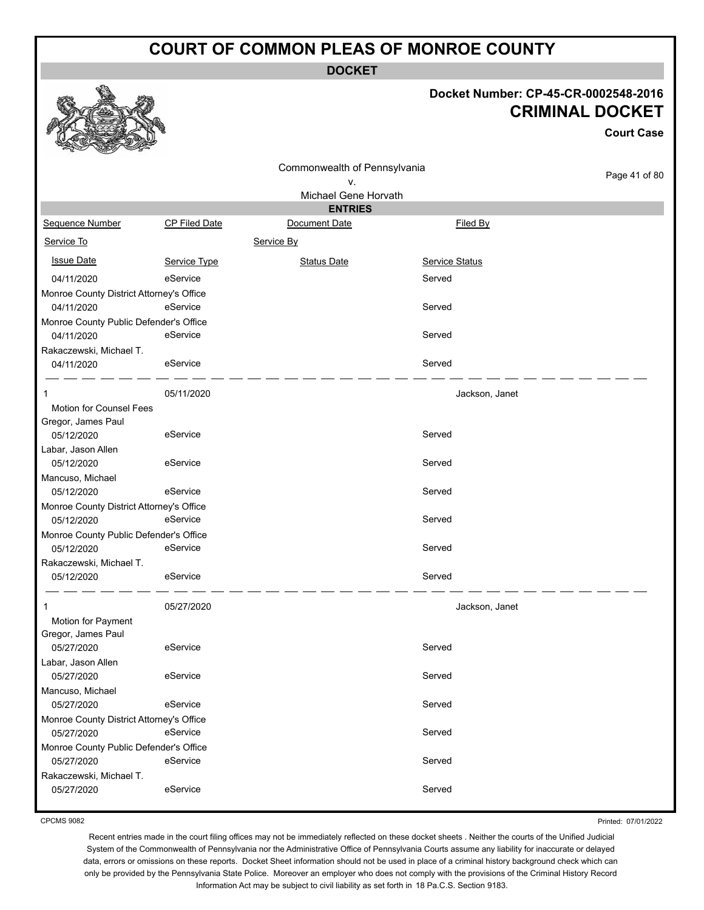**DOCKET**

#### **Docket Number: CP-45-CR-0002548-2016 CRIMINAL DOCKET**

**Court Case**

|                                          |               | Commonwealth of Pennsylvania |                       |               |
|------------------------------------------|---------------|------------------------------|-----------------------|---------------|
|                                          |               | ۷.                           |                       | Page 41 of 80 |
|                                          |               | Michael Gene Horvath         |                       |               |
|                                          |               | <b>ENTRIES</b>               |                       |               |
| Sequence Number                          | CP Filed Date | Document Date                | Filed By              |               |
| Service To                               |               | Service By                   |                       |               |
| <b>Issue Date</b>                        | Service Type  | <b>Status Date</b>           | <b>Service Status</b> |               |
| 04/11/2020                               | eService      |                              | Served                |               |
| Monroe County District Attorney's Office |               |                              |                       |               |
| 04/11/2020                               | eService      |                              | Served                |               |
| Monroe County Public Defender's Office   |               |                              |                       |               |
| 04/11/2020                               | eService      |                              | Served                |               |
| Rakaczewski, Michael T.                  |               |                              |                       |               |
| 04/11/2020                               | eService      |                              | Served                |               |
| 1                                        | 05/11/2020    |                              | Jackson, Janet        |               |
| <b>Motion for Counsel Fees</b>           |               |                              |                       |               |
| Gregor, James Paul                       |               |                              |                       |               |
| 05/12/2020                               | eService      |                              | Served                |               |
| Labar, Jason Allen                       |               |                              |                       |               |
| 05/12/2020                               | eService      |                              | Served                |               |
| Mancuso, Michael                         |               |                              |                       |               |
| 05/12/2020                               | eService      |                              | Served                |               |
| Monroe County District Attorney's Office |               |                              |                       |               |
| 05/12/2020                               | eService      |                              | Served                |               |
| Monroe County Public Defender's Office   |               |                              |                       |               |
| 05/12/2020                               | eService      |                              | Served                |               |
| Rakaczewski, Michael T.                  |               |                              |                       |               |
| 05/12/2020                               | eService      |                              | Served                |               |
| 1                                        | 05/27/2020    |                              | Jackson, Janet        |               |
| Motion for Payment                       |               |                              |                       |               |
| Gregor, James Paul                       |               |                              |                       |               |
| 05/27/2020                               | eService      |                              | Served                |               |
| Labar, Jason Allen                       |               |                              |                       |               |
| 05/27/2020                               | eService      |                              | Served                |               |
| Mancuso, Michael                         |               |                              |                       |               |
| 05/27/2020                               | eService      |                              | Served                |               |
| Monroe County District Attorney's Office |               |                              |                       |               |
| 05/27/2020                               | eService      |                              | Served                |               |
| Monroe County Public Defender's Office   |               |                              |                       |               |
| 05/27/2020                               | eService      |                              | Served                |               |
| Rakaczewski, Michael T.                  |               |                              |                       |               |
| 05/27/2020                               | eService      |                              | Served                |               |

CPCMS 9082

Printed: 07/01/2022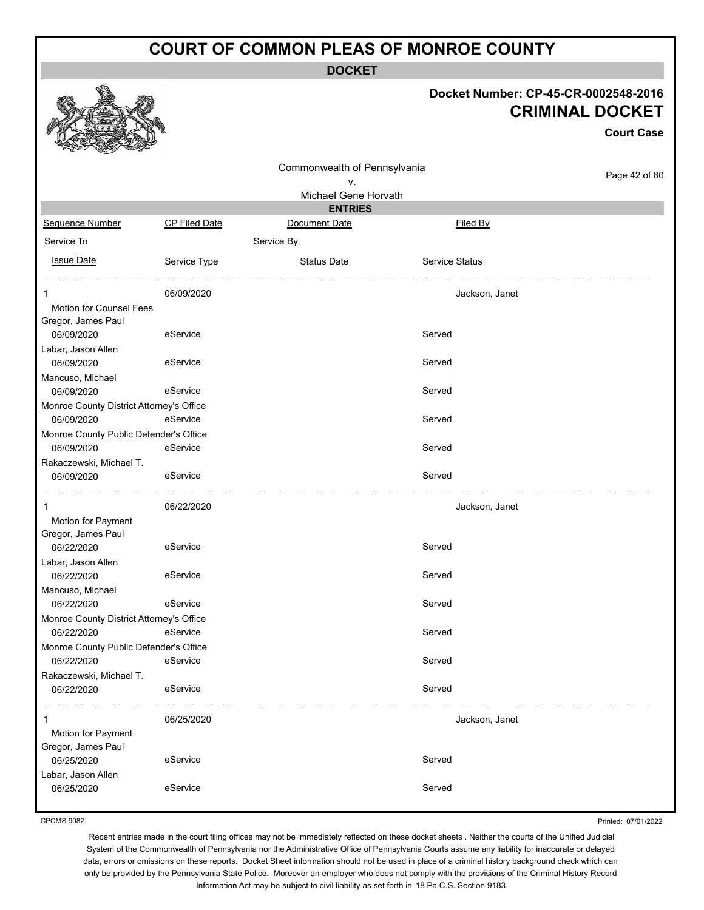**DOCKET**

#### **Docket Number: CP-45-CR-0002548-2016 CRIMINAL DOCKET**

**Court Case**

| $\sim$<br><b>SELENGER</b><br>$-2$                      |               |                              |                |               |
|--------------------------------------------------------|---------------|------------------------------|----------------|---------------|
|                                                        |               | Commonwealth of Pennsylvania |                |               |
|                                                        |               | ٧.                           |                | Page 42 of 80 |
|                                                        |               | Michael Gene Horvath         |                |               |
|                                                        |               | <b>ENTRIES</b>               |                |               |
| Sequence Number                                        | CP Filed Date | Document Date                | Filed By       |               |
| Service To                                             |               | Service By                   |                |               |
| <b>Issue Date</b>                                      | Service Type  | <b>Status Date</b>           | Service Status |               |
| 1                                                      | 06/09/2020    |                              | Jackson, Janet |               |
| Motion for Counsel Fees<br>Gregor, James Paul          |               |                              |                |               |
| 06/09/2020                                             | eService      |                              | Served         |               |
| Labar, Jason Allen                                     |               |                              |                |               |
| 06/09/2020                                             | eService      |                              | Served         |               |
| Mancuso, Michael                                       |               |                              |                |               |
| 06/09/2020                                             | eService      |                              | Served         |               |
| Monroe County District Attorney's Office               |               |                              |                |               |
| 06/09/2020                                             | eService      |                              | Served         |               |
| Monroe County Public Defender's Office                 |               |                              |                |               |
| 06/09/2020                                             | eService      |                              | Served         |               |
| Rakaczewski, Michael T.                                |               |                              |                |               |
| 06/09/2020                                             | eService      |                              | Served         |               |
| 1                                                      | 06/22/2020    |                              | Jackson, Janet |               |
| Motion for Payment                                     |               |                              |                |               |
| Gregor, James Paul                                     |               |                              |                |               |
| 06/22/2020                                             | eService      |                              | Served         |               |
| Labar, Jason Allen                                     |               |                              |                |               |
| 06/22/2020                                             | eService      |                              | Served         |               |
| Mancuso, Michael                                       | eService      |                              | Served         |               |
| 06/22/2020<br>Monroe County District Attorney's Office |               |                              |                |               |
| 06/22/2020                                             | eService      |                              | Served         |               |
| Monroe County Public Defender's Office                 |               |                              |                |               |
| 06/22/2020                                             | eService      |                              | Served         |               |
| Rakaczewski, Michael T.                                |               |                              |                |               |
| 06/22/2020                                             | eService      |                              | Served         |               |
|                                                        | 06/25/2020    |                              | Jackson, Janet |               |
| Motion for Payment                                     |               |                              |                |               |
| Gregor, James Paul                                     |               |                              |                |               |
| 06/25/2020                                             | eService      |                              | Served         |               |
| Labar, Jason Allen                                     |               |                              |                |               |
| 06/25/2020                                             | eService      |                              | Served         |               |
|                                                        |               |                              |                |               |

CPCMS 9082

Printed: 07/01/2022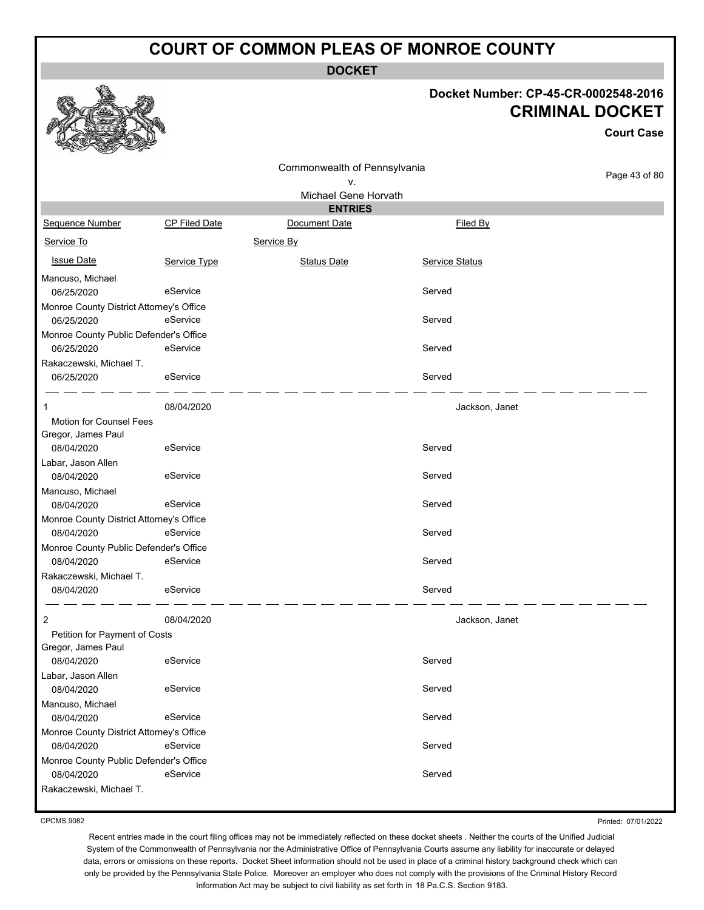**DOCKET**

#### **Docket Number: CP-45-CR-0002548-2016 CRIMINAL DOCKET**

|                                                                                 |               |                                    |                | <b>Court Case</b> |
|---------------------------------------------------------------------------------|---------------|------------------------------------|----------------|-------------------|
|                                                                                 |               | Commonwealth of Pennsylvania<br>V. |                | Page 43 of 80     |
|                                                                                 |               | Michael Gene Horvath               |                |                   |
|                                                                                 |               | <b>ENTRIES</b>                     |                |                   |
| Sequence Number                                                                 | CP Filed Date | Document Date                      | Filed By       |                   |
| Service To                                                                      |               | Service By                         |                |                   |
| <b>Issue Date</b>                                                               | Service Type  | <b>Status Date</b>                 | Service Status |                   |
| Mancuso, Michael<br>06/25/2020                                                  | eService      |                                    | Served         |                   |
| Monroe County District Attorney's Office<br>06/25/2020                          | eService      |                                    | Served         |                   |
| Monroe County Public Defender's Office<br>06/25/2020                            | eService      |                                    | Served         |                   |
| Rakaczewski, Michael T.<br>06/25/2020                                           | eService      |                                    | Served         |                   |
| 1                                                                               | 08/04/2020    |                                    | Jackson, Janet |                   |
| Motion for Counsel Fees<br>Gregor, James Paul<br>08/04/2020                     | eService      |                                    | Served         |                   |
| Labar, Jason Allen<br>08/04/2020                                                | eService      |                                    | Served         |                   |
| Mancuso, Michael<br>08/04/2020                                                  | eService      |                                    | Served         |                   |
| Monroe County District Attorney's Office<br>08/04/2020                          | eService      |                                    | Served         |                   |
| Monroe County Public Defender's Office                                          |               |                                    |                |                   |
| 08/04/2020                                                                      | eService      |                                    | Served         |                   |
| Rakaczewski, Michael T.<br>08/04/2020                                           | eService      |                                    | Served         |                   |
| $\overline{2}$<br>Petition for Payment of Costs<br>Gregor, James Paul           | 08/04/2020    |                                    | Jackson, Janet |                   |
| 08/04/2020                                                                      | eService      |                                    | Served         |                   |
| Labar, Jason Allen<br>08/04/2020                                                | eService      |                                    | Served         |                   |
| Mancuso, Michael<br>08/04/2020                                                  | eService      |                                    | Served         |                   |
| Monroe County District Attorney's Office<br>08/04/2020                          | eService      |                                    | Served         |                   |
| Monroe County Public Defender's Office<br>08/04/2020<br>Rakaczewski, Michael T. | eService      |                                    | Served         |                   |

CPCMS 9082

Printed: 07/01/2022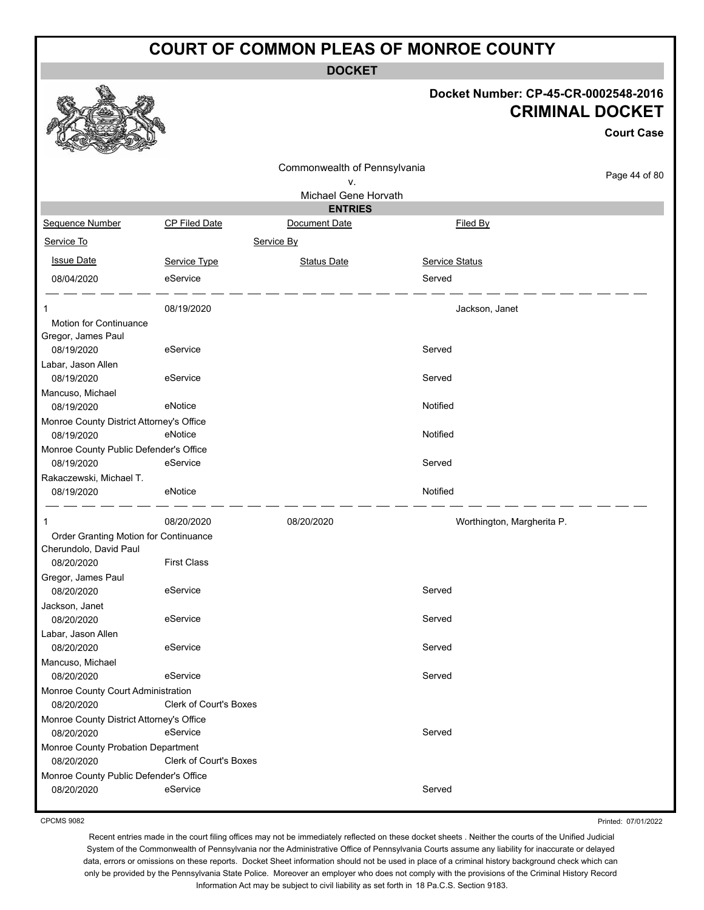**DOCKET**

## **Docket Number: CP-45-CR-0002548-2016 CRIMINAL DOCKET**

**Court Case**

|                                                  |                               | Commonwealth of Pennsylvania |                            |               |
|--------------------------------------------------|-------------------------------|------------------------------|----------------------------|---------------|
|                                                  |                               | ν.                           |                            | Page 44 of 80 |
|                                                  |                               | Michael Gene Horvath         |                            |               |
|                                                  |                               | <b>ENTRIES</b>               |                            |               |
| Sequence Number                                  | <b>CP Filed Date</b>          | Document Date                | Filed By                   |               |
| Service To                                       |                               | Service By                   |                            |               |
| <b>Issue Date</b>                                | Service Type                  | <b>Status Date</b>           | Service Status             |               |
| 08/04/2020                                       | eService                      |                              | Served                     |               |
| 1                                                | 08/19/2020                    |                              | Jackson, Janet             |               |
| Motion for Continuance<br>Gregor, James Paul     |                               |                              |                            |               |
| 08/19/2020                                       | eService                      |                              | Served                     |               |
| Labar, Jason Allen<br>08/19/2020                 | eService                      |                              | Served                     |               |
| Mancuso, Michael                                 |                               |                              |                            |               |
| 08/19/2020                                       | eNotice                       |                              | Notified                   |               |
| Monroe County District Attorney's Office         |                               |                              |                            |               |
| 08/19/2020                                       | eNotice                       |                              | Notified                   |               |
| Monroe County Public Defender's Office           |                               |                              |                            |               |
| 08/19/2020                                       | eService                      |                              | Served                     |               |
| Rakaczewski, Michael T.<br>08/19/2020            | eNotice                       |                              | Notified                   |               |
| 1                                                | 08/20/2020                    | 08/20/2020                   | Worthington, Margherita P. |               |
| Order Granting Motion for Continuance            |                               |                              |                            |               |
| Cherundolo, David Paul                           |                               |                              |                            |               |
| 08/20/2020                                       | <b>First Class</b>            |                              |                            |               |
| Gregor, James Paul<br>08/20/2020                 | eService                      |                              | Served                     |               |
| Jackson, Janet                                   |                               |                              |                            |               |
| 08/20/2020                                       | eService                      |                              | Served                     |               |
| Labar, Jason Allen                               |                               |                              |                            |               |
| 08/20/2020                                       | eService                      |                              | Served                     |               |
| Mancuso, Michael                                 |                               |                              |                            |               |
| 08/20/2020                                       | eService                      |                              | Served                     |               |
| Monroe County Court Administration               |                               |                              |                            |               |
| 08/20/2020                                       | Clerk of Court's Boxes        |                              |                            |               |
| Monroe County District Attorney's Office         |                               |                              |                            |               |
| 08/20/2020                                       | eService                      |                              | Served                     |               |
| Monroe County Probation Department<br>08/20/2020 | <b>Clerk of Court's Boxes</b> |                              |                            |               |
| Monroe County Public Defender's Office           |                               |                              |                            |               |
| 08/20/2020                                       | eService                      |                              | Served                     |               |
|                                                  |                               |                              |                            |               |

CPCMS 9082

Printed: 07/01/2022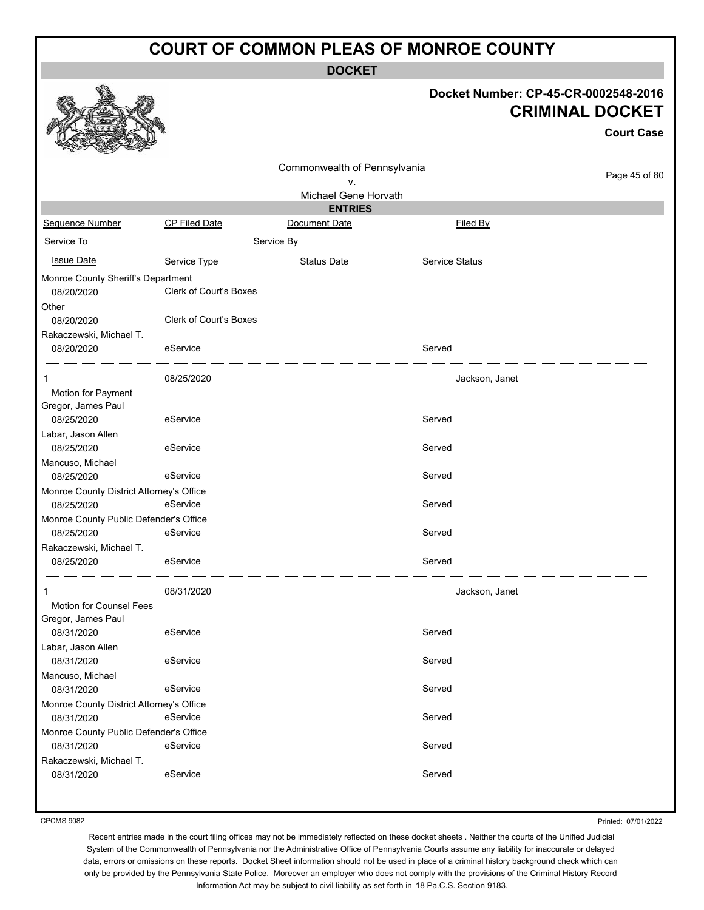**DOCKET**

|                                                           |                        | <b>DUUNEI</b>                          |                |                                                                                     |
|-----------------------------------------------------------|------------------------|----------------------------------------|----------------|-------------------------------------------------------------------------------------|
|                                                           |                        |                                        |                | Docket Number: CP-45-CR-0002548-2016<br><b>CRIMINAL DOCKET</b><br><b>Court Case</b> |
|                                                           |                        | Commonwealth of Pennsylvania           |                | Page 45 of 80                                                                       |
|                                                           |                        | ۷.                                     |                |                                                                                     |
|                                                           |                        | Michael Gene Horvath<br><b>ENTRIES</b> |                |                                                                                     |
| Sequence Number                                           | CP Filed Date          | Document Date                          | Filed By       |                                                                                     |
| Service To                                                |                        | Service By                             |                |                                                                                     |
|                                                           |                        |                                        |                |                                                                                     |
| <b>Issue Date</b>                                         | Service Type           | <b>Status Date</b>                     | Service Status |                                                                                     |
| Monroe County Sheriff's Department<br>08/20/2020<br>Other | Clerk of Court's Boxes |                                        |                |                                                                                     |
| 08/20/2020<br>Rakaczewski, Michael T.                     | Clerk of Court's Boxes |                                        |                |                                                                                     |
| 08/20/2020                                                | eService               |                                        | Served         |                                                                                     |
| Motion for Payment                                        | 08/25/2020             |                                        | Jackson, Janet |                                                                                     |
| Gregor, James Paul<br>08/25/2020                          | eService               |                                        | Served         |                                                                                     |
| Labar, Jason Allen<br>08/25/2020                          | eService               |                                        | Served         |                                                                                     |
| Mancuso, Michael<br>08/25/2020                            | eService               |                                        | Served         |                                                                                     |
| Monroe County District Attorney's Office                  |                        |                                        |                |                                                                                     |
| 08/25/2020                                                | eService               |                                        | Served         |                                                                                     |
| Monroe County Public Defender's Office                    |                        |                                        |                |                                                                                     |
| 08/25/2020                                                | eService               |                                        | Served         |                                                                                     |
| Rakaczewski, Michael T.                                   |                        |                                        |                |                                                                                     |
| 08/25/2020                                                | eService               |                                        | Served         |                                                                                     |
| 1<br>Motion for Counsel Fees                              | 08/31/2020             |                                        | Jackson, Janet |                                                                                     |
| Gregor, James Paul<br>08/31/2020                          | eService               |                                        | Served         |                                                                                     |
| Labar, Jason Allen                                        |                        |                                        |                |                                                                                     |
| 08/31/2020                                                | eService               |                                        | Served         |                                                                                     |
| Mancuso, Michael<br>08/31/2020                            | eService               |                                        | Served         |                                                                                     |
| Monroe County District Attorney's Office                  |                        |                                        |                |                                                                                     |
| 08/31/2020                                                | eService               |                                        | Served         |                                                                                     |
| Monroe County Public Defender's Office                    |                        |                                        |                |                                                                                     |
| 08/31/2020                                                | eService               |                                        | Served         |                                                                                     |
| Rakaczewski, Michael T.                                   |                        |                                        |                |                                                                                     |
| 08/31/2020                                                | eService               |                                        | Served         |                                                                                     |
|                                                           |                        |                                        |                |                                                                                     |

CPCMS 9082

Printed: 07/01/2022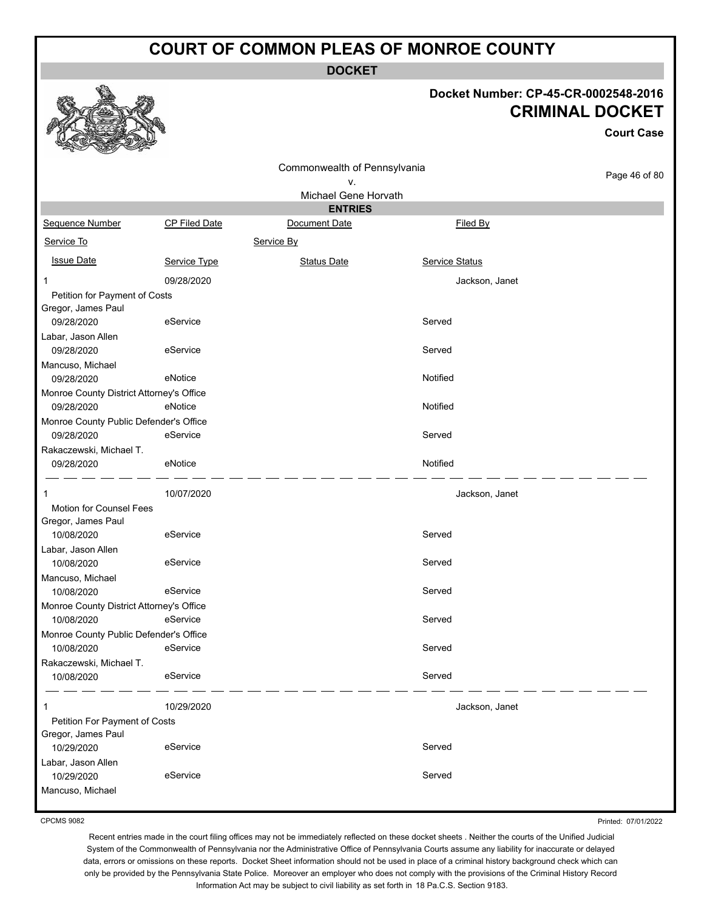**DOCKET**

#### **Docket Number: CP-45-CR-0002548-2016 CRIMINAL DOCKET**

**Court Case**

|                                                        |                      | Commonwealth of Pennsylvania    |                       |               |
|--------------------------------------------------------|----------------------|---------------------------------|-----------------------|---------------|
|                                                        |                      | ۷.                              |                       | Page 46 of 80 |
|                                                        |                      | Michael Gene Horvath            |                       |               |
| Sequence Number                                        | <b>CP Filed Date</b> | <b>ENTRIES</b><br>Document Date | Filed By              |               |
|                                                        |                      |                                 |                       |               |
| Service To                                             |                      | Service By                      |                       |               |
| <b>Issue Date</b>                                      | Service Type         | <b>Status Date</b>              | <b>Service Status</b> |               |
| 1                                                      | 09/28/2020           |                                 | Jackson, Janet        |               |
| Petition for Payment of Costs                          |                      |                                 |                       |               |
| Gregor, James Paul                                     |                      |                                 |                       |               |
| 09/28/2020                                             | eService             |                                 | Served                |               |
| Labar, Jason Allen<br>09/28/2020                       | eService             |                                 | Served                |               |
| Mancuso, Michael                                       |                      |                                 |                       |               |
| 09/28/2020                                             | eNotice              |                                 | Notified              |               |
| Monroe County District Attorney's Office               |                      |                                 |                       |               |
| 09/28/2020                                             | eNotice              |                                 | Notified              |               |
| Monroe County Public Defender's Office                 |                      |                                 |                       |               |
| 09/28/2020                                             | eService             |                                 | Served                |               |
| Rakaczewski, Michael T.                                |                      |                                 |                       |               |
| 09/28/2020                                             | eNotice              |                                 | Notified              |               |
| 1                                                      | 10/07/2020           |                                 | Jackson, Janet        |               |
| Motion for Counsel Fees                                |                      |                                 |                       |               |
| Gregor, James Paul                                     |                      |                                 |                       |               |
| 10/08/2020                                             | eService             |                                 | Served                |               |
| Labar, Jason Allen                                     |                      |                                 |                       |               |
| 10/08/2020                                             | eService             |                                 | Served                |               |
| Mancuso, Michael                                       |                      |                                 |                       |               |
| 10/08/2020                                             | eService             |                                 | Served                |               |
| Monroe County District Attorney's Office<br>10/08/2020 | eService             |                                 | Served                |               |
| Monroe County Public Defender's Office                 |                      |                                 |                       |               |
| 10/08/2020                                             | eService             |                                 | Served                |               |
| Rakaczewski, Michael T.                                |                      |                                 |                       |               |
| 10/08/2020                                             | eService             |                                 | Served                |               |
| 1                                                      | 10/29/2020           |                                 | Jackson, Janet        |               |
| Petition For Payment of Costs                          |                      |                                 |                       |               |
| Gregor, James Paul                                     |                      |                                 |                       |               |
| 10/29/2020                                             | eService             |                                 | Served                |               |
| Labar, Jason Allen                                     |                      |                                 |                       |               |
| 10/29/2020                                             | eService             |                                 | Served                |               |
| Mancuso, Michael                                       |                      |                                 |                       |               |

CPCMS 9082

Recent entries made in the court filing offices may not be immediately reflected on these docket sheets . Neither the courts of the Unified Judicial System of the Commonwealth of Pennsylvania nor the Administrative Office of Pennsylvania Courts assume any liability for inaccurate or delayed data, errors or omissions on these reports. Docket Sheet information should not be used in place of a criminal history background check which can only be provided by the Pennsylvania State Police. Moreover an employer who does not comply with the provisions of the Criminal History Record

Information Act may be subject to civil liability as set forth in 18 Pa.C.S. Section 9183.

Printed: 07/01/2022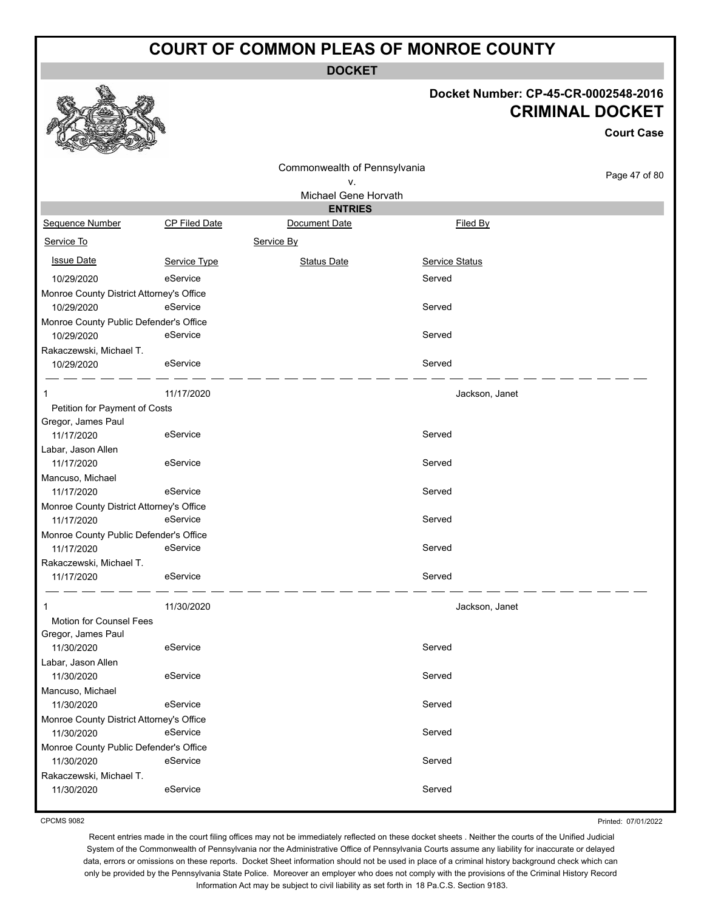**DOCKET**

#### **Docket Number: CP-45-CR-0002548-2016 CRIMINAL DOCKET**

**Court Case**

|                                          |                      | Commonwealth of Pennsylvania |                       |               |
|------------------------------------------|----------------------|------------------------------|-----------------------|---------------|
|                                          |                      | ۷.                           |                       | Page 47 of 80 |
|                                          |                      | Michael Gene Horvath         |                       |               |
|                                          |                      | <b>ENTRIES</b>               |                       |               |
| Sequence Number                          | <b>CP Filed Date</b> | Document Date                | Filed By              |               |
| Service To                               |                      | Service By                   |                       |               |
| <b>Issue Date</b>                        | Service Type         | <b>Status Date</b>           | <b>Service Status</b> |               |
| 10/29/2020                               | eService             |                              | Served                |               |
| Monroe County District Attorney's Office |                      |                              |                       |               |
| 10/29/2020                               | eService             |                              | Served                |               |
| Monroe County Public Defender's Office   |                      |                              |                       |               |
| 10/29/2020                               | eService             |                              | Served                |               |
| Rakaczewski, Michael T.                  |                      |                              |                       |               |
| 10/29/2020                               | eService             |                              | Served                |               |
| 1                                        | 11/17/2020           |                              | Jackson, Janet        |               |
| Petition for Payment of Costs            |                      |                              |                       |               |
| Gregor, James Paul                       |                      |                              |                       |               |
| 11/17/2020                               | eService             |                              | Served                |               |
| Labar, Jason Allen                       |                      |                              |                       |               |
| 11/17/2020                               | eService             |                              | Served                |               |
| Mancuso, Michael                         |                      |                              |                       |               |
| 11/17/2020                               | eService             |                              | Served                |               |
| Monroe County District Attorney's Office |                      |                              |                       |               |
| 11/17/2020                               | eService             |                              | Served                |               |
| Monroe County Public Defender's Office   |                      |                              |                       |               |
| 11/17/2020                               | eService             |                              | Served                |               |
| Rakaczewski, Michael T.                  |                      |                              |                       |               |
| 11/17/2020                               | eService             |                              | Served                |               |
| 1                                        | 11/30/2020           |                              | Jackson, Janet        |               |
| Motion for Counsel Fees                  |                      |                              |                       |               |
| Gregor, James Paul                       |                      |                              |                       |               |
| 11/30/2020                               | eService             |                              | Served                |               |
| Labar, Jason Allen                       |                      |                              |                       |               |
| 11/30/2020                               | eService             |                              | Served                |               |
| Mancuso, Michael                         |                      |                              |                       |               |
| 11/30/2020                               | eService             |                              | Served                |               |
| Monroe County District Attorney's Office |                      |                              |                       |               |
| 11/30/2020                               | eService             |                              | Served                |               |
| Monroe County Public Defender's Office   |                      |                              |                       |               |
| 11/30/2020                               | eService             |                              | Served                |               |
| Rakaczewski, Michael T.                  |                      |                              |                       |               |
| 11/30/2020                               | eService             |                              | Served                |               |
|                                          |                      |                              |                       |               |

CPCMS 9082

Printed: 07/01/2022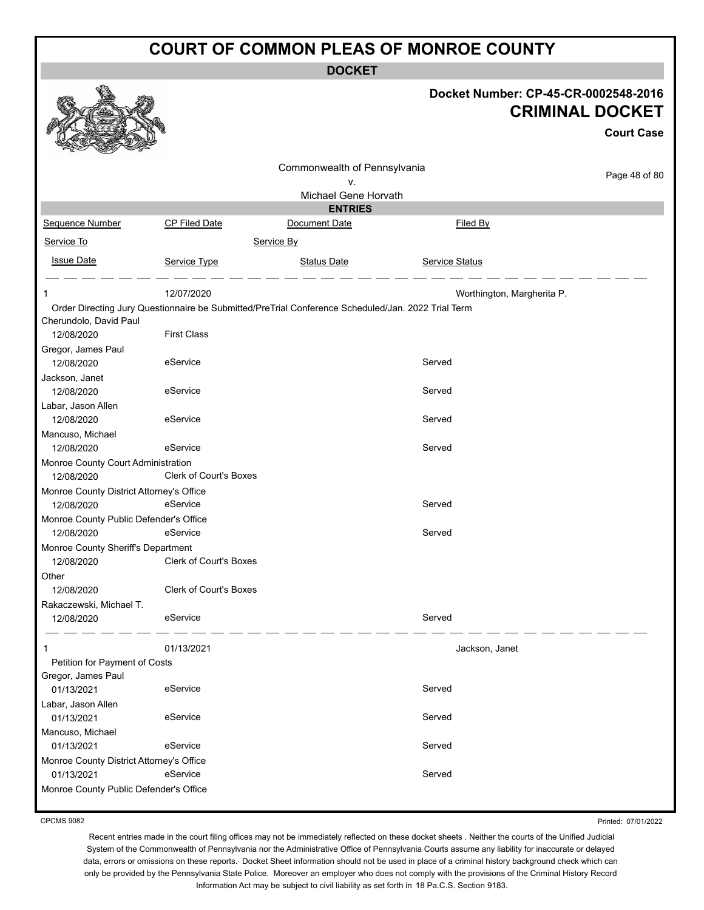**DOCKET**

|                                          |                               |                                                                                                    |                            | Docket Number: CP-45-CR-0002548-2016<br><b>CRIMINAL DOCKET</b><br><b>Court Case</b> |
|------------------------------------------|-------------------------------|----------------------------------------------------------------------------------------------------|----------------------------|-------------------------------------------------------------------------------------|
|                                          |                               |                                                                                                    |                            |                                                                                     |
|                                          |                               | Commonwealth of Pennsylvania                                                                       |                            |                                                                                     |
|                                          |                               | ٧.                                                                                                 |                            | Page 48 of 80                                                                       |
|                                          |                               | Michael Gene Horvath                                                                               |                            |                                                                                     |
|                                          |                               | <b>ENTRIES</b>                                                                                     |                            |                                                                                     |
| Sequence Number                          | <b>CP Filed Date</b>          | Document Date                                                                                      | Filed By                   |                                                                                     |
| Service To                               |                               | Service By                                                                                         |                            |                                                                                     |
|                                          |                               |                                                                                                    |                            |                                                                                     |
| <b>Issue Date</b>                        | Service Type                  | <b>Status Date</b>                                                                                 | <b>Service Status</b>      |                                                                                     |
| 1                                        | 12/07/2020                    |                                                                                                    | Worthington, Margherita P. |                                                                                     |
|                                          |                               | Order Directing Jury Questionnaire be Submitted/PreTrial Conference Scheduled/Jan. 2022 Trial Term |                            |                                                                                     |
| Cherundolo, David Paul                   |                               |                                                                                                    |                            |                                                                                     |
| 12/08/2020                               | <b>First Class</b>            |                                                                                                    |                            |                                                                                     |
| Gregor, James Paul                       |                               |                                                                                                    |                            |                                                                                     |
| 12/08/2020                               | eService                      |                                                                                                    | Served                     |                                                                                     |
| Jackson, Janet                           |                               |                                                                                                    |                            |                                                                                     |
| 12/08/2020                               | eService                      |                                                                                                    | Served                     |                                                                                     |
| Labar, Jason Allen                       |                               |                                                                                                    |                            |                                                                                     |
| 12/08/2020                               | eService                      |                                                                                                    | Served                     |                                                                                     |
| Mancuso, Michael                         |                               |                                                                                                    |                            |                                                                                     |
| 12/08/2020                               | eService                      |                                                                                                    | Served                     |                                                                                     |
| Monroe County Court Administration       |                               |                                                                                                    |                            |                                                                                     |
| 12/08/2020                               | Clerk of Court's Boxes        |                                                                                                    |                            |                                                                                     |
| Monroe County District Attorney's Office |                               |                                                                                                    |                            |                                                                                     |
| 12/08/2020                               | eService                      |                                                                                                    | Served                     |                                                                                     |
| Monroe County Public Defender's Office   |                               |                                                                                                    |                            |                                                                                     |
| 12/08/2020                               | eService                      |                                                                                                    | Served                     |                                                                                     |
| Monroe County Sheriff's Department       |                               |                                                                                                    |                            |                                                                                     |
| 12/08/2020                               | <b>Clerk of Court's Boxes</b> |                                                                                                    |                            |                                                                                     |
| Other                                    |                               |                                                                                                    |                            |                                                                                     |
| 12/08/2020                               | Clerk of Court's Boxes        |                                                                                                    |                            |                                                                                     |
| Rakaczewski, Michael T.                  |                               |                                                                                                    |                            |                                                                                     |
| 12/08/2020                               | eService                      |                                                                                                    | Served                     |                                                                                     |
| 1                                        | 01/13/2021                    |                                                                                                    | Jackson, Janet             |                                                                                     |
| Petition for Payment of Costs            |                               |                                                                                                    |                            |                                                                                     |
| Gregor, James Paul                       |                               |                                                                                                    |                            |                                                                                     |
| 01/13/2021                               | eService                      |                                                                                                    | Served                     |                                                                                     |
| Labar, Jason Allen                       |                               |                                                                                                    |                            |                                                                                     |
| 01/13/2021                               | eService                      |                                                                                                    | Served                     |                                                                                     |
| Mancuso, Michael                         |                               |                                                                                                    |                            |                                                                                     |
| 01/13/2021                               | eService                      |                                                                                                    | Served                     |                                                                                     |
| Monroe County District Attorney's Office |                               |                                                                                                    |                            |                                                                                     |
| 01/13/2021                               | eService                      |                                                                                                    | Served                     |                                                                                     |
| Monroe County Public Defender's Office   |                               |                                                                                                    |                            |                                                                                     |
|                                          |                               |                                                                                                    |                            |                                                                                     |

CPCMS 9082

Printed: 07/01/2022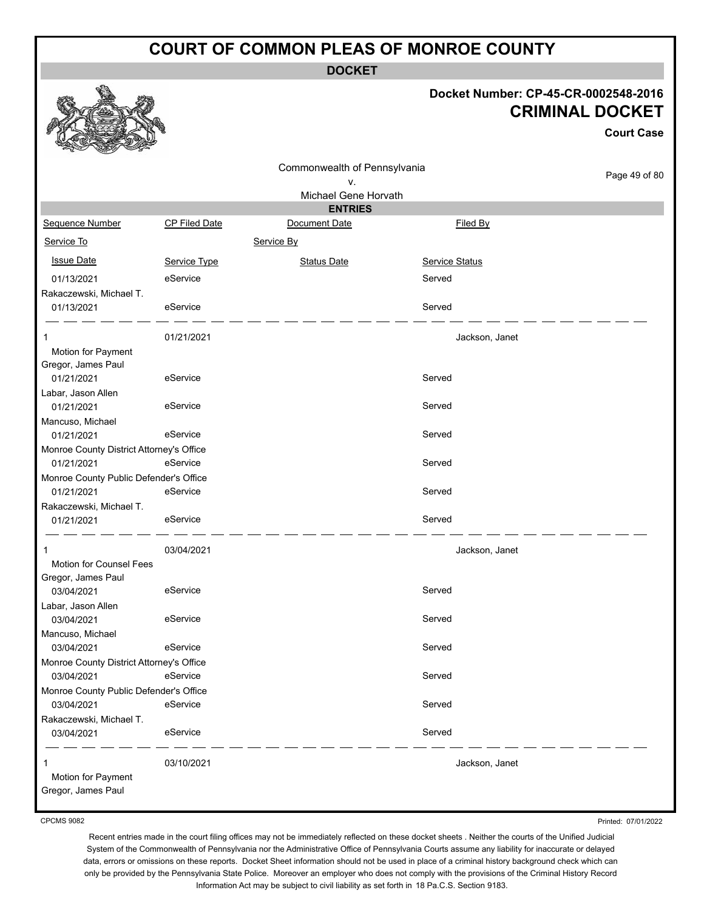**DOCKET**

# **Docket Number: CP-45-CR-0002548-2016 CRIMINAL DOCKET**

**Court Case**

Page 49 of 80 Commonwealth of Pennsylvania v. Michael Gene Horvath **ENTRIES** Sequence Number CP Filed Date Document Date **Document Date** Filed By Service To Service By **Issue Date Service Type** Service Type Status Date Service Status Date Service Status Service Status **Service Status** 01/13/2021 eService Served Rakaczewski, Michael T. 01/13/2021 eService Served 1 01/21/2021 Jackson, Janet Motion for Payment Gregor, James Paul 01/21/2021 eService entrance served Labar, Jason Allen 01/21/2021 eService entertainment of the Served Mancuso, Michael 01/21/2021 eService entertainment of the Served Monroe County District Attorney's Office 01/21/2021 eService entertainment of the Served Monroe County Public Defender's Office 01/21/2021 eService entertainment of the Served Rakaczewski, Michael T. 01/21/2021 eService entertainment of the Served 1 03/04/2021 Jackson, Janet Motion for Counsel Fees Gregor, James Paul 03/04/2021 eService Served Labar, Jason Allen 03/04/2021 eService Served Mancuso, Michael 03/04/2021 eService Served Monroe County District Attorney's Office 03/04/2021 eService Served Monroe County Public Defender's Office 03/04/2021 eService Served Rakaczewski, Michael T. 03/04/2021 eService entertainment of the Served 1 03/10/2021 Jackson, Janet Motion for Payment Gregor, James Paul

CPCMS 9082

Printed: 07/01/2022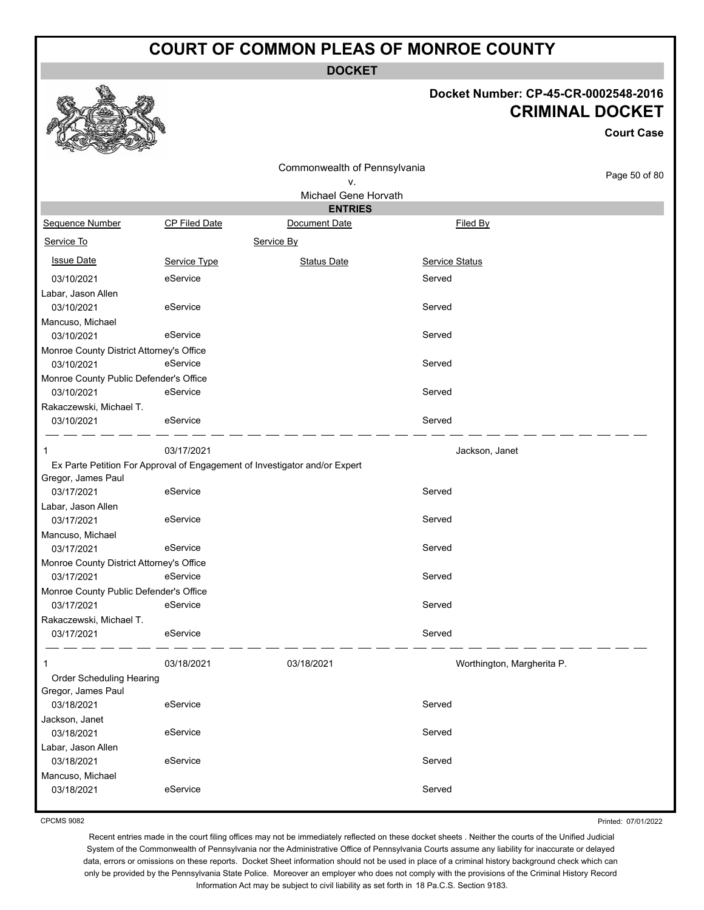**DOCKET**

#### **Docket Number: CP-45-CR-0002548-2016 CRIMINAL DOCKET**

**Court Case**

|                                                      |                      | Commonwealth of Pennsylvania                                               |                            | Page 50 of 80 |
|------------------------------------------------------|----------------------|----------------------------------------------------------------------------|----------------------------|---------------|
|                                                      |                      | ٧.                                                                         |                            |               |
|                                                      |                      | Michael Gene Horvath                                                       |                            |               |
|                                                      |                      | <b>ENTRIES</b>                                                             |                            |               |
| Sequence Number                                      | <b>CP Filed Date</b> | Document Date                                                              | Filed By                   |               |
| Service To                                           |                      | Service By                                                                 |                            |               |
| <b>Issue Date</b>                                    | Service Type         | <b>Status Date</b>                                                         | Service Status             |               |
| 03/10/2021                                           | eService             |                                                                            | Served                     |               |
| Labar, Jason Allen                                   |                      |                                                                            |                            |               |
| 03/10/2021                                           | eService             |                                                                            | Served                     |               |
| Mancuso, Michael                                     |                      |                                                                            |                            |               |
| 03/10/2021                                           | eService             |                                                                            | Served                     |               |
| Monroe County District Attorney's Office             |                      |                                                                            |                            |               |
| 03/10/2021                                           | eService             |                                                                            | Served                     |               |
| Monroe County Public Defender's Office<br>03/10/2021 | eService             |                                                                            | Served                     |               |
|                                                      |                      |                                                                            |                            |               |
| Rakaczewski, Michael T.<br>03/10/2021                | eService             |                                                                            | Served                     |               |
|                                                      |                      |                                                                            |                            |               |
|                                                      | 03/17/2021           |                                                                            | Jackson, Janet             |               |
|                                                      |                      | Ex Parte Petition For Approval of Engagement of Investigator and/or Expert |                            |               |
| Gregor, James Paul                                   |                      |                                                                            |                            |               |
| 03/17/2021                                           | eService             |                                                                            | Served                     |               |
| Labar, Jason Allen                                   |                      |                                                                            |                            |               |
| 03/17/2021                                           | eService             |                                                                            | Served                     |               |
| Mancuso, Michael<br>03/17/2021                       | eService             |                                                                            | Served                     |               |
| Monroe County District Attorney's Office             |                      |                                                                            |                            |               |
| 03/17/2021                                           | eService             |                                                                            | Served                     |               |
| Monroe County Public Defender's Office               |                      |                                                                            |                            |               |
| 03/17/2021                                           | eService             |                                                                            | Served                     |               |
| Rakaczewski, Michael T.                              |                      |                                                                            |                            |               |
| 03/17/2021                                           | eService             |                                                                            | Served                     |               |
|                                                      | 03/18/2021           | 03/18/2021                                                                 | Worthington, Margherita P. |               |
| Order Scheduling Hearing                             |                      |                                                                            |                            |               |
| Gregor, James Paul                                   |                      |                                                                            |                            |               |
| 03/18/2021                                           | eService             |                                                                            | Served                     |               |
| Jackson, Janet                                       |                      |                                                                            |                            |               |
| 03/18/2021                                           | eService             |                                                                            | Served                     |               |
| Labar, Jason Allen                                   |                      |                                                                            |                            |               |
| 03/18/2021                                           | eService             |                                                                            | Served                     |               |
| Mancuso, Michael                                     |                      |                                                                            |                            |               |
| 03/18/2021                                           | eService             |                                                                            | Served                     |               |

CPCMS 9082

Printed: 07/01/2022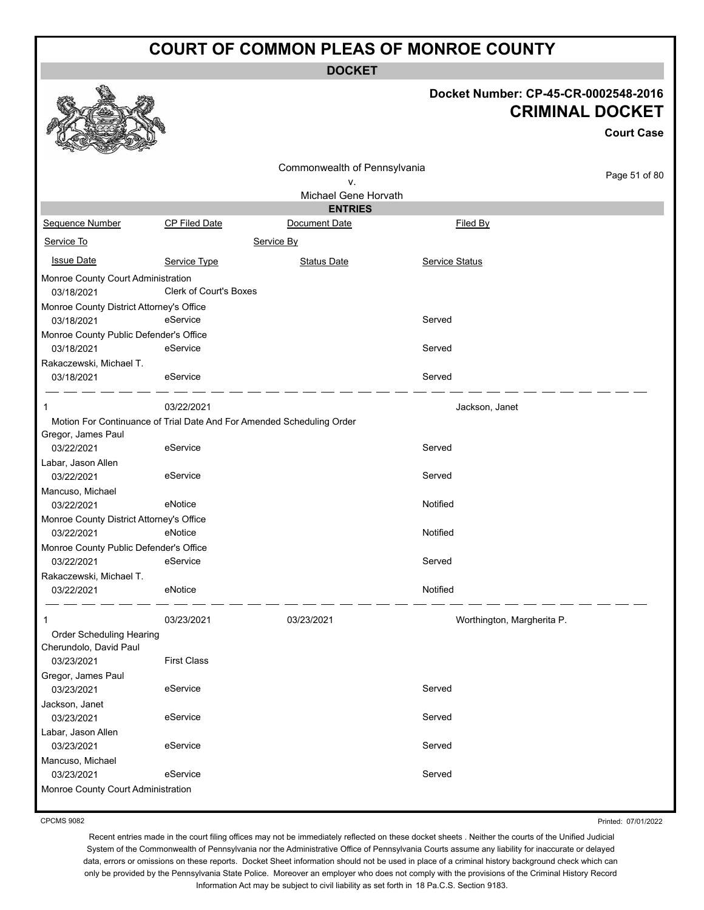**DOCKET**

| Docket Number: CP-45-CR-0002548-2016 |
|--------------------------------------|
| <b>CRIMINAL DOCKET</b>               |

**Court Case**

|                                          |                                                                       |                              |                            | GOULL GASE    |
|------------------------------------------|-----------------------------------------------------------------------|------------------------------|----------------------------|---------------|
|                                          |                                                                       | Commonwealth of Pennsylvania |                            |               |
|                                          |                                                                       | ٧.                           |                            | Page 51 of 80 |
|                                          |                                                                       | Michael Gene Horvath         |                            |               |
|                                          |                                                                       | <b>ENTRIES</b>               |                            |               |
| Sequence Number                          | CP Filed Date                                                         | Document Date                | Filed By                   |               |
| Service To                               | Service By                                                            |                              |                            |               |
| <b>Issue Date</b>                        | Service Type                                                          | <b>Status Date</b>           | Service Status             |               |
| Monroe County Court Administration       |                                                                       |                              |                            |               |
| 03/18/2021                               | Clerk of Court's Boxes                                                |                              |                            |               |
| Monroe County District Attorney's Office |                                                                       |                              |                            |               |
| 03/18/2021                               | eService                                                              |                              | Served                     |               |
| Monroe County Public Defender's Office   |                                                                       |                              |                            |               |
| 03/18/2021                               | eService                                                              |                              | Served                     |               |
| Rakaczewski, Michael T.                  |                                                                       |                              |                            |               |
| 03/18/2021                               | eService                                                              |                              | Served                     |               |
| 1                                        | 03/22/2021                                                            |                              | Jackson, Janet             |               |
|                                          | Motion For Continuance of Trial Date And For Amended Scheduling Order |                              |                            |               |
| Gregor, James Paul                       |                                                                       |                              |                            |               |
| 03/22/2021                               | eService                                                              |                              | Served                     |               |
| Labar, Jason Allen                       |                                                                       |                              |                            |               |
| 03/22/2021                               | eService                                                              |                              | Served                     |               |
| Mancuso, Michael                         |                                                                       |                              |                            |               |
| 03/22/2021                               | eNotice                                                               |                              | Notified                   |               |
| Monroe County District Attorney's Office |                                                                       |                              |                            |               |
| 03/22/2021                               | eNotice                                                               |                              | Notified                   |               |
| Monroe County Public Defender's Office   |                                                                       |                              |                            |               |
| 03/22/2021                               | eService                                                              |                              | Served                     |               |
| Rakaczewski, Michael T.                  |                                                                       |                              |                            |               |
|                                          | eNotice                                                               |                              | Notified                   |               |
| 03/22/2021                               |                                                                       |                              |                            |               |
| 1                                        | 03/23/2021                                                            | 03/23/2021                   | Worthington, Margherita P. |               |
| Order Scheduling Hearing                 |                                                                       |                              |                            |               |
| Cherundolo, David Paul                   |                                                                       |                              |                            |               |
| 03/23/2021                               | <b>First Class</b>                                                    |                              |                            |               |
| Gregor, James Paul                       |                                                                       |                              |                            |               |
| 03/23/2021                               | eService                                                              |                              | Served                     |               |
| Jackson, Janet                           |                                                                       |                              |                            |               |
| 03/23/2021                               | eService                                                              |                              | Served                     |               |
| Labar, Jason Allen                       |                                                                       |                              |                            |               |
| 03/23/2021                               | eService                                                              |                              | Served                     |               |
| Mancuso, Michael                         |                                                                       |                              |                            |               |
| 03/23/2021                               | eService                                                              |                              | Served                     |               |
| Monroe County Court Administration       |                                                                       |                              |                            |               |
|                                          |                                                                       |                              |                            |               |

CPCMS 9082

Printed: 07/01/2022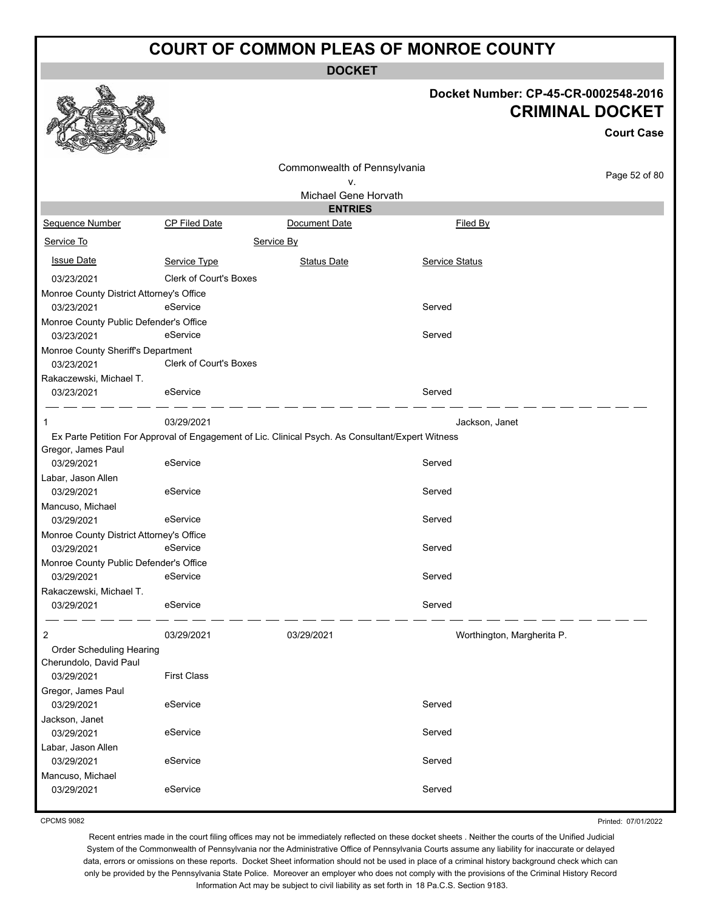**DOCKET**

## **Docket Number: CP-45-CR-0002548-2016 CRIMINAL DOCKET**

**Court Case**

|                                                  |                               | Commonwealth of Pennsylvania                                                                      |                            |               |
|--------------------------------------------------|-------------------------------|---------------------------------------------------------------------------------------------------|----------------------------|---------------|
|                                                  |                               | ν.                                                                                                |                            | Page 52 of 80 |
|                                                  |                               | Michael Gene Horvath                                                                              |                            |               |
|                                                  |                               | <b>ENTRIES</b>                                                                                    |                            |               |
| Sequence Number                                  | <b>CP Filed Date</b>          | Document Date                                                                                     | Filed By                   |               |
| Service To                                       |                               | Service By                                                                                        |                            |               |
| <b>Issue Date</b>                                | Service Type                  | <b>Status Date</b>                                                                                | Service Status             |               |
| 03/23/2021                                       | <b>Clerk of Court's Boxes</b> |                                                                                                   |                            |               |
| Monroe County District Attorney's Office         |                               |                                                                                                   |                            |               |
| 03/23/2021                                       | eService                      |                                                                                                   | Served                     |               |
| Monroe County Public Defender's Office           |                               |                                                                                                   |                            |               |
| 03/23/2021                                       | eService                      |                                                                                                   | Served                     |               |
| Monroe County Sheriff's Department<br>03/23/2021 | Clerk of Court's Boxes        |                                                                                                   |                            |               |
| Rakaczewski, Michael T.                          |                               |                                                                                                   |                            |               |
| 03/23/2021                                       | eService                      |                                                                                                   | Served                     |               |
| -1                                               | 03/29/2021                    |                                                                                                   | Jackson, Janet             |               |
|                                                  |                               | Ex Parte Petition For Approval of Engagement of Lic. Clinical Psych. As Consultant/Expert Witness |                            |               |
| Gregor, James Paul                               |                               |                                                                                                   |                            |               |
| 03/29/2021                                       | eService                      |                                                                                                   | Served                     |               |
| Labar, Jason Allen                               |                               |                                                                                                   |                            |               |
| 03/29/2021                                       | eService                      |                                                                                                   | Served                     |               |
| Mancuso, Michael                                 |                               |                                                                                                   |                            |               |
| 03/29/2021                                       | eService                      |                                                                                                   | Served                     |               |
| Monroe County District Attorney's Office         |                               |                                                                                                   |                            |               |
| 03/29/2021                                       | eService                      |                                                                                                   | Served                     |               |
| Monroe County Public Defender's Office           |                               |                                                                                                   |                            |               |
| 03/29/2021                                       | eService                      |                                                                                                   | Served                     |               |
| Rakaczewski, Michael T.                          |                               |                                                                                                   |                            |               |
| 03/29/2021                                       | eService                      |                                                                                                   | Served                     |               |
| 2                                                | 03/29/2021                    | 03/29/2021                                                                                        | Worthington, Margherita P. |               |
| Order Scheduling Hearing                         |                               |                                                                                                   |                            |               |
| Cherundolo, David Paul                           |                               |                                                                                                   |                            |               |
| 03/29/2021                                       | <b>First Class</b>            |                                                                                                   |                            |               |
| Gregor, James Paul                               |                               |                                                                                                   |                            |               |
| 03/29/2021                                       | eService                      |                                                                                                   | Served                     |               |
| Jackson, Janet                                   |                               |                                                                                                   |                            |               |
| 03/29/2021                                       | eService                      |                                                                                                   | Served                     |               |
| Labar, Jason Allen                               |                               |                                                                                                   |                            |               |
| 03/29/2021                                       | eService                      |                                                                                                   | Served                     |               |
| Mancuso, Michael                                 |                               |                                                                                                   |                            |               |
| 03/29/2021                                       | eService                      |                                                                                                   | Served                     |               |
|                                                  |                               |                                                                                                   |                            |               |

CPCMS 9082

Printed: 07/01/2022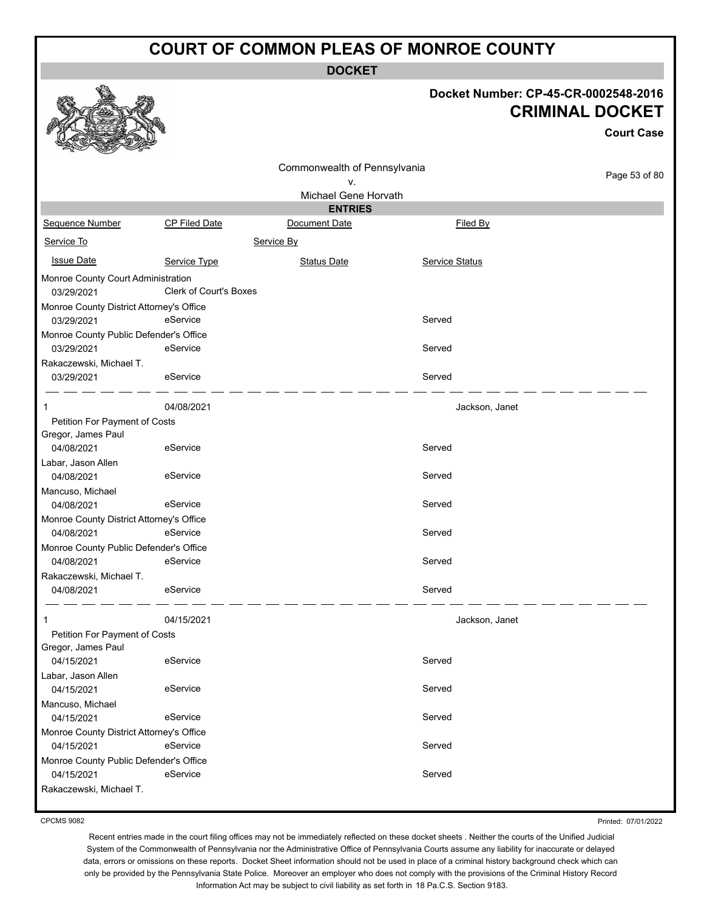**DOCKET**

#### **Docket Number: CP-45-CR-0002548-2016 CRIMINAL DOCKET**

|                                                                                 |                               |                                    |                       | <b>Court Case</b> |
|---------------------------------------------------------------------------------|-------------------------------|------------------------------------|-----------------------|-------------------|
|                                                                                 |                               | Commonwealth of Pennsylvania<br>٧. |                       | Page 53 of 80     |
|                                                                                 |                               | Michael Gene Horvath               |                       |                   |
|                                                                                 |                               | <b>ENTRIES</b>                     |                       |                   |
| Sequence Number                                                                 | <b>CP Filed Date</b>          | Document Date                      | <b>Filed By</b>       |                   |
| Service To                                                                      |                               | Service By                         |                       |                   |
| <b>Issue Date</b>                                                               | Service Type                  | <b>Status Date</b>                 | <b>Service Status</b> |                   |
| Monroe County Court Administration<br>03/29/2021                                | <b>Clerk of Court's Boxes</b> |                                    |                       |                   |
| Monroe County District Attorney's Office<br>03/29/2021                          | eService                      |                                    | Served                |                   |
| Monroe County Public Defender's Office<br>03/29/2021<br>Rakaczewski, Michael T. | eService                      |                                    | Served                |                   |
| 03/29/2021                                                                      | eService                      |                                    | Served                |                   |
| 1                                                                               | 04/08/2021                    |                                    | Jackson, Janet        |                   |
| Petition For Payment of Costs                                                   |                               |                                    |                       |                   |
| Gregor, James Paul<br>04/08/2021                                                | eService                      |                                    | Served                |                   |
| Labar, Jason Allen<br>04/08/2021                                                | eService                      |                                    | Served                |                   |
| Mancuso, Michael<br>04/08/2021                                                  | eService                      |                                    | Served                |                   |
| Monroe County District Attorney's Office<br>04/08/2021                          | eService                      |                                    | Served                |                   |
| Monroe County Public Defender's Office                                          |                               |                                    |                       |                   |
| 04/08/2021                                                                      | eService                      |                                    | Served                |                   |
| Rakaczewski, Michael T.                                                         |                               |                                    |                       |                   |
| 04/08/2021                                                                      | eService                      |                                    | Served                |                   |
| 1                                                                               | 04/15/2021                    |                                    | Jackson, Janet        |                   |
| Petition For Payment of Costs<br>Gregor, James Paul                             |                               |                                    |                       |                   |
| 04/15/2021                                                                      | eService                      |                                    | Served                |                   |
| Labar, Jason Allen                                                              |                               |                                    |                       |                   |
| 04/15/2021<br>Mancuso, Michael                                                  | eService                      |                                    | Served                |                   |
| 04/15/2021                                                                      | eService                      |                                    | Served                |                   |
| Monroe County District Attorney's Office                                        |                               |                                    |                       |                   |
| 04/15/2021                                                                      | eService                      |                                    | Served                |                   |
| Monroe County Public Defender's Office<br>04/15/2021                            | eService                      |                                    | Served                |                   |
| Rakaczewski, Michael T.                                                         |                               |                                    |                       |                   |

CPCMS 9082

Printed: 07/01/2022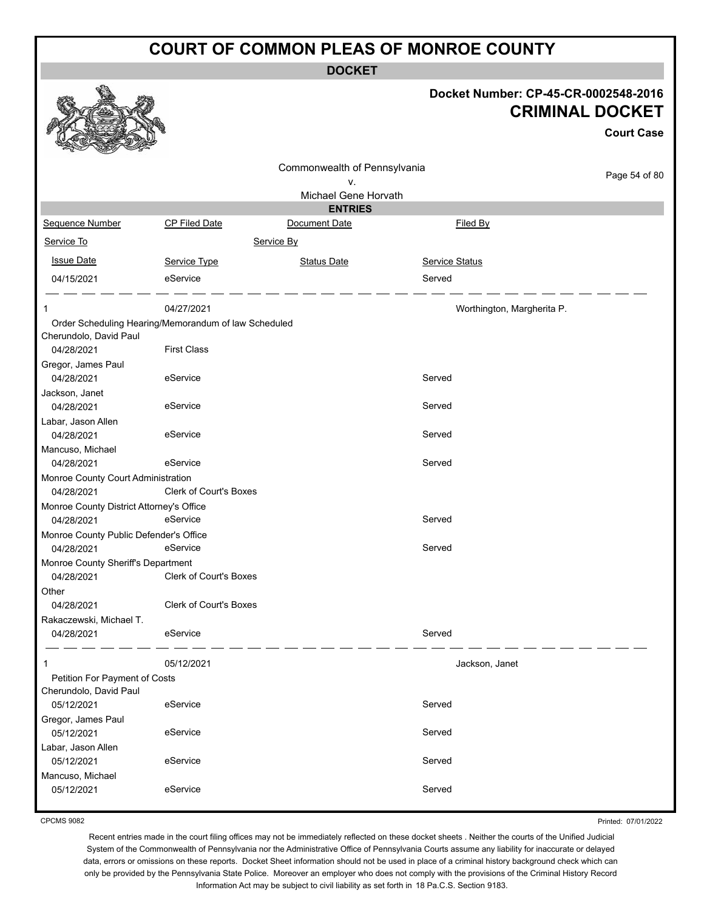**DOCKET**

| Docket Number: CP-45-CR-0002548-2016 |
|--------------------------------------|
| <b>CRIMINAL DOCKET</b>               |
| <b>Court Case</b>                    |

| n<br><b>READY</b><br>Contraction of the Contraction |                                                      |                                        |                            |               |
|-----------------------------------------------------|------------------------------------------------------|----------------------------------------|----------------------------|---------------|
|                                                     |                                                      | Commonwealth of Pennsylvania           |                            | Page 54 of 80 |
|                                                     |                                                      | ν.                                     |                            |               |
|                                                     |                                                      | Michael Gene Horvath<br><b>ENTRIES</b> |                            |               |
| Sequence Number                                     | CP Filed Date                                        | Document Date                          | Filed By                   |               |
| Service To                                          |                                                      | Service By                             |                            |               |
|                                                     |                                                      |                                        |                            |               |
| <b>Issue Date</b>                                   | Service Type                                         | <b>Status Date</b>                     | Service Status             |               |
| 04/15/2021                                          | eService                                             |                                        | Served                     |               |
|                                                     | 04/27/2021                                           |                                        | Worthington, Margherita P. |               |
|                                                     | Order Scheduling Hearing/Memorandum of law Scheduled |                                        |                            |               |
| Cherundolo, David Paul                              |                                                      |                                        |                            |               |
| 04/28/2021                                          | <b>First Class</b>                                   |                                        |                            |               |
| Gregor, James Paul                                  |                                                      |                                        |                            |               |
| 04/28/2021                                          | eService                                             |                                        | Served                     |               |
| Jackson, Janet                                      |                                                      |                                        |                            |               |
| 04/28/2021                                          | eService                                             |                                        | Served                     |               |
| Labar, Jason Allen<br>04/28/2021                    |                                                      |                                        | Served                     |               |
|                                                     | eService                                             |                                        |                            |               |
| Mancuso, Michael<br>04/28/2021                      | eService                                             |                                        | Served                     |               |
| Monroe County Court Administration                  |                                                      |                                        |                            |               |
| 04/28/2021                                          | <b>Clerk of Court's Boxes</b>                        |                                        |                            |               |
| Monroe County District Attorney's Office            |                                                      |                                        |                            |               |
| 04/28/2021                                          | eService                                             |                                        | Served                     |               |
| Monroe County Public Defender's Office              |                                                      |                                        |                            |               |
| 04/28/2021                                          | eService                                             |                                        | Served                     |               |
| Monroe County Sheriff's Department                  |                                                      |                                        |                            |               |
| 04/28/2021                                          | Clerk of Court's Boxes                               |                                        |                            |               |
| Other                                               |                                                      |                                        |                            |               |
| 04/28/2021                                          | <b>Clerk of Court's Boxes</b>                        |                                        |                            |               |
| Rakaczewski, Michael T.                             |                                                      |                                        |                            |               |
| 04/28/2021                                          | eService                                             |                                        | Served                     |               |
|                                                     | 05/12/2021                                           |                                        | Jackson, Janet             |               |
| Petition For Payment of Costs                       |                                                      |                                        |                            |               |
| Cherundolo, David Paul                              |                                                      |                                        |                            |               |
| 05/12/2021                                          | eService                                             |                                        | Served                     |               |
| Gregor, James Paul                                  |                                                      |                                        |                            |               |
| 05/12/2021                                          | eService                                             |                                        | Served                     |               |
| Labar, Jason Allen                                  |                                                      |                                        |                            |               |
| 05/12/2021                                          | eService                                             |                                        | Served                     |               |
| Mancuso, Michael                                    |                                                      |                                        |                            |               |
| 05/12/2021                                          | eService                                             |                                        | Served                     |               |
|                                                     |                                                      |                                        |                            |               |

CPCMS 9082

Printed: 07/01/2022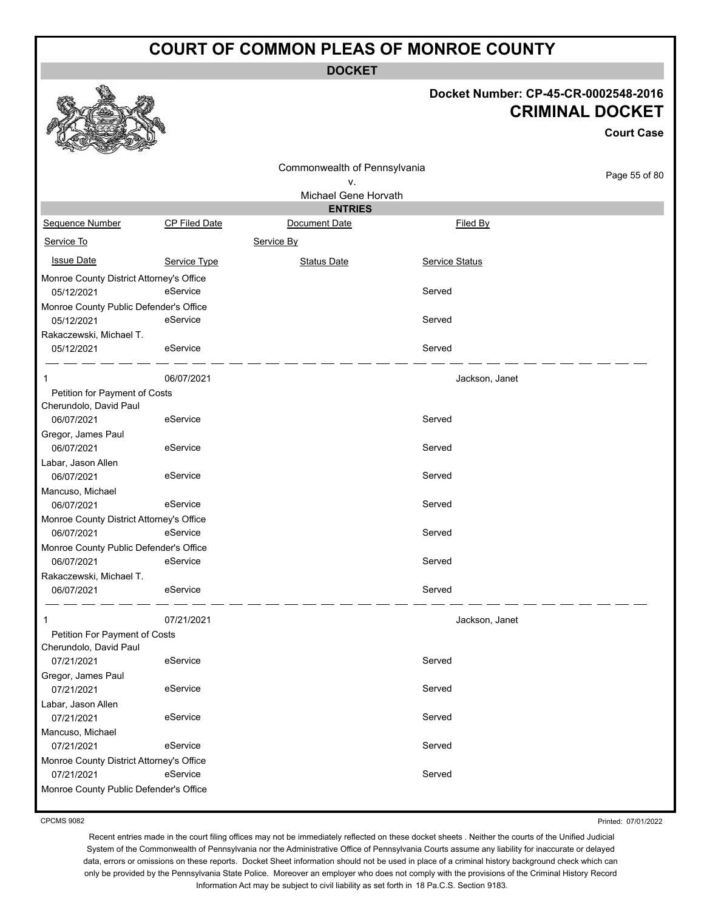**DOCKET**

#### **Docket Number: CP-45-CR-0002548-2016 CRIMINAL DOCKET**

|                                                        |                      |                                        |                | <b>CRIMINAL DOCKET</b><br><b>Court Case</b> |
|--------------------------------------------------------|----------------------|----------------------------------------|----------------|---------------------------------------------|
|                                                        |                      | Commonwealth of Pennsylvania           |                | Page 55 of 80                               |
|                                                        |                      | ٧.                                     |                |                                             |
|                                                        |                      | Michael Gene Horvath<br><b>ENTRIES</b> |                |                                             |
| Sequence Number                                        | <b>CP Filed Date</b> | Document Date                          | Filed By       |                                             |
| Service To                                             |                      | Service By                             |                |                                             |
|                                                        |                      |                                        |                |                                             |
| <b>Issue Date</b>                                      | Service Type         | <b>Status Date</b>                     | Service Status |                                             |
| Monroe County District Attorney's Office<br>05/12/2021 | eService             |                                        | Served         |                                             |
| Monroe County Public Defender's Office                 |                      |                                        |                |                                             |
| 05/12/2021                                             | eService             |                                        | Served         |                                             |
| Rakaczewski, Michael T.<br>05/12/2021                  | eService             |                                        | Served         |                                             |
| 1                                                      | 06/07/2021           |                                        | Jackson, Janet |                                             |
| Petition for Payment of Costs                          |                      |                                        |                |                                             |
| Cherundolo, David Paul<br>06/07/2021                   | eService             |                                        | Served         |                                             |
| Gregor, James Paul                                     |                      |                                        |                |                                             |
| 06/07/2021                                             | eService             |                                        | Served         |                                             |
| Labar, Jason Allen<br>06/07/2021                       | eService             |                                        | Served         |                                             |
| Mancuso, Michael                                       |                      |                                        |                |                                             |
| 06/07/2021                                             | eService             |                                        | Served         |                                             |
| Monroe County District Attorney's Office               |                      |                                        |                |                                             |
| 06/07/2021                                             | eService             |                                        | Served         |                                             |
| Monroe County Public Defender's Office                 |                      |                                        |                |                                             |
| 06/07/2021                                             | eService             |                                        | Served         |                                             |
| Rakaczewski, Michael T.                                |                      |                                        |                |                                             |
| 06/07/2021                                             | eService             |                                        | Served         |                                             |
|                                                        | 07/21/2021           |                                        | Jackson, Janet |                                             |
| Petition For Payment of Costs                          |                      |                                        |                |                                             |
| Cherundolo, David Paul<br>07/21/2021                   | eService             |                                        | Served         |                                             |
| Gregor, James Paul                                     |                      |                                        |                |                                             |
| 07/21/2021                                             | eService             |                                        | Served         |                                             |
| Labar, Jason Allen                                     |                      |                                        |                |                                             |
| 07/21/2021                                             | eService             |                                        | Served         |                                             |
| Mancuso, Michael                                       |                      |                                        |                |                                             |
| 07/21/2021                                             | eService             |                                        | Served         |                                             |
| Monroe County District Attorney's Office               |                      |                                        |                |                                             |
| 07/21/2021                                             | eService             |                                        | Served         |                                             |
| Monroe County Public Defender's Office                 |                      |                                        |                |                                             |

CPCMS 9082

**a A** a

Printed: 07/01/2022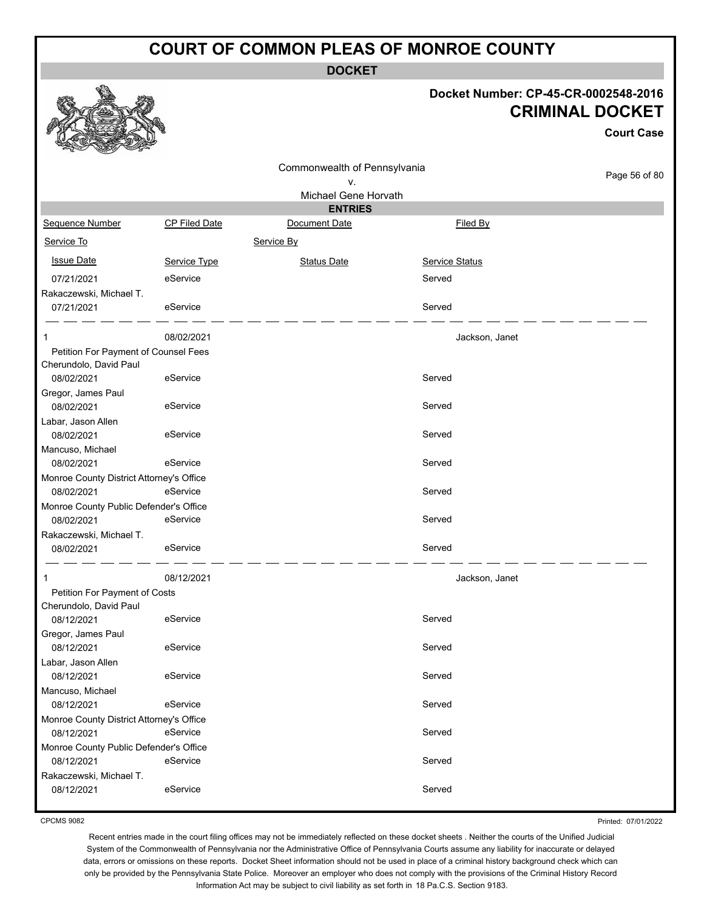**DOCKET**

#### **Docket Number: CP-45-CR-0002548-2016 CRIMINAL DOCKET**

**Court Case**

|                                          |               | Commonwealth of Pennsylvania<br>٧. |                       | Page 56 of 80 |
|------------------------------------------|---------------|------------------------------------|-----------------------|---------------|
|                                          |               | Michael Gene Horvath               |                       |               |
|                                          |               | <b>ENTRIES</b>                     |                       |               |
| Sequence Number                          | CP Filed Date | Document Date                      | Filed By              |               |
| Service To                               |               | Service By                         |                       |               |
| <b>Issue Date</b>                        | Service Type  | <b>Status Date</b>                 | <b>Service Status</b> |               |
| 07/21/2021                               | eService      |                                    | Served                |               |
| Rakaczewski, Michael T.                  |               |                                    |                       |               |
| 07/21/2021                               | eService      |                                    | Served                |               |
| -1                                       | 08/02/2021    |                                    | Jackson, Janet        |               |
| Petition For Payment of Counsel Fees     |               |                                    |                       |               |
| Cherundolo, David Paul                   |               |                                    |                       |               |
| 08/02/2021                               | eService      |                                    | Served                |               |
| Gregor, James Paul                       |               |                                    |                       |               |
| 08/02/2021                               | eService      |                                    | Served                |               |
| Labar, Jason Allen                       |               |                                    |                       |               |
| 08/02/2021                               | eService      |                                    | Served                |               |
| Mancuso, Michael                         |               |                                    |                       |               |
| 08/02/2021                               | eService      |                                    | Served                |               |
| Monroe County District Attorney's Office |               |                                    |                       |               |
| 08/02/2021                               | eService      |                                    | Served                |               |
| Monroe County Public Defender's Office   |               |                                    |                       |               |
| 08/02/2021                               | eService      |                                    | Served                |               |
| Rakaczewski, Michael T.                  |               |                                    |                       |               |
| 08/02/2021                               | eService      |                                    | Served                |               |
| 1                                        | 08/12/2021    |                                    | Jackson, Janet        |               |
| Petition For Payment of Costs            |               |                                    |                       |               |
| Cherundolo, David Paul                   |               |                                    |                       |               |
| 08/12/2021                               | eService      |                                    | Served                |               |
| Gregor, James Paul                       |               |                                    |                       |               |
| 08/12/2021                               | eService      |                                    | Served                |               |
| Labar, Jason Allen                       |               |                                    |                       |               |
| 08/12/2021                               | eService      |                                    | Served                |               |
| Mancuso, Michael                         |               |                                    |                       |               |
| 08/12/2021                               | eService      |                                    | Served                |               |
| Monroe County District Attorney's Office |               |                                    |                       |               |
| 08/12/2021                               | eService      |                                    | Served                |               |
| Monroe County Public Defender's Office   |               |                                    |                       |               |
| 08/12/2021                               | eService      |                                    | Served                |               |
| Rakaczewski, Michael T.                  | eService      |                                    |                       |               |
| 08/12/2021                               |               |                                    | Served                |               |

CPCMS 9082

Printed: 07/01/2022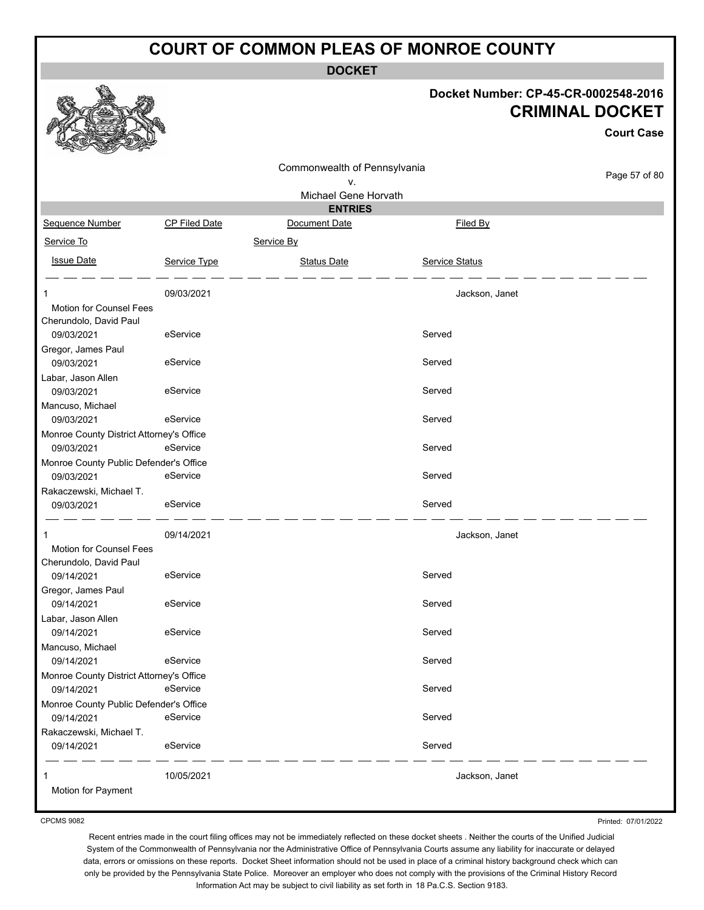**DOCKET**

#### **Docket Number: CP-45-CR-0002548-2016 CRIMINAL DOCKET**

**Court Case**

|                                          |               | Commonwealth of Pennsylvania |                |               |
|------------------------------------------|---------------|------------------------------|----------------|---------------|
|                                          |               | ۷.                           |                | Page 57 of 80 |
|                                          |               | Michael Gene Horvath         |                |               |
|                                          |               | <b>ENTRIES</b>               |                |               |
| Sequence Number                          | CP Filed Date | Document Date                | Filed By       |               |
| Service To                               |               | Service By                   |                |               |
| <b>Issue Date</b>                        | Service Type  | <b>Status Date</b>           | Service Status |               |
|                                          |               |                              |                |               |
| 1                                        | 09/03/2021    |                              | Jackson, Janet |               |
| Motion for Counsel Fees                  |               |                              |                |               |
| Cherundolo, David Paul                   |               |                              |                |               |
| 09/03/2021                               | eService      |                              | Served         |               |
| Gregor, James Paul                       |               |                              |                |               |
| 09/03/2021                               | eService      |                              | Served         |               |
| Labar, Jason Allen                       |               |                              |                |               |
| 09/03/2021                               | eService      |                              | Served         |               |
| Mancuso, Michael                         |               |                              |                |               |
| 09/03/2021                               | eService      |                              | Served         |               |
| Monroe County District Attorney's Office |               |                              |                |               |
| 09/03/2021                               | eService      |                              | Served         |               |
| Monroe County Public Defender's Office   |               |                              |                |               |
| 09/03/2021                               | eService      |                              | Served         |               |
| Rakaczewski, Michael T.                  |               |                              |                |               |
| 09/03/2021                               | eService      |                              | Served         |               |
|                                          |               |                              |                |               |
| 1<br><b>Motion for Counsel Fees</b>      | 09/14/2021    |                              | Jackson, Janet |               |
| Cherundolo, David Paul                   |               |                              |                |               |
| 09/14/2021                               | eService      |                              | Served         |               |
| Gregor, James Paul                       |               |                              |                |               |
| 09/14/2021                               | eService      |                              | Served         |               |
| Labar, Jason Allen                       |               |                              |                |               |
| 09/14/2021                               | eService      |                              | Served         |               |
| Mancuso, Michael                         |               |                              |                |               |
| 09/14/2021                               | eService      |                              | Served         |               |
| Monroe County District Attorney's Office |               |                              |                |               |
| 09/14/2021                               | eService      |                              | Served         |               |
| Monroe County Public Defender's Office   |               |                              |                |               |
| 09/14/2021                               | eService      |                              | Served         |               |
| Rakaczewski, Michael T.                  |               |                              |                |               |
| 09/14/2021                               | eService      |                              | Served         |               |
| 1                                        | 10/05/2021    |                              | Jackson, Janet |               |
| Motion for Payment                       |               |                              |                |               |
|                                          |               |                              |                |               |

CPCMS 9082

Printed: 07/01/2022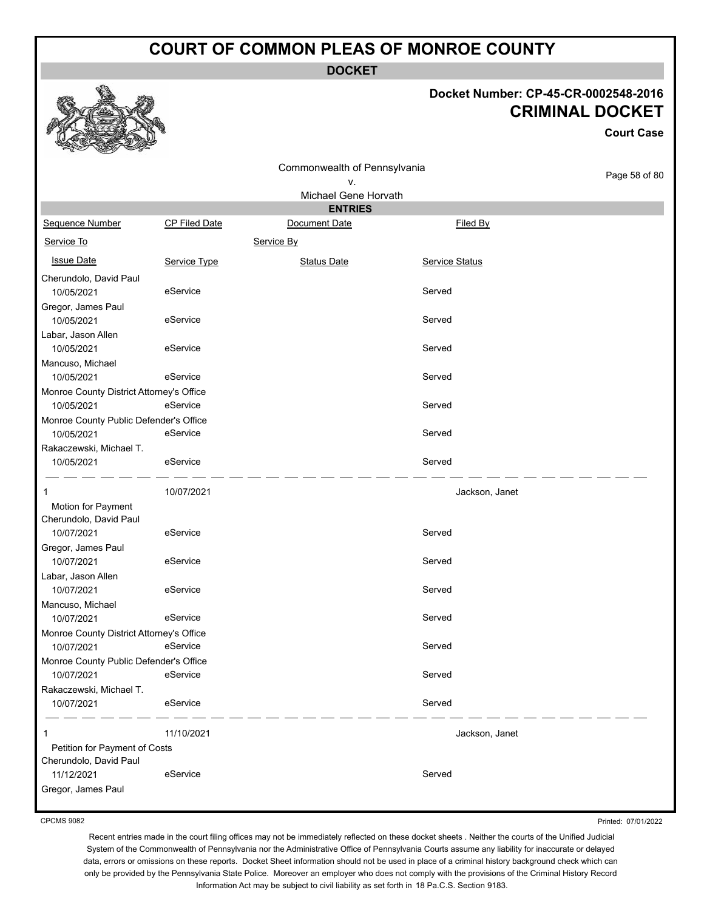**DOCKET**

#### **Docket Number: CP-45-CR-0002548-2016 CRIMINAL DOCKET**

**Court Case**

|                                                         |               | Commonwealth of Pennsylvania |                       |               |
|---------------------------------------------------------|---------------|------------------------------|-----------------------|---------------|
|                                                         |               | ٧.                           |                       | Page 58 of 80 |
|                                                         |               | Michael Gene Horvath         |                       |               |
|                                                         |               | <b>ENTRIES</b>               |                       |               |
| Sequence Number                                         | CP Filed Date | Document Date                | Filed By              |               |
| Service To                                              |               | Service By                   |                       |               |
| <b>Issue Date</b>                                       | Service Type  | <b>Status Date</b>           | <b>Service Status</b> |               |
| Cherundolo, David Paul<br>10/05/2021                    | eService      |                              | Served                |               |
| Gregor, James Paul<br>10/05/2021                        | eService      |                              | Served                |               |
| Labar, Jason Allen                                      |               |                              |                       |               |
| 10/05/2021                                              | eService      |                              | Served                |               |
| Mancuso, Michael<br>10/05/2021                          | eService      |                              | Served                |               |
| Monroe County District Attorney's Office                |               |                              |                       |               |
| 10/05/2021                                              | eService      |                              | Served                |               |
| Monroe County Public Defender's Office<br>10/05/2021    | eService      |                              | Served                |               |
| Rakaczewski, Michael T.                                 |               |                              |                       |               |
| 10/05/2021                                              | eService      |                              | Served                |               |
| 1                                                       | 10/07/2021    |                              | Jackson, Janet        |               |
| Motion for Payment                                      |               |                              |                       |               |
| Cherundolo, David Paul                                  |               |                              |                       |               |
| 10/07/2021                                              | eService      |                              | Served                |               |
| Gregor, James Paul                                      |               |                              |                       |               |
| 10/07/2021                                              | eService      |                              | Served                |               |
| Labar, Jason Allen                                      |               |                              |                       |               |
| 10/07/2021                                              | eService      |                              | Served                |               |
| Mancuso, Michael                                        |               |                              |                       |               |
| 10/07/2021                                              | eService      |                              | Served                |               |
| Monroe County District Attorney's Office                |               |                              |                       |               |
| 10/07/2021                                              | eService      |                              | Served                |               |
| Monroe County Public Defender's Office                  |               |                              |                       |               |
| 10/07/2021                                              | eService      |                              | Served                |               |
| Rakaczewski, Michael T.                                 |               |                              |                       |               |
| 10/07/2021                                              | eService      |                              | Served                |               |
| 1                                                       | 11/10/2021    |                              | Jackson, Janet        |               |
| Petition for Payment of Costs<br>Cherundolo, David Paul |               |                              |                       |               |
| 11/12/2021                                              | eService      |                              | Served                |               |
| Gregor, James Paul                                      |               |                              |                       |               |
|                                                         |               |                              |                       |               |

CPCMS 9082

Printed: 07/01/2022

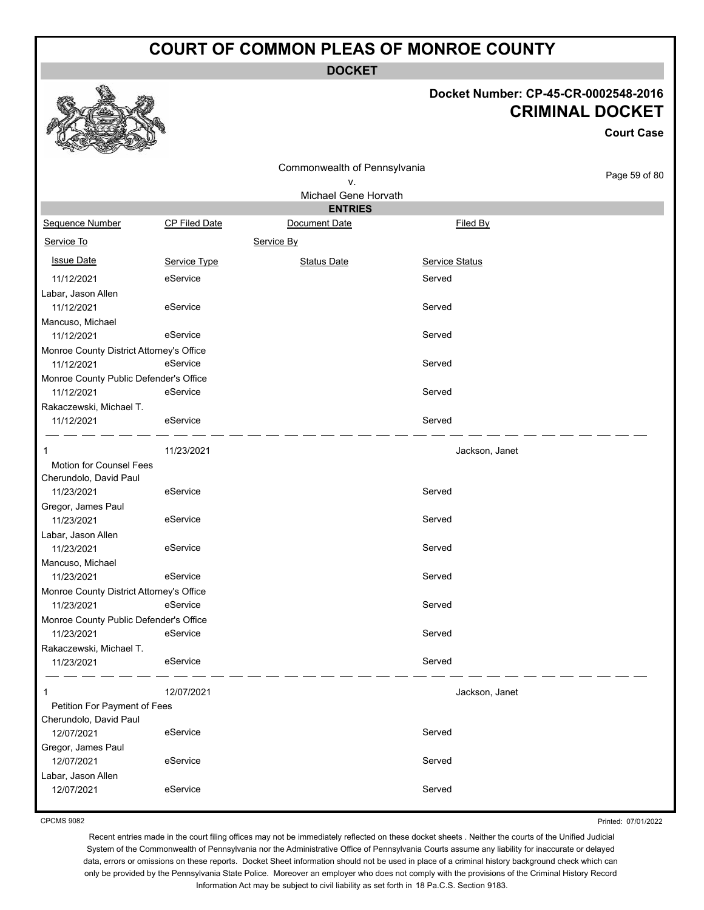**DOCKET**

#### **Docket Number: CP-45-CR-0002548-2016 CRIMINAL DOCKET**

**Court Case**

|                                                        |               | Commonwealth of Pennsylvania |                |               |
|--------------------------------------------------------|---------------|------------------------------|----------------|---------------|
|                                                        |               | ν.                           |                | Page 59 of 80 |
|                                                        |               | Michael Gene Horvath         |                |               |
|                                                        |               | <b>ENTRIES</b>               |                |               |
| Sequence Number                                        | CP Filed Date | Document Date                | Filed By       |               |
| Service To                                             |               | Service By                   |                |               |
| <b>Issue Date</b>                                      | Service Type  | <b>Status Date</b>           | Service Status |               |
| 11/12/2021                                             | eService      |                              | Served         |               |
| Labar, Jason Allen                                     |               |                              |                |               |
| 11/12/2021                                             | eService      |                              | Served         |               |
| Mancuso, Michael                                       |               |                              |                |               |
| 11/12/2021                                             | eService      |                              | Served         |               |
| Monroe County District Attorney's Office               |               |                              |                |               |
| 11/12/2021                                             | eService      |                              | Served         |               |
| Monroe County Public Defender's Office                 |               |                              |                |               |
| 11/12/2021                                             | eService      |                              | Served         |               |
| Rakaczewski, Michael T.                                |               |                              |                |               |
| 11/12/2021                                             | eService      |                              | Served         |               |
| 1                                                      | 11/23/2021    |                              | Jackson, Janet |               |
| <b>Motion for Counsel Fees</b>                         |               |                              |                |               |
| Cherundolo, David Paul                                 |               |                              |                |               |
| 11/23/2021                                             | eService      |                              | Served         |               |
| Gregor, James Paul                                     |               |                              |                |               |
| 11/23/2021                                             | eService      |                              | Served         |               |
| Labar, Jason Allen                                     |               |                              |                |               |
| 11/23/2021                                             | eService      |                              | Served         |               |
| Mancuso, Michael                                       | eService      |                              | Served         |               |
| 11/23/2021                                             |               |                              |                |               |
| Monroe County District Attorney's Office<br>11/23/2021 | eService      |                              | Served         |               |
| Monroe County Public Defender's Office                 |               |                              |                |               |
| 11/23/2021                                             | eService      |                              | Served         |               |
| Rakaczewski, Michael T.                                |               |                              |                |               |
| 11/23/2021                                             | eService      |                              | Served         |               |
|                                                        |               |                              |                |               |
| 1                                                      | 12/07/2021    |                              | Jackson, Janet |               |
| Petition For Payment of Fees<br>Cherundolo, David Paul |               |                              |                |               |
| 12/07/2021                                             | eService      |                              | Served         |               |
| Gregor, James Paul                                     |               |                              |                |               |
| 12/07/2021                                             | eService      |                              | Served         |               |
| Labar, Jason Allen                                     |               |                              |                |               |
| 12/07/2021                                             | eService      |                              | Served         |               |
|                                                        |               |                              |                |               |

CPCMS 9082

Printed: 07/01/2022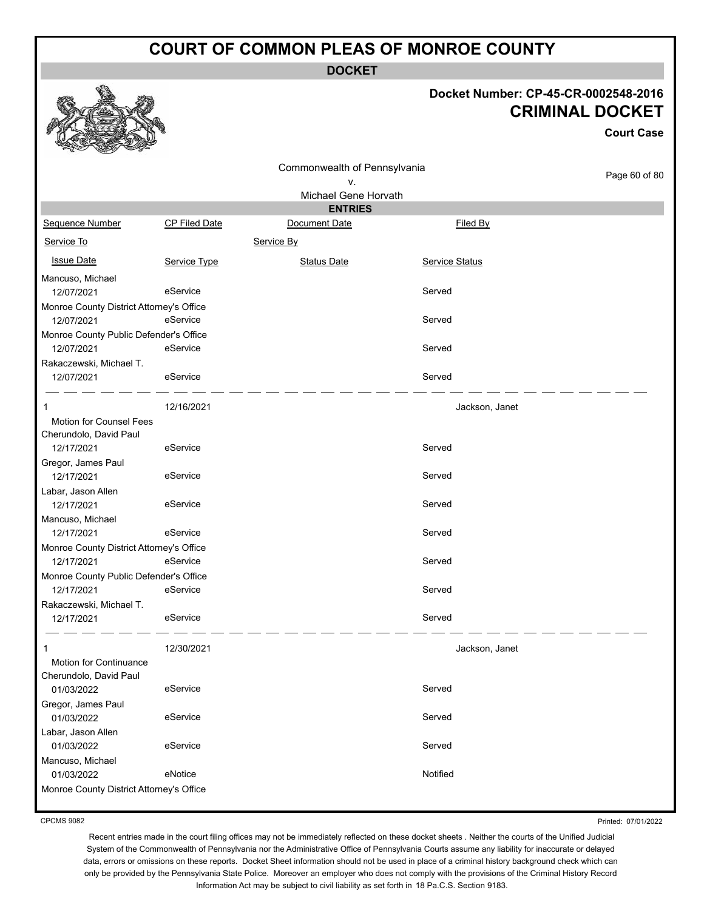**DOCKET**

#### **Docket Number: CP-45-CR-0002548-2016 CRIMINAL DOCKET**

|                                                        |                      |                                    |                       | <b>Court Case</b> |
|--------------------------------------------------------|----------------------|------------------------------------|-----------------------|-------------------|
|                                                        |                      | Commonwealth of Pennsylvania<br>ν. |                       | Page 60 of 80     |
|                                                        |                      | Michael Gene Horvath               |                       |                   |
|                                                        |                      | <b>ENTRIES</b>                     |                       |                   |
| Sequence Number                                        | <b>CP Filed Date</b> | Document Date                      | Filed By              |                   |
| Service To                                             |                      | Service By                         |                       |                   |
| <b>Issue Date</b>                                      | Service Type         | <b>Status Date</b>                 | <b>Service Status</b> |                   |
| Mancuso, Michael                                       |                      |                                    |                       |                   |
| 12/07/2021                                             | eService             |                                    | Served                |                   |
| Monroe County District Attorney's Office               |                      |                                    |                       |                   |
| 12/07/2021                                             | eService             |                                    | Served                |                   |
| Monroe County Public Defender's Office                 |                      |                                    |                       |                   |
| 12/07/2021                                             | eService             |                                    | Served                |                   |
| Rakaczewski, Michael T.                                |                      |                                    |                       |                   |
| 12/07/2021                                             | eService             |                                    | Served                |                   |
| 1                                                      | 12/16/2021           |                                    | Jackson, Janet        |                   |
| <b>Motion for Counsel Fees</b>                         |                      |                                    |                       |                   |
| Cherundolo, David Paul                                 |                      |                                    |                       |                   |
| 12/17/2021                                             | eService             |                                    | Served                |                   |
| Gregor, James Paul                                     |                      |                                    |                       |                   |
| 12/17/2021                                             | eService             |                                    | Served                |                   |
| Labar, Jason Allen                                     |                      |                                    |                       |                   |
| 12/17/2021                                             | eService             |                                    | Served                |                   |
| Mancuso, Michael                                       |                      |                                    |                       |                   |
| 12/17/2021                                             | eService             |                                    | Served                |                   |
| Monroe County District Attorney's Office<br>12/17/2021 | eService             |                                    | Served                |                   |
| Monroe County Public Defender's Office                 |                      |                                    |                       |                   |
| 12/17/2021                                             | eService             |                                    | Served                |                   |
| Rakaczewski, Michael T.                                |                      |                                    |                       |                   |
| 12/17/2021                                             | eService             |                                    | Served                |                   |
|                                                        |                      |                                    |                       |                   |
| 1                                                      | 12/30/2021           |                                    | Jackson, Janet        |                   |
| Motion for Continuance                                 |                      |                                    |                       |                   |
| Cherundolo, David Paul<br>01/03/2022                   | eService             |                                    | Served                |                   |
| Gregor, James Paul                                     |                      |                                    |                       |                   |
| 01/03/2022                                             | eService             |                                    | Served                |                   |
| Labar, Jason Allen                                     |                      |                                    |                       |                   |
| 01/03/2022                                             | eService             |                                    | Served                |                   |
| Mancuso, Michael                                       |                      |                                    |                       |                   |
| 01/03/2022                                             | eNotice              |                                    | Notified              |                   |
| Monroe County District Attorney's Office               |                      |                                    |                       |                   |

CPCMS 9082

Printed: 07/01/2022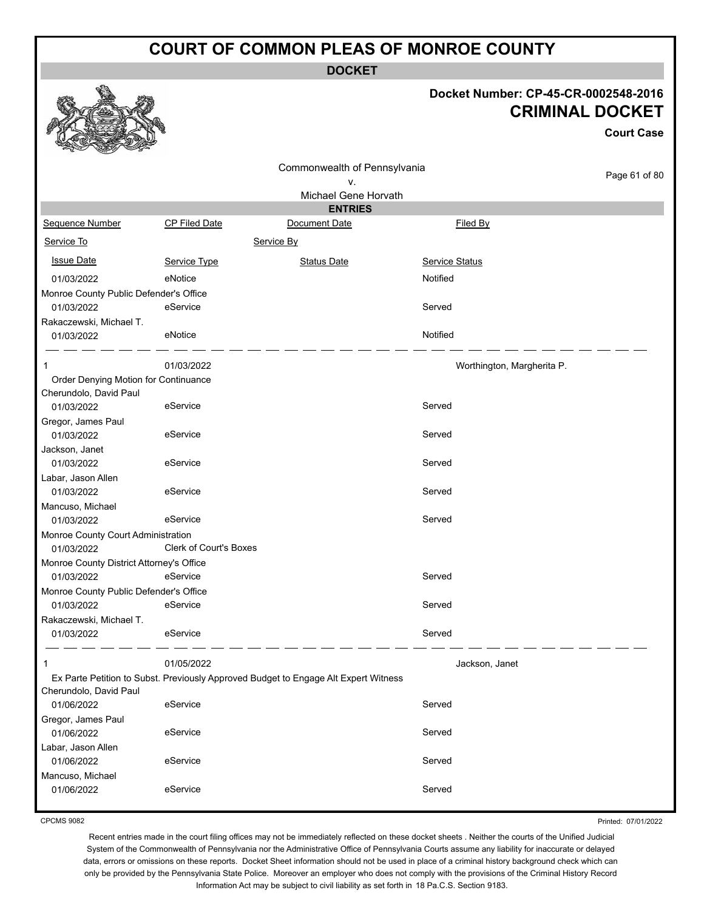**DOCKET**

#### **Docket Number: CP-45-CR-0002548-2016 CKET**

**Court Case**

61 of 80

|                                                  |                               |                                                                                     | Docket Number: CP-45-CR-000254 | <b>CRIMINAL DOC</b> |
|--------------------------------------------------|-------------------------------|-------------------------------------------------------------------------------------|--------------------------------|---------------------|
|                                                  |                               |                                                                                     |                                | Cou                 |
|                                                  |                               | Commonwealth of Pennsylvania                                                        |                                |                     |
|                                                  |                               | ν.                                                                                  |                                | Page                |
|                                                  |                               | Michael Gene Horvath                                                                |                                |                     |
|                                                  |                               | <b>ENTRIES</b>                                                                      |                                |                     |
| Sequence Number                                  | <b>CP Filed Date</b>          | Document Date                                                                       | <b>Filed By</b>                |                     |
| Service To                                       |                               | Service By                                                                          |                                |                     |
| <b>Issue Date</b>                                | Service Type                  | <b>Status Date</b>                                                                  | <b>Service Status</b>          |                     |
| 01/03/2022                                       | eNotice                       |                                                                                     | Notified                       |                     |
| Monroe County Public Defender's Office           |                               |                                                                                     |                                |                     |
| 01/03/2022                                       | eService                      |                                                                                     | Served                         |                     |
| Rakaczewski, Michael T.                          |                               |                                                                                     |                                |                     |
| 01/03/2022                                       | eNotice                       |                                                                                     | Notified                       |                     |
| 1                                                | 01/03/2022                    |                                                                                     | Worthington, Margherita P.     |                     |
| Order Denying Motion for Continuance             |                               |                                                                                     |                                |                     |
| Cherundolo, David Paul                           |                               |                                                                                     |                                |                     |
| 01/03/2022                                       | eService                      |                                                                                     | Served                         |                     |
| Gregor, James Paul                               |                               |                                                                                     |                                |                     |
| 01/03/2022                                       | eService                      |                                                                                     | Served                         |                     |
| Jackson, Janet                                   |                               |                                                                                     |                                |                     |
| 01/03/2022                                       | eService                      |                                                                                     | Served                         |                     |
| Labar, Jason Allen                               |                               |                                                                                     |                                |                     |
| 01/03/2022                                       | eService                      |                                                                                     | Served                         |                     |
| Mancuso, Michael                                 |                               |                                                                                     |                                |                     |
| 01/03/2022                                       | eService                      |                                                                                     | Served                         |                     |
| Monroe County Court Administration<br>01/03/2022 | <b>Clerk of Court's Boxes</b> |                                                                                     |                                |                     |
| Monroe County District Attorney's Office         |                               |                                                                                     |                                |                     |
| 01/03/2022                                       | eService                      |                                                                                     | Served                         |                     |
| Monroe County Public Defender's Office           |                               |                                                                                     |                                |                     |
| 01/03/2022                                       | eService                      |                                                                                     | Served                         |                     |
| Rakaczewski, Michael T.                          |                               |                                                                                     |                                |                     |
| 01/03/2022                                       | eService                      |                                                                                     | Served                         |                     |
| 1                                                | 01/05/2022                    |                                                                                     | Jackson, Janet                 |                     |
|                                                  |                               | Ex Parte Petition to Subst. Previously Approved Budget to Engage Alt Expert Witness |                                |                     |
| Cherundolo, David Paul                           |                               |                                                                                     |                                |                     |
| 01/06/2022                                       | eService                      |                                                                                     | Served                         |                     |
| Gregor, James Paul                               |                               |                                                                                     |                                |                     |
| 01/06/2022                                       | eService                      |                                                                                     | Served                         |                     |
| Labar, Jason Allen                               |                               |                                                                                     |                                |                     |
| 01/06/2022                                       | eService                      |                                                                                     | Served                         |                     |
| Mancuso, Michael                                 |                               |                                                                                     |                                |                     |
| 01/06/2022                                       | eService                      |                                                                                     | Served                         |                     |

CPCMS 9082

Printed: 07/01/2022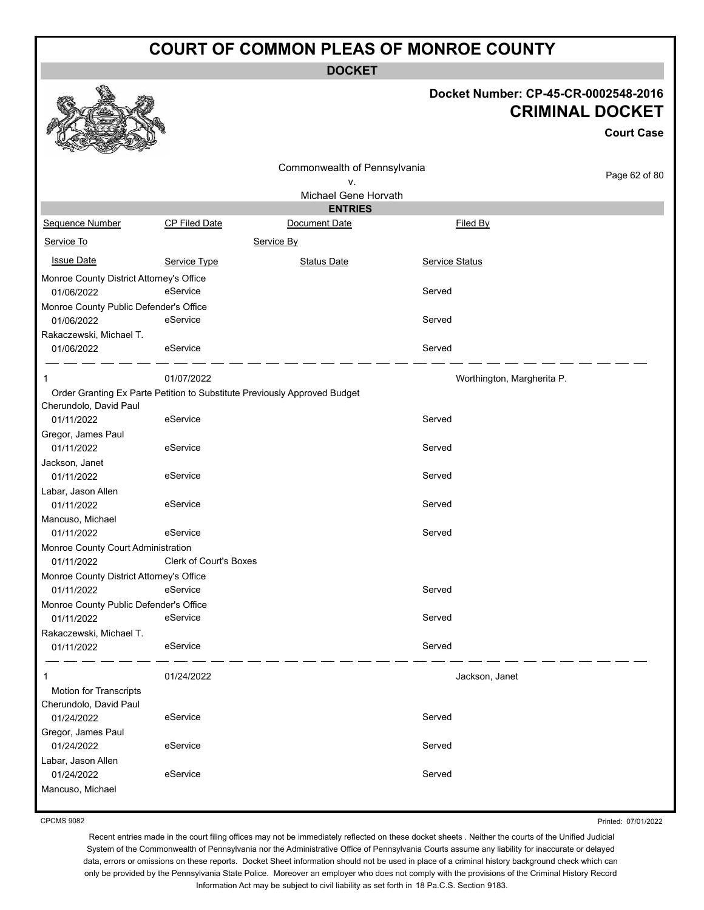**DOCKET**

#### **Docket Number: CP-45-CR-0002548-2016 CRIMINAL DOCKET**

|                                                        |                               |                                                                           |                            | <b>Court Case</b> |
|--------------------------------------------------------|-------------------------------|---------------------------------------------------------------------------|----------------------------|-------------------|
|                                                        |                               | Commonwealth of Pennsylvania<br>v.                                        |                            | Page 62 of 80     |
|                                                        |                               | Michael Gene Horvath                                                      |                            |                   |
|                                                        |                               | <b>ENTRIES</b>                                                            |                            |                   |
| Sequence Number                                        | <b>CP Filed Date</b>          | Document Date                                                             | Filed By                   |                   |
| Service To                                             |                               | Service By                                                                |                            |                   |
| <b>Issue Date</b>                                      | Service Type                  | <b>Status Date</b>                                                        | Service Status             |                   |
| Monroe County District Attorney's Office<br>01/06/2022 | eService                      |                                                                           | Served                     |                   |
| Monroe County Public Defender's Office<br>01/06/2022   | eService                      |                                                                           | Served                     |                   |
| Rakaczewski, Michael T.<br>01/06/2022                  | eService                      |                                                                           | Served                     |                   |
| 1                                                      | 01/07/2022                    |                                                                           | Worthington, Margherita P. |                   |
| Cherundolo, David Paul                                 |                               | Order Granting Ex Parte Petition to Substitute Previously Approved Budget |                            |                   |
| 01/11/2022                                             | eService                      |                                                                           | Served                     |                   |
| Gregor, James Paul<br>01/11/2022                       | eService                      |                                                                           | Served                     |                   |
| Jackson, Janet<br>01/11/2022                           | eService                      |                                                                           | Served                     |                   |
| Labar, Jason Allen<br>01/11/2022                       | eService                      |                                                                           | Served                     |                   |
| Mancuso, Michael<br>01/11/2022                         | eService                      |                                                                           | Served                     |                   |
| Monroe County Court Administration                     |                               |                                                                           |                            |                   |
| 01/11/2022                                             | <b>Clerk of Court's Boxes</b> |                                                                           |                            |                   |
| Monroe County District Attorney's Office               |                               |                                                                           |                            |                   |
| 01/11/2022<br>Monroe County Public Defender's Office   | eService                      |                                                                           | Served                     |                   |
| 01/11/2022                                             | eService                      |                                                                           | Served                     |                   |
| Rakaczewski, Michael T.                                |                               |                                                                           |                            |                   |
| 01/11/2022                                             | eService                      |                                                                           | Served                     |                   |
| 1                                                      | 01/24/2022                    |                                                                           | Jackson, Janet             |                   |
| <b>Motion for Transcripts</b>                          |                               |                                                                           |                            |                   |
| Cherundolo, David Paul                                 | eService                      |                                                                           | Served                     |                   |
| 01/24/2022                                             |                               |                                                                           |                            |                   |
| Gregor, James Paul<br>01/24/2022                       | eService                      |                                                                           | Served                     |                   |
| Labar, Jason Allen                                     |                               |                                                                           |                            |                   |
| 01/24/2022                                             | eService                      |                                                                           | Served                     |                   |
| Mancuso, Michael                                       |                               |                                                                           |                            |                   |

CPCMS 9082

Recent entries made in the court filing offices may not be immediately reflected on these docket sheets . Neither the courts of the Unified Judicial System of the Commonwealth of Pennsylvania nor the Administrative Office of Pennsylvania Courts assume any liability for inaccurate or delayed data, errors or omissions on these reports. Docket Sheet information should not be used in place of a criminal history background check which can only be provided by the Pennsylvania State Police. Moreover an employer who does not comply with the provisions of the Criminal History Record Information Act may be subject to civil liability as set forth in 18 Pa.C.S. Section 9183.

Printed: 07/01/2022

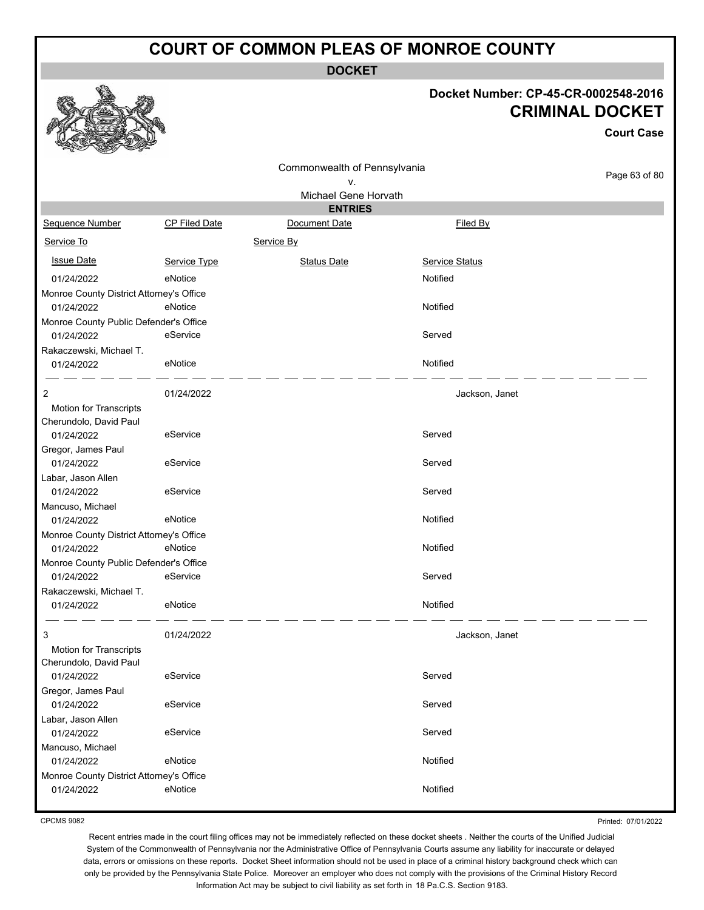**DOCKET**

#### **Docket Number: CP-45-CR-0002548-2016 CRIMINAL DOCKET**

**Court Case**

|                                          |                      | Commonwealth of Pennsylvania |                       |               |
|------------------------------------------|----------------------|------------------------------|-----------------------|---------------|
|                                          |                      | ۷.                           |                       | Page 63 of 80 |
|                                          |                      | Michael Gene Horvath         |                       |               |
|                                          |                      | <b>ENTRIES</b>               |                       |               |
| Sequence Number                          | <b>CP Filed Date</b> | Document Date                | Filed By              |               |
| Service To                               |                      | Service By                   |                       |               |
| <b>Issue Date</b>                        | Service Type         | <b>Status Date</b>           | <b>Service Status</b> |               |
| 01/24/2022                               | eNotice              |                              | Notified              |               |
| Monroe County District Attorney's Office |                      |                              |                       |               |
| 01/24/2022                               | eNotice              |                              | Notified              |               |
| Monroe County Public Defender's Office   |                      |                              |                       |               |
| 01/24/2022                               | eService             |                              | Served                |               |
| Rakaczewski, Michael T.                  |                      |                              |                       |               |
| 01/24/2022                               | eNotice              |                              | Notified              |               |
| 2                                        | 01/24/2022           |                              | Jackson, Janet        |               |
| Motion for Transcripts                   |                      |                              |                       |               |
| Cherundolo, David Paul                   |                      |                              |                       |               |
| 01/24/2022                               | eService             |                              | Served                |               |
| Gregor, James Paul                       |                      |                              |                       |               |
| 01/24/2022                               | eService             |                              | Served                |               |
| Labar, Jason Allen                       |                      |                              |                       |               |
| 01/24/2022                               | eService             |                              | Served                |               |
| Mancuso, Michael                         |                      |                              |                       |               |
| 01/24/2022                               | eNotice              |                              | Notified              |               |
| Monroe County District Attorney's Office |                      |                              |                       |               |
| 01/24/2022                               | eNotice              |                              | Notified              |               |
| Monroe County Public Defender's Office   |                      |                              |                       |               |
| 01/24/2022                               | eService             |                              | Served                |               |
| Rakaczewski, Michael T.                  |                      |                              |                       |               |
| 01/24/2022                               | eNotice              |                              | Notified              |               |
| 3                                        | 01/24/2022           |                              | Jackson, Janet        |               |
| Motion for Transcripts                   |                      |                              |                       |               |
| Cherundolo, David Paul                   |                      |                              |                       |               |
| 01/24/2022                               | eService             |                              | Served                |               |
| Gregor, James Paul                       |                      |                              |                       |               |
| 01/24/2022                               | eService             |                              | Served                |               |
| Labar, Jason Allen                       |                      |                              |                       |               |
| 01/24/2022                               | eService             |                              | Served                |               |
| Mancuso, Michael                         |                      |                              |                       |               |
| 01/24/2022                               | eNotice              |                              | Notified              |               |
| Monroe County District Attorney's Office |                      |                              |                       |               |
| 01/24/2022                               | eNotice              |                              | Notified              |               |

CPCMS 9082

Printed: 07/01/2022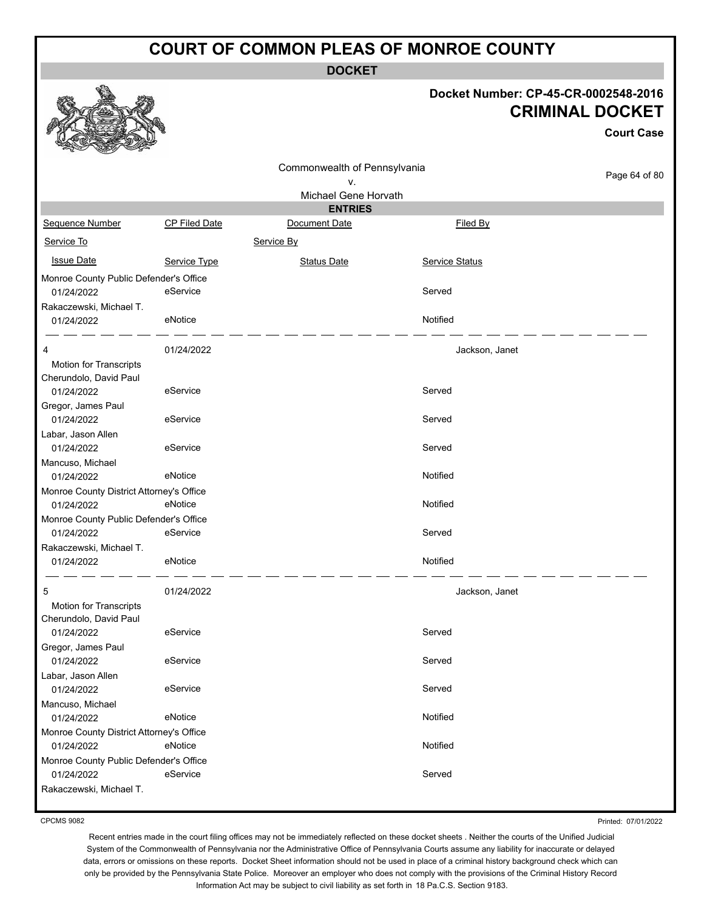**DOCKET**

| Docket Number: CP-45-CR-0002548-2016 |
|--------------------------------------|
| <b>CRIMINAL DOCKET</b>               |

**Court Case**

|                                          |               |                              |                       | <b>Court Case</b> |
|------------------------------------------|---------------|------------------------------|-----------------------|-------------------|
|                                          |               | Commonwealth of Pennsylvania |                       |                   |
|                                          |               | v.                           |                       | Page 64 of 80     |
|                                          |               | Michael Gene Horvath         |                       |                   |
|                                          |               | <b>ENTRIES</b>               |                       |                   |
| Sequence Number                          | CP Filed Date | Document Date                | Filed By              |                   |
| Service To                               |               | Service By                   |                       |                   |
| <b>Issue Date</b>                        | Service Type  | <b>Status Date</b>           | <b>Service Status</b> |                   |
| Monroe County Public Defender's Office   |               |                              |                       |                   |
| 01/24/2022                               | eService      |                              | Served                |                   |
| Rakaczewski, Michael T.                  | eNotice       |                              | Notified              |                   |
| 01/24/2022                               |               |                              |                       |                   |
| 4                                        | 01/24/2022    |                              | Jackson, Janet        |                   |
| Motion for Transcripts                   |               |                              |                       |                   |
| Cherundolo, David Paul                   |               |                              |                       |                   |
| 01/24/2022                               | eService      |                              | Served                |                   |
| Gregor, James Paul                       |               |                              |                       |                   |
| 01/24/2022                               | eService      |                              | Served                |                   |
| Labar, Jason Allen<br>01/24/2022         | eService      |                              | Served                |                   |
| Mancuso, Michael                         |               |                              |                       |                   |
| 01/24/2022                               | eNotice       |                              | Notified              |                   |
| Monroe County District Attorney's Office |               |                              |                       |                   |
| 01/24/2022                               | eNotice       |                              | Notified              |                   |
| Monroe County Public Defender's Office   |               |                              |                       |                   |
| 01/24/2022                               | eService      |                              | Served                |                   |
| Rakaczewski, Michael T.                  |               |                              |                       |                   |
| 01/24/2022                               | eNotice       |                              | Notified              |                   |
| 5                                        | 01/24/2022    |                              | Jackson, Janet        |                   |
| Motion for Transcripts                   |               |                              |                       |                   |
| Cherundolo, David Paul                   |               |                              |                       |                   |
| 01/24/2022                               | eService      |                              | Served                |                   |
| Gregor, James Paul                       |               |                              |                       |                   |
| 01/24/2022                               | eService      |                              | Served                |                   |
| Labar, Jason Allen                       |               |                              |                       |                   |
| 01/24/2022<br>Mancuso, Michael           | eService      |                              | Served                |                   |
| 01/24/2022                               | eNotice       |                              | Notified              |                   |
| Monroe County District Attorney's Office |               |                              |                       |                   |
| 01/24/2022                               | eNotice       |                              | Notified              |                   |
| Monroe County Public Defender's Office   |               |                              |                       |                   |
| 01/24/2022                               | eService      |                              | Served                |                   |
| Rakaczewski, Michael T.                  |               |                              |                       |                   |

CPCMS 9082

Printed: 07/01/2022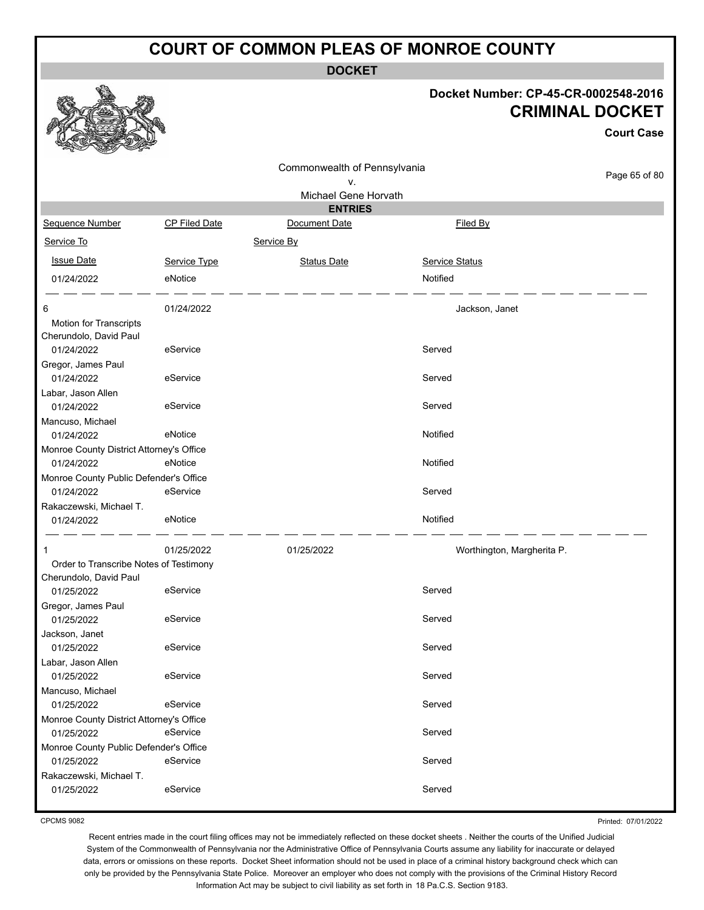**DOCKET**

#### **Docket Number: CP-45-CR-0002548-2016 CRIMINAL DOCKET**

**Court Case**

| v<br><b>Change of Contract of South Property</b><br>$-2$ |               |                              |                            |               |  |  |
|----------------------------------------------------------|---------------|------------------------------|----------------------------|---------------|--|--|
|                                                          |               | Commonwealth of Pennsylvania |                            |               |  |  |
|                                                          |               | ٧.                           |                            | Page 65 of 80 |  |  |
| Michael Gene Horvath                                     |               |                              |                            |               |  |  |
|                                                          |               | <b>ENTRIES</b>               |                            |               |  |  |
| Sequence Number                                          | CP Filed Date | Document Date                | Filed By                   |               |  |  |
| Service To                                               |               | Service By                   |                            |               |  |  |
| <b>Issue Date</b>                                        | Service Type  | <b>Status Date</b>           | <b>Service Status</b>      |               |  |  |
| 01/24/2022                                               | eNotice       |                              | Notified                   |               |  |  |
| 6                                                        | 01/24/2022    |                              | Jackson, Janet             |               |  |  |
| Motion for Transcripts                                   |               |                              |                            |               |  |  |
| Cherundolo, David Paul                                   |               |                              |                            |               |  |  |
| 01/24/2022                                               | eService      |                              | Served                     |               |  |  |
| Gregor, James Paul                                       |               |                              |                            |               |  |  |
| 01/24/2022                                               | eService      |                              | Served                     |               |  |  |
| Labar, Jason Allen                                       |               |                              |                            |               |  |  |
| 01/24/2022                                               | eService      |                              | Served                     |               |  |  |
| Mancuso, Michael<br>01/24/2022                           | eNotice       |                              | Notified                   |               |  |  |
| Monroe County District Attorney's Office                 |               |                              |                            |               |  |  |
| 01/24/2022                                               | eNotice       |                              | Notified                   |               |  |  |
| Monroe County Public Defender's Office                   |               |                              |                            |               |  |  |
| 01/24/2022                                               | eService      |                              | Served                     |               |  |  |
| Rakaczewski, Michael T.                                  |               |                              |                            |               |  |  |
| 01/24/2022                                               | eNotice       |                              | Notified                   |               |  |  |
| 1                                                        | 01/25/2022    | 01/25/2022                   | Worthington, Margherita P. |               |  |  |
| Order to Transcribe Notes of Testimony                   |               |                              |                            |               |  |  |
| Cherundolo, David Paul                                   |               |                              |                            |               |  |  |
| 01/25/2022                                               | eService      |                              | Served                     |               |  |  |
| Gregor, James Paul                                       |               |                              |                            |               |  |  |
| 01/25/2022                                               | eService      |                              | Served                     |               |  |  |
| Jackson, Janet                                           |               |                              | Served                     |               |  |  |
| 01/25/2022                                               | eService      |                              |                            |               |  |  |
| Labar, Jason Allen<br>01/25/2022                         | eService      |                              | Served                     |               |  |  |
| Mancuso, Michael                                         |               |                              |                            |               |  |  |
| 01/25/2022                                               | eService      |                              | Served                     |               |  |  |
| Monroe County District Attorney's Office                 |               |                              |                            |               |  |  |
| 01/25/2022                                               | eService      |                              | Served                     |               |  |  |
| Monroe County Public Defender's Office                   |               |                              |                            |               |  |  |
| 01/25/2022                                               | eService      |                              | Served                     |               |  |  |
| Rakaczewski, Michael T.                                  |               |                              |                            |               |  |  |
| 01/25/2022                                               | eService      |                              | Served                     |               |  |  |
|                                                          |               |                              |                            |               |  |  |

CPCMS 9082

Printed: 07/01/2022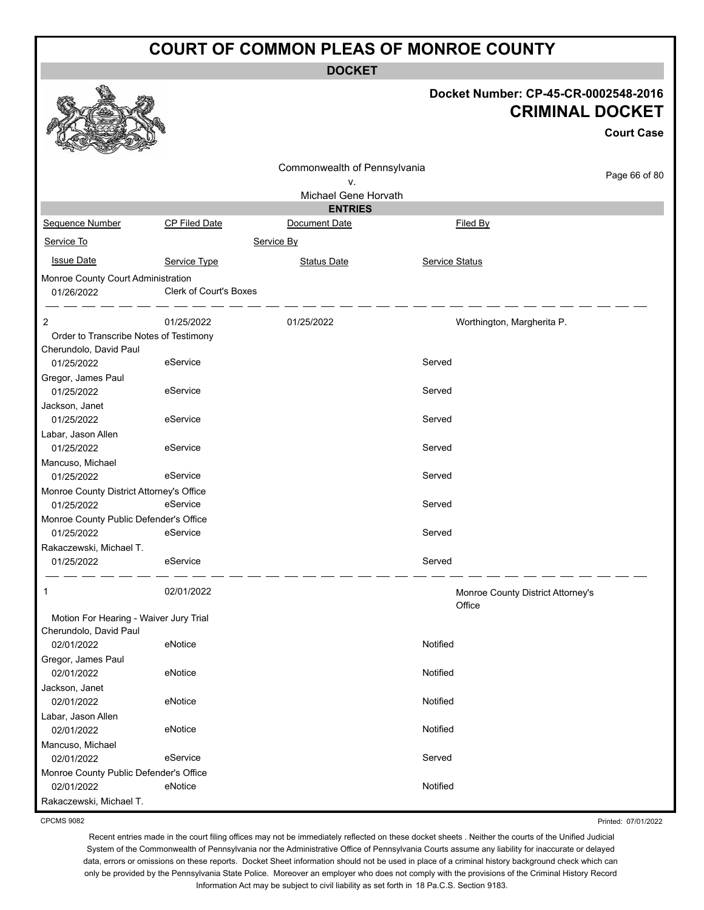**DOCKET**

|                                          |                        | ו שטש                        |                            |                                                                                     |
|------------------------------------------|------------------------|------------------------------|----------------------------|-------------------------------------------------------------------------------------|
|                                          |                        |                              |                            | Docket Number: CP-45-CR-0002548-2016<br><b>CRIMINAL DOCKET</b><br><b>Court Case</b> |
|                                          |                        | Commonwealth of Pennsylvania |                            |                                                                                     |
|                                          |                        | ٧.                           |                            | Page 66 of 80                                                                       |
|                                          |                        | Michael Gene Horvath         |                            |                                                                                     |
|                                          |                        | <b>ENTRIES</b>               |                            |                                                                                     |
| Sequence Number                          | <b>CP Filed Date</b>   | Document Date                | Filed By                   |                                                                                     |
| Service To                               |                        | Service By                   |                            |                                                                                     |
| <b>Issue Date</b>                        | Service Type           | <b>Status Date</b>           | <b>Service Status</b>      |                                                                                     |
| Monroe County Court Administration       |                        |                              |                            |                                                                                     |
| 01/26/2022                               | Clerk of Court's Boxes |                              |                            |                                                                                     |
|                                          |                        |                              |                            |                                                                                     |
| 2                                        | 01/25/2022             | 01/25/2022                   | Worthington, Margherita P. |                                                                                     |
| Order to Transcribe Notes of Testimony   |                        |                              |                            |                                                                                     |
| Cherundolo, David Paul                   |                        |                              |                            |                                                                                     |
| 01/25/2022                               | eService               |                              | Served                     |                                                                                     |
| Gregor, James Paul                       |                        |                              |                            |                                                                                     |
| 01/25/2022                               | eService               |                              | Served                     |                                                                                     |
| Jackson, Janet<br>01/25/2022             | eService               |                              | Served                     |                                                                                     |
| Labar, Jason Allen                       |                        |                              |                            |                                                                                     |
| 01/25/2022                               | eService               |                              | Served                     |                                                                                     |
| Mancuso, Michael                         |                        |                              |                            |                                                                                     |
| 01/25/2022                               | eService               |                              | Served                     |                                                                                     |
| Monroe County District Attorney's Office |                        |                              |                            |                                                                                     |
| 01/25/2022                               | eService               |                              | Served                     |                                                                                     |
| Monroe County Public Defender's Office   |                        |                              |                            |                                                                                     |
| 01/25/2022                               | eService               |                              | Served                     |                                                                                     |
| Rakaczewski, Michael T.                  |                        |                              |                            |                                                                                     |
| 01/25/2022                               | eService               |                              | Served                     |                                                                                     |
| 1                                        | 02/01/2022             |                              | Office                     | Monroe County District Attorney's                                                   |
| Motion For Hearing - Waiver Jury Trial   |                        |                              |                            |                                                                                     |
| Cherundolo, David Paul                   |                        |                              |                            |                                                                                     |
| 02/01/2022                               | eNotice                |                              | Notified                   |                                                                                     |
| Gregor, James Paul<br>02/01/2022         | eNotice                |                              | Notified                   |                                                                                     |
| Jackson, Janet                           |                        |                              |                            |                                                                                     |
| 02/01/2022                               | eNotice                |                              | Notified                   |                                                                                     |
| Labar, Jason Allen                       |                        |                              |                            |                                                                                     |
| 02/01/2022                               | eNotice                |                              | Notified                   |                                                                                     |
| Mancuso, Michael                         |                        |                              |                            |                                                                                     |
| 02/01/2022                               | eService               |                              | Served                     |                                                                                     |
| Monroe County Public Defender's Office   |                        |                              |                            |                                                                                     |
| 02/01/2022                               | eNotice                |                              | Notified                   |                                                                                     |
| Rakaczewski, Michael T.                  |                        |                              |                            |                                                                                     |

CPCMS 9082

Recent entries made in the court filing offices may not be immediately reflected on these docket sheets . Neither the courts of the Unified Judicial System of the Commonwealth of Pennsylvania nor the Administrative Office of Pennsylvania Courts assume any liability for inaccurate or delayed data, errors or omissions on these reports. Docket Sheet information should not be used in place of a criminal history background check which can only be provided by the Pennsylvania State Police. Moreover an employer who does not comply with the provisions of the Criminal History Record Information Act may be subject to civil liability as set forth in 18 Pa.C.S. Section 9183.

Printed: 07/01/2022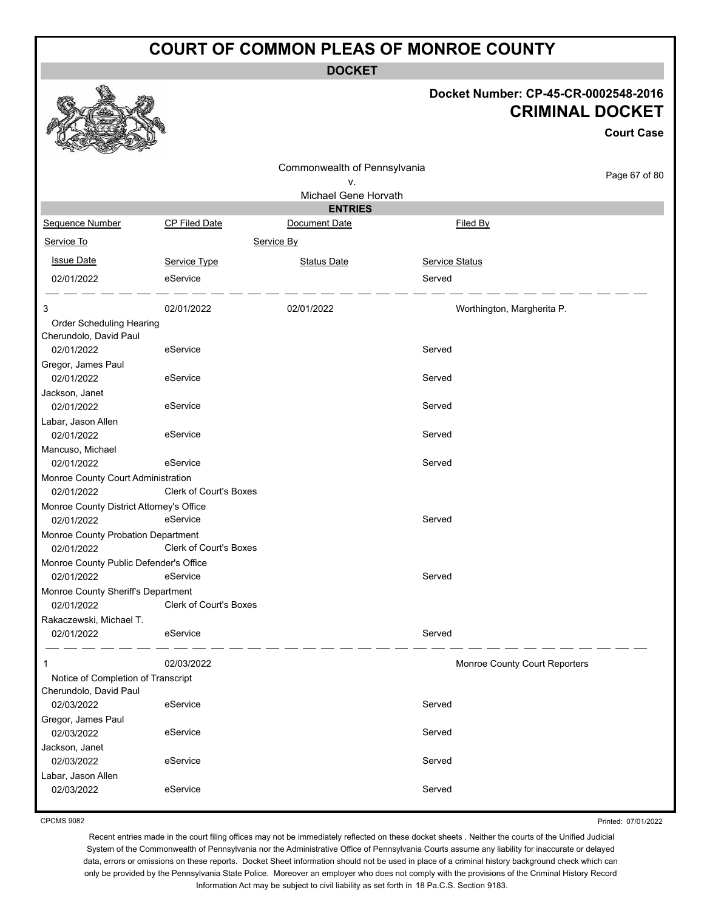**DOCKET**

#### **Docket Number: CP-45-CR-0002548-2016 CRIMINAL DOCKET**

**Court Case**

| ឃ<br><b>Contract of Second Second</b><br>All Property |                               |                              |                |                               |  |  |
|-------------------------------------------------------|-------------------------------|------------------------------|----------------|-------------------------------|--|--|
|                                                       |                               | Commonwealth of Pennsylvania |                |                               |  |  |
|                                                       |                               | ٧.                           |                | Page 67 of 80                 |  |  |
| Michael Gene Horvath                                  |                               |                              |                |                               |  |  |
|                                                       |                               | <b>ENTRIES</b>               |                |                               |  |  |
| Sequence Number                                       | <b>CP Filed Date</b>          | Document Date                | Filed By       |                               |  |  |
| Service To                                            |                               | Service By                   |                |                               |  |  |
| <b>Issue Date</b>                                     | Service Type                  | <b>Status Date</b>           | Service Status |                               |  |  |
| 02/01/2022                                            | eService                      |                              | Served         |                               |  |  |
| 3                                                     | 02/01/2022                    | 02/01/2022                   |                | Worthington, Margherita P.    |  |  |
| Order Scheduling Hearing                              |                               |                              |                |                               |  |  |
| Cherundolo, David Paul                                |                               |                              |                |                               |  |  |
| 02/01/2022                                            | eService                      |                              | Served         |                               |  |  |
| Gregor, James Paul                                    |                               |                              |                |                               |  |  |
| 02/01/2022                                            | eService                      |                              | Served         |                               |  |  |
| Jackson, Janet                                        |                               |                              |                |                               |  |  |
| 02/01/2022                                            | eService                      |                              | Served         |                               |  |  |
| Labar, Jason Allen                                    |                               |                              |                |                               |  |  |
| 02/01/2022                                            | eService                      |                              | Served         |                               |  |  |
| Mancuso, Michael                                      |                               |                              |                |                               |  |  |
| 02/01/2022                                            | eService                      |                              | Served         |                               |  |  |
| Monroe County Court Administration                    |                               |                              |                |                               |  |  |
| 02/01/2022                                            | <b>Clerk of Court's Boxes</b> |                              |                |                               |  |  |
| Monroe County District Attorney's Office              |                               |                              |                |                               |  |  |
| 02/01/2022                                            | eService                      |                              | Served         |                               |  |  |
| Monroe County Probation Department<br>02/01/2022      | <b>Clerk of Court's Boxes</b> |                              |                |                               |  |  |
|                                                       |                               |                              |                |                               |  |  |
| Monroe County Public Defender's Office<br>02/01/2022  | eService                      |                              | Served         |                               |  |  |
| Monroe County Sheriff's Department                    |                               |                              |                |                               |  |  |
| 02/01/2022                                            | <b>Clerk of Court's Boxes</b> |                              |                |                               |  |  |
| Rakaczewski, Michael T.                               |                               |                              |                |                               |  |  |
| 02/01/2022                                            | eService                      |                              | Served         |                               |  |  |
|                                                       | 02/03/2022                    |                              |                | Monroe County Court Reporters |  |  |
| Notice of Completion of Transcript                    |                               |                              |                |                               |  |  |
| Cherundolo, David Paul                                |                               |                              |                |                               |  |  |
| 02/03/2022                                            | eService                      |                              | Served         |                               |  |  |
| Gregor, James Paul                                    |                               |                              |                |                               |  |  |
| 02/03/2022                                            | eService                      |                              | Served         |                               |  |  |
| Jackson, Janet                                        |                               |                              |                |                               |  |  |
| 02/03/2022                                            | eService                      |                              | Served         |                               |  |  |
| Labar, Jason Allen                                    |                               |                              |                |                               |  |  |
| 02/03/2022                                            | eService                      |                              | Served         |                               |  |  |

CPCMS 9082

Printed: 07/01/2022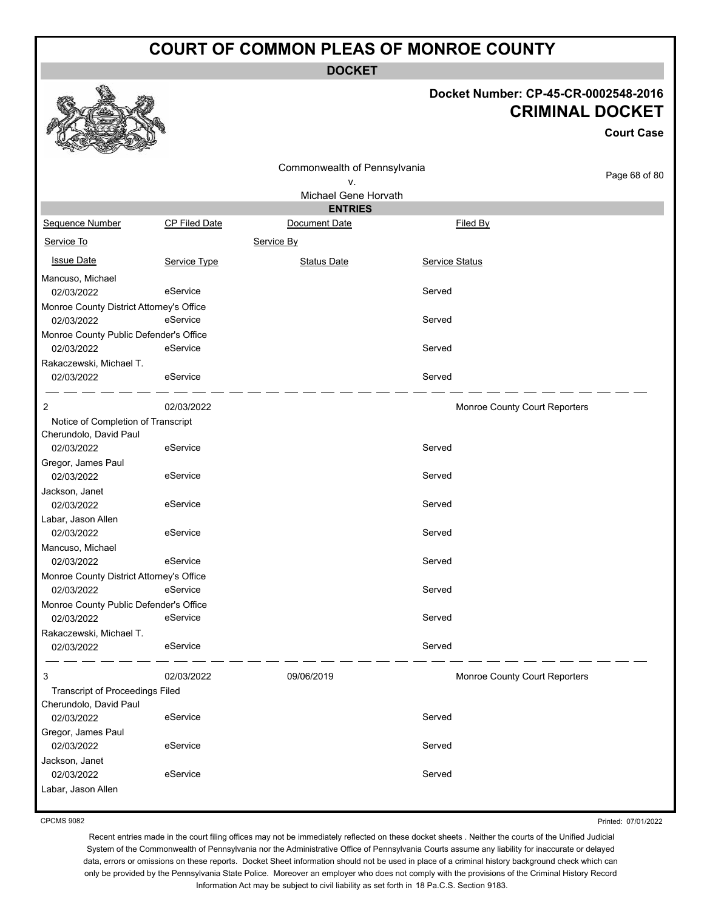**DOCKET**

#### **Docket Number: CP-45-CR-0002548-2016 CRIMINAL DOCKET**

**Court Case**

|                                          |               | Commonwealth of Pennsylvania |                               |               |
|------------------------------------------|---------------|------------------------------|-------------------------------|---------------|
|                                          |               | v.                           |                               | Page 68 of 80 |
|                                          |               | Michael Gene Horvath         |                               |               |
|                                          |               | <b>ENTRIES</b>               |                               |               |
| Sequence Number                          | CP Filed Date | Document Date                | Filed By                      |               |
| Service To                               |               | Service By                   |                               |               |
| <b>Issue Date</b>                        | Service Type  | <b>Status Date</b>           | <b>Service Status</b>         |               |
| Mancuso, Michael                         |               |                              |                               |               |
| 02/03/2022                               | eService      |                              | Served                        |               |
| Monroe County District Attorney's Office |               |                              |                               |               |
| 02/03/2022                               | eService      |                              | Served                        |               |
| Monroe County Public Defender's Office   |               |                              |                               |               |
| 02/03/2022                               | eService      |                              | Served                        |               |
| Rakaczewski, Michael T.                  |               |                              |                               |               |
| 02/03/2022                               | eService      |                              | Served                        |               |
| 2                                        | 02/03/2022    |                              | Monroe County Court Reporters |               |
| Notice of Completion of Transcript       |               |                              |                               |               |
| Cherundolo, David Paul                   |               |                              |                               |               |
| 02/03/2022                               | eService      |                              | Served                        |               |
| Gregor, James Paul                       |               |                              |                               |               |
| 02/03/2022                               | eService      |                              | Served                        |               |
| Jackson, Janet                           |               |                              |                               |               |
| 02/03/2022                               | eService      |                              | Served                        |               |
| Labar, Jason Allen                       |               |                              |                               |               |
| 02/03/2022                               | eService      |                              | Served                        |               |
| Mancuso, Michael                         |               |                              |                               |               |
| 02/03/2022                               | eService      |                              | Served                        |               |
| Monroe County District Attorney's Office |               |                              |                               |               |
| 02/03/2022                               | eService      |                              | Served                        |               |
| Monroe County Public Defender's Office   |               |                              |                               |               |
| 02/03/2022                               | eService      |                              | Served                        |               |
| Rakaczewski, Michael T.                  |               |                              |                               |               |
| 02/03/2022                               | eService      |                              | Served                        |               |
|                                          |               |                              |                               |               |
| 3                                        | 02/03/2022    | 09/06/2019                   | Monroe County Court Reporters |               |
| <b>Transcript of Proceedings Filed</b>   |               |                              |                               |               |
| Cherundolo, David Paul                   |               |                              |                               |               |
| 02/03/2022                               | eService      |                              | Served                        |               |
| Gregor, James Paul                       |               |                              |                               |               |
| 02/03/2022                               | eService      |                              | Served                        |               |
| Jackson, Janet                           |               |                              |                               |               |
| 02/03/2022                               | eService      |                              | Served                        |               |
| Labar, Jason Allen                       |               |                              |                               |               |
|                                          |               |                              |                               |               |

CPCMS 9082

Printed: 07/01/2022

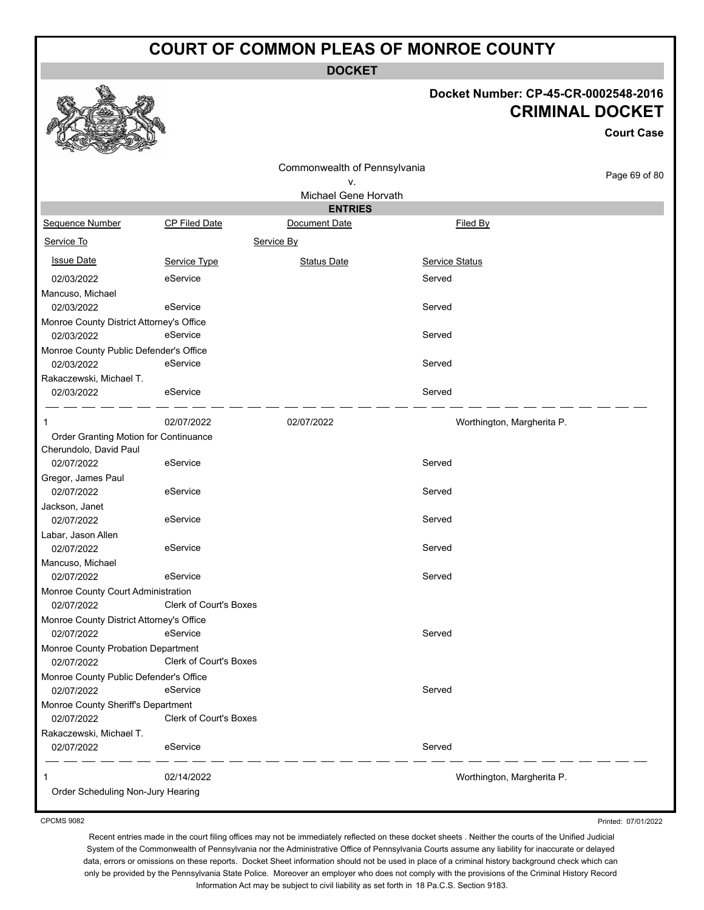**DOCKET**

#### **Docket Number: CP-45-CR-0002548-2016 CRIMINAL DOCKET**

**Court Case**

|                                          |                               | Commonwealth of Pennsylvania |                            | Page 69 of 80 |
|------------------------------------------|-------------------------------|------------------------------|----------------------------|---------------|
|                                          |                               | ۷.<br>Michael Gene Horvath   |                            |               |
|                                          |                               | <b>ENTRIES</b>               |                            |               |
| Sequence Number                          | CP Filed Date                 | Document Date                | Filed By                   |               |
| Service To                               |                               | Service By                   |                            |               |
| <b>Issue Date</b>                        | Service Type                  | <b>Status Date</b>           | Service Status             |               |
| 02/03/2022                               | eService                      |                              | Served                     |               |
| Mancuso, Michael                         |                               |                              |                            |               |
| 02/03/2022                               | eService                      |                              | Served                     |               |
| Monroe County District Attorney's Office |                               |                              |                            |               |
| 02/03/2022                               | eService                      |                              | Served                     |               |
| Monroe County Public Defender's Office   |                               |                              |                            |               |
| 02/03/2022                               | eService                      |                              | Served                     |               |
| Rakaczewski, Michael T.                  |                               |                              |                            |               |
| 02/03/2022                               | eService                      |                              | Served                     |               |
| 1                                        | 02/07/2022                    | 02/07/2022                   | Worthington, Margherita P. |               |
| Order Granting Motion for Continuance    |                               |                              |                            |               |
| Cherundolo, David Paul                   |                               |                              |                            |               |
| 02/07/2022                               | eService                      |                              | Served                     |               |
| Gregor, James Paul                       |                               |                              |                            |               |
| 02/07/2022                               | eService                      |                              | Served                     |               |
| Jackson, Janet                           |                               |                              |                            |               |
| 02/07/2022                               | eService                      |                              | Served                     |               |
| Labar, Jason Allen                       |                               |                              |                            |               |
| 02/07/2022                               | eService                      |                              | Served                     |               |
| Mancuso, Michael                         |                               |                              |                            |               |
| 02/07/2022                               | eService                      |                              | Served                     |               |
| Monroe County Court Administration       |                               |                              |                            |               |
| 02/07/2022                               | <b>Clerk of Court's Boxes</b> |                              |                            |               |
| Monroe County District Attorney's Office |                               |                              |                            |               |
| 02/07/2022                               | eService                      |                              | Served                     |               |
| Monroe County Probation Department       |                               |                              |                            |               |
| 02/07/2022                               | <b>Clerk of Court's Boxes</b> |                              |                            |               |
| Monroe County Public Defender's Office   |                               |                              |                            |               |
| 02/07/2022                               | eService                      |                              | Served                     |               |
| Monroe County Sheriff's Department       |                               |                              |                            |               |
| 02/07/2022                               | Clerk of Court's Boxes        |                              |                            |               |
| Rakaczewski, Michael T.                  |                               |                              |                            |               |
| 02/07/2022                               | eService                      |                              | Served                     |               |
|                                          | 02/14/2022                    |                              | Worthington, Margherita P. |               |
| Order Scheduling Non-Jury Hearing        |                               |                              |                            |               |

CPCMS 9082

Recent entries made in the court filing offices may not be immediately reflected on these docket sheets . Neither the courts of the Unified Judicial System of the Commonwealth of Pennsylvania nor the Administrative Office of Pennsylvania Courts assume any liability for inaccurate or delayed data, errors or omissions on these reports. Docket Sheet information should not be used in place of a criminal history background check which can only be provided by the Pennsylvania State Police. Moreover an employer who does not comply with the provisions of the Criminal History Record Information Act may be subject to civil liability as set forth in 18 Pa.C.S. Section 9183.

Printed: 07/01/2022

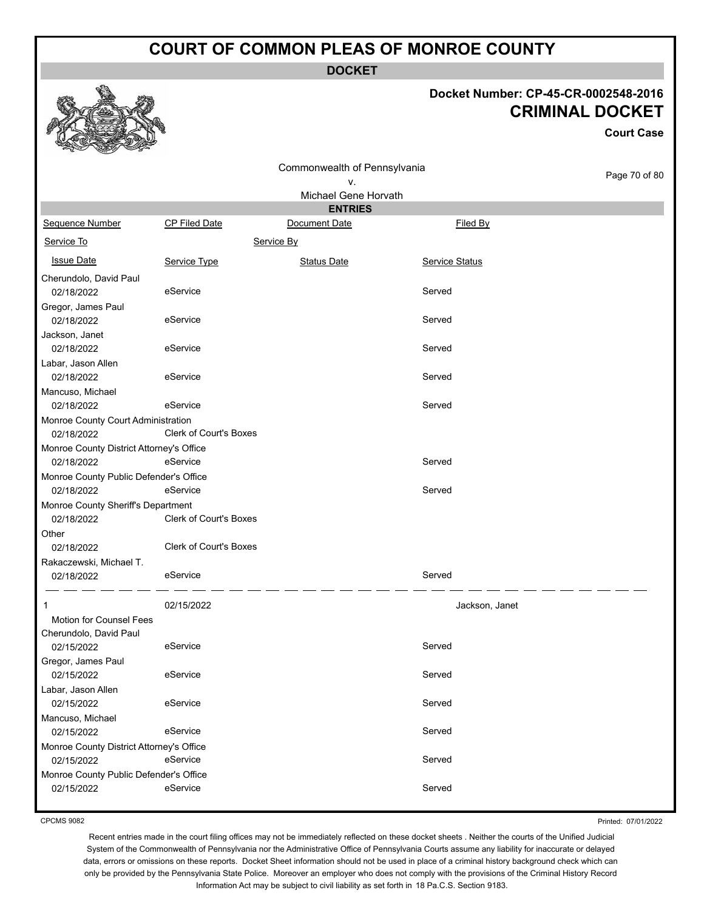**DOCKET**

#### **Docket Number: CP-45-CR-0002548-2016 CRIMINAL DOCKET**

**Court Case**

|                                                          |                               | Commonwealth of Pennsylvania |                       |               |
|----------------------------------------------------------|-------------------------------|------------------------------|-----------------------|---------------|
|                                                          |                               | ٧.                           |                       | Page 70 of 80 |
|                                                          |                               | Michael Gene Horvath         |                       |               |
|                                                          |                               | <b>ENTRIES</b>               |                       |               |
| Sequence Number                                          | <b>CP Filed Date</b>          | Document Date                | Filed By              |               |
| Service To                                               |                               | Service By                   |                       |               |
| <b>Issue Date</b>                                        | Service Type                  | <b>Status Date</b>           | <b>Service Status</b> |               |
| Cherundolo, David Paul<br>02/18/2022                     | eService                      |                              | Served                |               |
| Gregor, James Paul<br>02/18/2022                         | eService                      |                              | Served                |               |
| Jackson, Janet<br>02/18/2022                             | eService                      |                              | Served                |               |
| Labar, Jason Allen<br>02/18/2022                         | eService                      |                              | Served                |               |
| Mancuso, Michael<br>02/18/2022                           | eService                      |                              | Served                |               |
| Monroe County Court Administration                       |                               |                              |                       |               |
| 02/18/2022                                               | <b>Clerk of Court's Boxes</b> |                              |                       |               |
| Monroe County District Attorney's Office                 |                               |                              |                       |               |
| 02/18/2022                                               | eService                      |                              | Served                |               |
| Monroe County Public Defender's Office                   |                               |                              |                       |               |
| 02/18/2022                                               | eService                      |                              | Served                |               |
| Monroe County Sheriff's Department<br>02/18/2022         | Clerk of Court's Boxes        |                              |                       |               |
|                                                          |                               |                              |                       |               |
| Other<br>02/18/2022                                      | Clerk of Court's Boxes        |                              |                       |               |
| Rakaczewski, Michael T.                                  |                               |                              |                       |               |
| 02/18/2022                                               | eService                      |                              | Served                |               |
| 1                                                        | 02/15/2022                    |                              | Jackson, Janet        |               |
| <b>Motion for Counsel Fees</b><br>Cherundolo, David Paul |                               |                              |                       |               |
| 02/15/2022                                               | eService                      |                              | Served                |               |
| Gregor, James Paul<br>02/15/2022                         | eService                      |                              | Served                |               |
| Labar, Jason Allen                                       |                               |                              |                       |               |
| 02/15/2022                                               | eService                      |                              | Served                |               |
| Mancuso, Michael<br>02/15/2022                           | eService                      |                              | Served                |               |
| Monroe County District Attorney's Office                 |                               |                              |                       |               |
| 02/15/2022                                               | eService                      |                              | Served                |               |
| Monroe County Public Defender's Office                   |                               |                              |                       |               |
| 02/15/2022                                               | eService                      |                              | Served                |               |

CPCMS 9082

Printed: 07/01/2022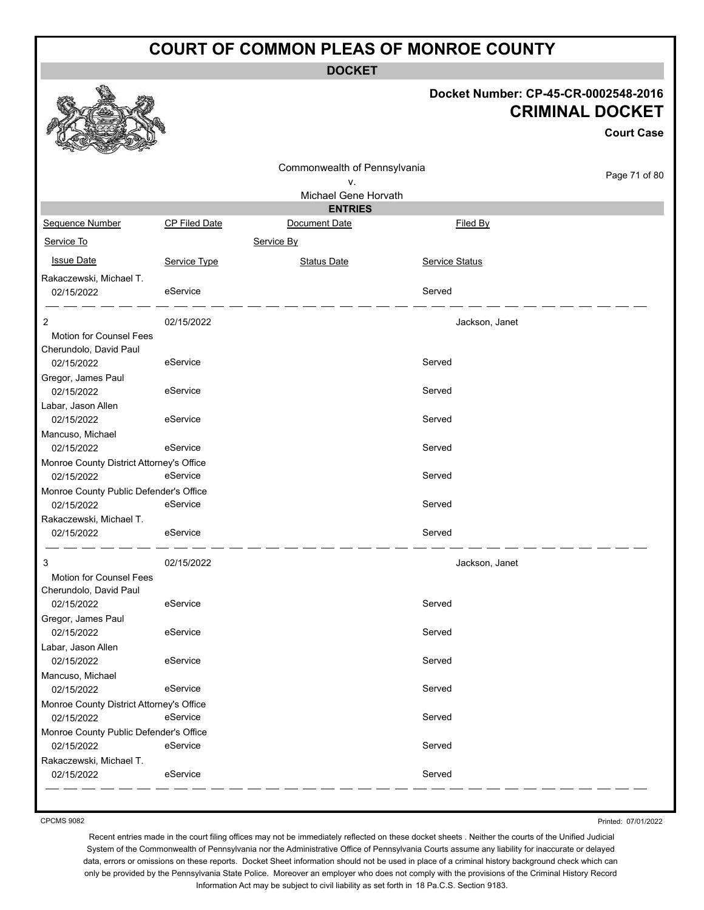**DOCKET**

#### **Docket Number: CP-45-CR-0002548-2016 CRIMINAL DOCKET**

**Court Case**

|                      | v.                                                                                                                                                                                                                                                                                                     |                | Page 71 of 80                                                                                                                                                                   |
|----------------------|--------------------------------------------------------------------------------------------------------------------------------------------------------------------------------------------------------------------------------------------------------------------------------------------------------|----------------|---------------------------------------------------------------------------------------------------------------------------------------------------------------------------------|
|                      |                                                                                                                                                                                                                                                                                                        |                |                                                                                                                                                                                 |
|                      | <b>ENTRIES</b>                                                                                                                                                                                                                                                                                         |                |                                                                                                                                                                                 |
| <b>CP Filed Date</b> | Document Date                                                                                                                                                                                                                                                                                          | Filed By       |                                                                                                                                                                                 |
|                      | Service By                                                                                                                                                                                                                                                                                             |                |                                                                                                                                                                                 |
|                      | <b>Status Date</b>                                                                                                                                                                                                                                                                                     |                |                                                                                                                                                                                 |
|                      |                                                                                                                                                                                                                                                                                                        |                |                                                                                                                                                                                 |
| eService             |                                                                                                                                                                                                                                                                                                        | Served         |                                                                                                                                                                                 |
|                      |                                                                                                                                                                                                                                                                                                        |                |                                                                                                                                                                                 |
| 02/15/2022           |                                                                                                                                                                                                                                                                                                        | Jackson, Janet |                                                                                                                                                                                 |
|                      |                                                                                                                                                                                                                                                                                                        |                |                                                                                                                                                                                 |
|                      |                                                                                                                                                                                                                                                                                                        |                |                                                                                                                                                                                 |
|                      |                                                                                                                                                                                                                                                                                                        |                |                                                                                                                                                                                 |
|                      |                                                                                                                                                                                                                                                                                                        |                |                                                                                                                                                                                 |
|                      |                                                                                                                                                                                                                                                                                                        |                |                                                                                                                                                                                 |
|                      |                                                                                                                                                                                                                                                                                                        |                |                                                                                                                                                                                 |
|                      |                                                                                                                                                                                                                                                                                                        |                |                                                                                                                                                                                 |
|                      |                                                                                                                                                                                                                                                                                                        |                |                                                                                                                                                                                 |
|                      |                                                                                                                                                                                                                                                                                                        |                |                                                                                                                                                                                 |
| eService             |                                                                                                                                                                                                                                                                                                        | Served         |                                                                                                                                                                                 |
|                      |                                                                                                                                                                                                                                                                                                        |                |                                                                                                                                                                                 |
| eService             |                                                                                                                                                                                                                                                                                                        | Served         |                                                                                                                                                                                 |
|                      |                                                                                                                                                                                                                                                                                                        |                |                                                                                                                                                                                 |
| eService             |                                                                                                                                                                                                                                                                                                        | Served         |                                                                                                                                                                                 |
|                      |                                                                                                                                                                                                                                                                                                        |                |                                                                                                                                                                                 |
|                      |                                                                                                                                                                                                                                                                                                        |                |                                                                                                                                                                                 |
|                      |                                                                                                                                                                                                                                                                                                        |                |                                                                                                                                                                                 |
| eService             |                                                                                                                                                                                                                                                                                                        | Served         |                                                                                                                                                                                 |
|                      |                                                                                                                                                                                                                                                                                                        |                |                                                                                                                                                                                 |
| eService             |                                                                                                                                                                                                                                                                                                        | Served         |                                                                                                                                                                                 |
|                      |                                                                                                                                                                                                                                                                                                        |                |                                                                                                                                                                                 |
| eService             |                                                                                                                                                                                                                                                                                                        | Served         |                                                                                                                                                                                 |
|                      |                                                                                                                                                                                                                                                                                                        |                |                                                                                                                                                                                 |
|                      |                                                                                                                                                                                                                                                                                                        |                |                                                                                                                                                                                 |
|                      |                                                                                                                                                                                                                                                                                                        |                |                                                                                                                                                                                 |
|                      |                                                                                                                                                                                                                                                                                                        |                |                                                                                                                                                                                 |
|                      |                                                                                                                                                                                                                                                                                                        |                |                                                                                                                                                                                 |
|                      |                                                                                                                                                                                                                                                                                                        |                |                                                                                                                                                                                 |
|                      |                                                                                                                                                                                                                                                                                                        |                |                                                                                                                                                                                 |
|                      |                                                                                                                                                                                                                                                                                                        |                |                                                                                                                                                                                 |
|                      | Service Type<br>eService<br>eService<br>eService<br>eService<br>Monroe County District Attorney's Office<br>Monroe County Public Defender's Office<br>02/15/2022<br>eService<br>Monroe County District Attorney's Office<br>eService<br>Monroe County Public Defender's Office<br>eService<br>eService |                | Commonwealth of Pennsylvania<br>Michael Gene Horvath<br><b>Service Status</b><br>Served<br>Served<br>Served<br>Served<br>Jackson, Janet<br>Served<br>Served<br>Served<br>Served |

CPCMS 9082

Printed: 07/01/2022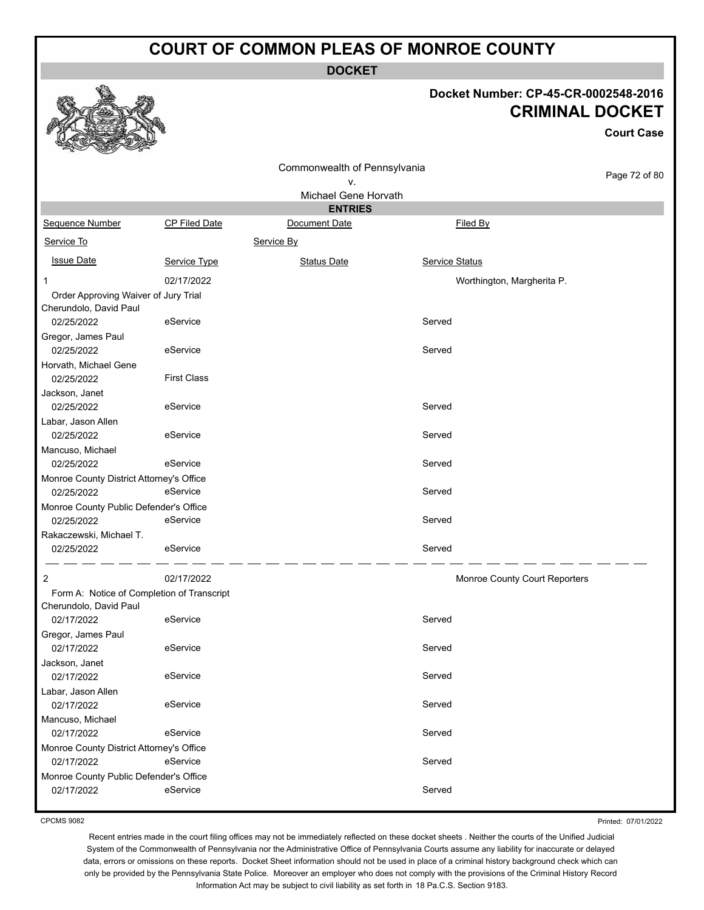**DOCKET**

#### **Docket Number: CP-45-CR-0002548-2016 CRIMINAL DOCKET**

**Court Case**

|                                                                |                                            | Commonwealth of Pennsylvania |                               |               |
|----------------------------------------------------------------|--------------------------------------------|------------------------------|-------------------------------|---------------|
|                                                                |                                            | ۷.                           |                               | Page 72 of 80 |
|                                                                |                                            | Michael Gene Horvath         |                               |               |
|                                                                |                                            | <b>ENTRIES</b>               |                               |               |
| Sequence Number                                                | <b>CP Filed Date</b>                       | Document Date                | Filed By                      |               |
| Service To                                                     |                                            | Service By                   |                               |               |
| <b>Issue Date</b>                                              | Service Type                               | <b>Status Date</b>           | <b>Service Status</b>         |               |
| 1                                                              | 02/17/2022                                 |                              | Worthington, Margherita P.    |               |
| Order Approving Waiver of Jury Trial<br>Cherundolo, David Paul |                                            |                              |                               |               |
| 02/25/2022                                                     | eService                                   |                              | Served                        |               |
| Gregor, James Paul                                             |                                            |                              |                               |               |
| 02/25/2022                                                     | eService                                   |                              | Served                        |               |
| Horvath, Michael Gene<br>02/25/2022                            | <b>First Class</b>                         |                              |                               |               |
| Jackson, Janet                                                 |                                            |                              |                               |               |
| 02/25/2022                                                     | eService                                   |                              | Served                        |               |
| Labar, Jason Allen                                             |                                            |                              |                               |               |
| 02/25/2022                                                     | eService                                   |                              | Served                        |               |
| Mancuso, Michael                                               |                                            |                              |                               |               |
| 02/25/2022                                                     | eService                                   |                              | Served                        |               |
| Monroe County District Attorney's Office                       |                                            |                              |                               |               |
| 02/25/2022                                                     | eService                                   |                              | Served                        |               |
| Monroe County Public Defender's Office                         |                                            |                              |                               |               |
| 02/25/2022                                                     | eService                                   |                              | Served                        |               |
| Rakaczewski, Michael T.<br>02/25/2022                          | eService                                   |                              | Served                        |               |
|                                                                |                                            |                              |                               |               |
| $\overline{c}$                                                 | 02/17/2022                                 |                              | Monroe County Court Reporters |               |
|                                                                | Form A: Notice of Completion of Transcript |                              |                               |               |
| Cherundolo, David Paul                                         |                                            |                              |                               |               |
| 02/17/2022                                                     | eService                                   |                              | Served                        |               |
| Gregor, James Paul                                             |                                            |                              |                               |               |
| 02/17/2022                                                     | eService                                   |                              | Served                        |               |
| Jackson, Janet<br>02/17/2022                                   | eService                                   |                              | Served                        |               |
| Labar, Jason Allen                                             |                                            |                              |                               |               |
| 02/17/2022                                                     | eService                                   |                              | Served                        |               |
| Mancuso, Michael                                               |                                            |                              |                               |               |
| 02/17/2022                                                     | eService                                   |                              | Served                        |               |
| Monroe County District Attorney's Office                       |                                            |                              |                               |               |
| 02/17/2022                                                     | eService                                   |                              | Served                        |               |
| Monroe County Public Defender's Office                         |                                            |                              |                               |               |
| 02/17/2022                                                     | eService                                   |                              | Served                        |               |
|                                                                |                                            |                              |                               |               |

CPCMS 9082

Printed: 07/01/2022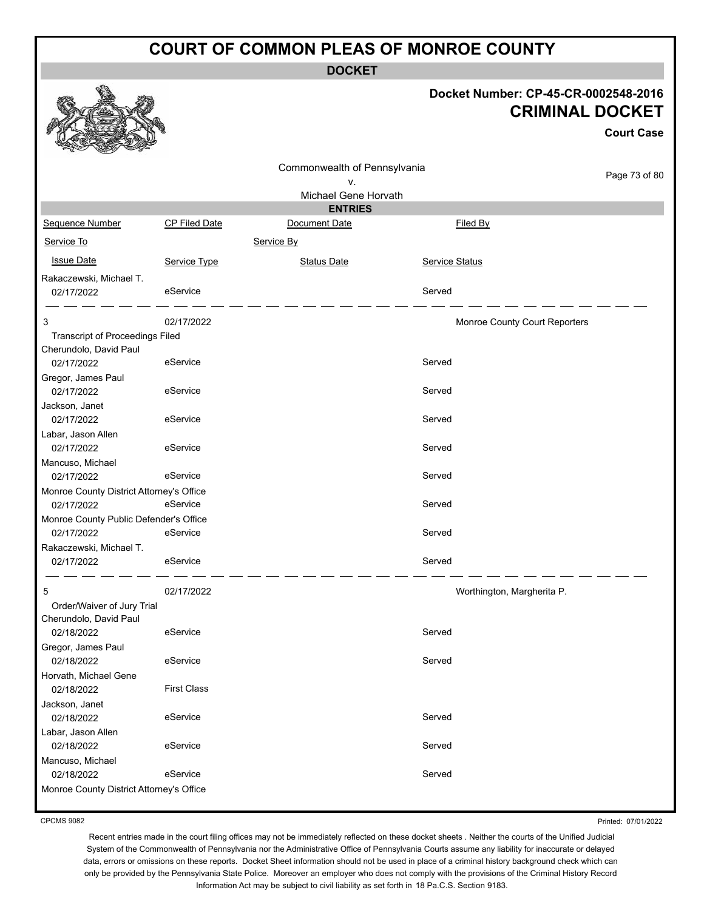**DOCKET**

## **Docket Number: CP-45-CR-0002548-2016 CRIMINAL DOCKET**

**Court Case**

|                                                        |                      |                                        |                               | Court Case    |
|--------------------------------------------------------|----------------------|----------------------------------------|-------------------------------|---------------|
|                                                        |                      | Commonwealth of Pennsylvania<br>٧.     |                               | Page 73 of 80 |
|                                                        |                      | Michael Gene Horvath<br><b>ENTRIES</b> |                               |               |
| Sequence Number                                        | <b>CP Filed Date</b> | Document Date                          | Filed By                      |               |
|                                                        |                      |                                        |                               |               |
| Service To                                             |                      | Service By                             |                               |               |
| <b>Issue Date</b>                                      | Service Type         | <b>Status Date</b>                     | Service Status                |               |
| Rakaczewski, Michael T.                                |                      |                                        |                               |               |
| 02/17/2022                                             | eService             |                                        | Served                        |               |
| 3                                                      | 02/17/2022           |                                        | Monroe County Court Reporters |               |
| Transcript of Proceedings Filed                        |                      |                                        |                               |               |
| Cherundolo, David Paul                                 |                      |                                        |                               |               |
| 02/17/2022                                             | eService             |                                        | Served                        |               |
| Gregor, James Paul                                     | eService             |                                        |                               |               |
| 02/17/2022                                             |                      |                                        | Served                        |               |
| Jackson, Janet<br>02/17/2022                           | eService             |                                        | Served                        |               |
| Labar, Jason Allen                                     |                      |                                        |                               |               |
| 02/17/2022                                             | eService             |                                        | Served                        |               |
| Mancuso, Michael                                       |                      |                                        |                               |               |
| 02/17/2022                                             | eService             |                                        | Served                        |               |
| Monroe County District Attorney's Office               |                      |                                        |                               |               |
| 02/17/2022                                             | eService             |                                        | Served                        |               |
| Monroe County Public Defender's Office                 |                      |                                        |                               |               |
| 02/17/2022                                             | eService             |                                        | Served                        |               |
| Rakaczewski, Michael T.                                |                      |                                        |                               |               |
| 02/17/2022                                             | eService             |                                        | Served                        |               |
| 5                                                      | 02/17/2022           |                                        | Worthington, Margherita P.    |               |
| Order/Waiver of Jury Trial                             |                      |                                        |                               |               |
| Cherundolo, David Paul                                 |                      |                                        |                               |               |
| 02/18/2022                                             | eService             |                                        | Served                        |               |
| Gregor, James Paul                                     |                      |                                        |                               |               |
| 02/18/2022                                             | eService             |                                        | Served                        |               |
| Horvath, Michael Gene                                  |                      |                                        |                               |               |
| 02/18/2022                                             | <b>First Class</b>   |                                        |                               |               |
| Jackson, Janet                                         |                      |                                        |                               |               |
| 02/18/2022                                             | eService             |                                        | Served                        |               |
| Labar, Jason Allen                                     | eService             |                                        |                               |               |
| 02/18/2022                                             |                      |                                        | Served                        |               |
| Mancuso, Michael                                       | eService             |                                        | Served                        |               |
| 02/18/2022<br>Monroe County District Attorney's Office |                      |                                        |                               |               |
|                                                        |                      |                                        |                               |               |

CPCMS 9082

Printed: 07/01/2022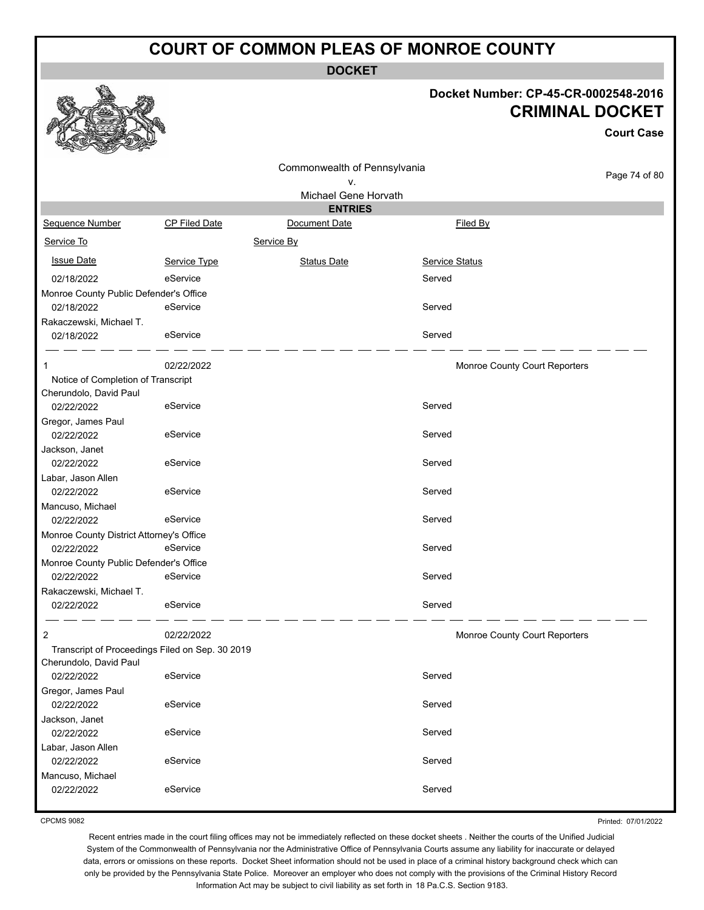**DOCKET**

### **Docket Number: CP-45-CR-0002548-2016 CRIMINAL DOCKET**

|                                                 |                      |                              |                               | Docket Number: CP-45-CR-0002548-2016<br><b>CRIMINAL DOCKET</b><br><b>Court Case</b> |
|-------------------------------------------------|----------------------|------------------------------|-------------------------------|-------------------------------------------------------------------------------------|
|                                                 |                      | Commonwealth of Pennsylvania |                               |                                                                                     |
|                                                 |                      | ۷.                           |                               | Page 74 of 80                                                                       |
|                                                 |                      | Michael Gene Horvath         |                               |                                                                                     |
|                                                 |                      | <b>ENTRIES</b>               |                               |                                                                                     |
| Sequence Number                                 | <b>CP Filed Date</b> | Document Date                | Filed By                      |                                                                                     |
| Service To                                      |                      | Service By                   |                               |                                                                                     |
| <b>Issue Date</b>                               | Service Type         | <b>Status Date</b>           | Service Status                |                                                                                     |
| 02/18/2022                                      | eService             |                              | Served                        |                                                                                     |
| Monroe County Public Defender's Office          |                      |                              |                               |                                                                                     |
| 02/18/2022                                      | eService             |                              | Served                        |                                                                                     |
| Rakaczewski, Michael T.                         |                      |                              |                               |                                                                                     |
| 02/18/2022                                      | eService             |                              | Served                        |                                                                                     |
| 1                                               | 02/22/2022           |                              | Monroe County Court Reporters |                                                                                     |
| Notice of Completion of Transcript              |                      |                              |                               |                                                                                     |
| Cherundolo, David Paul<br>02/22/2022            | eService             |                              | Served                        |                                                                                     |
| Gregor, James Paul<br>02/22/2022                | eService             |                              | Served                        |                                                                                     |
| Jackson, Janet                                  |                      |                              |                               |                                                                                     |
| 02/22/2022                                      | eService             |                              | Served                        |                                                                                     |
| Labar, Jason Allen                              |                      |                              |                               |                                                                                     |
| 02/22/2022                                      | eService             |                              | Served                        |                                                                                     |
| Mancuso, Michael                                |                      |                              |                               |                                                                                     |
| 02/22/2022                                      | eService             |                              | Served                        |                                                                                     |
| Monroe County District Attorney's Office        |                      |                              |                               |                                                                                     |
| 02/22/2022                                      | eService             |                              | Served                        |                                                                                     |
| Monroe County Public Defender's Office          |                      |                              |                               |                                                                                     |
| 02/22/2022                                      | eService             |                              | Served                        |                                                                                     |
| Rakaczewski, Michael T.                         |                      |                              |                               |                                                                                     |
| 02/22/2022                                      | eService             |                              | Served                        |                                                                                     |
| 2                                               | 02/22/2022           |                              | Monroe County Court Reporters |                                                                                     |
| Transcript of Proceedings Filed on Sep. 30 2019 |                      |                              |                               |                                                                                     |
| Cherundolo, David Paul                          |                      |                              |                               |                                                                                     |
| 02/22/2022                                      | eService             |                              | Served                        |                                                                                     |
| Gregor, James Paul<br>02/22/2022                | eService             |                              | Served                        |                                                                                     |
| Jackson, Janet                                  |                      |                              |                               |                                                                                     |
| 02/22/2022                                      | eService             |                              | Served                        |                                                                                     |
| Labar, Jason Allen                              |                      |                              |                               |                                                                                     |
| 02/22/2022                                      | eService             |                              | Served                        |                                                                                     |
| Mancuso, Michael<br>02/22/2022                  | eService             |                              | Served                        |                                                                                     |

CPCMS 9082

Printed: 07/01/2022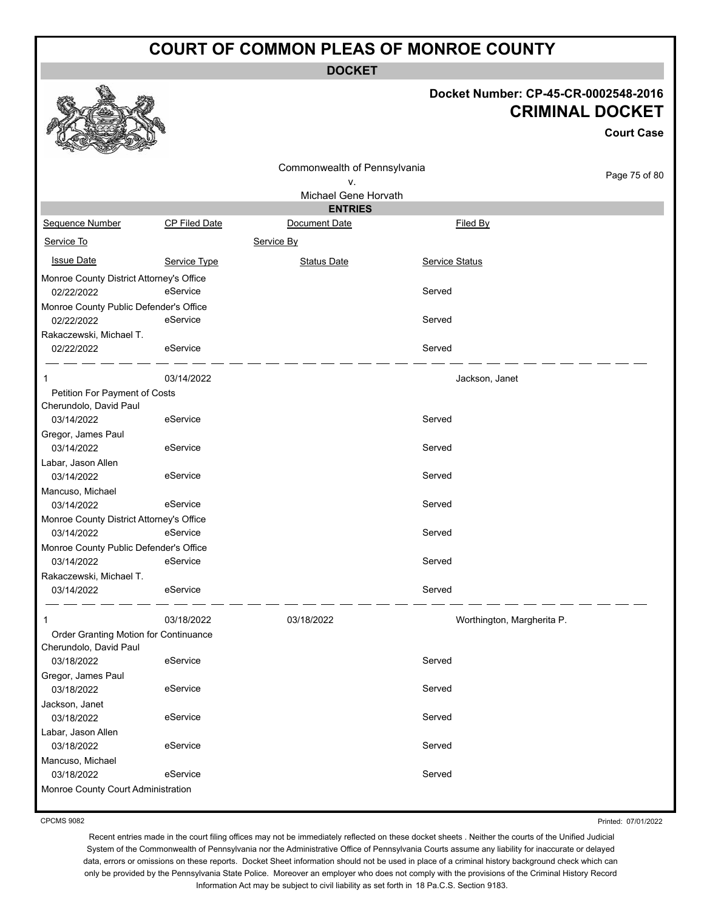**DOCKET**

### **Docket Number: CP-45-CR-0002548-2016 CRIMINAL DOCKET**

|                                          |                      | <b>URIMINAL DOUKET</b>       |                            |                   |  |  |
|------------------------------------------|----------------------|------------------------------|----------------------------|-------------------|--|--|
|                                          |                      |                              |                            | <b>Court Case</b> |  |  |
|                                          |                      | Commonwealth of Pennsylvania | Page 75 of 80              |                   |  |  |
|                                          |                      | ٧.                           |                            |                   |  |  |
|                                          |                      | Michael Gene Horvath         |                            |                   |  |  |
|                                          |                      | <b>ENTRIES</b>               |                            |                   |  |  |
| Sequence Number                          | <b>CP Filed Date</b> | Document Date                | Filed By                   |                   |  |  |
| Service To                               |                      | Service By                   |                            |                   |  |  |
| <b>Issue Date</b>                        | Service Type         | <b>Status Date</b>           | <b>Service Status</b>      |                   |  |  |
| Monroe County District Attorney's Office |                      |                              |                            |                   |  |  |
| 02/22/2022                               | eService             |                              | Served                     |                   |  |  |
| Monroe County Public Defender's Office   |                      |                              |                            |                   |  |  |
| 02/22/2022                               | eService             |                              | Served                     |                   |  |  |
| Rakaczewski, Michael T.                  |                      |                              |                            |                   |  |  |
| 02/22/2022                               | eService             |                              | Served                     |                   |  |  |
| 1                                        | 03/14/2022           |                              | Jackson, Janet             |                   |  |  |
| Petition For Payment of Costs            |                      |                              |                            |                   |  |  |
| Cherundolo, David Paul                   |                      |                              |                            |                   |  |  |
| 03/14/2022                               | eService             |                              | Served                     |                   |  |  |
| Gregor, James Paul<br>03/14/2022         | eService             |                              | Served                     |                   |  |  |
| Labar, Jason Allen                       |                      |                              |                            |                   |  |  |
| 03/14/2022                               | eService             |                              | Served                     |                   |  |  |
| Mancuso, Michael                         |                      |                              |                            |                   |  |  |
| 03/14/2022                               | eService             |                              | Served                     |                   |  |  |
| Monroe County District Attorney's Office |                      |                              |                            |                   |  |  |
| 03/14/2022                               | eService             |                              | Served                     |                   |  |  |
| Monroe County Public Defender's Office   |                      |                              |                            |                   |  |  |
| 03/14/2022                               | eService             |                              | Served                     |                   |  |  |
| Rakaczewski, Michael T.                  |                      |                              |                            |                   |  |  |
| 03/14/2022                               | eService             |                              | Served                     |                   |  |  |
| 1                                        | 03/18/2022           | 03/18/2022                   | Worthington, Margherita P. |                   |  |  |
| Order Granting Motion for Continuance    |                      |                              |                            |                   |  |  |
| Cherundolo, David Paul                   |                      |                              |                            |                   |  |  |
| 03/18/2022                               | eService             |                              | Served                     |                   |  |  |
| Gregor, James Paul                       |                      |                              |                            |                   |  |  |
| 03/18/2022                               | eService             |                              | Served                     |                   |  |  |
| Jackson, Janet                           |                      |                              | Served                     |                   |  |  |
| 03/18/2022                               | eService             |                              |                            |                   |  |  |
| Labar, Jason Allen<br>03/18/2022         | eService             |                              | Served                     |                   |  |  |
| Mancuso, Michael                         |                      |                              |                            |                   |  |  |
| 03/18/2022                               | eService             |                              | Served                     |                   |  |  |
| Monroe County Court Administration       |                      |                              |                            |                   |  |  |
|                                          |                      |                              |                            |                   |  |  |

CPCMS 9082

**RAA** 

Printed: 07/01/2022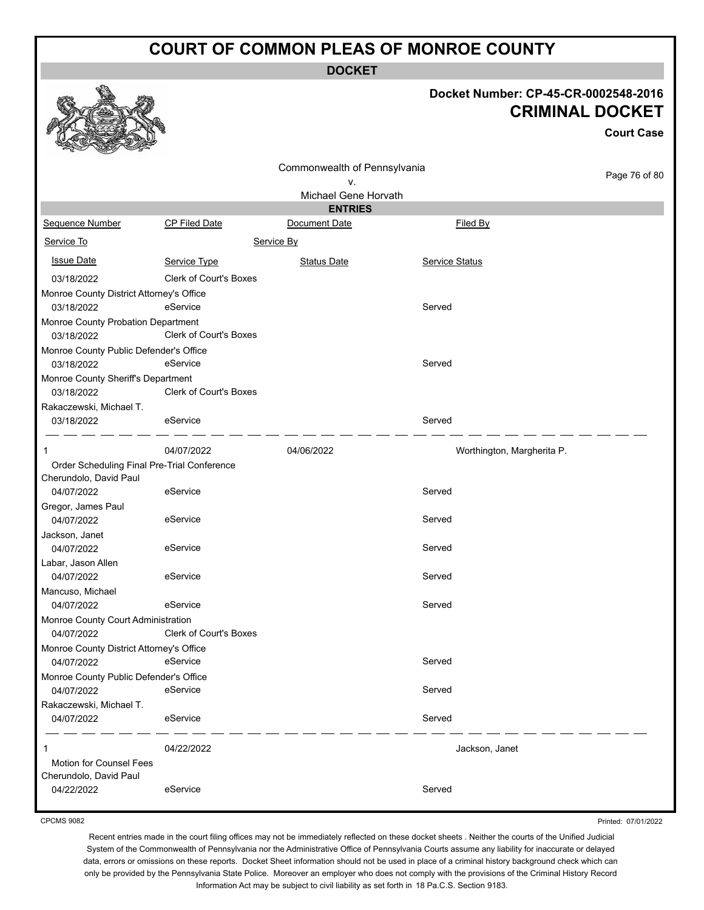**DOCKET**

## **Docket Number: CP-45-CR-0002548-2016 CRIMINAL DOCKET**

**Court Case**

|                                             |                               | Commonwealth of Pennsylvania |                            | Page 76 of 80 |  |  |  |
|---------------------------------------------|-------------------------------|------------------------------|----------------------------|---------------|--|--|--|
|                                             |                               | ٧.<br>Michael Gene Horvath   |                            |               |  |  |  |
| <b>ENTRIES</b>                              |                               |                              |                            |               |  |  |  |
| Sequence Number                             | <b>CP Filed Date</b>          | Document Date                | Filed By                   |               |  |  |  |
| Service To                                  |                               | Service By                   |                            |               |  |  |  |
| <b>Issue Date</b>                           | Service Type                  | <b>Status Date</b>           | Service Status             |               |  |  |  |
| 03/18/2022                                  | <b>Clerk of Court's Boxes</b> |                              |                            |               |  |  |  |
| Monroe County District Attorney's Office    |                               |                              |                            |               |  |  |  |
| 03/18/2022                                  | eService                      |                              | Served                     |               |  |  |  |
| Monroe County Probation Department          |                               |                              |                            |               |  |  |  |
| 03/18/2022                                  | Clerk of Court's Boxes        |                              |                            |               |  |  |  |
| Monroe County Public Defender's Office      |                               |                              |                            |               |  |  |  |
| 03/18/2022                                  | eService                      |                              | Served                     |               |  |  |  |
| Monroe County Sheriff's Department          |                               |                              |                            |               |  |  |  |
| 03/18/2022                                  | Clerk of Court's Boxes        |                              |                            |               |  |  |  |
| Rakaczewski, Michael T.                     |                               |                              |                            |               |  |  |  |
| 03/18/2022                                  | eService                      |                              | Served                     |               |  |  |  |
|                                             |                               |                              |                            |               |  |  |  |
| 1                                           | 04/07/2022                    | 04/06/2022                   | Worthington, Margherita P. |               |  |  |  |
| Order Scheduling Final Pre-Trial Conference |                               |                              |                            |               |  |  |  |
| Cherundolo, David Paul<br>04/07/2022        | eService                      |                              | Served                     |               |  |  |  |
| Gregor, James Paul                          |                               |                              |                            |               |  |  |  |
| 04/07/2022                                  | eService                      |                              | Served                     |               |  |  |  |
| Jackson, Janet                              |                               |                              |                            |               |  |  |  |
| 04/07/2022                                  | eService                      |                              | Served                     |               |  |  |  |
| Labar, Jason Allen                          |                               |                              |                            |               |  |  |  |
| 04/07/2022                                  | eService                      |                              | Served                     |               |  |  |  |
| Mancuso, Michael                            |                               |                              |                            |               |  |  |  |
| 04/07/2022                                  | eService                      |                              | Served                     |               |  |  |  |
| Monroe County Court Administration          |                               |                              |                            |               |  |  |  |
| 04/07/2022                                  | <b>Clerk of Court's Boxes</b> |                              |                            |               |  |  |  |
| Monroe County District Attorney's Office    |                               |                              |                            |               |  |  |  |
| 04/07/2022                                  | eService                      |                              | Served                     |               |  |  |  |
| Monroe County Public Defender's Office      |                               |                              |                            |               |  |  |  |
| 04/07/2022                                  | eService                      |                              | Served                     |               |  |  |  |
| Rakaczewski, Michael T.                     |                               |                              |                            |               |  |  |  |
| 04/07/2022                                  | eService                      |                              | Served                     |               |  |  |  |
| 1                                           | 04/22/2022                    |                              | Jackson, Janet             |               |  |  |  |
| <b>Motion for Counsel Fees</b>              |                               |                              |                            |               |  |  |  |
| Cherundolo, David Paul                      |                               |                              |                            |               |  |  |  |
| 04/22/2022                                  | eService                      |                              | Served                     |               |  |  |  |
|                                             |                               |                              |                            |               |  |  |  |

CPCMS 9082

Printed: 07/01/2022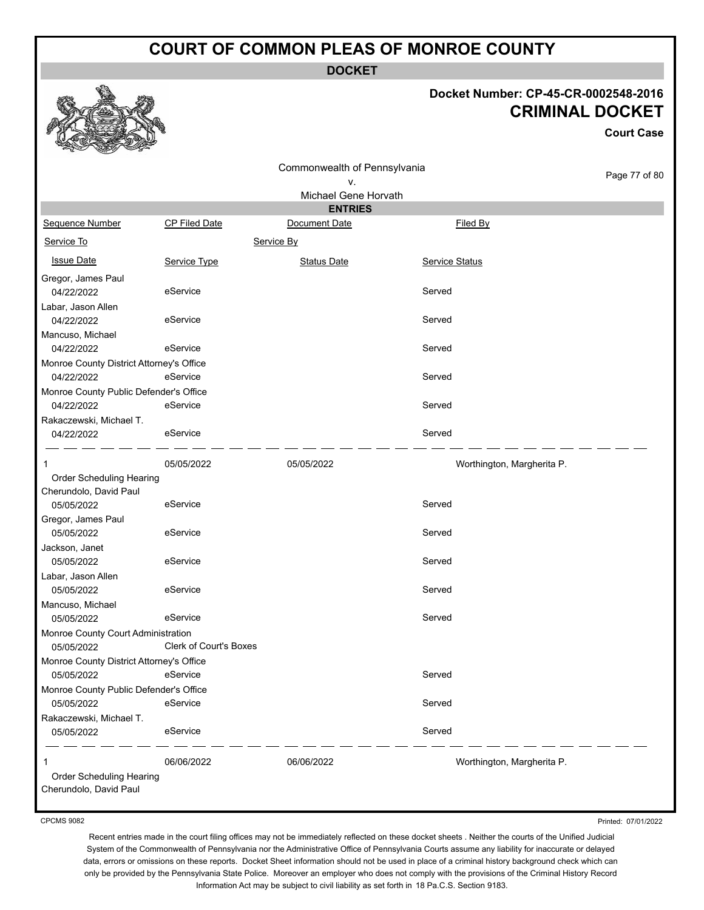**DOCKET**

### **Docket Number: CP-45-CR-0002548-2016 CRIMINAL DOCKET**

**Court Case**

|                                          |                               | Commonwealth of Pennsylvania |                            |               |
|------------------------------------------|-------------------------------|------------------------------|----------------------------|---------------|
|                                          |                               | v.                           |                            | Page 77 of 80 |
|                                          |                               | Michael Gene Horvath         |                            |               |
|                                          |                               | <b>ENTRIES</b>               |                            |               |
| Sequence Number                          | CP Filed Date                 | Document Date                | Filed By                   |               |
| Service To                               |                               | Service By                   |                            |               |
| <b>Issue Date</b>                        | Service Type                  | <b>Status Date</b>           | <b>Service Status</b>      |               |
| Gregor, James Paul<br>04/22/2022         | eService                      |                              | Served                     |               |
| Labar, Jason Allen<br>04/22/2022         | eService                      |                              | Served                     |               |
| Mancuso, Michael                         |                               |                              |                            |               |
| 04/22/2022                               | eService                      |                              | Served                     |               |
| Monroe County District Attorney's Office |                               |                              |                            |               |
| 04/22/2022                               | eService                      |                              | Served                     |               |
| Monroe County Public Defender's Office   |                               |                              |                            |               |
| 04/22/2022                               | eService                      |                              | Served                     |               |
| Rakaczewski, Michael T.                  |                               |                              |                            |               |
| 04/22/2022                               | eService                      |                              | Served                     |               |
| 1                                        | 05/05/2022                    | 05/05/2022                   | Worthington, Margherita P. |               |
| Order Scheduling Hearing                 |                               |                              |                            |               |
| Cherundolo, David Paul                   |                               |                              |                            |               |
| 05/05/2022                               | eService                      |                              | Served                     |               |
| Gregor, James Paul                       |                               |                              |                            |               |
| 05/05/2022                               | eService                      |                              | Served                     |               |
| Jackson, Janet<br>05/05/2022             | eService                      |                              | Served                     |               |
| Labar, Jason Allen                       |                               |                              |                            |               |
| 05/05/2022                               | eService                      |                              | Served                     |               |
| Mancuso, Michael                         |                               |                              |                            |               |
| 05/05/2022                               | eService                      |                              | Served                     |               |
| Monroe County Court Administration       |                               |                              |                            |               |
| 05/05/2022                               | <b>Clerk of Court's Boxes</b> |                              |                            |               |
| Monroe County District Attorney's Office |                               |                              |                            |               |
| 05/05/2022                               | eService                      |                              | Served                     |               |
| Monroe County Public Defender's Office   |                               |                              |                            |               |
| 05/05/2022                               | eService                      |                              | Served                     |               |
| Rakaczewski, Michael T.                  |                               |                              |                            |               |
| 05/05/2022                               | eService                      |                              | Served                     |               |
| 1                                        | 06/06/2022                    | 06/06/2022                   | Worthington, Margherita P. |               |
| Order Scheduling Hearing                 |                               |                              |                            |               |
| Cherundolo, David Paul                   |                               |                              |                            |               |

CPCMS 9082

Printed: 07/01/2022

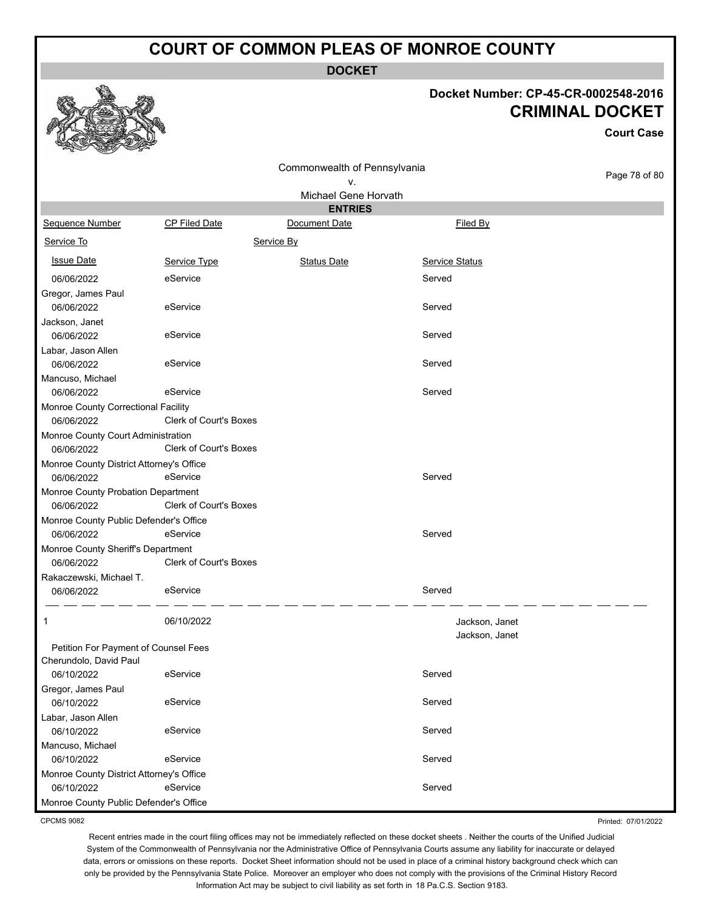**DOCKET**

## **Docket Number: CP-45-CR-0002548-2016 CRIMINAL DOCKET**

**Court Case**

Printed: 07/01/2022

|                                          |                               | Commonwealth of Pennsylvania<br>ν. |                | Page 78 of 80 |
|------------------------------------------|-------------------------------|------------------------------------|----------------|---------------|
|                                          |                               | Michael Gene Horvath               |                |               |
|                                          |                               | <b>ENTRIES</b>                     |                |               |
| Sequence Number                          | CP Filed Date                 | Document Date                      | Filed By       |               |
| Service To                               |                               | Service By                         |                |               |
| <b>Issue Date</b>                        | Service Type                  | <b>Status Date</b>                 | Service Status |               |
| 06/06/2022                               | eService                      |                                    | Served         |               |
| Gregor, James Paul                       |                               |                                    |                |               |
| 06/06/2022                               | eService                      |                                    | Served         |               |
| Jackson, Janet                           |                               |                                    |                |               |
| 06/06/2022                               | eService                      |                                    | Served         |               |
| Labar, Jason Allen                       |                               |                                    |                |               |
| 06/06/2022                               | eService                      |                                    | Served         |               |
| Mancuso, Michael                         |                               |                                    |                |               |
| 06/06/2022                               | eService                      |                                    | Served         |               |
| Monroe County Correctional Facility      |                               |                                    |                |               |
| 06/06/2022                               | <b>Clerk of Court's Boxes</b> |                                    |                |               |
| Monroe County Court Administration       |                               |                                    |                |               |
| 06/06/2022                               | <b>Clerk of Court's Boxes</b> |                                    |                |               |
| Monroe County District Attorney's Office |                               |                                    |                |               |
| 06/06/2022                               | eService                      |                                    | Served         |               |
| Monroe County Probation Department       |                               |                                    |                |               |
| 06/06/2022                               | Clerk of Court's Boxes        |                                    |                |               |
| Monroe County Public Defender's Office   |                               |                                    |                |               |
| 06/06/2022                               | eService                      |                                    | Served         |               |
| Monroe County Sheriff's Department       |                               |                                    |                |               |
| 06/06/2022                               | Clerk of Court's Boxes        |                                    |                |               |
| Rakaczewski, Michael T.                  |                               |                                    |                |               |
| 06/06/2022                               | eService                      |                                    | Served         |               |
|                                          |                               |                                    |                |               |
| 1                                        | 06/10/2022                    |                                    | Jackson, Janet |               |
| Petition For Payment of Counsel Fees     |                               |                                    | Jackson, Janet |               |
| Cherundolo, David Paul                   |                               |                                    |                |               |
| 06/10/2022                               | eService                      |                                    | Served         |               |
| Gregor, James Paul                       |                               |                                    |                |               |
| 06/10/2022                               | eService                      |                                    | Served         |               |
| Labar, Jason Allen                       |                               |                                    |                |               |
| 06/10/2022                               | eService                      |                                    | Served         |               |
| Mancuso, Michael                         |                               |                                    |                |               |
| 06/10/2022                               | eService                      |                                    | Served         |               |
| Monroe County District Attorney's Office |                               |                                    |                |               |
| 06/10/2022                               | eService                      |                                    | Served         |               |
| Monroe County Public Defender's Office   |                               |                                    |                |               |

CPCMS 9082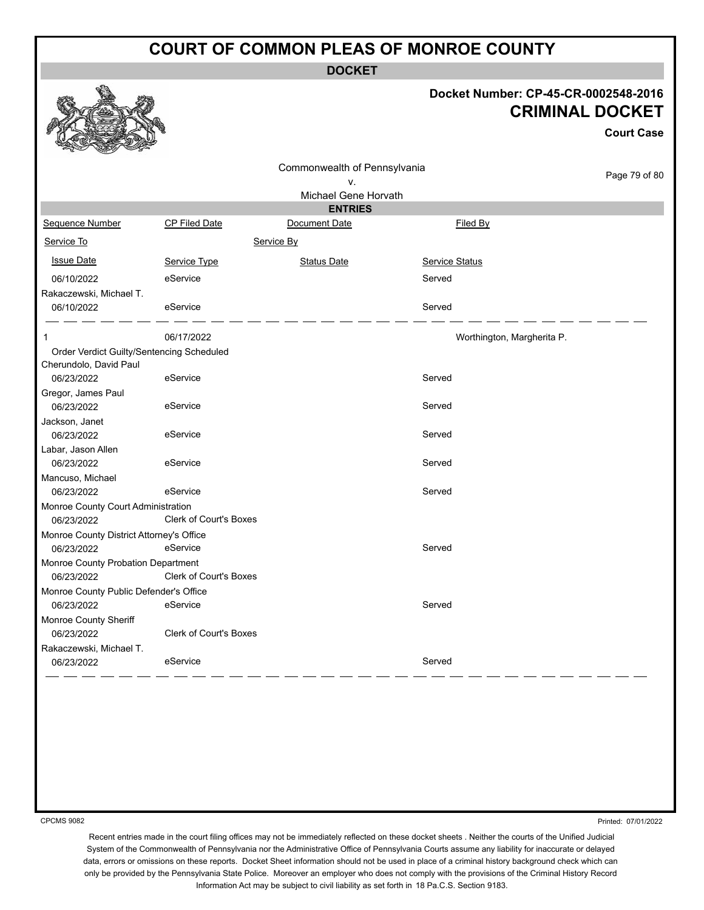**DOCKET**

## **Docket Number: CP-45-CR-0002548-2016 CRIMINAL DOCKET**

**Court Case**

| no<br><b>Controller</b><br>All All Lot    |                               |                                 |                            |               |
|-------------------------------------------|-------------------------------|---------------------------------|----------------------------|---------------|
|                                           |                               | Commonwealth of Pennsylvania    |                            | Page 79 of 80 |
|                                           |                               | ٧.                              |                            |               |
|                                           |                               | Michael Gene Horvath            |                            |               |
| Sequence Number                           | CP Filed Date                 | <b>ENTRIES</b><br>Document Date | Filed By                   |               |
|                                           |                               |                                 |                            |               |
| Service To                                |                               | Service By                      |                            |               |
| <b>Issue Date</b>                         | Service Type                  | <b>Status Date</b>              | Service Status             |               |
| 06/10/2022                                | eService                      |                                 | Served                     |               |
| Rakaczewski, Michael T.                   |                               |                                 |                            |               |
| 06/10/2022                                | eService                      |                                 | Served                     |               |
| 1                                         | 06/17/2022                    |                                 | Worthington, Margherita P. |               |
| Order Verdict Guilty/Sentencing Scheduled |                               |                                 |                            |               |
| Cherundolo, David Paul                    |                               |                                 |                            |               |
| 06/23/2022                                | eService                      |                                 | Served                     |               |
| Gregor, James Paul                        |                               |                                 |                            |               |
| 06/23/2022                                | eService                      |                                 | Served                     |               |
| Jackson, Janet                            |                               |                                 |                            |               |
| 06/23/2022                                | eService                      |                                 | Served                     |               |
| Labar, Jason Allen                        |                               |                                 |                            |               |
| 06/23/2022                                | eService                      |                                 | Served                     |               |
| Mancuso, Michael                          |                               |                                 |                            |               |
| 06/23/2022                                | eService                      |                                 | Served                     |               |
| Monroe County Court Administration        |                               |                                 |                            |               |
| 06/23/2022                                | <b>Clerk of Court's Boxes</b> |                                 |                            |               |
| Monroe County District Attorney's Office  |                               |                                 |                            |               |
| 06/23/2022                                | eService                      |                                 | Served                     |               |
| Monroe County Probation Department        |                               |                                 |                            |               |
| 06/23/2022                                | <b>Clerk of Court's Boxes</b> |                                 |                            |               |
| Monroe County Public Defender's Office    |                               |                                 |                            |               |
| 06/23/2022                                | eService                      |                                 | Served                     |               |
| Monroe County Sheriff                     |                               |                                 |                            |               |
| 06/23/2022                                | <b>Clerk of Court's Boxes</b> |                                 |                            |               |
| Rakaczewski, Michael T.                   |                               |                                 |                            |               |
| 06/23/2022                                | eService                      |                                 | Served                     |               |
|                                           |                               |                                 |                            |               |

CPCMS 9082

Printed: 07/01/2022